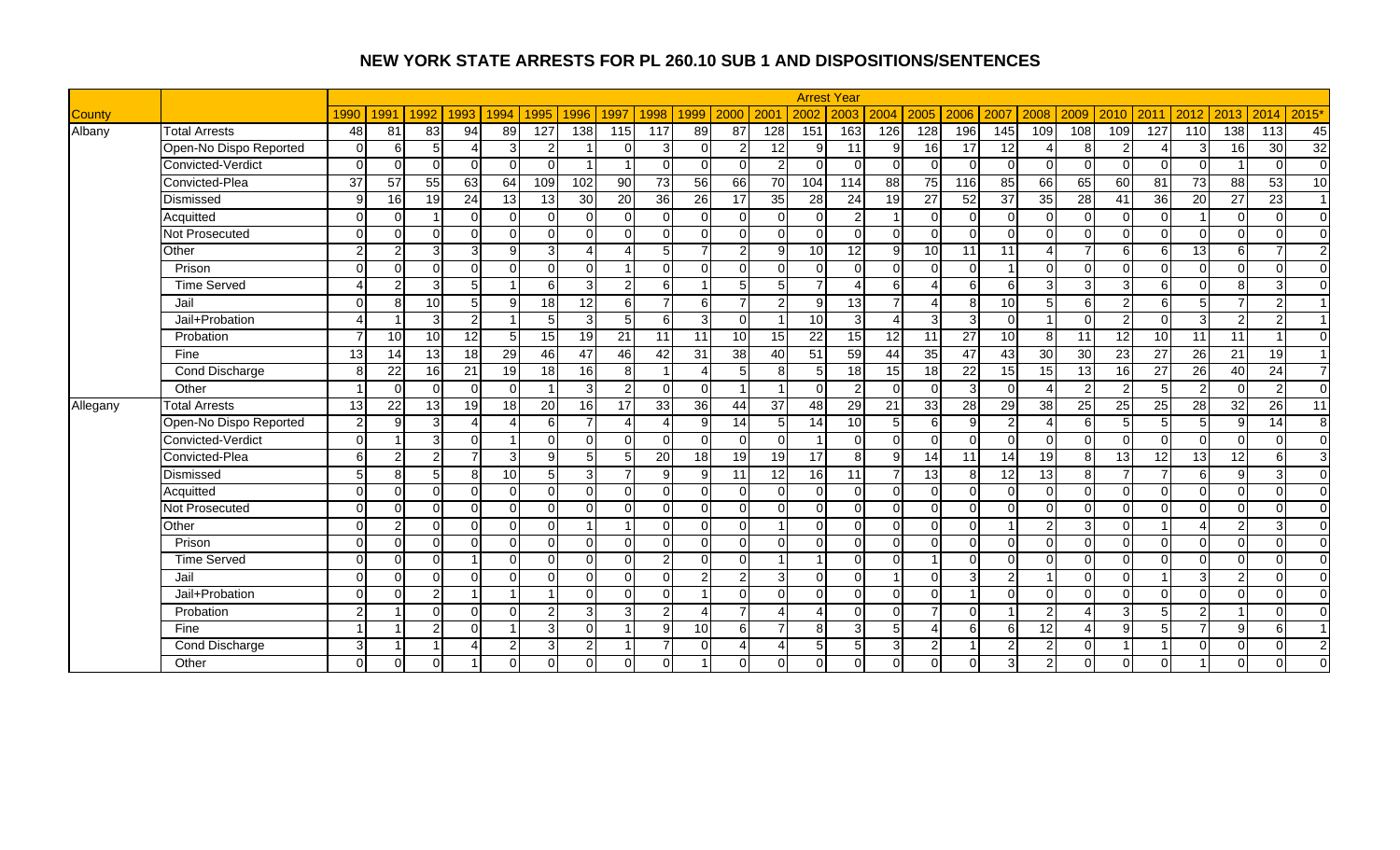|               |                        |                 |                 |                 |                        |                |                |          |                 |                 |                 |                |                          |                 | <b>Arrest Year</b> |                 |                 |                 |                 |                        |                 |                 |          |                 |                 |                  |                |
|---------------|------------------------|-----------------|-----------------|-----------------|------------------------|----------------|----------------|----------|-----------------|-----------------|-----------------|----------------|--------------------------|-----------------|--------------------|-----------------|-----------------|-----------------|-----------------|------------------------|-----------------|-----------------|----------|-----------------|-----------------|------------------|----------------|
| <b>County</b> |                        | 1990            | 1991            | 1992            | 1993                   | 1994           | 1995           | 1996     | 1997            | 1998            | 1999            | 2000           | 200                      | 2002            | 2003               | 2004            | 2005            | 2006            | 2007            | 2008                   | 2009            | 2010            | 2011     | 2012            | 2013            | 2014             | 2015'          |
| Albany        | <b>Total Arrests</b>   | 48              | 81              | 83              | 94                     | 89             | 127            | 138      | 115             | 117             | 89              | 87             | 128                      | 151             | 163                | 126             | 128             | 196             | 145             | 109                    | 108             | 109             | 127      | 110             | 138             | $\overline{113}$ | 45             |
|               | Open-No Dispo Reported | $\Omega$        | 6               | 5               | $\boldsymbol{\Lambda}$ | $\overline{3}$ | 2              |          | $\Omega$        | $\overline{3}$  | $\Omega$        | $\mathfrak{p}$ | 12                       | 9               | 11                 | g               | 16              | 17              | 12              | $\boldsymbol{\Lambda}$ | 8               | 2               |          | 3               | 16              | 30               | 32             |
|               | Convicted-Verdict      |                 | $\Omega$        |                 | $\Omega$               | $\Omega$       | $\Omega$       |          |                 | $\Omega$        | $\Omega$        |                | $\overline{2}$           | $\Omega$        | $\Omega$           | $\Omega$        | $\Omega$        | $\Omega$        | $\Omega$        | $\Omega$               | $\Omega$        | $\Omega$        | $\Omega$ | $\Omega$        |                 | $\Omega$         | $\overline{0}$ |
|               | Convicted-Plea         | $\overline{37}$ | $\overline{57}$ | 55              | 63                     | 64             | 109            | 102      | $\overline{90}$ | 73              | 56              | 66             | 70                       | 104             | 114                | 88              | 75              | 116             | $\overline{85}$ | 66                     | 65              | 60              | 81       | $\overline{73}$ | 88              | 53               | 10             |
|               | Dismissed              | $\Omega$        | 16              | 19              | 24                     | 13             | 13             | 30       | 20              | 36              | 26              | 17             | 35                       | 28              | 24                 | 19              | $\overline{27}$ | 52              | 37              | 35                     | 28              | 41              | 36       | 20              | $\overline{27}$ | 23               | $\vert$ 1      |
|               | Acquitted              | ∩               | ∩               |                 | $\mathbf 0$            | $\Omega$       | $\Omega$       | O        | $\mathbf 0$     | 0               | $\Omega$        | 0              | $\Omega$                 | $\overline{0}$  | 2                  |                 | $\overline{0}$  | $\overline{0}$  | $\Omega$        | $\Omega$               | $\Omega$        | $\Omega$        | $\Omega$ |                 | $\Omega$        | $\mathbf 0$      | $\overline{0}$ |
|               | Not Prosecuted         | $\Omega$        | $\Omega$        | $\Omega$        | $\Omega$               | $\Omega$       | $\Omega$       | $\Omega$ | $\Omega$        | $\Omega$        | $\Omega$        | <sup>0</sup>   | $\Omega$                 | $\Omega$        | $\Omega$           | $\Omega$        | $\Omega$        | $\Omega$        | $\Omega$        | $\Omega$               | $\Omega$        | $\Omega$        | $\Omega$ | $\Omega$        | $\Omega$        | $\Omega$         | $\Omega$       |
|               | Other                  |                 |                 |                 | 3                      | q              | 3              |          | $\Delta$        | 5               |                 | $\mathfrak{p}$ | $\mathbf{Q}$             | 10              | 12                 | q               | 10              | 11              | 11              | $\overline{A}$         |                 | 6               |          | 13              | 6 <sup>1</sup>  | 7                | $\overline{2}$ |
|               | Prison                 |                 | ∩               | $\Omega$        | $\mathbf 0$            | $\Omega$       | $\Omega$       | $\Omega$ |                 | $\Omega$        | $\Omega$        | <sup>0</sup>   | $\Omega$                 | $\Omega$        | $\Omega$           | $\Omega$        | $\Omega$        | $\Omega$        |                 | $\Omega$               | $\Omega$        | $\Omega$        | $\Omega$ | $\mathbf 0$     | $\Omega$        | $\Omega$         | $\Omega$       |
|               | <b>Time Served</b>     |                 | 2               | 3               | $\overline{5}$         |                | 6              | зI       | $\overline{2}$  | 6 <sup>1</sup>  |                 | 5 <sup>1</sup> | 5                        | $\overline{7}$  | Δ                  | $6 \mid$        | $\Delta$        | 6               | 6               | 3                      | 3               | 3               | 6        | $\mathbf 0$     | 8 <sup>1</sup>  | 3                | $\overline{0}$ |
|               | Jail                   |                 | 8               | 10              | $\sqrt{5}$             | $\mathbf{Q}$   | 18             | 12       | 6               | $\overline{7}$  | 6               | $\overline{ }$ | $\overline{2}$           | 9               | 13                 |                 | $\overline{4}$  | 8               | 10              | 5                      | 6               | 2               | $6 \mid$ | 5               | 7               | $\overline{2}$   | $\overline{1}$ |
|               | Jail+Probation         |                 |                 | $\mathcal{R}$   | $\overline{2}$         |                | 5              | 3        | 5               | $6 \mid$        | 3               | $\Omega$       |                          | $\overline{10}$ | 3                  |                 | 3               | 3               | $\Omega$        |                        | $\Omega$        | 2               | $\Omega$ | 3               | $\overline{2}$  | $\overline{c}$   |                |
|               | Probation              |                 | 10              | 10              | 12                     |                | 15             | 19       | 21              | 11              | 11              | 10             | 15                       | 22              | 15                 | $\overline{12}$ | 11              | $\overline{27}$ | 10              | 8                      | 11              | 12              | 10       | 11              | 11              |                  | $\overline{0}$ |
|               | Fine                   | 13              | 14              | $\overline{13}$ | 18                     | 29             | 46             | 47       | 46              | 42              | 31              | 38             | 40                       | 51              | 59                 | 44              | 35              | 47              | 43              | 30                     | 30              | $\overline{23}$ | 27       | 26              | 21              | 19               | $\overline{1}$ |
|               | Cond Discharge         | 8               | 22              | 16              | 21                     | 19             | 18             | 16       | 8               |                 | Δ               | 5 <sup>1</sup> | 8                        | 5               | 18                 | 15              | $\frac{1}{8}$   | $\overline{22}$ | 15              | 15                     | $\overline{13}$ | 16              | 27       | 26              | 40              | 24               | $\overline{7}$ |
|               | Other                  |                 | $\Omega$        | $\Omega$        | $\Omega$               | $\Omega$       | $\overline{1}$ | 3        | $\overline{2}$  | $\Omega$        | $\Omega$        |                | $\overline{1}$           | $\Omega$        | $\overline{2}$     | $\Omega$        | $\Omega$        | 3               | $\Omega$        | $\overline{A}$         | $\mathcal{P}$   | $\mathcal{P}$   | 5        | $\overline{2}$  | $\Omega$        | $\overline{2}$   | $\overline{0}$ |
| Allegany      | <b>Total Arrests</b>   | $\overline{13}$ | $\overline{22}$ | 13              | 19                     | 18             | 20             | 16       | 17              | 33              | $\overline{36}$ | 44             | $\overline{37}$          | $\overline{48}$ | 29                 | $\overline{21}$ | 33              | $\overline{28}$ | 29              | 38                     | $\overline{25}$ | 25              | 25       | $\overline{28}$ | $\overline{32}$ | $\overline{26}$  | 11             |
|               | Open-No Dispo Reported | 2               | q               |                 |                        |                | 6              |          | 4               | Δ               | 9               | 14             | 5                        | 14              | 10 <sup>1</sup>    | 5               | 6               | 9               | $\overline{2}$  | Δ                      | 6               |                 | 5        | 5               | $\overline{9}$  | $\overline{14}$  | 8              |
|               | Convicted-Verdict      | ∩               |                 |                 | $\Omega$               |                | $\Omega$       | U        | $\Omega$        | $\Omega$        | $\Omega$        | <sup>n</sup>   | $\Omega$                 |                 | $\Omega$           | $\Omega$        | $\Omega$        | $\mathbf 0$     | $\Omega$        | $\Omega$               | $\Omega$        | $\Omega$        | $\Omega$ | $\Omega$        | $\Omega$        | $\Omega$         | $\overline{0}$ |
|               | Convicted-Plea         | $\epsilon$      | 2               | ົ               | $\overline{7}$         | 3 <sup>l</sup> | 9              | 51       | 5               | $\overline{20}$ | 18              | 19             | 19                       | 17              | 8                  | 9               | 14              | 11              | 14              | 19                     | 8 <sup>1</sup>  | $\overline{13}$ | 12       | $\overline{a}$  | 12              | 6                | 3              |
|               | Dismissed              |                 | 8               |                 | $\bf8$                 | 10             | 5              | зI       | 7 <sup>1</sup>  | 9               | 9               | 11             | 12                       | 16              | 11                 |                 | 13              | 8               | 12              | 13                     | 8               |                 |          | $6\phantom{1}6$ | $\overline{9}$  | 3                | $\overline{0}$ |
|               | Acquitted              |                 | $\Omega$        | ΩI              | $\Omega$               | $\Omega$       | $\Omega$       | $\Omega$ | $\Omega$        | $\Omega$        | $\Omega$        | <sup>0</sup>   | $\Omega$                 | $\Omega$        | $\Omega$           | $\Omega$        | $\overline{0}$  | $\Omega$        | $\Omega$        | $\Omega$               | $\Omega$        | $\Omega$        | $\Omega$ | $\Omega$        | $\Omega$        | $\Omega$         | $\overline{0}$ |
|               | Not Prosecuted         | $\Omega$        | $\Omega$        | $\Omega$        | $\Omega$               | $\Omega$       | $\Omega$       | $\Omega$ | $\Omega$        | $\Omega$        | $\Omega$        | $\Omega$       | $\Omega$                 | $\Omega$        | $\Omega$           | $\Omega$        | $\Omega$        | $\Omega$        | $\Omega$        | $\Omega$               | $\Omega$        | $\Omega$        | $\Omega$ | $\Omega$        | $\Omega$        | $\Omega$         | $\Omega$       |
|               | Other                  |                 | 2               | $\cap$          | $\Omega$               | $\Omega$       | $\Omega$       |          |                 | $\Omega$        | $\Omega$        |                |                          | $\Omega$        | $\Omega$           | $\Omega$        | $\Omega$        | $\Omega$        |                 | 2                      | 3               | $\Omega$        |          |                 | $\overline{2}$  | 3                | $\overline{0}$ |
|               | Prison                 |                 | ∩               | $\Omega$        | $\mathbf 0$            | $\Omega$       | $\Omega$       | $\Omega$ | $\Omega$        | $\Omega$        | $\Omega$        | $\Omega$       | $\Omega$                 | $\Omega$        | $\Omega$           | $\Omega$        | $\Omega$        | $\Omega$        | $\Omega$        | $\Omega$               | $\Omega$        | $\Omega$        | $\Omega$ | $\mathbf 0$     | $\Omega$        | $\Omega$         | $\overline{0}$ |
|               | <b>Time Served</b>     |                 | ∩               | ΩI              | $\overline{1}$         | $\Omega$       | $\Omega$       | $\Omega$ | $\Omega$        | $\overline{2}$  | $\Omega$        | <sup>0</sup>   | $\overline{1}$           | -1              | $\Omega$           | $\Omega$        |                 | $\Omega$        | $\Omega$        | $\Omega$               | $\Omega$        | $\Omega$        | $\Omega$ | $\Omega$        | $\Omega$        | $\Omega$         | $\overline{0}$ |
|               | Jail                   | ∩               | $\Omega$        | $\Omega$        | $\mathbf 0$            | $\Omega$       | $\Omega$       | $\Omega$ | $\overline{0}$  | $\mathbf{0}$    | $\overline{2}$  | $\overline{2}$ | 3 <sup>l</sup>           | $\overline{0}$  | $\Omega$           |                 | $\Omega$        | $\mathbf{3}$    | 2               |                        | $\Omega$        | $\Omega$        |          | 3               | $\overline{2}$  | $\mathbf 0$      | $\overline{0}$ |
|               | Jail+Probation         | ∩               | $\Omega$        | ົ               |                        |                |                | $\Omega$ | $\Omega$        | $\Omega$        |                 | $\Omega$       | $\Omega$                 | $\Omega$        | $\Omega$           | $\Omega$        | $\Omega$        |                 | $\Omega$        | $\Omega$               | $\Omega$        | $\Omega$        | $\Omega$ | $\Omega$        | $\Omega$        | $\Omega$         | $\overline{0}$ |
|               | Probation              |                 |                 |                 | $\Omega$               | $\Omega$       | $\overline{2}$ | 3        | 3               | $\overline{2}$  | Δ               |                |                          | Δ               | $\Omega$           | $\Omega$        | $\overline{7}$  | $\Omega$        |                 | 2                      |                 | 3               |          | $\overline{2}$  |                 | $\Omega$         | $\mathbf{0}$   |
|               | Fine                   |                 |                 |                 | $\Omega$               |                | 3              | $\Omega$ |                 | 9               | 10              | 6 <sup>1</sup> | $\overline{7}$           | 8               | 3                  | 5               |                 | 6               | $\epsilon$      | 12                     | Δ               | $\mathsf{Q}$    | $5 \mid$ | $\overline{7}$  | -9              | 6                | $\overline{1}$ |
|               | Cond Discharge         | З               |                 |                 | $\boldsymbol{\Lambda}$ | $\mathfrak{p}$ | 3              | 21       |                 | $\overline{7}$  |                 | Δ              | $\boldsymbol{\varDelta}$ | 5               | F                  | $\overline{3}$  | $\overline{2}$  |                 | $\mathcal{P}$   | 2                      |                 |                 |          | $\Omega$        | $\Omega$        | $\Omega$         | 2              |
|               | Other                  | $\Omega$        | $\Omega$        | $\Omega$        | $\overline{ }$         | $\Omega$       | $\Omega$       | $\Omega$ | $\Omega$        | 0               |                 | 0              | $\Omega$                 | $\overline{0}$  | $\Omega$           | $\Omega$        | $\overline{0}$  | $\overline{0}$  | 3 <sup>l</sup>  | $\overline{c}$         | ∩               | $\Omega$        | $\Omega$ |                 | $\Omega$        | $\Omega$         | $\Omega$       |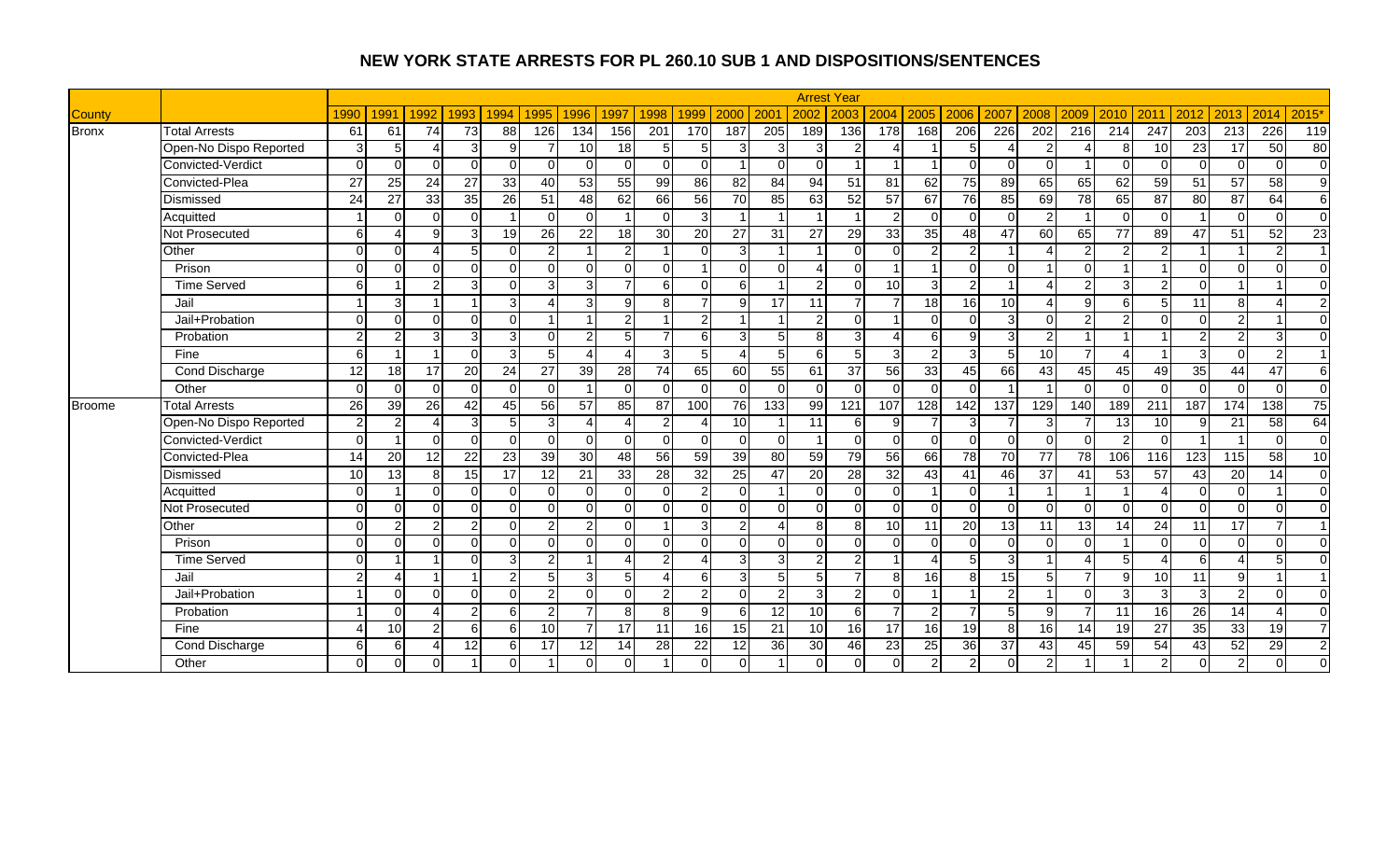|               |                        |               |                 |          |                         |                 |                 |                 |                        |                 |                          |                 |                         |                 | <b>Arrest Year</b> |                |                        |                |                 |                  |                |                  |                  |                         |                  |                        |                  |
|---------------|------------------------|---------------|-----------------|----------|-------------------------|-----------------|-----------------|-----------------|------------------------|-----------------|--------------------------|-----------------|-------------------------|-----------------|--------------------|----------------|------------------------|----------------|-----------------|------------------|----------------|------------------|------------------|-------------------------|------------------|------------------------|------------------|
| <b>County</b> |                        | 1990          | 1991            | 1992     | 1993                    | 1994            | 1995            | 1996            | 1997                   | 1998            | 1999                     | 2000            | 200                     | 2002            | 2003               | 2004           | 2005                   | 2006           | 2007            | 2008             | 2009           | 2010             | 2011             | 2012                    | 2013             | 2014                   | 2015'            |
| <b>Bronx</b>  | <b>Total Arrests</b>   | 61            | 61              | 74       | $\overline{73}$         | 88              | 126             | 134             | 156                    | 201             | 170                      | 187             | $\overline{205}$        | 189             | 136                | 178            | 168                    | 206            | 226             | $\overline{202}$ | 216            | $\overline{214}$ | $\overline{247}$ | $\overline{203}$        | $\overline{213}$ | 226                    | $\overline{119}$ |
|               | Open-No Dispo Reported | 3             | 5               |          | 3                       | 9               |                 | 10              | 18                     | 5 <sub>l</sub>  | 5                        | 3               | 3                       | 3               |                    |                |                        | 5              | $\Delta$        | 2                | Λ              | 8                | 10               | 23                      | 17               | 50                     | $\overline{80}$  |
|               | Convicted-Verdict      | ∩             | $\Omega$        |          | $\Omega$                | $\Omega$        | $\Omega$        |                 | $\Omega$               | $\Omega$        | $\Omega$                 |                 | $\Omega$                | $\Omega$        |                    |                |                        | $\Omega$       | $\Omega$        | $\Omega$         |                | $\Omega$         | $\Omega$         | $\Omega$                | $\Omega$         | $\Omega$               | $\overline{0}$   |
|               | Convicted-Plea         | 27            | 25              | 24       | 27                      | 33              | 40              | 53              | 55                     | 99              | 86                       | 82              | 84                      | 94              | 51                 | 81             | 62                     | 75             | 89              | 65               | 65             | 62               | 59               | 51                      | 57               | 58                     | 9                |
|               | Dismissed              | 24            | 27              | 33       | 35                      | 26              | 51              | 48              | 62                     | 66              | 56                       | 70              | 85                      | 63              | 52                 | 57             | 67                     | 76             | 85              | 69               | 78             | 65               | 87               | 80                      | 87               | 64                     | $6 \overline{6}$ |
|               | Acquitted              |               | ∩               | ∩        | $\Omega$                |                 | $\Omega$        | $\Omega$        |                        | $\Omega$        | 3                        |                 | -1                      |                 |                    | $\overline{2}$ | $\Omega$               | $\Omega$       | $\Omega$        | $\overline{2}$   |                | $\Omega$         | $\Omega$         |                         | $\Omega$         | $\Omega$               | $\overline{0}$   |
|               | Not Prosecuted         | 6             |                 | a        | 3                       | 19              | 26              | 22              | 18                     | 30              | 20                       | 27              | 31                      | 27              | 29                 | 33             | 35                     | 48             | 47              | 60               | 65             | 77               | 89               | 47                      | 51               | 52                     | $\overline{23}$  |
|               | Other                  |               | ∩               |          | 5                       | $\Omega$        | $\mathcal{P}$   |                 | $\overline{2}$         |                 | $\Omega$                 | $\mathcal{E}$   |                         |                 | $\Omega$           | $\Omega$       | $\overline{2}$         | $\overline{2}$ |                 | Δ                | າ              |                  |                  |                         |                  | $\overline{2}$         | $\overline{1}$   |
|               | Prison                 | ∩             | ∩               | ∩        | $\overline{0}$          | $\Omega$        | $\Omega$        | $\Omega$        | $\Omega$               | $\Omega$        |                          | $\Omega$        | $\Omega$                | Δ               | $\Omega$           |                |                        | $\Omega$       | $\Omega$        |                  | $\Omega$       |                  |                  | $\Omega$                | $\Omega$         | $\Omega$               | $\Omega$         |
|               | <b>Time Served</b>     |               |                 |          | 3                       | $\Omega$        | 3               | 3               | $\overline{7}$         | 6 <sup>1</sup>  | $\Omega$                 | 6               | $\overline{\mathbf{A}}$ | $\overline{2}$  | $\Omega$           | 10             | 3                      | $\overline{2}$ |                 | $\Delta$         | $\mathcal{P}$  | 3                | っ                | $\Omega$                |                  |                        | $\mathbf 0$      |
|               | Jail                   |               | 3               |          | $\overline{ }$          | 3               | $\Delta$        | 3               | 9                      | 8               | 7'                       | 9               | $\overline{17}$         | 11              | 7                  |                | 18                     | 16             | 10              | $\overline{4}$   | $\Omega$       | 6                |                  | 11                      | 8 <sup>1</sup>   | Δ                      | $\overline{2}$   |
|               | Jail+Probation         | $\Omega$      | $\Omega$        | U        | $\mathbf 0$             | $\Omega$        |                 |                 | $\overline{2}$         |                 | $\mathfrak{p}$           |                 |                         | $\overline{2}$  | $\Omega$           |                | $\Omega$               | $\overline{0}$ | $\overline{3}$  | $\Omega$         | っ              | 2                | $\Omega$         | $\mathbf 0$             | $\overline{2}$   |                        | $\mathbf 0$      |
|               | Probation              | ົ             |                 |          | 3                       | 3               | $\Omega$        | C               | 5                      | $\overline{7}$  | 6                        | 3               | 5                       | 8               | 3                  |                | 6                      | 9              | $\mathcal{B}$   | $\overline{2}$   |                |                  |                  | $\overline{2}$          | $\overline{2}$   | 3                      | $\overline{0}$   |
|               | Fine                   | 6             |                 |          | $\mathbf 0$             | $\overline{3}$  | 5               |                 | $\boldsymbol{\Lambda}$ | 3 <sup>1</sup>  | 5                        |                 | $5\overline{)}$         | 6               | 5                  | $\overline{3}$ | 2 <sub>1</sub>         | 3              | $5 \square$     | 10               | $\overline{ }$ | $\Delta$         |                  | $\overline{3}$          | $\Omega$         | $\overline{2}$         | $\overline{1}$   |
|               | Cond Discharge         | 12            | 18              | 17       | 20                      | 24              | $\overline{27}$ | 39              | 28                     | 74              | 65                       | 60              | 55                      | 61              | 37                 | 56             | 33                     | 45             | 66              | 43               | 45             | 45               | 49               | 35                      | 44               | 47                     | 6                |
|               | Other                  | $\Omega$      | $\Omega$        | $\Omega$ | $\Omega$                | $\Omega$        | $\Omega$        |                 | $\Omega$               | $\Omega$        | $\Omega$                 | U               | $\Omega$                | $\Omega$        | $\Omega$           | $\Omega$       | $\Omega$               | $\Omega$       |                 |                  | $\Omega$       | $\Omega$         | $\Omega$         | $\mathbf 0$             | $\Omega$         | $\Omega$               | $\overline{0}$   |
| <b>Broome</b> | <b>Total Arrests</b>   | 26            | 39              | 26       | 42                      | 45              | 56              | 57              | 85                     | 87              | 100                      | 76              | 133                     | 99              | 121                | 107            | 128                    | 142            | 137             | 129              | 140            | 189              | $\overline{211}$ | 187                     | 174              | 138                    | $\overline{75}$  |
|               | Open-No Dispo Reported | $\mathcal{P}$ | 2               |          | 3                       | 5 <sub>l</sub>  | 3               | 4               | 4                      | $\mathbf{2}$    | Δ                        | 10              |                         | 11              | 6                  | 9              | $\overline{7}$         | 3              |                 | 3                |                | 13               | 10               | 9                       | 21               | 58                     | 64               |
|               | Convicted-Verdict      | $\Omega$      |                 |          | $\mathbf 0$             | $\Omega$        | $\Omega$        | $\Omega$        | $\Omega$               | $\mathbf 0$     | -0                       | O.              | $\Omega$                |                 | $\Omega$           | $\Omega$       | $\overline{0}$         | $\mathbf 0$    | $\Omega$        | $\Omega$         | ∩              |                  | $\Omega$         |                         |                  | $\Omega$               | $\overline{0}$   |
|               | Convicted-Plea         | 14            | $\overline{20}$ | 12       | $\overline{22}$         | 23              | 39              | 30              | $\overline{48}$        | $\overline{56}$ | 59                       | 39              | 80                      | 59              | 79                 | 56             | 66                     | 78             | 70              | 77               | 78             | 106              | 116              | 123                     | 115              | 58                     | 10               |
|               | Dismissed              | 10            | 13              | 8        | 15                      | $\overline{17}$ | 12              | 21              | 33                     | 28              | 32                       | 25              | 47                      | $\overline{20}$ | 28                 | 32             | 43                     | 41             | 46              | 37               | 41             | 53               | 57               | 43                      | 20               | 14                     | $\overline{0}$   |
|               | Acquitted              | ∩             |                 | ΩI       | $\mathbf 0$             | $\Omega$        | $\Omega$        | $\Omega$        | $\overline{0}$         | 0               | 2                        | $\Omega$        | -1                      | $\Omega$        | $\Omega$           | $\Omega$       |                        | $\mathbf 0$    |                 |                  |                |                  |                  | $\mathbf 0$             | $\Omega$         |                        | $\overline{0}$   |
|               | Not Prosecuted         | $\Omega$      | $\Omega$        | $\Omega$ | $\Omega$                | $\Omega$        | $\Omega$        | $\Omega$        | $\Omega$               | $\Omega$        | $\Omega$                 | <sup>0</sup>    | $\Omega$                | $\Omega$        | $\Omega$           | $\Omega$       | $\Omega$               | $\mathbf 0$    | $\Omega$        | $\Omega$         | $\Omega$       | $\Omega$         | $\Omega$         | $\Omega$                | $\Omega$         | $\Omega$               | $\overline{0}$   |
|               | Other                  |               |                 |          | $\overline{2}$          | $\Omega$        | $\overline{2}$  | っ               | $\Omega$               |                 | 3                        | 2               |                         | 8               | 8                  | 10             | 11                     | 20             | 13              | 11               | 13             | 14               | 24               | 11                      | 17               | 7                      | $\overline{1}$   |
|               | Prison                 |               | $\Omega$        | $\cap$   | $\Omega$                | $\Omega$        | $\Omega$        | $\Omega$        | $\Omega$               | $\Omega$        | $\Omega$                 | $\Omega$        | $\Omega$                | $\Omega$        | $\Omega$           | $\Omega$       | $\Omega$               | $\Omega$       | $\Omega$        | $\Omega$         | $\Omega$       |                  | $\Omega$         | $\Omega$                | $\Omega$         | $\Omega$               | $\Omega$         |
|               | <b>Time Served</b>     | ∩             | $\overline{ }$  |          | $\Omega$                | 3               | 2               |                 | 4                      | $\overline{2}$  | $\boldsymbol{\varDelta}$ | $\overline{3}$  | 3                       | $\overline{2}$  | 2                  |                | $\boldsymbol{\Lambda}$ | 5              | $\overline{3}$  |                  | $\lambda$      | 5                |                  | 6                       | 4                | 5                      | $\Omega$         |
|               | Jail                   | っ             |                 |          | $\overline{\mathbf{1}}$ | $\mathcal{P}$   | 5               | 3               | 5                      | $\overline{A}$  | 6                        | 31              | 5                       | 5               | $\overline{7}$     | 8              | 16                     | 8              | 15              | 5                | 7              | 9                | 10               | 11                      | 9                |                        | $\overline{1}$   |
|               | Jail+Probation         |               | $\Omega$        |          | $\Omega$                | $\Omega$        | 2               | $\Omega$        | $\Omega$               | $\overline{2}$  | $\overline{2}$           | 0               | $\mathcal{P}$           | 3               | 2                  | $\Omega$       |                        |                | $\mathcal{P}$   | 1                | $\Omega$       | 3                | $\mathcal{R}$    | 3                       | 2 <sub>1</sub>   | $\Omega$               | $\Omega$         |
|               | Probation              |               | $\Omega$        |          | $\overline{2}$          | 6               | $\overline{2}$  |                 | 8                      | 8               | 9                        | 6 <sup>1</sup>  | 12                      | 10 <sup>1</sup> | 6                  | $\overline{7}$ | 2 <sub>1</sub>         | $\overline{7}$ | 5 <sup>1</sup>  | 9                |                | 11               | 16               | 26                      | 14               | $\boldsymbol{\Lambda}$ | $\Omega$         |
|               | Fine                   |               | 10              |          | 6                       | 6               | 10              |                 | 17                     | 11              | 16                       | 15 <sup>1</sup> | 21                      | 10              | 16                 | 17             | 16                     | 19             | $\mathbf{8}$    | 16 <sup>1</sup>  | 14             | 19               | 27               | 35                      | 33               | 19                     | $\overline{7}$   |
|               | <b>Cond Discharge</b>  | 6             | 6               |          | 12                      | $6 \mid$        | 17              | 12 <sup>1</sup> | 14                     | 28              | 22                       | 12 <sup>1</sup> | 36                      | 30              | 46                 | 23             | 25                     | 36             | $\overline{37}$ | 43               | 45             | 59               | 54               | 43                      | 52               | 29                     | $\overline{2}$   |
|               | Other                  |               | ∩               |          |                         | $\Omega$        |                 |                 | $\Omega$               |                 |                          |                 |                         | $\Omega$        | $\Omega$           | $\Omega$       | $\overline{2}$         | $\overline{2}$ | $\Omega$        | 2                |                |                  | $\mathfrak{p}$   | $\overline{\mathsf{o}}$ | $\overline{2}$   | $\Omega$               | $\mathbf 0$      |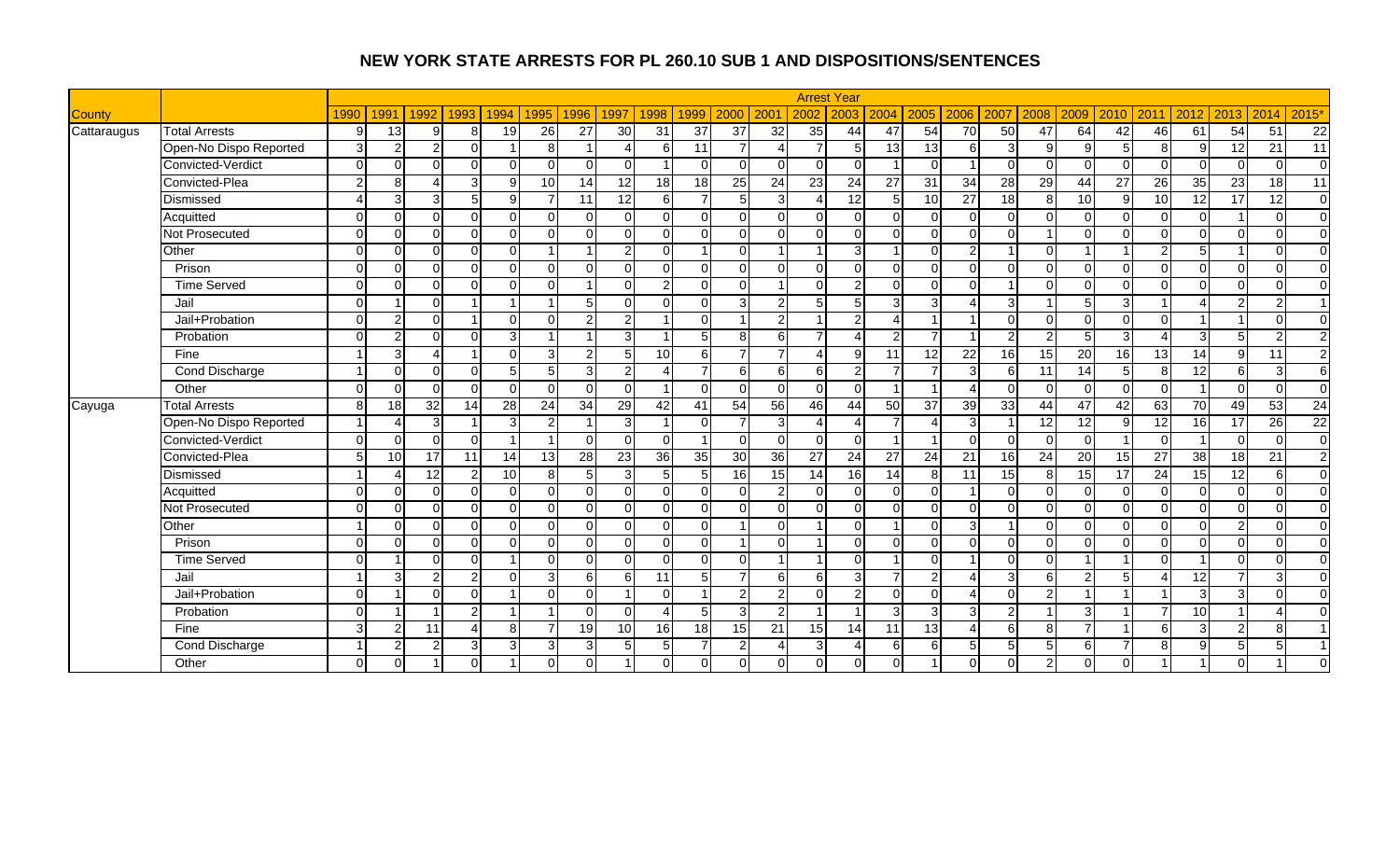|               |                        |                |                |                 |                |                |          |                 |                         |                          |               |                 |                  |                | <b>Arrest Year</b> |                 |                          |                          |                 |                 |          |                 |                 |                 |                |                 |                         |
|---------------|------------------------|----------------|----------------|-----------------|----------------|----------------|----------|-----------------|-------------------------|--------------------------|---------------|-----------------|------------------|----------------|--------------------|-----------------|--------------------------|--------------------------|-----------------|-----------------|----------|-----------------|-----------------|-----------------|----------------|-----------------|-------------------------|
| <b>County</b> |                        | 1990           | 1991           | 1992            | 1993           | 1994           | 1995     | 1996            | 1997                    | 1998                     | 1999          | 2000            | 200 <sup>1</sup> | 2002           | 2003               | 2004            | 2005                     | 2006                     | 2007            | 2008            | 2009     | 2010            | 2011            | 2012            | 2013 2014      |                 | 2015*                   |
| Cattaraugus   | <b>Total Arrests</b>   | 9              | 13             | 9               | 8              | 19             | 26       | 27              | 30                      | 31                       | 37            | $\overline{37}$ | 32               | 35             | 44                 | 47              | 54                       | $\overline{70}$          | 50              | 47              | 64       | 42              | 46              | 61              | 54             | 51              | 22                      |
|               | Open-No Dispo Reported | $\overline{3}$ | 2              | 21              | $\Omega$       |                | 8        | 4               | Δ                       | 6                        | 11            |                 | $\overline{4}$   | $\overline{7}$ | $5 \square$        | 13              | 13                       | 6                        | $\mathcal{R}$   | 9               | 9        | 5               | 8 <sup>1</sup>  | 9               | 12             | 21              | 11                      |
|               | Convicted-Verdict      | $\Omega$       | $\Omega$       | U               | $\Omega$       | $\Omega$       | $\Omega$ |                 | $\Omega$                |                          | $\Omega$      | $\Omega$        | $\Omega$         | $\Omega$       | $\Omega$           |                 | $\Omega$                 |                          |                 | $\Omega$        | $\Omega$ | $\Omega$        | $\Omega$        | $\Omega$        | $\Omega$       | $\Omega$        | $\Omega$                |
|               | Convicted-Plea         | $\overline{2}$ | $\mathsf{R}$   | Δ               | دی             | 9              | 10       | 14              | 12                      | $\overline{18}$          | $\frac{1}{8}$ | 25              | 24               | 23             | $\overline{24}$    | $\overline{27}$ | $\overline{31}$          | $\overline{34}$          | $\overline{28}$ | 29              | 44       | $\overline{27}$ | $\overline{26}$ | 35              | 23             | 18              | $\overline{11}$         |
|               | Dismissed              | $\lambda$      | 3              | $\overline{3}$  | $\overline{5}$ | 9              | 7        | 11              | 12                      | 6                        |               | 5 <sup>1</sup>  | 3 <sup>1</sup>   | $\Delta$       | $\overline{12}$    | 5 <sub>l</sub>  | 10                       | $\overline{27}$          | 18              | 8               | 10       | 9               | 10              | 12              | 17             | 12              | $\overline{0}$          |
|               | Acquitted              | $\Omega$       | $\Omega$       | ΩI              | $\Omega$       | $\Omega$       | $\Omega$ | U               | $\Omega$                | $\Omega$                 | $\Omega$      | $\Omega$        | $\overline{0}$   | $\Omega$       | $\Omega$           | $\overline{0}$  | $\Omega$                 | $\Omega$                 |                 | $\Omega$        | $\Omega$ | $\Omega$        | $\Omega$        | $\Omega$        |                | $\Omega$        | $\overline{0}$          |
|               | Not Prosecuted         | $\Omega$       | $\Omega$       | ΩI              | $\Omega$       | $\Omega$       | $\Omega$ | $\Omega$        | $\Omega$                | $\overline{0}$           | $\Omega$      | $\Omega$        | $\Omega$         | $\overline{0}$ | $\Omega$           | $\Omega$        | $\Omega$                 | $\Omega$                 |                 |                 | $\Omega$ | $\Omega$        | $\Omega$        | $\Omega$        | οI             | $\Omega$        | $\Omega$                |
|               | Other                  | $\Omega$       | $\Omega$       | $\Omega$        | $\Omega$       | $\Omega$       |          |                 | $\overline{2}$          | $\Omega$                 |               | $\Omega$        |                  |                | $\mathcal{E}$      |                 |                          | $\overline{2}$           |                 | $\Omega$        |          |                 | $\mathcal{P}$   | 5               |                | $\Omega$        | $\Omega$                |
|               | Prison                 | $\Omega$       | $\Omega$       | $\Omega$        | $\Omega$       | $\Omega$       | $\Omega$ | U               | $\Omega$                | $\Omega$                 | $\Omega$      | $\Omega$        | $\Omega$         | $\Omega$       | $\Omega$           | $\Omega$        | $\Omega$                 | $\Omega$                 |                 | $\Omega$        | $\Omega$ | $\Omega$        | $\Omega$        | $\overline{0}$  | $\overline{0}$ | $\Omega$        | $\overline{0}$          |
|               | <b>Time Served</b>     | $\Omega$       | $\Omega$       | ΩI              | $\Omega$       | $\Omega$       | $\Omega$ | $\overline{ }$  | $\Omega$                | $\overline{2}$           | $\Omega$      | $\Omega$        |                  | $\Omega$       | $\overline{2}$     | $\Omega$        | $\Omega$                 | $\Omega$                 |                 | $\Omega$        | $\Omega$ | $\Omega$        | $\Omega$        | $\Omega$        | $\Omega$       | $\Omega$        | $\Omega$                |
|               | Jail                   | $\Omega$       |                | $\Omega$        |                |                |          | 5               | $\Omega$                | $\Omega$                 | $\Omega$      | 3               | 2 <sub>l</sub>   | 5 <sub>l</sub> | $\overline{5}$     | 3               | 3                        |                          |                 | $\overline{ }$  |          | 3               |                 | $\Delta$        | $\overline{2}$ | $\overline{2}$  | 1                       |
|               | Jail+Probation         | $\Omega$       | $\overline{2}$ | ΩI              |                | $\Omega$       | $\Omega$ | $\overline{2}$  | $\overline{2}$          | $\overline{\mathbf{1}}$  | $\Omega$      |                 | 2 <sub>l</sub>   | -1             | $\mathcal{P}$      | $\overline{4}$  |                          |                          |                 | $\Omega$        | $\Omega$ | $\Omega$        | $\Omega$        |                 |                | $\Omega$        | $\Omega$                |
|               | Probation              | $\Omega$       | $\overline{2}$ | ΩI              | $\Omega$       | $\overline{3}$ |          |                 | $\overline{3}$          |                          |               | 8 <sup>1</sup>  | $6 \mid$         | $\overline{7}$ | $\Delta$           | $\overline{2}$  | $\overline{\phantom{0}}$ |                          |                 | $\mathcal{P}$   | 5        | 3               | $\Lambda$       | $\mathbf{3}$    | 5 <sup>1</sup> | $\overline{2}$  | $\overline{2}$          |
|               | Fine                   |                | 3              | 4               |                | $\Omega$       | 3        | $\overline{2}$  | 5                       | 10                       | 6             |                 | $\overline{7}$   | 4              | 9 <sub>l</sub>     | 11              | 12                       | $\overline{22}$          | 16              | 15              | 20       | 16              | 13              | 14              | $9 \mid$       | 11              | $\overline{2}$          |
|               | Cond Discharge         |                | $\Omega$       | ΩI              | $\Omega$       | 5 <sub>l</sub> | 5        | $\overline{3}$  | $\overline{2}$          | Δ                        |               | $6 \mid$        | 6                | $6 \mid$       | $\mathcal{P}$      | $\overline{7}$  |                          | 3                        | 6               | 11              | 14       | 5               | 8 <sup>1</sup>  | 12              | $6 \mid$       | 3               | 6                       |
|               | Other                  | $\Omega$       | $\Omega$       | $\Omega$        | $\Omega$       | $\Omega$       | $\Omega$ | U               | $\Omega$                | $\overline{\mathbf{1}}$  | $\Omega$      | $\Omega$        | $\Omega$         | $\overline{0}$ | $\Omega$           |                 |                          | $\boldsymbol{\varDelta}$ |                 | $\Omega$        | $\Omega$ | $\Omega$        | $\Omega$        | $\overline{1}$  | $\Omega$       | $\Omega$        | $\Omega$                |
| Cayuga        | <b>Total Arrests</b>   | 8              | 18             | 32 <sub>l</sub> | 14             | 28             | 24       | 34              | 29                      | 42                       | 41            | 54              | 56               | 46             | 44                 | 50              | 37                       | 39                       | 33              | 44              | 47       | 42              | 63              | 70              | 49             | 53              | $\overline{24}$         |
|               | Open-No Dispo Reported |                |                | 3               |                | 3              | 2        |                 | $\overline{3}$          | $\overline{\mathbf{1}}$  | $\Omega$      |                 | 3 <sup>l</sup>   | $\Delta$       | $\Delta$           |                 | $\Delta$                 | 3                        |                 | $\overline{12}$ | 12       | 9               | 12              | 16              | 17             | $\overline{26}$ | $\overline{22}$         |
|               | Convicted-Verdict      | $\Omega$       | $\Omega$       | $\Omega$        | $\Omega$       |                |          |                 | $\Omega$                | $\Omega$                 |               | $\Omega$        | $\Omega$         | $\overline{0}$ | $\Omega$           |                 |                          | $\Omega$                 |                 | $\Omega$        | $\Omega$ |                 | $\Omega$        | $\overline{1}$  | $\Omega$       | $\Omega$        | $\overline{0}$          |
|               | Convicted-Plea         | 5 <sup>1</sup> | 10             | 17              | 11             | 14             | 13       | 28              | 23                      | 36                       | 35            | 30              | 36               | 27             | 24                 | 27              | 24                       | 21                       | 16              | $\overline{24}$ | 20       | 15              | 27              | $\overline{38}$ | 18             | $\overline{21}$ | $\overline{2}$          |
|               | Dismissed              |                | Λ              | 12              | 2 <sub>l</sub> | 10             | 8        | 5 <sub>5</sub>  | $\mathbf{3}$            | 5                        | 5             | 16              | 15               | 14             | 16                 | 14              | 8                        | 11                       | 15              | 8               | 15       | $\overline{17}$ | 24              | 15              | 12             | 6               | $\overline{0}$          |
|               | Acquitted              | $\Omega$       | $\Omega$       | $\Omega$        | $\Omega$       | $\Omega$       | $\Omega$ | $\Omega$        | $\Omega$                | $\Omega$                 | $\Omega$      | $\Omega$        | $\mathbf{2}$     | $\overline{0}$ | $\Omega$           | $\overline{0}$  | $\Omega$                 |                          |                 | $\Omega$        | $\Omega$ | $\Omega$        | $\Omega$        | $\Omega$        | $\overline{0}$ | $\Omega$        | $\overline{0}$          |
|               | <b>Not Prosecuted</b>  | $\Omega$       | $\Omega$       | ΩI              | $\Omega$       | $\Omega$       | $\Omega$ | $\Omega$        | $\Omega$                | $\Omega$                 | $\Omega$      | $\Omega$        | $\Omega$         | $\overline{0}$ | $\Omega$           | $\Omega$        | $\Omega$                 | $\Omega$                 |                 | $\Omega$        | $\Omega$ | $\Omega$        | $\Omega$        | $\Omega$        | οI             | $\Omega$        | $\Omega$                |
|               | Other                  |                | $\Omega$       | $\Omega$        | $\Omega$       | $\Omega$       | $\Omega$ |                 | $\Omega$                | $\Omega$                 | $\Omega$      |                 | $\Omega$         |                | $\Omega$           |                 |                          | 3                        |                 | $\Omega$        | ∩        | $\Omega$        | $\Omega$        | $\Omega$        | $\overline{2}$ | $\Omega$        | $\Omega$                |
|               | Prison                 | $\Omega$       | $\Omega$       | $\Omega$        | $\mathbf 0$    | $\Omega$       | $\Omega$ | 0               | $\Omega$                | $\Omega$                 | $\Omega$      |                 | $\Omega$         |                | $\Omega$           | $\Omega$        | $\Omega$                 | $\Omega$                 |                 | $\Omega$        | $\Omega$ | $\Omega$        | $\Omega$        | $\Omega$        | $\overline{0}$ | $\Omega$        | $\overline{0}$          |
|               | <b>Time Served</b>     | $\Omega$       |                | ΩI              | $\Omega$       | 1              | $\Omega$ | 0               | $\Omega$                | $\overline{0}$           | $\Omega$      | $\Omega$        | $\mathbf 1$      | -1             | $\Omega$           |                 | $\Omega$                 | $\overline{1}$           |                 | $\Omega$        |          | -1              | $\Omega$        | $\overline{1}$  | $\Omega$       | $\Omega$        | $\overline{0}$          |
|               | Jail                   |                | 3              | 2               | $\overline{2}$ | $\Omega$       | 3        | 6               | 6                       | 11                       | 5             |                 | $6 \mid$         | $6 \mid$       | 3 <sup>l</sup>     | 7               | 2                        | Δ                        | 3               | 6               | C        | 5               | Δ               | $\overline{12}$ | 7              | 3               | $\overline{0}$          |
|               | Jail+Probation         | $\Omega$       |                | ΩI              | $\Omega$       |                | $\Omega$ | 0               | $\overline{\mathbf{1}}$ | $\Omega$                 |               | $\mathcal{P}$   | $\overline{2}$   | $\overline{0}$ | 2                  | $\Omega$        | $\Omega$                 | $\boldsymbol{\Lambda}$   |                 | $\overline{2}$  |          |                 |                 | $\overline{3}$  | 3 <sup>l</sup> | $\Omega$        | $\Omega$                |
|               | Probation              | $\Omega$       |                |                 | $\overline{2}$ |                |          | U               | $\Omega$                | $\boldsymbol{\varDelta}$ |               | 3               | $\overline{2}$   | 1              |                    | 3               | 3                        | 3                        |                 |                 | 3        |                 | $\overline{7}$  | 10              |                | 4               | $\Omega$                |
|               | Fine                   | 3              | $\mathcal{P}$  | 11              | $\overline{A}$ | 8              |          | 19 <sup>l</sup> | 10 <sup>1</sup>         | 16                       | 18            | 15 <sup>1</sup> | 21               | 15             | 14                 | 11              | 13                       | Δ                        |                 | 8               |          |                 | $6 \mid$        | $\overline{3}$  | 2 <sub>l</sub> | 8               |                         |
|               | Cond Discharge         |                | $\mathcal{P}$  | 2               | 3              | $\overline{3}$ | 3        | $\overline{3}$  | 5 <sup>1</sup>          | 5 <sub>5</sub>           |               | $\mathcal{P}$   | $\overline{4}$   | $\overline{3}$ | $\Delta$           | 6               | 6                        | 5                        |                 | 5               | $6 \mid$ | 7               | 8 <sup>1</sup>  | 9               | 5 <sub>l</sub> | 5               | $\overline{\mathbf{1}}$ |
|               | Other                  | $\Omega$       | $\Omega$       |                 | $\Omega$       |                |          |                 |                         | $\Omega$                 | $\Omega$      | $\Omega$        | $\overline{0}$   | $\Omega$       | $\Omega$           | $\Omega$        |                          |                          |                 | $\overline{2}$  | $\Omega$ | $\Omega$        |                 |                 | $\Omega$       |                 | $\Omega$                |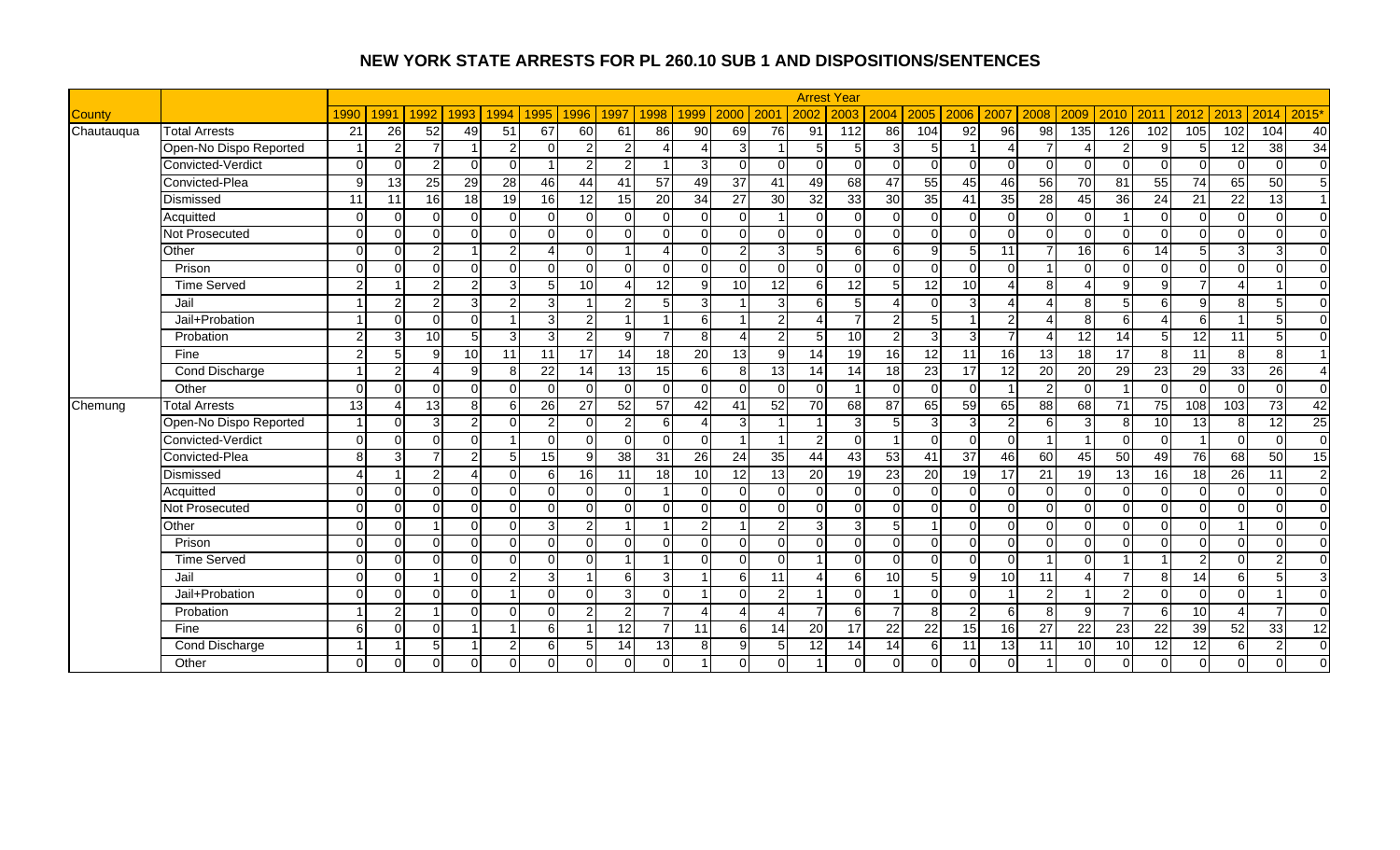|               |                        |                |          |                 |                |                |          |                 |                      |                         |                 |                |                |                 | <b>Arrest Year</b> |                 |                 |                 |                 |                        |          |                 |                 |                |                |                 |                        |
|---------------|------------------------|----------------|----------|-----------------|----------------|----------------|----------|-----------------|----------------------|-------------------------|-----------------|----------------|----------------|-----------------|--------------------|-----------------|-----------------|-----------------|-----------------|------------------------|----------|-----------------|-----------------|----------------|----------------|-----------------|------------------------|
| <b>County</b> |                        | 1990           | 1991     | 1992            | 1993           | 1994           | 1995     | 1996            | 1997                 | 1998                    | 1999            | 2000           | 200            | 2002            | 2003               | 2004            | 2005            | 2006            | 2007            | 2008                   | 2009     | 2010            | 2011            | 2012           | 2013           | 2014            | 2015'                  |
| Chautauqua    | <b>Total Arrests</b>   | 21             | 26       | 52              | 49             | 51             | 67       | 60              | 61                   | 86                      | 90              | 69             | 76             | 91              | 112                | 86              | 104             | 92              | $\overline{96}$ | $\overline{98}$        | 135      | 126             | 102             | 105            | 102            | 104             | 40                     |
|               | Open-No Dispo Reported |                | 2        |                 |                | $\overline{2}$ | O        | $\overline{2}$  | $\overline{2}$       | Δ                       |                 | 3              |                | 5               | 5                  | $\overline{3}$  | 5               |                 |                 |                        |          | 2               | g               | 5              | 12             | 38              | 34                     |
|               | Convicted-Verdict      | $\Omega$       | $\cap$   | 2               | $\Omega$       | $\Omega$       |          | 2               | $\mathcal{P}$        |                         |                 | $\Omega$       | $\Omega$       | $\Omega$        | $\Omega$           | $\Omega$        | $\Omega$        | $\Omega$        |                 | $\Omega$               | $\cap$   | $\Omega$        | $\Omega$        | $\Omega$       | $\Omega$       | $\Omega$        | $\overline{0}$         |
|               | Convicted-Plea         | 9              | 13       | 25              | 29             | 28             | 46       | 44              | 41                   | 57                      | 49              | 37             | 41             | 49              | 68                 | 47              | 55              | 45              | 46              | 56                     | 70       | 81              | 55              | 74             | 65             | 50              | 5                      |
|               | Dismissed              | 11             | 11       | 16              | 18             | 19             | 16       | 12              | 15                   | 20                      | 34              | 27             | 30             | 32              | 33                 | 30 <sup>°</sup> | 35              | 41              | 35              | 28                     | 45       | 36              | 24              | 21             | 22             | 13              | $\vert$ 1              |
|               | Acquitted              | $\Omega$       | $\Omega$ | $\Omega$        | $\Omega$       | $\Omega$       | $\Omega$ | 0               | $\Omega$             | $\Omega$                | $\Omega$        | $\Omega$       |                | $\Omega$        | $\Omega$           | $\overline{0}$  | $\Omega$        | $\Omega$        |                 | $\Omega$               | $\Omega$ |                 | $\Omega$        | $\overline{0}$ | $\Omega$       | $\Omega$        | $\overline{0}$         |
|               | Not Prosecuted         | $\Omega$       | $\Omega$ | $\Omega$        | $\Omega$       | $\Omega$       | $\Omega$ | $\Omega$        | $\Omega$             | $\Omega$                | $\Omega$        | $\Omega$       | $\Omega$       | $\Omega$        | $\Omega$           | $\Omega$        | $\Omega$        | $\Omega$        | ∩               | $\Omega$               | $\Omega$ | $\Omega$        | $\Omega$        | $\Omega$       | $\Omega$       | $\Omega$        | $\Omega$               |
|               | Other                  | $\Omega$       | $\Omega$ | $\overline{2}$  |                | $\overline{2}$ | Δ        | ∩               |                      | Δ                       | $\Omega$        |                | $\overline{3}$ | 5               | 6                  | $6 \mid$        | 9               | .5              | 11              |                        | 16       | 6               | 14              | 5              | $\overline{3}$ | 3               | $\Omega$               |
|               | Prison                 | $\Omega$       | $\Omega$ | $\Omega$        | $\Omega$       | $\Omega$       | $\Omega$ | $\Omega$        | $\Omega$             | $\Omega$                | $\Omega$        | $\Omega$       | $\Omega$       | $\Omega$        | $\Omega$           | $\Omega$        | $\Omega$        | $\Omega$        |                 |                        | $\Omega$ | $\Omega$        | $\Omega$        | $\Omega$       | $\Omega$       | $\Omega$        | $\overline{0}$         |
|               | <b>Time Served</b>     | $\mathfrak{p}$ |          | $\overline{2}$  | $\overline{2}$ | 3 <sup>l</sup> | 5        | 10 <sup>1</sup> | $\overline{\Lambda}$ | 12                      | 9               | 10             | 12             | 6               | 12                 | 5 <sub>l</sub>  | $\overline{12}$ | 10              |                 | 8                      |          | 9               | $\mathsf{Q}$    | $\overline{7}$ | $\Delta$       |                 | $\overline{0}$         |
|               | Jail                   |                | 2        | $\overline{2}$  | 3              | $\overline{2}$ | 3        |                 | $\overline{2}$       | 5                       | 3               |                | 3 <sup>l</sup> | 6               | 5 <sup>1</sup>     | $\overline{4}$  | $\Omega$        | 3               |                 | $\boldsymbol{\Lambda}$ | 8        | 5               | 6 <sup>1</sup>  | 9              | 8 <sup>1</sup> | 5               | $\overline{0}$         |
|               | Jail+Probation         |                | $\Omega$ | $\Omega$        | $\Omega$       | 1              | 3        | $\overline{2}$  |                      | $\overline{\mathbf{1}}$ | 6               |                | $\overline{2}$ | Δ               |                    | $\overline{2}$  | $\overline{5}$  |                 | $\mathcal{D}$   |                        | 8        | 6               |                 | 6              |                | 5               | $\overline{0}$         |
|               | Probation              | $\mathfrak{p}$ | З        | 10 <sup>1</sup> | 5              | $\overline{3}$ | 3        | $\mathfrak{p}$  | 9                    | $\overline{7}$          | 8               |                | 2 <sub>l</sub> | 5               | $\overline{10}$    | $\overline{a}$  | $\overline{3}$  | 3               |                 |                        | 12       | 14              | г.              | 12             | 11             | 5               | $\Omega$               |
|               | Fine                   | $\overline{2}$ | 5        | 9               | 10             | 11             | 11       | 17              | 14                   | $\overline{18}$         | $\overline{20}$ | 13             | $\overline{9}$ | $\overline{14}$ | 19                 | 16              | 12              | $\overline{11}$ | 16              | 13                     | 18       | $\overline{17}$ | 8               | 11             | 8 <sup>1</sup> | 8               | $\overline{1}$         |
|               | <b>Cond Discharge</b>  |                | 2        | Λ               | 9              | 8              | 22       | 14              | 13                   | 15                      | 6               | 8 <sup>1</sup> | 13             | 14              | 14                 | 18              | 23              | 17              | 12              | 20                     | 20       | 29              | 23              | 29             | 33             | 26              | $\boldsymbol{\Lambda}$ |
|               | Other                  | $\Omega$       | $\Omega$ | $\Omega$        | $\Omega$       | $\Omega$       | $\Omega$ |                 | $\Omega$             | $\Omega$                | $\Omega$        | $\Omega$       | $\Omega$       | $\Omega$        |                    | $\overline{0}$  | $\Omega$        | $\Omega$        |                 | 2                      | $\Omega$ |                 | $\Omega$        | $\mathbf 0$    | $\Omega$       | $\Omega$        | $\overline{0}$         |
| Chemung       | <b>Total Arrests</b>   | 13             | Δ        | 13              | 8 <sup>1</sup> | $6 \mid$       | 26       | 27              | 52                   | 57                      | $\overline{42}$ | 41             | 52             | 70              | $\overline{68}$    | $\overline{87}$ | 65              | 59              | 65              | 88                     | 68       | 71              | 75              | 108            | 103            | 73              | 42                     |
|               | Open-No Dispo Reported |                | $\Omega$ | $\overline{3}$  | $\overline{2}$ | $\Omega$       | 2        |                 | $\overline{2}$       | 6                       |                 | 3              |                |                 | 3                  | 5               | 3               | $\overline{3}$  |                 | 6                      | З        | -8              | 10 <sup>1</sup> | 13             | 8 <sup>1</sup> | $\overline{12}$ | 25                     |
|               | Convicted-Verdict      | $\Omega$       | $\Omega$ | U               | $\mathbf 0$    |                | O        |                 | $\Omega$             | $\overline{0}$          | $\Omega$        |                |                | 2               | $\Omega$           |                 | $\Omega$        | $\Omega$        |                 |                        |          | $\Omega$        | $\Omega$        |                | $\Omega$       | $\Omega$        | $\overline{0}$         |
|               | Convicted-Plea         | 8 <sup>1</sup> | 3        |                 | $\overline{2}$ | 5 <sub>l</sub> | 15       | Й               | 38                   | 31                      | 26              | 24             | 35             | 44              | 43                 | 53              | 41              | 37              | 46              | 60                     | 45       | 50              | 49              | 76             | 68             | 50              | 15                     |
|               | Dismissed              | Δ              |          | $\overline{2}$  | $\overline{4}$ | $\Omega$       | 6        | 16              | 11                   | $\overline{18}$         | 10              | 12             | 13             | 20              | 19                 | 23              | 20              | 19              | 17              | 21                     | 19       | 13              | 16              | 18             | 26             | 11              | $\overline{2}$         |
|               | Acquitted              | $\Omega$       | $\Omega$ | $\Omega$        | $\mathbf 0$    | $\Omega$       | $\Omega$ | 0               | $\Omega$             | -1                      | $\Omega$        | $\Omega$       | $\overline{0}$ | $\overline{0}$  | $\Omega$           | $\overline{0}$  | $\Omega$        | $\Omega$        |                 | $\Omega$               | $\Omega$ | $\Omega$        | $\Omega$        | $\overline{0}$ | $\Omega$       | $\Omega$        | $\overline{0}$         |
|               | Not Prosecuted         | $\Omega$       | $\Omega$ | $\Omega$        | $\Omega$       | $\Omega$       | $\Omega$ | U               | $\Omega$             | $\Omega$                | $\Omega$        | $\Omega$       | $\Omega$       | $\overline{0}$  | $\Omega$           | $\Omega$        | $\Omega$        | $\Omega$        | ∩               | $\Omega$               | U        | $\Omega$        | $\Omega$        | $\overline{0}$ | $\Omega$       | $\Omega$        | $\overline{0}$         |
|               | Other                  | $\Omega$       | $\cap$   |                 | $\mathbf 0$    | $\Omega$       | 3        | 2               |                      |                         | $\overline{2}$  |                | $\overline{2}$ | 3               | $\mathbf{3}$       | 5               |                 | $\Omega$        |                 |                        |          | $\Omega$        | $\Omega$        | $\mathbf 0$    |                | $\Omega$        | $\overline{0}$         |
|               | Prison                 | $\Omega$       | $\Omega$ | ΩI              | $\Omega$       | $\Omega$       | $\Omega$ | 0               | $\Omega$             | $\Omega$                | $\Omega$        | $\Omega$       | $\Omega$       | $\Omega$        | $\Omega$           | $\Omega$        | $\Omega$        | $\Omega$        |                 | $\Omega$               | $\Omega$ | $\Omega$        | $\Omega$        | $\Omega$       | $\Omega$       | $\Omega$        | $\Omega$               |
|               | <b>Time Served</b>     | $\Omega$       | $\Omega$ | $\Omega$        | $\Omega$       | $\Omega$       | $\Omega$ | 0               | -1                   | -1                      | $\Omega$        | $\Omega$       | $\Omega$       |                 | $\Omega$           | $\Omega$        | $\Omega$        | $\Omega$        |                 | $\overline{ }$         | $\Omega$ |                 |                 | $\overline{c}$ | $\Omega$       | $\overline{2}$  | $\overline{0}$         |
|               | Jail                   | $\Omega$       | $\Omega$ |                 | $\Omega$       | $\overline{2}$ | 3        |                 | 6                    | 3                       |                 | 6              | 11             | 4               | 6                  | 10              | 5               | 9               | 10              | 11                     |          | 7               | 8               | 14             | 6 <sup>1</sup> | 5               | 3                      |
|               | Jail+Probation         | $\Omega$       | $\Omega$ | $\Omega$        | $\Omega$       | 1              | $\Omega$ | 0               | 3                    | $\Omega$                |                 | $\Omega$       | $\overline{2}$ | $\overline{1}$  | $\Omega$           |                 | $\Omega$        | $\Omega$        |                 | $\overline{2}$         |          | 2               | $\Omega$        | $\overline{0}$ | $\Omega$       |                 | $\Omega$               |
|               | Probation              |                | 2        |                 | $\Omega$       | $\Omega$       | $\Omega$ | $\mathcal{P}$   | $\overline{2}$       | $\overline{7}$          |                 |                | $\Delta$       | $\overline{7}$  | 6                  | $\overline{7}$  | 8               | $\overline{2}$  |                 | 8                      | a        |                 | $6 \mid$        | 10             | $\overline{4}$ | $\overline{7}$  | $\Omega$               |
|               | Fine                   | $6 \mid$       | $\Omega$ | $\Omega$        |                |                | 6        |                 | 12                   | $\overline{7}$          | 11              | 6              | 14             | 20              | 17                 | $\overline{22}$ | 22              | 15              | 16              | 27                     | 22       | 23              | 22              | 39             | 52             | 33              | $\overline{12}$        |
|               | Cond Discharge         |                |          | 5 <sub>l</sub>  |                | $\overline{2}$ | 6        | 5               | 14                   | 13                      | 8               | $\mathbf{Q}$   | 5 <sub>l</sub> | 12              | 14                 | 14              | <sup>6</sup>    | 11              | 13              | 11                     | 10       | 10              | 12              | 12             | $6 \mid$       | $\mathcal{P}$   | $\mathbf 0$            |
|               | Other                  | $\Omega$       |          | 0               | $\Omega$       | $\Omega$       |          |                 | $\Omega$             | $\Omega$                |                 | $\Omega$       | $\Omega$       |                 | $\Omega$           | $\overline{0}$  | $\Omega$        |                 |                 |                        |          | $\Omega$        | $\Omega$        | $\overline{0}$ | $\overline{0}$ | $\Omega$        | $\mathbf 0$            |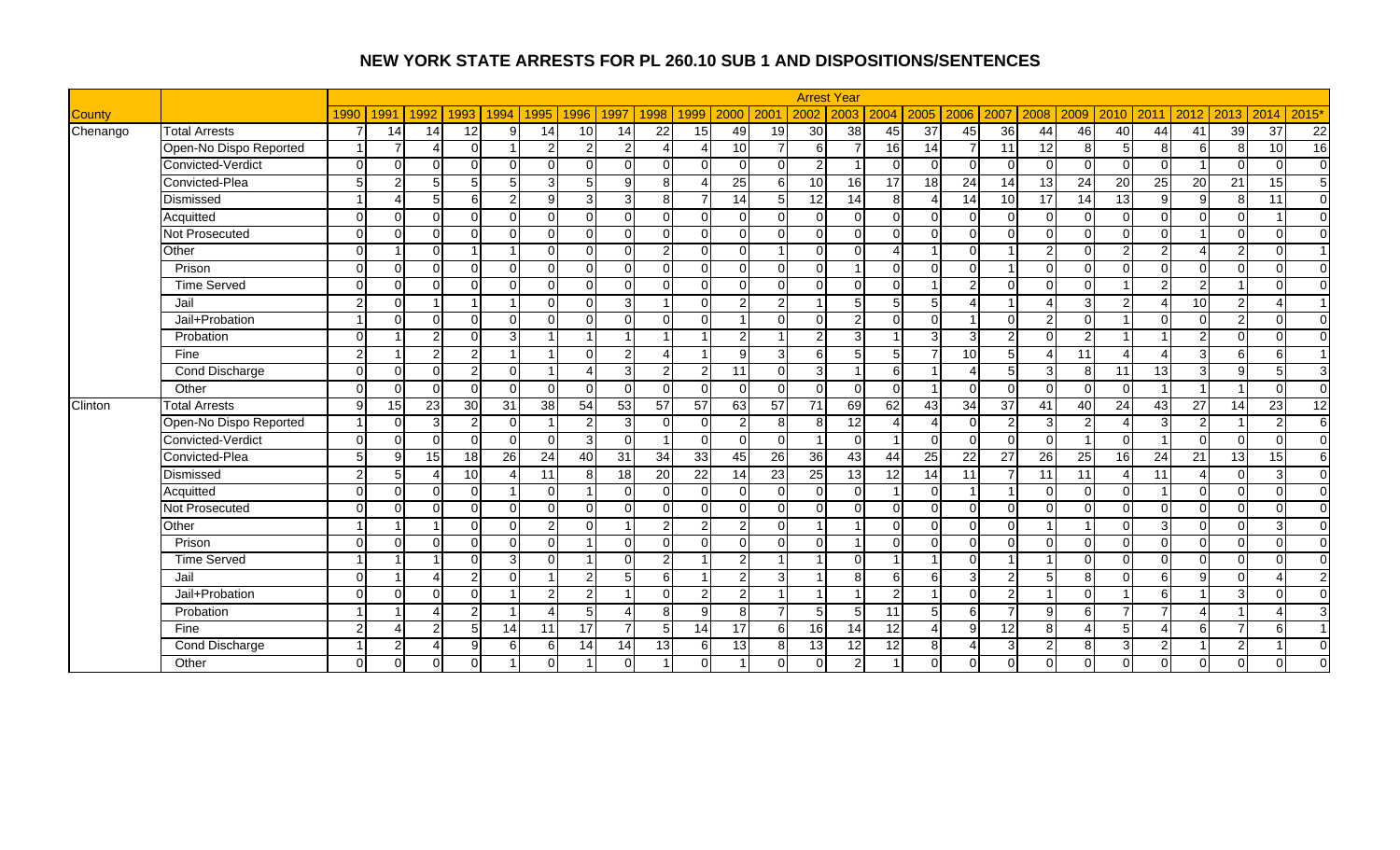|               |                        |                |               |                |                |                |                         |                 |                |                 |                 |                |                  |                | <b>Arrest Year</b> |                |                |                          |                   |                |                 |                 |                          |                          |                |                 |                |
|---------------|------------------------|----------------|---------------|----------------|----------------|----------------|-------------------------|-----------------|----------------|-----------------|-----------------|----------------|------------------|----------------|--------------------|----------------|----------------|--------------------------|-------------------|----------------|-----------------|-----------------|--------------------------|--------------------------|----------------|-----------------|----------------|
| <b>County</b> |                        | 1990           | 1991          | 1992           | 1993           | 1994           | 1995                    | 1996            | 1997           | 1998            | 1999            | 2000           | 200 <sup>1</sup> | 2002           | 2003               | 2004           | 2005           | 2006                     | 2007              | 2008           | 2009            | 2010            | 2011                     | 2012                     | 2013           | 2014            | 2015'          |
| Chenango      | <b>Total Arrests</b>   | 7              | 14            | 14             | 12             | $9 \mid$       | 14                      | 10 <sup>1</sup> | 14             | 22              | 15              | 49             | 19               | 30             | 38                 | 45             | 37             | 45                       | $\overline{36}$   | 44             | 46              | 40              | 44                       | 41                       | 39             | 37              | 22             |
|               | Open-No Dispo Reported |                |               | Δ              | $\Omega$       | 1              | 2                       | 2               | $\overline{2}$ | Δ               |                 | 10             | $\overline{7}$   | 6              |                    | 16             | 14             | $\overline{7}$           | 11                | 12             | 8               | 5               | 8                        | 6                        | 8              | 10              | 16             |
|               | Convicted-Verdict      | $\Omega$       | $\Omega$      | U              | $\Omega$       | $\Omega$       | O                       |                 | $\Omega$       | $\Omega$        | $\Omega$        | $\Omega$       | $\Omega$         | $\overline{2}$ |                    | $\Omega$       | $\Omega$       | $\Omega$                 |                   | O              |                 | $\Omega$        | $\Omega$                 |                          | $\Omega$       | $\Omega$        | $\overline{0}$ |
|               | Convicted-Plea         | 5 <sup>1</sup> | $\mathcal{P}$ | 5 <sup>1</sup> | $\sqrt{5}$     | 5 <sub>l</sub> | 3                       | 5 <sup>1</sup>  | 9              | 8               |                 | 25             | 6I               | 10             | 16                 | 17             | 18             | $\overline{24}$          | 14                | 13             | 24              | 20              | 25                       | 20                       | 21             | 15              | $\overline{5}$ |
|               | Dismissed              |                | $\Lambda$     | 5 <sub>l</sub> | 6              | 2 <sub>l</sub> | 9                       | $\overline{3}$  | 3              | 8               |                 | 14             | 5 <sup>1</sup>   | 12             | $\overline{14}$    | 8 <sup>1</sup> | $\Delta$       | $\overline{14}$          | 10                | 17             | 14              | $\overline{13}$ | $\mathfrak{g}$           | 9                        | 8 <sup>1</sup> | 11              | $\overline{0}$ |
|               | Acquitted              | $\Omega$       | $\Omega$      | $\Omega$       | $\Omega$       | $\Omega$       | $\Omega$                | $\Omega$        | $\Omega$       | $\Omega$        | $\Omega$        | $\Omega$       | $\overline{0}$   | $\Omega$       | $\Omega$           | $\overline{0}$ | $\Omega$       | $\Omega$                 |                   | $\Omega$       | $\Omega$        | $\Omega$        | $\Omega$                 | $\Omega$                 | $\Omega$       |                 | $\overline{0}$ |
|               | <b>Not Prosecuted</b>  | $\Omega$       | $\Omega$      | $\Omega$       | $\Omega$       | $\Omega$       | $\Omega$                | $\Omega$        | $\Omega$       | $\overline{0}$  | $\Omega$        | $\Omega$       | $\Omega$         | $\overline{0}$ | $\Omega$           | $\Omega$       | $\Omega$       | $\Omega$                 |                   | $\Omega$       | $\Omega$        | $\Omega$        | $\Omega$                 |                          | $\Omega$       | $\Omega$        | $\Omega$       |
|               | Other                  | $\Omega$       |               | $\Omega$       |                |                |                         |                 | $\Omega$       | $\overline{a}$  | $\Omega$        | $\Omega$       |                  | $\Omega$       | $\Omega$           | $\overline{A}$ |                | $\Omega$                 |                   | $\mathcal{P}$  |                 | $\overline{2}$  | $\overline{2}$           |                          | $\overline{2}$ | $\Omega$        | $\overline{1}$ |
|               | Prison                 | $\Omega$       | $\Omega$      | $\Omega$       | $\Omega$       | $\Omega$       | $\Omega$                | 0               | $\Omega$       | $\Omega$        | $\Omega$        | $\Omega$       | $\Omega$         | $\Omega$       |                    | $\overline{0}$ | $\Omega$       | $\Omega$                 |                   | $\Omega$       | $\Omega$        | $\Omega$        | $\Omega$                 | $\mathbf 0$              | $\Omega$       | $\Omega$        | $\Omega$       |
|               | <b>Time Served</b>     | $\Omega$       | $\Omega$      | $\Omega$       | $\Omega$       | $\Omega$       | O                       | U               | $\Omega$       | $\Omega$        | $\Omega$        | $\Omega$       | $\Omega$         | $\Omega$       | $\Omega$           | $\overline{0}$ |                | 2                        |                   | $\Omega$       | $\Omega$        | $\overline{1}$  | $\overline{2}$           | $\overline{2}$           |                | $\Omega$        | $\overline{0}$ |
|               | Jail                   | $\mathfrak{p}$ | $\Omega$      |                |                |                | O                       | U               | 3              |                 | $\Omega$        | $\mathcal{P}$  | $\overline{2}$   |                | 5 <sup>1</sup>     | 5              |                | 4                        |                   |                | 3               | $\mathcal{P}$   |                          | 10                       | $\overline{2}$ | Δ               | $\overline{1}$ |
|               | Jail+Probation         |                | $\Omega$      | $\Omega$       | $\Omega$       | $\Omega$       | $\Omega$                | 0               | $\Omega$       | $\overline{0}$  | $\Omega$        |                | $\Omega$         | $\overline{0}$ | $\overline{2}$     | $\Omega$       | $\Omega$       | -1                       |                   | 2              |                 |                 | $\Omega$                 | $\overline{0}$           | $\overline{2}$ | $\Omega$        | $\overline{0}$ |
|               | Probation              | $\Omega$       |               | $\overline{2}$ | $\mathbf 0$    | 3 <sup>l</sup> |                         |                 |                |                 |                 | $\mathfrak{p}$ |                  | $\overline{2}$ | $\overline{3}$     |                | 3              | 3                        |                   | $\Omega$       | $\mathcal{P}$   |                 |                          | $\overline{2}$           | $\Omega$       | $\Omega$        | $\mathbf 0$    |
|               | Fine                   | $\overline{2}$ |               | $\overline{2}$ | $\overline{2}$ |                | - 1                     |                 | $\overline{2}$ | 4               |                 | 9              | 3 <sup>l</sup>   | 6              | 5 <sup>1</sup>     | 5              |                | 10                       |                   | Δ              | 11              |                 |                          | 3                        | $6 \mid$       | 6               | $\overline{1}$ |
|               | Cond Discharge         | $\Omega$       | $\Omega$      | $\Omega$       | $\overline{2}$ | $\Omega$       | $\overline{\mathbf{A}}$ | Δ               | 3              | $\overline{2}$  | 2               | 11             | $\Omega$         | $\overline{3}$ |                    | $6 \mid$       |                | Δ                        |                   | $\mathbf{3}$   | -81             | 11              | 13                       | 3                        | 9 <sub>l</sub> | 5               | 3              |
|               | Other                  | $\Omega$       | $\Omega$      | $\Omega$       | $\Omega$       | $\Omega$       | $\Omega$                | U               | $\Omega$       | $\Omega$        | $\Omega$        | $\Omega$       | $\Omega$         | $\Omega$       | $\Omega$           | $\overline{0}$ |                | $\Omega$                 |                   | $\Omega$       | $\Omega$        | $\Omega$        |                          | $\overline{1}$           |                | $\Omega$        | $\overline{0}$ |
| Clinton       | <b>Total Arrests</b>   | $\overline{9}$ | 15            | 23             | 30             | 31             | 38                      | 54              | 53             | 57              | 57              | 63             | 57               | 71             | 69                 | 62             | 43             | $\overline{34}$          | $\overline{37}$   | 41             | 40              | 24              | 43                       | 27                       | 14             | 23              | 12             |
|               | Open-No Dispo Reported |                | $\cap$        | 3              | $\overline{c}$ | $\Omega$       |                         | 2               | 3              | $\Omega$        | $\Omega$        | $\overline{2}$ | 8 <sup>1</sup>   | 8              | 12                 | Δ              | $\Delta$       | $\Omega$                 |                   | 3              |                 |                 | 3                        | $\overline{2}$           |                | $\mathcal{P}$   | 6              |
|               | Convicted-Verdict      | $\Omega$       | $\Omega$      | U              | $\Omega$       | $\Omega$       | $\Omega$                | 3               | $\Omega$       |                 | $\Omega$        | $\Omega$       | $\Omega$         | -1             | $\Omega$           |                | $\Omega$       | $\Omega$                 |                   | $\Omega$       |                 | $\Omega$        |                          | $\Omega$                 | $\Omega$       | $\Omega$        | $\overline{0}$ |
|               | Convicted-Plea         | 5 <sup>1</sup> | q             | 15             | 18             | 26             | 24                      | 40              | 31             | 34              | 33              | 45             | 26               | 36             | $\overline{43}$    | 44             | 25             | $\overline{22}$          | 27                | 26             | $\overline{25}$ | 16              | 24                       | 21                       | 13             | $\overline{15}$ | 6              |
|               | Dismissed              | $\overline{2}$ | 5             | Δ              | 10             | $\Delta$       | 11                      | 8               | 18             | $\overline{20}$ | $\overline{22}$ | 14             | 23               | 25             | 13                 | 12             | 14             | 11                       |                   | 11             | $\overline{11}$ | $\Delta$        | 11                       | $\boldsymbol{\varDelta}$ | $\Omega$       | 3               | $\overline{0}$ |
|               | Acquitted              | $\Omega$       | $\Omega$      | $\Omega$       | $\mathbf 0$    |                | $\Omega$                |                 | $\Omega$       | $\Omega$        | $\Omega$        | $\Omega$       | $\overline{0}$   | $\Omega$       | $\Omega$           |                | $\Omega$       |                          |                   | $\Omega$       | $\Omega$        | $\Omega$        |                          | $\Omega$                 | $\Omega$       | $\Omega$        | $\overline{0}$ |
|               | Not Prosecuted         | $\Omega$       | $\Omega$      | $\Omega$       | $\Omega$       | $\Omega$       | $\Omega$                | U               | $\Omega$       | $\overline{0}$  | $\Omega$        | $\Omega$       | $\Omega$         | $\overline{0}$ | $\Omega$           | $\Omega$       | $\Omega$       | $\Omega$                 | ∩                 | $\Omega$       | ∩               | $\Omega$        | $\Omega$                 | $\mathbf 0$              | $\Omega$       | $\Omega$        | $\overline{0}$ |
|               | Other                  |                |               |                | $\Omega$       | $\Omega$       | $\overline{2}$          |                 |                | $\overline{2}$  | $\overline{2}$  |                | $\Omega$         |                |                    | $\Omega$       | $\Omega$       | $\Omega$                 |                   |                |                 | $\Omega$        | κ                        | $\Omega$                 | $\Omega$       | 3               | $\overline{0}$ |
|               | Prison                 | $\Omega$       | $\Omega$      | ΩI             | $\mathbf 0$    | $\Omega$       | $\Omega$                |                 | $\Omega$       | $\Omega$        | $\Omega$        | $\Omega$       | $\Omega$         | $\Omega$       |                    | $\Omega$       | $\Omega$       | $\Omega$                 |                   | $\Omega$       | $\Omega$        | $\Omega$        | $\Omega$                 | $\mathbf 0$              | $\Omega$       | $\Omega$        | $\overline{0}$ |
|               | <b>Time Served</b>     |                |               |                | $\mathbf 0$    | 3 <sup>l</sup> | $\Omega$                | 4               | $\Omega$       | $\overline{2}$  |                 | $\overline{2}$ | $\overline{1}$   | -1             | $\Omega$           |                |                | $\Omega$                 |                   | $\overline{1}$ | $\Omega$        | $\Omega$        | $\Omega$                 | $\overline{0}$           | $\Omega$       | $\Omega$        | $\overline{0}$ |
|               | Jail                   | $\Omega$       |               | Δ              | $\mathbf{2}$   | $\Omega$       | -1                      | 2               | 5              | 6               |                 | $\overline{2}$ | 3 <sup>l</sup>   | -1             | 8 <sup>1</sup>     | 6              | 6              | 3                        |                   | 5              | 8               | $\Omega$        | 6 <sup>1</sup>           | 9                        | $\Omega$       | Δ               | $\overline{2}$ |
|               | Jail+Probation         | $\Omega$       | $\Omega$      | $\Omega$       | $\Omega$       | 1              | $\overline{2}$          | $\overline{2}$  |                | $\Omega$        | $\overline{2}$  | $\overline{2}$ | 1                | $\overline{1}$ |                    | $\overline{2}$ |                | $\Omega$                 | っ                 |                | U               |                 | $6 \mid$                 |                          | 3 <sup>l</sup> | $\Omega$        | $\Omega$       |
|               | Probation              |                |               | Λ              | $\overline{2}$ |                | $\overline{\Lambda}$    | 5 <sup>1</sup>  |                | 8               | 9               | $\mathbf{8}$   | $\overline{7}$   | 5              | 5                  | 11             | $\overline{5}$ | 6                        |                   | g              | 6               | 7               | $\overline{\phantom{a}}$ |                          |                | Δ               | 3              |
|               | Fine                   | $\overline{2}$ | Δ             | $\overline{2}$ | 5              | 14             | 11                      | 17              | $\overline{7}$ | $5\overline{)}$ | 14              | 17             | 6                | 16             | 14                 | 12             | $\overline{4}$ | 9                        | 12                | 8              |                 | $\overline{5}$  |                          | 6                        | 7              | 6               | $\overline{1}$ |
|               | Cond Discharge         |                | 2             | 4              | 9              | 6              | 6                       | 14              | 14             | 13              | 6               | 13             | 8 <sup>1</sup>   | 13             | 12                 | 12             | 8 <sup>1</sup> | $\boldsymbol{\varDelta}$ | $\mathbf{\Omega}$ | $\overline{2}$ | 8 <sup>1</sup>  | 3               | $\overline{2}$           | -1                       | $\overline{2}$ |                 | $\mathbf 0$    |
|               | Other                  | $\Omega$       | $\Omega$      | 0              | $\Omega$       |                |                         |                 | $\Omega$       |                 | $\Omega$        |                | $\overline{0}$   | $\Omega$       | $\overline{2}$     |                | $\Omega$       |                          |                   | 0              |                 | $\Omega$        | $\Omega$                 | $\mathbf 0$              | $\Omega$       | $\Omega$        | $\Omega$       |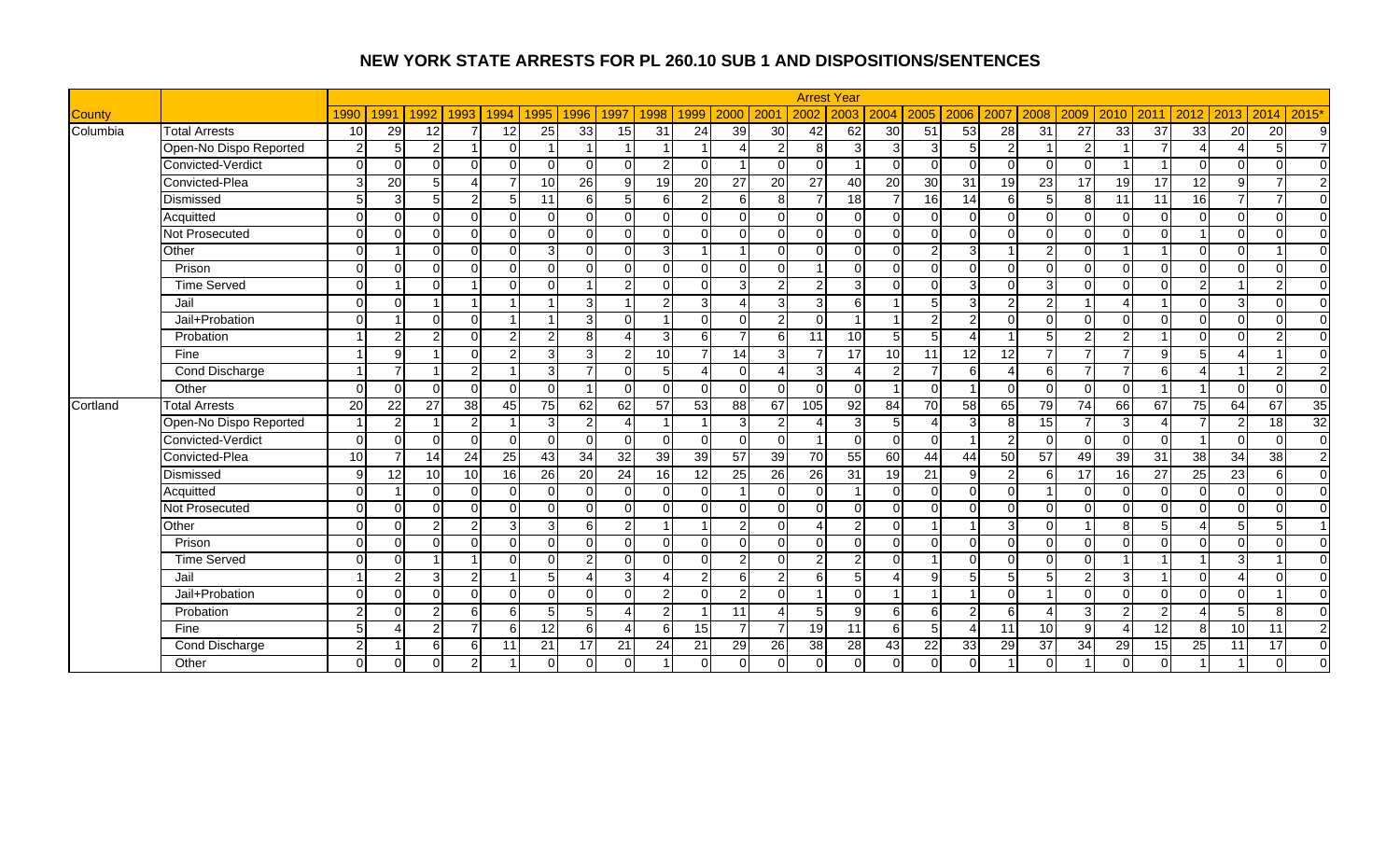|               |                        |                 |               |                 |                        |                |                |                 |                |                 |                 |                |                |                 | <b>Arrest Year</b> |                |                        |                         |                 |                 |                 |                      |                |                        |                 |                 |                |
|---------------|------------------------|-----------------|---------------|-----------------|------------------------|----------------|----------------|-----------------|----------------|-----------------|-----------------|----------------|----------------|-----------------|--------------------|----------------|------------------------|-------------------------|-----------------|-----------------|-----------------|----------------------|----------------|------------------------|-----------------|-----------------|----------------|
| <b>County</b> |                        | 1990            | 1991          | 1992            | 1993                   | 1994           | 1995           | 1996            | 1997           | 1998            | 1999            | 2000           | 200            | 2002            | 2003               | 2004           | 2005                   | 2006                    | 2007            | 2008            | 2009            | 2010                 | 2011           | 2012                   | 2013            | 2014            | 2015'          |
| Columbia      | <b>Total Arrests</b>   | 10              | 29            | $\overline{12}$ | $\overline{7}$         | 12             | 25             | 33              | 15             | $\overline{31}$ | $\overline{24}$ | 39             | 30             | 42              | 62                 | 30             | 51                     | 53                      | 28              | $\overline{31}$ | $\overline{27}$ | 33                   | 37             | 33                     | 20              | $\overline{20}$ | 9              |
|               | Open-No Dispo Reported | $\overline{2}$  | 5             | $\mathcal{P}$   |                        | $\Omega$       |                |                 |                |                 |                 |                | 2              | 8               |                    | $\overline{3}$ | $\overline{3}$         | 5                       | $\mathcal{P}$   |                 | $\mathcal{P}$   |                      |                |                        | Δ               | 5               | $\overline{7}$ |
|               | Convicted-Verdict      | $\Omega$        | $\Omega$      | $\cap$          | $\Omega$               | U              | $\Omega$       | $\Omega$        | $\Omega$       | $\mathcal{P}$   | $\cap$          |                | $\Omega$       | $\Omega$        |                    | $\Omega$       | $\Omega$               | $\Omega$                | $\Omega$        | $\Omega$        | ∩               |                      |                | $\Omega$               | $\Omega$        | $\Omega$        | $\Omega$       |
|               | Convicted-Plea         | $\mathcal{R}$   | 20            | 5 <sub>l</sub>  | $\boldsymbol{\Lambda}$ |                | 10             | 26              | 9              | 19              | 20              | 27             | 20             | $\overline{27}$ | 40                 | 20             | 30                     | 31                      | 19              | 23              | 17              | 19                   | 17             | 12                     | 9               | 7               | $\overline{2}$ |
|               | Dismissed              | 5               | 3             | 5               | $2 \vert$              | 5 <sup>1</sup> | 11             | $6 \mid$        | 5 <sub>l</sub> | 6               | $\overline{2}$  | $6 \mid$       | 8 <sup>1</sup> | $\overline{7}$  | 18                 |                | 16                     | 14                      | 6               | 5               | 8               | 11                   | 11             | 16                     | $\overline{7}$  | $\overline{7}$  | $\mathbf 0$    |
|               | Acquitted              | $\Omega$        | $\Omega$      | ΩI              | $\Omega$               | $\Omega$       | $\Omega$       | $\Omega$        | $\Omega$       | $\Omega$        | $\Omega$        | $\Omega$       | $\Omega$       | $\Omega$        | $\Omega$           | $\Omega$       | $\Omega$               | $\Omega$                | $\Omega$        | $\Omega$        | ∩               | $\Omega$             | $\Omega$       | $\mathbf 0$            | $\Omega$        | $\Omega$        | $\Omega$       |
|               | Not Prosecuted         | $\Omega$        | $\Omega$      | $\cap$          | $\Omega$               | $\Omega$       | $\Omega$       | $\Omega$        | $\Omega$       | $\Omega$        | $\Omega$        | $\Omega$       | $\Omega$       | $\Omega$        | $\Omega$           | $\Omega$       | $\Omega$               | $\Omega$                | $\Omega$        | $\Omega$        | $\Omega$        | $\Omega$             | $\Omega$       |                        | $\Omega$        | $\Omega$        | $\Omega$       |
|               | Other                  | $\Omega$        |               | $\Omega$        | $\Omega$               | $\Omega$       | 3              | $\Omega$        | $\Omega$       | $\overline{3}$  |                 |                | $\Omega$       | $\Omega$        | $\Omega$           | $\Omega$       | $\overline{2}$         | 3                       |                 | $\overline{2}$  |                 |                      |                | $\Omega$               | $\Omega$        |                 | $\Omega$       |
|               | Prison                 | $\Omega$        | $\Omega$      | $\Omega$        | $\Omega$               | $\Omega$       | $\Omega$       | $\Omega$        | $\Omega$       | $\Omega$        | $\cap$          | $\Omega$       | $\Omega$       |                 | $\Omega$           | $\Omega$       | $\Omega$               | $\Omega$                | $\Omega$        | $\Omega$        | ∩               | $\Omega$             | $\Omega$       | $\Omega$               | $\Omega$        | $\Omega$        | $\overline{0}$ |
|               | <b>Time Served</b>     | $\Omega$        |               | $\cap$          | $\overline{A}$         | $\Omega$       | $\Omega$       |                 | $\overline{2}$ | $\Omega$        | $\cap$          | $\overline{3}$ | $\overline{2}$ | $\overline{2}$  | 3                  | $\Omega$       | $\Omega$               | 3                       | $\Omega$        | 3               | $\Omega$        | $\Omega$             | $\Omega$       | $\overline{2}$         |                 | $\overline{2}$  | $\overline{0}$ |
|               | Jail                   | $\Omega$        | $\Omega$      |                 | $\overline{1}$         |                |                | 3               |                | $\overline{2}$  | 3               | $\lambda$      | 3              | 3               | 6                  |                | 5                      | 3                       | $\overline{2}$  | 2               |                 |                      |                | $\Omega$               | 3               | $\Omega$        | $\overline{0}$ |
|               | Jail+Probation         | $\Omega$        |               | $\Omega$        | $\overline{0}$         |                |                | $\overline{3}$  | $\Omega$       |                 | $\cap$          | $\Omega$       | 2              | $\Omega$        |                    |                | $\overline{2}$         | $\overline{c}$          | $\Omega$        | $\Omega$        | $\Omega$        | $\Omega$             | $\Omega$       | $\mathbf 0$            | $\Omega$        | $\Omega$        | $\overline{0}$ |
|               | Probation              |                 | 2             | ົ               | $\Omega$               | $\mathfrak{p}$ | $\overline{2}$ | $\mathbf{8}$    | $\lambda$      | $\overline{3}$  | 6               | $\overline{ }$ | 6              | 11              | 10                 |                | $5\overline{)}$        | $\overline{4}$          |                 |                 | ົ               | 2                    |                | $\Omega$               | $\Omega$        | $\overline{2}$  | $\overline{0}$ |
|               | Fine                   |                 | 9             |                 | $\Omega$               | $\mathfrak{p}$ | 3              | $\overline{3}$  | 2 <sub>l</sub> | 10              | $\overline{7}$  | 14             | 3              | $\overline{7}$  | $\overline{17}$    | 10             | 11                     | $\overline{12}$         | $\overline{12}$ | $\overline{ }$  |                 | $\overline{7}$       | $\mathbf{Q}$   | 5                      |                 |                 | $\overline{0}$ |
|               | Cond Discharge         |                 |               |                 | $\overline{2}$         |                | 3              | $\overline{7}$  | $\Omega$       | 5 <sub>l</sub>  | Δ               | $\Omega$       | Δ              | 3               |                    | $\overline{2}$ | $\overline{7}$         | 6                       | $\Delta$        | $6 \mid$        | $\overline{ }$  | $\overline{7}$       | 6 <sup>1</sup> | $\boldsymbol{\Lambda}$ |                 | $\overline{2}$  | $\overline{c}$ |
|               | Other                  | $\Omega$        | $\Omega$      | $\Omega$        | $\overline{0}$         | $\Omega$       | $\Omega$       |                 | $\Omega$       | $\Omega$        | O               | $\Omega$       | $\Omega$       | $\Omega$        | $\Omega$           | -1             | $\Omega$               | -1                      | $\Omega$        | $\Omega$        | $\Omega$        | $\Omega$             |                |                        | $\Omega$        | $\Omega$        | $\overline{0}$ |
| Cortland      | <b>Total Arrests</b>   | 20              | 22            | 27              | 38                     | 45             | 75             | 62              | 62             | 57              | 53              | 88             | 67             | $\frac{105}{2}$ | $\overline{92}$    | 84             | 70                     | 58                      | 65              | 79              | 74              | 66                   | 67             | 75                     | 64              | 67              | 35             |
|               | Open-No Dispo Reported |                 | 2             |                 | $\overline{2}$         |                | 3              | $\overline{2}$  | $\Delta$       |                 | -1              | 3              | 2              |                 | 3                  | 5 <sub>l</sub> | $\boldsymbol{\Lambda}$ | 3                       | 8               | 15              | 7               | 3                    |                |                        | $\overline{2}$  | $\overline{18}$ | 32             |
|               | Convicted-Verdict      | $\Omega$        | $\Omega$      | ∩               | $\overline{0}$         | $\Omega$       | $\Omega$       | $\Omega$        | $\overline{0}$ | 0               | $\Omega$        | $\Omega$       | $\Omega$       |                 | $\Omega$           | $\Omega$       | $\Omega$               |                         | 2               | $\Omega$        | $\Omega$        | $\Omega$             | $\Omega$       |                        | $\Omega$        | $\Omega$        | $\overline{0}$ |
|               | Convicted-Plea         | $\overline{10}$ |               | 14              | $\overline{24}$        | 25             | 43             | $\overline{34}$ | 32             | 39              | 39              | 57             | 39             | 70              | 55                 | 60             | 44                     | 44                      | 50              | 57              | 49              | 39                   | 31             | 38                     | 34              | $\overline{38}$ | $\overline{2}$ |
|               | Dismissed              | q               | 12            | 10              | 10                     | 16             | 26             | 20              | 24             | 16              | 12              | 25             | 26             | $\overline{26}$ | 31                 | 19             | 21                     | 9                       | $\mathfrak{p}$  | 6               | 17              | 16                   | 27             | 25                     | $\overline{23}$ | 6               | $\overline{0}$ |
|               | Acquitted              | $\Omega$        |               | $\Omega$        | $\overline{0}$         | $\Omega$       | $\Omega$       | $\Omega$        | $\mathbf 0$    | $\Omega$        | O               |                | $\Omega$       | $\Omega$        |                    | $\Omega$       | $\overline{0}$         | $\mathbf 0$             | $\Omega$        |                 | ∩               | $\Omega$             | $\Omega$       | $\mathbf 0$            | $\Omega$        | $\mathbf 0$     | $\overline{0}$ |
|               | Not Prosecuted         | $\Omega$        | $\Omega$      | $\Omega$        | $\Omega$               | U              | $\Omega$       | $\Omega$        | $\Omega$       | $\Omega$        | $\Omega$        | $\Omega$       | $\Omega$       | $\Omega$        | $\Omega$           | $\Omega$       | $\Omega$               | $\Omega$                | $\Omega$        | $\Omega$        | ∩               | $\Omega$             | $\Omega$       | $\mathbf 0$            | $\Omega$        | $\Omega$        | $\overline{0}$ |
|               | Other                  | ∩               | $\Omega$      |                 | $\overline{2}$         | 3              | 3              | 6               | $\overline{2}$ |                 |                 | $\mathcal{P}$  | $\Omega$       |                 | $\overline{2}$     | $\Omega$       |                        |                         | 3               |                 |                 | 8                    |                |                        | 5               | 5               | $\overline{1}$ |
|               | Prison                 | $\Omega$        | $\Omega$      | $\Omega$        | $\Omega$               | $\Omega$       | $\Omega$       | $\Omega$        | $\Omega$       | $\Omega$        | O               | $\Omega$       | $\Omega$       | $\Omega$        | $\Omega$           | $\Omega$       | $\Omega$               | $\Omega$                | $\Omega$        | $\Omega$        | ∩               | $\Omega$             | $\Omega$       | $\Omega$               | $\Omega$        | $\Omega$        | $\Omega$       |
|               | <b>Time Served</b>     | $\Omega$        | $\Omega$      |                 | $\overline{1}$         | $\Omega$       | $\Omega$       | $\overline{2}$  | $\Omega$       | $\Omega$        | O               | $\overline{2}$ | $\Omega$       | $\overline{2}$  | $\mathfrak{p}$     | $\Omega$       |                        | $\Omega$                | $\Omega$        | $\Omega$        | $\Omega$        | $\blacktriangleleft$ |                |                        | $\overline{3}$  |                 | $\Omega$       |
|               | Jail                   |                 | $\mathcal{P}$ | 3               | $\overline{2}$         |                | 5              | 4               | 3              | Δ               | 2               | 6              | 2              | 6               | 5                  | Δ              | 9 <sub>l</sub>         | 5                       | 5 <sub>l</sub>  | 5               | $\mathfrak{p}$  | 3                    |                | $\Omega$               | 4               | $\Omega$        | $\overline{0}$ |
|               | Jail+Probation         | $\Omega$        | $\Omega$      | $\Omega$        | $\Omega$               | $\Omega$       | $\Omega$       | $\Omega$        | $\Omega$       | $\mathbf{2}$    | $\Omega$        | $\overline{2}$ | $\Omega$       | 1               | $\Omega$           |                |                        | $\overline{\mathbf{1}}$ | $\Omega$        |                 | $\Omega$        | $\Omega$             | $\Omega$       | $\Omega$               | $\Omega$        |                 | $\Omega$       |
|               | Probation              | $\mathcal{P}$   | $\Omega$      | C               | 6                      | 6              | 5              | 5 <sub>l</sub>  | $\Delta$       | $\overline{2}$  | - 1             | 11             |                | 5               | $\mathbf{Q}$       | 6              | $6 \mid$               | $\overline{c}$          | 6               | $\Delta$        | 3               | $\mathcal{P}$        | $\mathcal{P}$  |                        | 5 <sup>1</sup>  | 8               | $\Omega$       |
|               | Fine                   | 5               |               | 2               | $\overline{7}$         | 6              | 12             | 6               | $\Delta$       | $6 \mid$        | 15              | 7              | $\overline{7}$ | 19              | 11                 | 6              | $5\overline{)}$        | $\boldsymbol{\Lambda}$  | 11              | 10              | q               |                      | 12             | 8                      | 10 <sup>1</sup> | 11              | $\overline{2}$ |
|               | Cond Discharge         | $\mathcal{P}$   |               | 6               | $6 \mid$               | 11             | 21             | 17              | 21             | 24              | 21              | 29             | 26             | 38              | 28                 | 43             | 22                     | 33                      | 29              | 37              | 34              | 29                   | 15             | 25                     | 11              | 17              | $\overline{0}$ |
|               | Other                  | $\Omega$        | $\Omega$      | $\Omega$        | $\overline{2}$         |                | $\Omega$       | U               | $\Omega$       |                 |                 |                | $\Omega$       | $\Omega$        | $\Omega$           | $\overline{0}$ | $\Omega$               | $\Omega$                |                 | $\Omega$        |                 |                      | $\Omega$       |                        |                 | $\Omega$        | $\mathbf 0$    |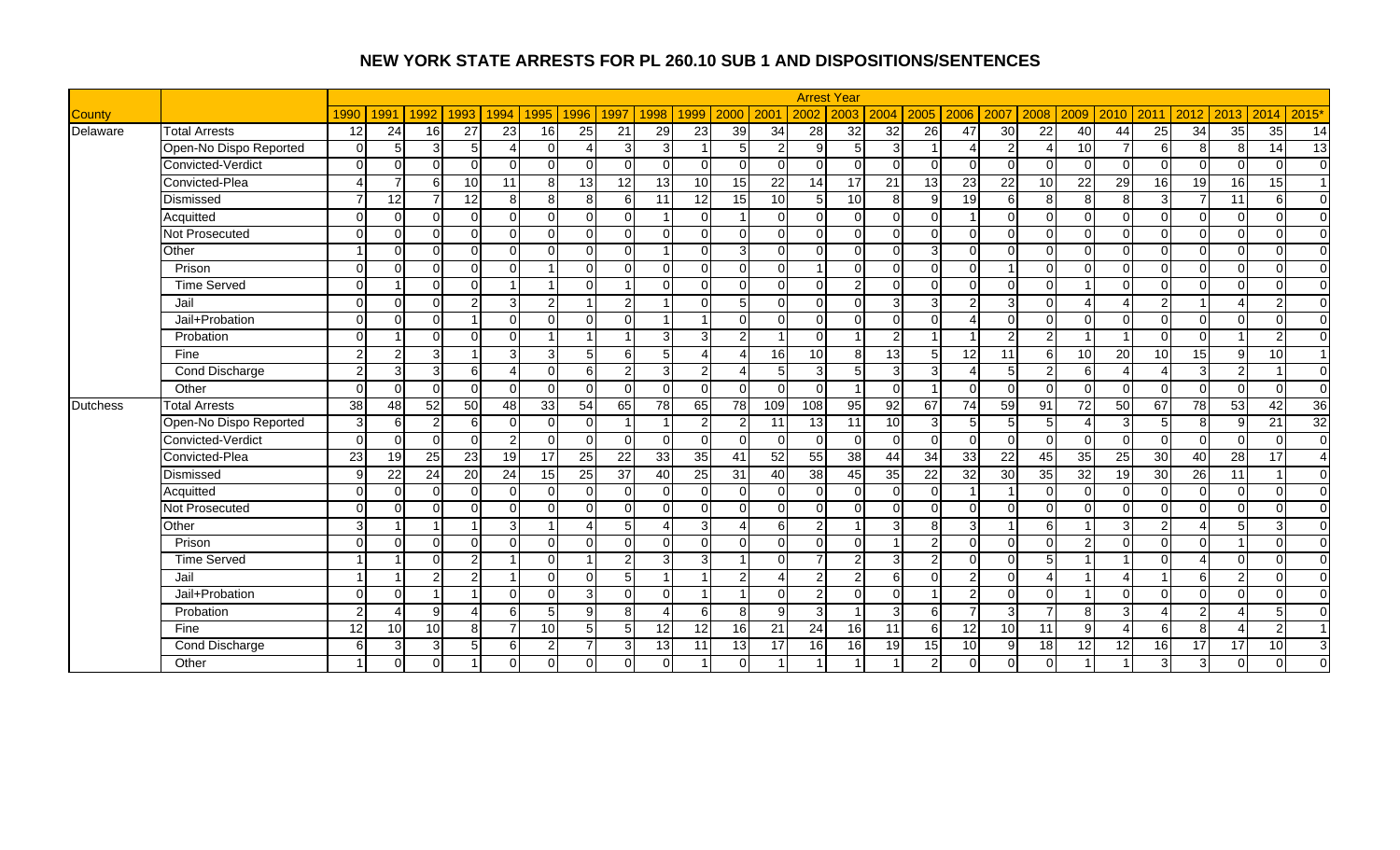|                 |                        |                 |                        |                 |                          |                        |                |                 |                |                         |                 |                 |                 |                | <b>Arrest Year</b> |                 |                 |                           |                 |                        |                 |                          |                |                |                |                 |                 |
|-----------------|------------------------|-----------------|------------------------|-----------------|--------------------------|------------------------|----------------|-----------------|----------------|-------------------------|-----------------|-----------------|-----------------|----------------|--------------------|-----------------|-----------------|---------------------------|-----------------|------------------------|-----------------|--------------------------|----------------|----------------|----------------|-----------------|-----------------|
| <b>County</b>   |                        | 1990            | 1991                   | 1992            | 1993                     | 1994                   | 1995           | 1996            | 1997           | 1998                    | 1999            | 2000            | 200             | 2002           | 2003               | 2004            | 2005            | 2006                      | 2007            | 2008                   | 2009            | 2010                     | 2011           | 2012           | 2013           | 2014            | 2015'           |
| Delaware        | <b>Total Arrests</b>   | $\overline{12}$ | 24                     | 16              | $\overline{27}$          | 23                     | 16             | 25              | 21             | 29                      | 23              | 39              | 34              | 28             | 32                 | 32              | 26              | 47                        | 30              | 22                     | 40              | 44                       | 25             | 34             | 35             | 35              | 14              |
|                 | Open-No Dispo Reported | $\Omega$        | 5                      | 3               | $5\overline{)}$          | Δ                      | $\Omega$       |                 | $\overline{3}$ | 3                       |                 | 5               | $\overline{2}$  | 9              | $5\overline{)}$    | $\overline{3}$  |                 |                           |                 |                        | 10 <sup>1</sup> |                          | 6              | 8              | 8              | 14              | 13              |
|                 | Convicted-Verdict      | $\Omega$        | $\Omega$               | $\Omega$        | $\Omega$                 | $\Omega$               | $\Omega$       |                 | $\Omega$       | $\Omega$                | $\Omega$        | $\Omega$        | $\Omega$        | $\Omega$       | $\Omega$           | $\Omega$        | $\Omega$        | $\Omega$                  |                 | $\Omega$               | $\Omega$        | $\Omega$                 | $\Omega$       | $\Omega$       | $\Omega$       | $\Omega$        | $\Omega$        |
|                 | Convicted-Plea         |                 |                        | 6l              | 10                       | 11                     | 8              | 13 <sup>1</sup> | 12             | $\overline{13}$         | 10              | 15              | $\overline{22}$ | 14             | 17                 | $\overline{21}$ | 13              | $\overline{23}$           | 22              | 10                     | 22              | 29                       | 16             | 19             | 16             | 15              | $\overline{1}$  |
|                 | Dismissed              | 7               | 12                     | $\overline{7}$  | 12                       | 8 <sup>1</sup>         | 8              | 8               | $6 \mid$       | 11                      | 12              | 15              | 10              | 5 <sub>l</sub> | 10                 | 8 <sup>1</sup>  | $\mathbf{Q}$    | 19                        |                 | 8                      | 8               | 8                        | $\overline{3}$ | $\overline{7}$ | 11             | 6               | $\Omega$        |
|                 | Acquitted              | $\Omega$        | $\Omega$               | ΩI              | $\Omega$                 | $\Omega$               | $\Omega$       | $\Omega$        | $\Omega$       | $\overline{\mathbf{1}}$ | $\Omega$        |                 | $\Omega$        | $\Omega$       | $\Omega$           | $\Omega$        | $\Omega$        |                           |                 | $\Omega$               | $\Omega$        | $\Omega$                 | $\Omega$       | $\Omega$       | $\overline{0}$ | $\Omega$        | $\overline{0}$  |
|                 | Not Prosecuted         | $\Omega$        | $\Omega$               | ΩI              | $\Omega$                 | $\Omega$               | $\Omega$       | $\Omega$        | $\Omega$       | $\Omega$                | $\Omega$        | $\Omega$        | $\Omega$        | $\Omega$       | $\Omega$           | $\Omega$        | $\Omega$        | $\Omega$                  |                 | $\Omega$               | $\Omega$        | $\Omega$                 | $\Omega$       | $\Omega$       | $\Omega$       | $\Omega$        | $\Omega$        |
|                 | Other                  |                 | $\Omega$               | $\Omega$        | $\Omega$                 | $\Omega$               | $\Omega$       |                 | $\Omega$       |                         | $\Omega$        |                 | $\overline{0}$  | $\Omega$       | $\Omega$           | $\Omega$        | 3               | ∩                         |                 | $\Omega$               | $\Omega$        | $\Omega$                 | $\Omega$       | $\Omega$       | $\Omega$       | $\Omega$        | $\Omega$        |
|                 | Prison                 | $\Omega$        | $\Omega$               | ΩI              | $\Omega$                 | $\Omega$               |                | U               | $\Omega$       | $\Omega$                | $\Omega$        | $\Omega$        | $\overline{0}$  |                | $\Omega$           | $\Omega$        | $\Omega$        | $\Omega$                  |                 | $\Omega$               | $\Omega$        | $\Omega$                 | $\Omega$       | $\Omega$       | $\Omega$       | $\Omega$        | $\Omega$        |
|                 | <b>Time Served</b>     | $\Omega$        |                        | ΩI              | $\Omega$                 | 1                      |                | $\Omega$        |                | $\Omega$                | $\Omega$        | $\Omega$        | $\overline{0}$  | $\Omega$       | $\mathcal{P}$      | $\Omega$        | $\Omega$        | $\Omega$                  |                 | $\Omega$               |                 | $\Omega$                 | $\Omega$       | $\overline{0}$ | $\Omega$       | $\Omega$        | $\overline{0}$  |
|                 | Jail                   | $\Omega$        | $\Omega$               | $\Omega$        | 2 <sub>l</sub>           | $\overline{3}$         | 2              | $\overline{ }$  | $\overline{2}$ | -1                      | $\Omega$        | 5               | $\Omega$        | $\Omega$       | $\Omega$           | 3 <sup>l</sup>  | 3               | 2                         |                 | $\Omega$               |                 | $\boldsymbol{\varDelta}$ | $\overline{2}$ | $\overline{1}$ | 4              | $\overline{2}$  | $\Omega$        |
|                 | Jail+Probation         | $\Omega$        | $\Omega$               | ΩI              |                          | $\Omega$               | $\Omega$       | U               | $\Omega$       | -1                      |                 | $\Omega$        | $\Omega$        | $\overline{0}$ | $\Omega$           | $\Omega$        | U               | $\boldsymbol{\varDelta}$  |                 | $\Omega$               | $\Omega$        | $\Omega$                 | $\Omega$       | $\Omega$       | $\overline{0}$ | $\Omega$        | $\Omega$        |
|                 | Probation              | $\Omega$        |                        | ΩI              | $\Omega$                 | $\Omega$               |                |                 |                | 3                       | 3               | $\mathcal{P}$   |                 | $\overline{0}$ |                    | $\overline{a}$  |                 |                           |                 | $\overline{2}$         |                 |                          | $\Omega$       | $\Omega$       |                | $\overline{a}$  | $\overline{0}$  |
|                 | Fine                   | $\overline{2}$  | $\mathcal{P}$          | $\overline{3}$  |                          | 3 <sup>1</sup>         | 3              | 5               | 6              | 5                       |                 |                 | 16              | 10             | $\mathbf{8}$       | 13              | 5               | 12                        | 11              | 6                      | 10              | $\overline{20}$          | 10             | 15             | 9              | 10              | $\overline{1}$  |
|                 | <b>Cond Discharge</b>  | $\overline{2}$  | 3                      | $\overline{3}$  | 6                        | $\boldsymbol{\Lambda}$ | $\Omega$       | 6               | $\mathbf{2}$   | 3                       | $\overline{2}$  |                 | $5\phantom{1}$  | 3              | $5\overline{)}$    | 3               | 3               | $\boldsymbol{\varLambda}$ | 5               | $\overline{c}$         | 6               | $\boldsymbol{\Lambda}$   | Δ              | دى             | 2 <sub>l</sub> |                 | $\Omega$        |
|                 | Other                  | $\Omega$        | $\Omega$               | $\Omega$        | $\Omega$                 | $\Omega$               | $\Omega$       | U               | $\Omega$       | $\Omega$                | $\Omega$        | $\Omega$        | $\Omega$        | $\overline{0}$ |                    | $\overline{0}$  |                 | $\Omega$                  |                 | $\Omega$               | $\Omega$        | $\Omega$                 | $\Omega$       | $\Omega$       | $\Omega$       | $\Omega$        | $\Omega$        |
| <b>Dutchess</b> | <b>Total Arrests</b>   | 38              | 48                     | 52              | 50                       | 48                     | 33             | 54              | 65             | $\overline{78}$         | 65              | 78              | 109             | 108            | 95                 | 92              | 67              | 74                        | 59              | 91                     | 72              | 50                       | 67             | 78             | 53             | 42              | $\overline{36}$ |
|                 | Open-No Dispo Reported | $\overline{3}$  | 6                      | $\overline{2}$  | 6                        | $\Omega$               | $\Omega$       | U               | $\overline{1}$ | -1                      | $\overline{c}$  | $\mathcal{P}$   | 11              | 13             | 11                 | 10              | $\mathbf{3}$    | 5                         |                 | 5                      |                 | 3                        | 5 <sub>l</sub> | 8 <sup>1</sup> | 9 <sub>l</sub> | $\overline{21}$ | 32              |
|                 | Convicted-Verdict      | $\Omega$        | $\Omega$               | $\Omega$        | $\Omega$                 | $\overline{2}$         | $\Omega$       | O.              | $\Omega$       | $\overline{0}$          | $\Omega$        | $\Omega$        | $\overline{0}$  | $\overline{0}$ | $\Omega$           | $\overline{0}$  | $\Omega$        | $\Omega$                  |                 | $\Omega$               | $\Omega$        | $\Omega$                 | $\Omega$       | $\Omega$       | $\Omega$       | $\Omega$        | $\overline{0}$  |
|                 | Convicted-Plea         | $\overline{23}$ | $\overline{19}$        | 25              | 23                       | 19                     | 17             | 25              | 22             | 33                      | $\overline{35}$ | 41              | 52              | 55             | 38                 | 44              | 34              | 33                        | $\overline{22}$ | 45                     | 35              | $\overline{25}$          | 30             | 40             | 28             | 17              | $\overline{4}$  |
|                 | Dismissed              | 9               | 22                     | 24              | 20                       | $\overline{24}$        | 15             | 25              | 37             | $\overline{40}$         | 25              | 31              | 40              | 38             | 45                 | 35              | $\overline{22}$ | 32                        | 30              | 35                     | $\overline{32}$ | 19                       | 30             | 26             | 11             |                 | $\Omega$        |
|                 | Acquitted              | $\Omega$        | $\Omega$               | $\Omega$        | $\mathbf 0$              | $\Omega$               | $\Omega$       | 0               | $\Omega$       | $\Omega$                | $\Omega$        | $\Omega$        | $\overline{0}$  | $\overline{0}$ | $\Omega$           | $\overline{0}$  | $\Omega$        |                           |                 | $\mathbf 0$            | $\Omega$        | $\Omega$                 | $\Omega$       | $\overline{0}$ | $\overline{0}$ | $\Omega$        | $\overline{0}$  |
|                 | <b>Not Prosecuted</b>  | $\Omega$        | $\Omega$               | ΩI              | $\Omega$                 | $\Omega$               | $\Omega$       | U               | $\Omega$       | $\Omega$                | $\Omega$        | $\Omega$        | $\overline{0}$  | $\overline{0}$ | $\Omega$           | $\Omega$        | $\Omega$        | $\Omega$                  | ∩               | $\Omega$               | U               | $\Omega$                 | $\Omega$       | $\Omega$       | $\Omega$       | $\Omega$        | $\overline{0}$  |
|                 | Other                  | 3               |                        |                 |                          | $\overline{3}$         |                |                 | 5              | Δ                       | 3               |                 | $6 \mid$        | $\overline{2}$ |                    | 3               | 8               | 3                         |                 | 6                      |                 | 3                        | $\overline{2}$ | Δ              | 5              | 3               | $\overline{0}$  |
|                 | Prison                 | $\Omega$        | $\Omega$               | $\Omega$        | $\Omega$                 | $\Omega$               | $\Omega$       | 0               | $\Omega$       | $\Omega$                | $\Omega$        | $\Omega$        | $\Omega$        | $\Omega$       | $\Omega$           |                 | $\mathcal{P}$   | $\Omega$                  |                 | $\Omega$               | っ               | $\Omega$                 | $\Omega$       | $\Omega$       |                | $\Omega$        | $\overline{0}$  |
|                 | <b>Time Served</b>     |                 |                        | ΩI              | $\overline{2}$           |                        | $\Omega$       | $\overline{A}$  | $\overline{2}$ | 3                       | $\overline{3}$  |                 | $\Omega$        | $\overline{7}$ | $\overline{2}$     | $\overline{3}$  | $\overline{2}$  | $\Omega$                  | U               | 5                      |                 |                          | $\Omega$       | Δ              | $\Omega$       | $\Omega$        | $\Omega$        |
|                 | Jail                   |                 |                        | 2               | $\overline{2}$           |                        | $\Omega$       | U               | 5              | $\overline{\mathbf{1}}$ |                 | $\overline{2}$  | $\overline{4}$  | $\overline{2}$ | $\overline{2}$     | $6 \mid$        | ∩               | 2                         | $\cap$          | $\boldsymbol{\Lambda}$ |                 | $\boldsymbol{\varDelta}$ |                | $6 \mid$       | $\overline{2}$ | $\Omega$        | $\Omega$        |
|                 | Jail+Probation         | $\Omega$        | $\Omega$               |                 |                          | $\Omega$               | $\Omega$       | $\overline{3}$  | $\Omega$       | $\Omega$                |                 |                 | $\Omega$        | $\overline{2}$ | $\Omega$           | $\Omega$        |                 | 2                         |                 | $\Omega$               |                 | $\Omega$                 | $\Omega$       | $\Omega$       | $\overline{0}$ | $\Omega$        | $\Omega$        |
|                 | Probation              | $\overline{2}$  | $\boldsymbol{\Lambda}$ | gl              | $\boldsymbol{\varDelta}$ | 6                      | 5              | $\mathsf{Q}$    | 8 <sup>1</sup> | Δ                       | 6               | $\mathbf{8}$    | $\mathbf{Q}$    | $\mathbf{3}$   |                    | 3 <sup>l</sup>  | 6               | $\overline{7}$            |                 | $\overline{7}$         | 8               | 3                        | 4              | $\overline{2}$ | 4              | 5               | $\Omega$        |
|                 | Fine                   | 12              | 10                     | 10 <sup>1</sup> | 8                        | 7                      | 10             | 5 <sup>1</sup>  | 5 <sup>1</sup> | 12                      | 12              | 16 <sup>1</sup> | 21              | 24             | 16                 | 11              | 6               | 12                        | 10              | 11                     | $\mathbf{Q}$    | $\boldsymbol{\varDelta}$ | $6 \mid$       | 8              | 4              | $\overline{2}$  | $\overline{1}$  |
|                 | <b>Cond Discharge</b>  | $6 \mid$        | 3                      | 3 <sup>l</sup>  | $5\overline{)}$          | $6 \mid$               | $\overline{2}$ |                 | $\overline{3}$ | 13                      | 11              | 13              | $\overline{17}$ | 16             | 16                 | 19              | 15              | 10                        | a               | 18                     | 12              | 12                       | 16             | 17             | 17             | 10              | 3 <sup>l</sup>  |
|                 | Other                  |                 | $\Omega$               | 0               |                          | $\Omega$               |                |                 |                | $\Omega$                |                 | $\Omega$        |                 |                |                    |                 |                 |                           |                 | $\Omega$               |                 |                          | 3 <sup>1</sup> | دی             | 0              | $\mathbf{0}$    | $\Omega$        |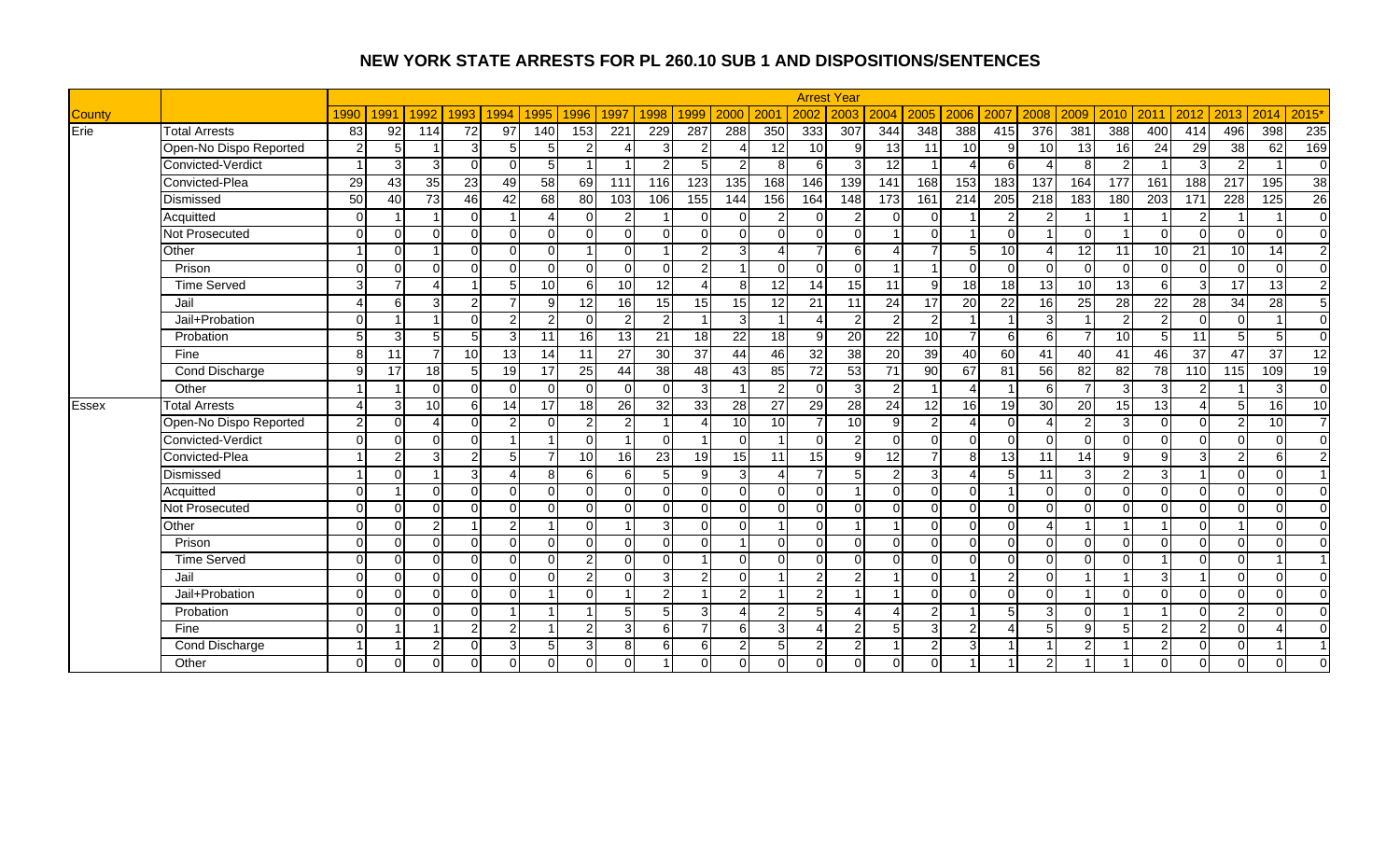|        |                        |                        |                 |      |                |                |                |                 |                  |                 |                           |                  |                  |                 | <b>Arrest Year</b> |                 |                 |                        |                 |                        |                 |                 |               |                          |                   |                 |                |
|--------|------------------------|------------------------|-----------------|------|----------------|----------------|----------------|-----------------|------------------|-----------------|---------------------------|------------------|------------------|-----------------|--------------------|-----------------|-----------------|------------------------|-----------------|------------------------|-----------------|-----------------|---------------|--------------------------|-------------------|-----------------|----------------|
| County |                        | 1990                   | 1991            | 1992 | 1993           | 1994           | 1995           | 1996            | 1997             | 1998            | 1999                      | 2000             | 200 <sup>1</sup> | 2002            | 2003               | 2004            | 2005            | 2006                   | 2007            | 2008                   | 2009            | 2010            | 2011          | 2012                     | 2013              | 2014            | 2015'          |
| Erie   | <b>Total Arrests</b>   | 83                     | $\overline{92}$ | 114  | 72             | 97             | 140            | 153             | 221              | 229             | 287                       | 288              | 350              | 333             | 307                | 344             | 348             | 388                    | 415             | 376                    | 381             | 388             | 400           | 414                      | 496               | 398             | 235            |
|        | Open-No Dispo Reported | $\overline{2}$         | 5               |      | 3              | 5 <sub>l</sub> | 5              | っ               | Δ                | 3 <sup>l</sup>  | 2                         |                  | 12               | 10 <sup>1</sup> | q                  | 13              | 11              | 10                     | 9               | 10                     | 13              | 16              | 24            | 29                       | 38                | 62              | 169            |
|        | Convicted-Verdict      |                        | 3               |      | $\Omega$       | $\Omega$       | 5              |                 |                  | $\overline{2}$  |                           | 2                | 8                | 6               |                    | $\overline{12}$ |                 | $\Delta$               |                 | Δ                      |                 |                 |               | 3                        | 2                 |                 | $\mathbf 0$    |
|        | Convicted-Plea         | 29                     | $\overline{43}$ | 35   | 23             | 49             | 58             | 69              | 111              | 116             | 123                       | $\overline{135}$ | 168              | 146             | 139                | 141             | 168             | 153                    | 183             | 137                    | 164             | 177             | 161           | 188                      | 217               | 195             | 38             |
|        | Dismissed              | 50                     | 40              | 73   | 46             | 42             | 68             | 80              | 103              | 106             | 155                       | 144              | 156              | 164             | 148                | 173             | 161             | 214                    | 205             | 218                    | 183             | 180             | 203           | 171                      | 228               | 125             | 26             |
|        | Acquitted              | $\Omega$               |                 |      | $\overline{0}$ |                | Δ              | $\Omega$        | $\overline{2}$   |                 | $\Omega$                  | 0                | $\overline{2}$   | $\Omega$        | $\overline{2}$     | $\Omega$        | $\overline{0}$  |                        | $\overline{2}$  | $\overline{c}$         |                 |                 |               | $\overline{2}$           |                   |                 | $\overline{0}$ |
|        | Not Prosecuted         | $\Omega$               | $\Omega$        |      | $\Omega$       | $\Omega$       | $\Omega$       | $\Omega$        | $\Omega$         | $\overline{0}$  | $\Omega$                  | $\Omega$         | $\Omega$         | $\Omega$        | $\Omega$           |                 | $\Omega$        |                        | $\Omega$        | $\overline{1}$         | $\Omega$        |                 | $\Omega$      | $\Omega$                 | $\Omega$          | $\Omega$        | $\Omega$       |
|        | Other                  |                        | $\Omega$        |      | $\Omega$       | $\Omega$       | $\Omega$       |                 | $\Omega$         |                 | $\overline{2}$            | $\overline{3}$   | Δ                | $\overline{7}$  | 6                  |                 |                 | 5                      | 10              | 4                      | 12              | 11              | 10            | 21                       | 10                | 14              | $\overline{c}$ |
|        | Prison                 | $\Omega$               | $\Omega$        |      | $\Omega$       | $\Omega$       | $\Omega$       | $\cap$          | $\Omega$         | $\overline{0}$  | $\overline{2}$            |                  | $\Omega$         | $\Omega$        | $\Omega$           |                 | -1              | $\Omega$               | $\Omega$        | $\Omega$               | $\Omega$        | $\Omega$        | $\Omega$      | $\Omega$                 | $\Omega$          | $\Omega$        | $\overline{0}$ |
|        | <b>Time Served</b>     | 3                      | $\overline{ }$  |      |                | $\overline{5}$ | 10             | 6               | 10               | 12              | $\Delta$                  | 8                | 12               | $\overline{14}$ | 15                 | 11              | 9               | 18                     | 18              | 13                     | $\overline{10}$ | $\overline{13}$ | ี             | 3                        | 17                | $\overline{13}$ | $\overline{2}$ |
|        | Jail                   | $\overline{4}$         | 6               |      | $\overline{2}$ |                | 9              | 12              | 16               | 15              | 15                        | 15               | 12               | 21              | 11                 | 24              | $\overline{17}$ | 20                     | $\overline{22}$ | 16                     | 25              | 28              | 22            | 28                       | 34                | $\overline{28}$ | $\overline{5}$ |
|        | Jail+Probation         | $\Omega$               |                 |      | $\Omega$       |                | $\overline{2}$ | $\Omega$        | $\overline{2}$   | 2 <sub>l</sub>  |                           | $\overline{3}$   |                  |                 | 2                  | $\mathfrak{p}$  | 2               |                        |                 | $\mathbf{3}$           |                 | $\overline{2}$  |               | $\mathbf 0$              | $\Omega$          |                 | $\overline{0}$ |
|        | Probation              |                        | 3               |      | 5              |                | 11             | 16              | 13               | 21              | 18                        | 22               | 18               | <sub>9</sub>    | 20                 | $\overline{22}$ | 10              | $\overline{7}$         | 6               | 6                      |                 | 10              |               | 11                       | 5                 | 5               | $\overline{0}$ |
|        | Fine                   | 8                      | 11              |      | 10             | 13             | 14             | 11              | $\overline{27}$  | 30              | 37                        | 44               | 46               | 32              | 38                 | 20              | 39              | 40                     | $\overline{60}$ | 41                     | 40              | 41              | 46            | 37                       | 47                | 37              | 12             |
|        | Cond Discharge         | $\mathsf{Q}$           | 17              | 18   | 5              | 19             | 17             | 25              | 44               | $\overline{38}$ | 48                        | 43               | 85               | 72              | 53                 | 71              | 90              | 67                     | 81              | 56                     | 82              | 82              | 78            | 110                      | $\frac{115}{115}$ | 109             | 19             |
|        | Other                  |                        |                 |      | $\Omega$       | $\Omega$       | $\Omega$       | $\Omega$        | $\Omega$         | $\Omega$        | 3                         |                  | $\overline{2}$   | $\Omega$        | 3                  | $\overline{2}$  | $\overline{1}$  | $\boldsymbol{\Lambda}$ |                 | 6                      | $\overline{7}$  | 3               | 3             | $\overline{2}$           |                   | 3               | $\overline{0}$ |
| Essex  | <b>Total Arrests</b>   | $\boldsymbol{\Lambda}$ | 3               | 10   | 6              | 14             | 17             | 18              | $\overline{26}$  | 32              | 33                        | $\overline{28}$  | $\overline{27}$  | 29              | 28                 | $\overline{24}$ | 12              | $\overline{16}$        | 19              | $\overline{30}$        | $\overline{20}$ | 15              | 13            | $\boldsymbol{\varDelta}$ | 5 <sup>1</sup>    | 16              | 10             |
|        | Open-No Dispo Reported | $\overline{2}$         | $\Omega$        |      | $\Omega$       | 2              | $\Omega$       | 2               | $\mathbf{2}$     |                 | $\boldsymbol{\varLambda}$ | 10               | 10               | 7               | 10                 | 9               | $\overline{2}$  | $\boldsymbol{\Lambda}$ | $\Omega$        | $\boldsymbol{\Lambda}$ | $\overline{2}$  | 3               | $\Omega$      | $\Omega$                 | $\overline{2}$    | 10              | $\overline{7}$ |
|        | Convicted-Verdict      | $\Omega$               | $\Omega$        |      | $\Omega$       |                |                | $\Omega$        |                  | $\Omega$        |                           | $\Omega$         | $\mathbf{1}$     | $\Omega$        | 2                  | $\Omega$        | $\Omega$        | $\overline{0}$         | $\Omega$        | $\Omega$               | $\Omega$        | $\Omega$        | $\Omega$      | $\mathbf 0$              | $\Omega$          | $\Omega$        | $\overline{0}$ |
|        | Convicted-Plea         |                        | $\overline{2}$  |      | $\overline{2}$ | 5              |                | 10 <sup>1</sup> | 16               | 23              | 19                        | 15 <sup>1</sup>  | 11               | 15              | 9                  | 12              |                 | 8                      | 13              | 11                     | 14              | 9               | a             | 3                        | $\overline{2}$    | 6               | $\overline{2}$ |
|        | Dismissed              |                        | $\Omega$        |      | $\mathbf{3}$   |                | 8              | ี               | $6 \overline{6}$ | 5 <sub>l</sub>  | 9                         | $\overline{3}$   | $\Delta$         | $\overline{7}$  |                    | $\overline{2}$  | $\overline{3}$  | $\overline{4}$         |                 | 11                     | 3               | $\overline{2}$  | З             |                          | $\Omega$          | $\Omega$        | $\overline{1}$ |
|        | Acquitted              | $\Omega$               | $\overline{1}$  |      | $\Omega$       | $\Omega$       | $\Omega$       | $\Omega$        | $\Omega$         | $\Omega$        | $\Omega$                  | $\Omega$         | $\Omega$         | $\Omega$        |                    | $\Omega$        | $\Omega$        | $\Omega$               |                 | $\Omega$               | $\Omega$        | $\Omega$        | $\Omega$      | $\Omega$                 | $\Omega$          | $\Omega$        | $\Omega$       |
|        | Not Prosecuted         | $\Omega$               | $\Omega$        |      | $\Omega$       | $\Omega$       | $\Omega$       | $\Omega$        | $\Omega$         | $\Omega$        | $\Omega$                  | $\Omega$         | $\Omega$         | $\Omega$        | $\Omega$           | $\Omega$        | $\Omega$        | $\Omega$               | $\Omega$        | $\Omega$               | $\Omega$        | $\Omega$        | $\Omega$      | $\Omega$                 | $\Omega$          | $\Omega$        | $\Omega$       |
|        | Other                  | $\Omega$               | $\Omega$        |      |                | $\mathcal{P}$  |                | $\Omega$        |                  | 3 <sup>l</sup>  | $\Omega$                  | n                | $\overline{1}$   | $\Omega$        |                    |                 | $\Omega$        | $\Omega$               | $\Omega$        | $\boldsymbol{\Lambda}$ |                 |                 |               | $\Omega$                 |                   | $\Omega$        | $\Omega$       |
|        | Prison                 | $\Omega$               | $\Omega$        |      | $\Omega$       | $\Omega$       | $\Omega$       | $\Omega$        | $\Omega$         | $\Omega$        | $\Omega$                  |                  | $\Omega$         | $\Omega$        | $\Omega$           | $\Omega$        | $\Omega$        | $\Omega$               | ΩI              | $\Omega$               | $\Omega$        | $\Omega$        | $\Omega$      | $\mathbf 0$              | $\Omega$          | $\Omega$        | $\overline{0}$ |
|        | <b>Time Served</b>     | $\Omega$               | $\Omega$        |      | $\Omega$       | $\Omega$       | $\Omega$       | $\mathcal{P}$   | $\Omega$         | $\Omega$        | $\overline{A}$            | O.               | $\Omega$         | $\Omega$        | $\Omega$           | $\Omega$        | $\Omega$        | $\mathbf 0$            | $\Omega$        | $\Omega$               | $\Omega$        | $\Omega$        |               | $\Omega$                 | $\Omega$          |                 | $\vert$ 1      |
|        | Jail                   | $\Omega$               | $\Omega$        |      | $\Omega$       | $\Omega$       | $\Omega$       | $\overline{2}$  | $\overline{0}$   | $\overline{3}$  | $\overline{2}$            | $\Omega$         | -1               | $\overline{a}$  | 2                  |                 | $\Omega$        |                        | $\overline{2}$  | $\Omega$               |                 |                 | 3             |                          | $\Omega$          | $\mathbf 0$     | $\overline{0}$ |
|        | Jail+Probation         | $\Omega$               | $\Omega$        |      | $\Omega$       | $\Omega$       |                | ΩI              |                  | $\overline{2}$  |                           | $\overline{2}$   |                  | $\overline{2}$  |                    |                 | $\Omega$        | $\overline{0}$         | $\Omega$        | $\Omega$               | $\overline{ }$  | $\Omega$        | $\Omega$      | $\Omega$                 | $\Omega$          | $\Omega$        | $\overline{0}$ |
|        | Probation              | $\Omega$               | ∩               |      | $\Omega$       |                |                |                 | 5                | 5               | 3                         |                  | $\overline{2}$   | 5               |                    |                 | $\mathcal{P}$   |                        |                 | 3                      | ∩               |                 |               | $\Omega$                 | $\overline{2}$    | $\Omega$        | $\mathbf{0}$   |
|        | Fine                   | $\Omega$               |                 |      | $\overline{2}$ | $\mathcal{P}$  |                | 2               | $\overline{3}$   | $6 \mid$        |                           | 6                | $\overline{3}$   | 4               | $\mathcal{P}$      | 5               | 3               | $\overline{2}$         |                 | 5                      | Q               | 5               | ົ             | $\overline{2}$           | $\Omega$          | $\Delta$        | $\overline{0}$ |
|        | Cond Discharge         |                        |                 |      | $\Omega$       | 3              | 5              | 3               | 8 <sup>1</sup>   | $6 \mid$        | 6                         | $\overline{2}$   | 5                | $\overline{2}$  | 2                  |                 | $\overline{2}$  | 3                      |                 |                        | 2               |                 | $\mathcal{P}$ | $\Omega$                 | $\Omega$          |                 | $\overline{1}$ |
|        | Other                  | $\Omega$               | $\Omega$        |      | $\Omega$       | $\Omega$       | $\mathbf 0$    | οI              | $\Omega$         |                 | $\Omega$                  | 0                | $\Omega$         | $\overline{0}$  | $\Omega$           | $\Omega$        | $\Omega$        |                        |                 | $\overline{c}$         |                 |                 | $\Omega$      | $\mathbf 0$              | $\Omega$          | $\mathbf{0}$    | $\Omega$       |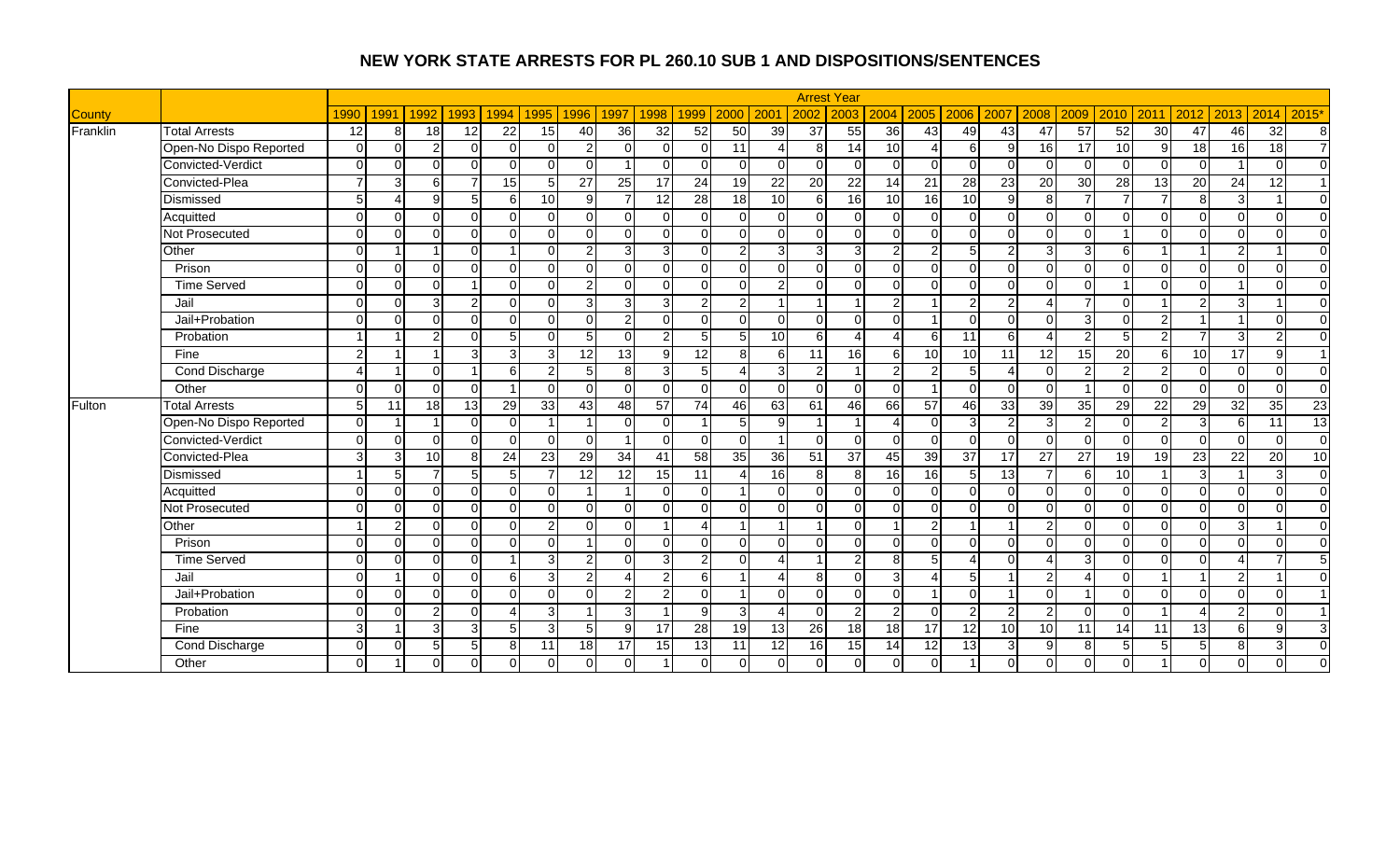|               |                        |               |          |                 |                |                |                 |                 |                |                |                 |                |                 |                 | <b>Arrest Year</b> |                 |                 |                 |                 |                 |                 |                         |                |                 |                 |                 |                |
|---------------|------------------------|---------------|----------|-----------------|----------------|----------------|-----------------|-----------------|----------------|----------------|-----------------|----------------|-----------------|-----------------|--------------------|-----------------|-----------------|-----------------|-----------------|-----------------|-----------------|-------------------------|----------------|-----------------|-----------------|-----------------|----------------|
| <b>County</b> |                        | 1990          | 1991     | 1992            | 1993           | 1994           | 1995            | 1996            | 1997           | 1998           | 1999            | 2000           | 200             | 2002            | 2003               | 2004            | 2005            | 2006            | 2007            | 2008            | 2009            | 2010                    | 2011           | 2012            | 2013            | 2014            | 2015'          |
| Franklin      | <b>Total Arrests</b>   | 12            | 8        | $\overline{18}$ | 12             | 22             | 15              | 40              | 36             | 32             | $\overline{52}$ | 50             | 39              | $\overline{37}$ | 55                 | 36              | 43              | 49              | 43              | 47              | $\overline{57}$ | 52                      | 30             | 47              | 46              | $\overline{32}$ | 8              |
|               | Open-No Dispo Reported | $\Omega$      | $\Omega$ | 2               | $\Omega$       | $\Omega$       | $\Omega$        | $\overline{2}$  | $\Omega$       | $\Omega$       | $\Omega$        | 11             |                 | 8               | 14                 | 10              | $\overline{4}$  | 6               | 9               | 16              | 17              | 10                      | 9              | 18              | 16 <sup>1</sup> | $\overline{18}$ | $\overline{7}$ |
|               | Convicted-Verdict      | $\Omega$      | $\Omega$ | $\Omega$        | $\Omega$       | $\Omega$       | $\Omega$        | $\Omega$        |                | $\Omega$       | $\cap$          | $\Omega$       | $\Omega$        | $\Omega$        | $\Omega$           | $\Omega$        | $\Omega$        | $\Omega$        | $\Omega$        | $\Omega$        | $\Omega$        | $\Omega$                | $\Omega$       | $\Omega$        |                 | $\Omega$        | $\Omega$       |
|               | Convicted-Plea         |               | 3        | $6 \mid$        | $\overline{7}$ | 15             | $\overline{5}$  | $\overline{27}$ | 25             | 17             | 24              | 19             | $\overline{22}$ | <b>20</b>       | $\overline{22}$    | 14              | $\overline{21}$ | $\overline{28}$ | 23              | $\overline{20}$ | 30              | 28                      | 13             | 20              | 24              | 12              | $\overline{1}$ |
|               | Dismissed              | 5             |          | $\mathbf{Q}$    | 5 <sub>5</sub> | $6 \mid$       | 10              | $\mathbf{Q}$    | $\overline{7}$ | 12             | 28              | 18             | 10 <sup>1</sup> | 6               | 16                 | 10              | 16              | 10              | $\mathbf{Q}$    | 8 <sup>1</sup>  | $\overline{ }$  | $\overline{7}$          | $\overline{ }$ | 8               | $\overline{3}$  | $\overline{1}$  | $\overline{0}$ |
|               | Acquitted              | $\Omega$      | $\Omega$ | $\Omega$        | $\Omega$       | $\Omega$       | $\Omega$        | $\Omega$        | $\Omega$       | $\Omega$       | $\Omega$        | $\Omega$       | $\Omega$        | $\Omega$        | $\Omega$           | $\Omega$        | $\Omega$        | $\Omega$        | $\Omega$        | $\Omega$        | $\Omega$        | $\Omega$                | $\Omega$       | $\Omega$        | $\Omega$        | $\Omega$        | $\overline{0}$ |
|               | Not Prosecuted         | $\Omega$      | $\Omega$ | $\cap$          | $\Omega$       | $\Omega$       | $\Omega$        | $\Omega$        | $\Omega$       | $\Omega$       | $\cap$          | $\Omega$       | $\Omega$        | $\Omega$        | $\Omega$           | $\Omega$        | $\Omega$        | $\Omega$        | $\Omega$        | $\Omega$        | $\Omega$        | $\overline{\mathbf{1}}$ | $\Omega$       | $\Omega$        | $\Omega$        | $\Omega$        | $\overline{0}$ |
|               | Other                  | $\Omega$      |          |                 | $\Omega$       |                | $\Omega$        | $\mathcal{P}$   | 3              | 3              | n               | 2              | 3               | 3               | 3                  | $\mathfrak{p}$  | $\overline{2}$  | 5               | $\mathcal{D}$   | 3               | З               | 6                       |                |                 | $\overline{2}$  |                 | $\Omega$       |
|               | Prison                 | $\Omega$      | $\Omega$ | $\Omega$        | $\overline{0}$ | $\Omega$       | $\Omega$        | $\Omega$        | $\Omega$       | $\Omega$       | $\Omega$        | $\Omega$       | $\Omega$        | $\Omega$        | $\Omega$           | $\Omega$        | $\Omega$        | $\Omega$        | $\Omega$        | $\Omega$        | ∩               | $\Omega$                | $\Omega$       | $\mathbf 0$     | $\Omega$        | $\Omega$        | $\Omega$       |
|               | <b>Time Served</b>     | $\Omega$      | $\Omega$ | $\cap$          | $\overline{1}$ | $\Omega$       | $\Omega$        | $\overline{2}$  | $\Omega$       | $\Omega$       | $\Omega$        | $\Omega$       | $\overline{2}$  | $\Omega$        | $\Omega$           | $\Omega$        | $\Omega$        | $\Omega$        | $\Omega$        | $\Omega$        | $\Omega$        |                         | $\Omega$       | $\mathbf 0$     |                 | $\Omega$        | $\overline{0}$ |
|               | Jail                   | $\Omega$      | $\Omega$ | κ               | $\overline{2}$ | $\Omega$       | $\Omega$        | 3               | 3              | $\overline{3}$ | 2               | $\overline{2}$ | -1              | -1              | -1                 | $\overline{2}$  |                 | 2               | $\overline{2}$  | $\overline{4}$  | $\overline{7}$  | $\Omega$                |                | $\overline{2}$  | 3               |                 | $\overline{0}$ |
|               | Jail+Probation         | $\Omega$      | $\Omega$ | $\Omega$        | $\Omega$       | $\Omega$       | $\Omega$        | $\Omega$        | $\overline{2}$ | $\Omega$       | $\Omega$        | $\Omega$       | $\Omega$        | $\Omega$        | $\Omega$           | $\Omega$        |                 | $\Omega$        | $\Omega$        | $\Omega$        | 3               | $\Omega$                | $\overline{2}$ |                 |                 | $\Omega$        | $\overline{0}$ |
|               | Probation              |               |          | ົ               | $\Omega$       | 5              | $\Omega$        | 5               | $\Omega$       | $\mathbf{2}$   | 5               | 5              | 10              | 6               |                    |                 | 6               | 11              | $6 \sqrt{2}$    |                 | $\mathcal{P}$   | 5                       | C              | $\overline{ }$  | $\overline{3}$  | $\overline{2}$  | $\overline{0}$ |
|               | Fine                   | $\mathcal{P}$ |          |                 | $\overline{3}$ | 3              | 3               | 12              | 13             | 9              | 12              | 8              | 6               | 11              | 16                 | 6               | 10              | $\overline{10}$ | 11              | 12              | $\overline{15}$ | $\overline{20}$         | 6 <sup>1</sup> | 10              | $\overline{17}$ | 9               | $\overline{1}$ |
|               | Cond Discharge         |               |          | $\Omega$        | $\overline{1}$ | 6              | 2               | 5 <sub>l</sub>  | 8              | $\overline{3}$ | 5               | Δ              | 3               | $\overline{2}$  | -1                 | $\overline{2}$  | $\overline{2}$  | 5               | $\Delta$        | $\Omega$        | $\mathcal{P}$   | 2                       | $\mathfrak{p}$ | $\mathbf 0$     | $\Omega$        | $\Omega$        | $\overline{0}$ |
|               | Other                  | $\Omega$      | $\Omega$ | $\Omega$        | $\Omega$       |                | $\Omega$        | $\Omega$        | $\Omega$       | $\Omega$       | $\Omega$        | $\Omega$       | $\Omega$        | $\Omega$        | $\Omega$           | $\Omega$        |                 | $\Omega$        | $\Omega$        | $\Omega$        |                 | $\Omega$                | $\Omega$       | $\mathbf 0$     | $\Omega$        | $\Omega$        | $\overline{0}$ |
| Fulton        | <b>Total Arrests</b>   | 5             | 11       | 18              | 13             | 29             | 33              | 43              | 48             | 57             | 74              | 46             | 63              | 61              | 46                 | 66              | 57              | 46              | 33              | 39              | 35              | 29                      | 22             | 29              | 32              | 35              | 23             |
|               | Open-No Dispo Reported | $\Omega$      |          |                 | $\Omega$       | $\Omega$       |                 |                 | $\Omega$       | $\Omega$       | -1              | 5              | 9               |                 |                    |                 | $\Omega$        | 3               | $\mathfrak{p}$  | 3               | $\mathcal{P}$   | $\Omega$                | 2              | 3               | $6 \mid$        | 11              | 13             |
|               | Convicted-Verdict      | $\Omega$      | $\Omega$ | $\Omega$        | $\overline{0}$ | $\Omega$       | $\Omega$        | <sup>0</sup>    |                | 0              | $\Omega$        | $\Omega$       |                 | $\Omega$        | $\Omega$           | $\Omega$        | $\overline{0}$  | $\mathbf 0$     | $\Omega$        | $\Omega$        | ∩               | $\Omega$                | $\Omega$       | $\mathbf 0$     | $\Omega$        | $\Omega$        | $\overline{0}$ |
|               | Convicted-Plea         | $\mathcal{R}$ | 3        | 10              | 8 <sup>1</sup> | 24             | $\overline{23}$ | 29              | 34             | 41             | $\overline{58}$ | 35             | 36              | 51              | 37                 | 45              | 39              | 37              | 17              | $\overline{27}$ | $\overline{27}$ | $\overline{19}$         | 19             | $\overline{23}$ | 22              | $\overline{20}$ | 10             |
|               | Dismissed              |               | 5        |                 | 5 <sub>5</sub> | 5 <sub>l</sub> | $\overline{7}$  | 12              | 12             | 15             | 11              | Λ              | 16              | 8               | $\mathsf{R}$       | 16              | $\overline{6}$  | 5               | 13              | $\overline{7}$  | 6               | 10                      |                | دن              |                 | 3               | $\overline{0}$ |
|               | Acquitted              | $\Omega$      | $\Omega$ | $\Omega$        | $\overline{0}$ | $\Omega$       | $\Omega$        |                 |                | $\Omega$       | $\Omega$        |                | $\Omega$        | $\Omega$        | $\Omega$           | $\Omega$        | $\overline{0}$  | $\mathbf 0$     | $\Omega$        | $\Omega$        | ∩               | $\Omega$                | $\Omega$       | $\mathbf 0$     | $\Omega$        | $\mathbf 0$     | $\overline{0}$ |
|               | Not Prosecuted         | $\Omega$      | $\Omega$ | $\Omega$        | $\Omega$       | $\Omega$       | $\Omega$        | $\Omega$        | $\Omega$       | $\Omega$       | $\Omega$        | $\Omega$       | $\Omega$        | $\Omega$        | $\Omega$           | $\Omega$        | $\Omega$        | $\Omega$        | $\Omega$        | $\Omega$        | $\Omega$        | $\Omega$                | $\Omega$       | $\mathbf 0$     | $\Omega$        | $\mathbf 0$     | $\overline{0}$ |
|               | Other                  |               |          | $\Omega$        | $\Omega$       | $\Omega$       | $\overline{2}$  | U               | $\Omega$       |                | Δ               |                |                 |                 | $\Omega$           |                 | $\overline{2}$  |                 |                 | 2               |                 | $\Omega$                | $\Omega$       | $\Omega$        | 3 <sup>1</sup>  |                 | $\overline{0}$ |
|               | Prison                 | $\Omega$      | $\Omega$ | $\Omega$        | $\Omega$       | $\Omega$       | $\Omega$        |                 | $\Omega$       | $\Omega$       | $\Omega$        | $\Omega$       | $\Omega$        | $\Omega$        | $\Omega$           | $\Omega$        | $\Omega$        | $\Omega$        | $\Omega$        | $\Omega$        | ∩               | $\Omega$                | $\Omega$       | $\Omega$        | $\Omega$        | $\Omega$        | $\Omega$       |
|               | <b>Time Served</b>     | $\Omega$      | $\Omega$ | $\Omega$        | $\overline{0}$ |                | 3               | $\overline{2}$  | $\Omega$       | $\overline{3}$ | $\overline{2}$  | $\Omega$       | Δ               | -1              | $\overline{2}$     | 8               | 5               | $\overline{A}$  | $\Omega$        | $\overline{A}$  | з               | $\Omega$                | $\Omega$       | $\Omega$        | 4               | 7               | 5              |
|               | Jail                   | $\Omega$      |          | $\Omega$        | $\Omega$       | 6              | 3               | $\overline{2}$  | $\Delta$       | $\overline{2}$ | 6               |                | Δ               | 8               | $\Omega$           | $\overline{3}$  | $\overline{4}$  | 5               |                 | 2               |                 | $\Omega$                |                |                 | $\overline{2}$  |                 | $\Omega$       |
|               | Jail+Probation         | $\Omega$      | $\Omega$ | $\Omega$        | $\Omega$       | $\Omega$       | $\Omega$        | $\Omega$        | $\overline{2}$ | $\overline{2}$ | $\Omega$        |                | $\Omega$        | $\Omega$        | $\Omega$           | $\Omega$        |                 | $\Omega$        |                 | $\Omega$        |                 | $\Omega$                | $\Omega$       | $\Omega$        | $\Omega$        | $\Omega$        | $\overline{1}$ |
|               | Probation              | $\Omega$      | $\Omega$ | C               | $\Omega$       | 4              | 3               |                 | 3              |                | <b>g</b>        | $\mathbf{3}$   |                 | $\Omega$        | $\overline{2}$     | $\mathfrak{p}$  | $\Omega$        | $\overline{c}$  | $\mathcal{P}$   | 2               | ∩               | $\Omega$                |                |                 | $\overline{2}$  | $\Omega$        | $\overline{1}$ |
|               | Fine                   | 3             |          |                 | 3              | 5 <sub>l</sub> | 3               | 5 <sub>l</sub>  | 9              | 17             | 28              | 19             | 13              | 26              | 18                 | $\overline{18}$ | 17              | $\overline{12}$ | 10 <sup>1</sup> | 10              | 11              | 14                      | 11             | 13              | $6 \mid$        | 9               | $\mathbf{3}$   |
|               | Cond Discharge         | $\Omega$      | $\Omega$ | г,              | $\sqrt{5}$     | 8 <sup>1</sup> | 11              | 18              | 17             | 15             | 13              | 11             | 12              | 16              | 15                 | 14              | 12              | 13              | $\mathcal{B}$   | 9               | 8               | 5                       | 5              | $\sqrt{5}$      | 8 <sup>1</sup>  | 3               | $\mathbf 0$    |
|               | Other                  | $\Omega$      |          | $\Omega$        | $\overline{0}$ | $\Omega$       | $\Omega$        |                 | $\Omega$       |                |                 | 0              | $\Omega$        | $\Omega$        | $\Omega$           | $\overline{0}$  | $\Omega$        |                 |                 | $\Omega$        |                 |                         |                | $\mathbf 0$     | $\Omega$        | $\Omega$        | $\Omega$       |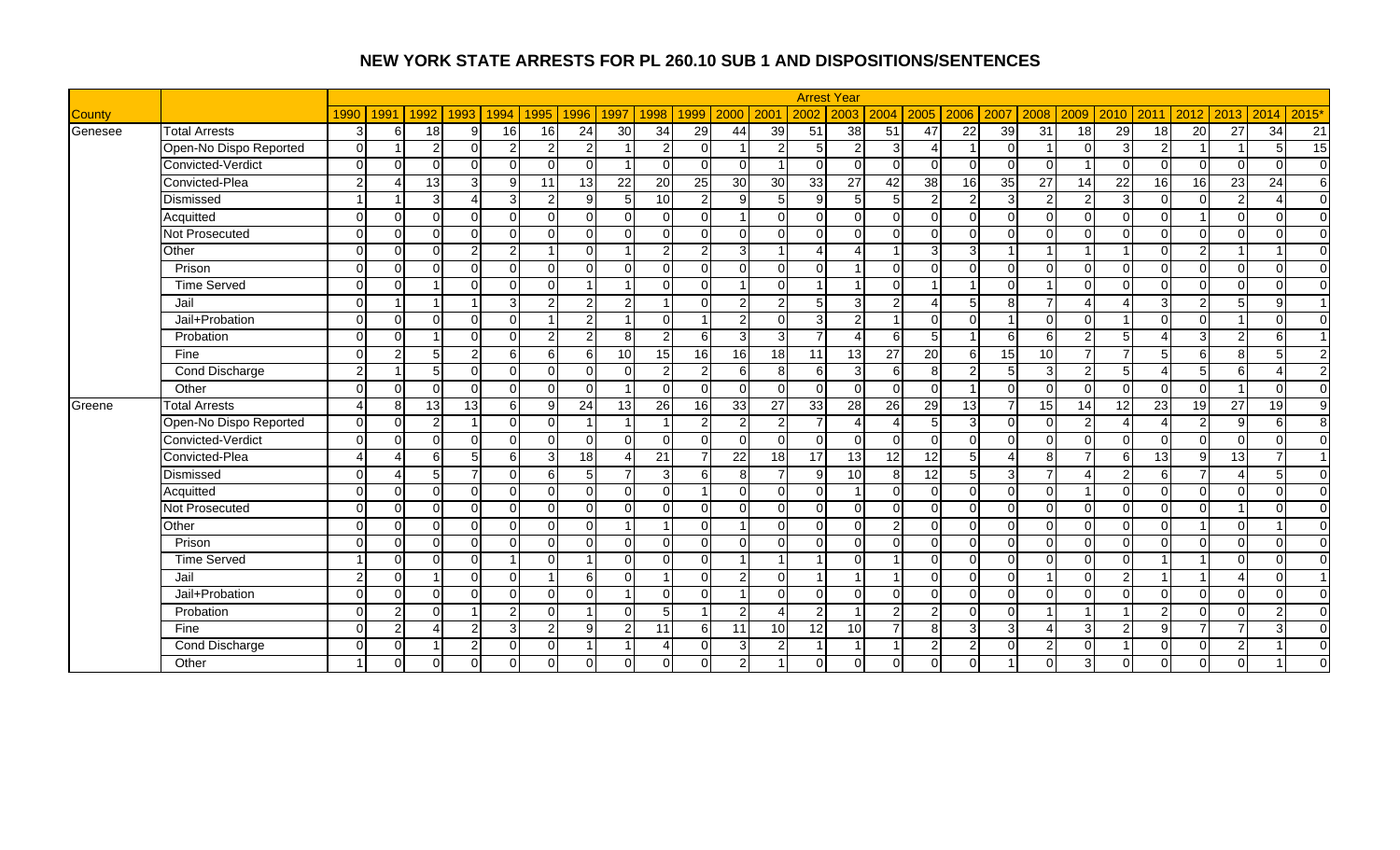|               |                        |                |                      |                |                |                  |                |                |                         |                          |                 |                |                 |                 | <b>Arrest Year</b> |                 |                |                 |                 |                        |                |                 |                 |                |                          |                 |                |
|---------------|------------------------|----------------|----------------------|----------------|----------------|------------------|----------------|----------------|-------------------------|--------------------------|-----------------|----------------|-----------------|-----------------|--------------------|-----------------|----------------|-----------------|-----------------|------------------------|----------------|-----------------|-----------------|----------------|--------------------------|-----------------|----------------|
| <b>County</b> |                        | 1990           | 1991                 | 1992           | 1993           | 1994             | 1995           | 1996           | 1997                    | 1998                     | 1999            | 2000           | 200             | 2002            | 2003               | 2004            | 2005           | 2006            | 2007            | 2008                   | 2009           | 2010            | 2011            | 2012           | 2013                     | 2014            | 2015'          |
| Genesee       | <b>Total Arrests</b>   | $\overline{3}$ | 6                    | 18             | 9              | 16               | 16             | 24             | 30                      | 34                       | 29              | 44             | 39              | 51              | 38                 | 51              | 47             | $\overline{22}$ | $\overline{39}$ | $\overline{31}$        | 18             | 29              | 18              | 20             | 27                       | $\overline{34}$ | 21             |
|               | Open-No Dispo Reported | $\Omega$       |                      | $\overline{2}$ | $\Omega$       | $\overline{2}$   | $\overline{2}$ | $\overline{2}$ |                         | $\overline{2}$           | $\Omega$        |                | $\overline{2}$  | 5               | $\mathcal{P}$      | 3 <sup>l</sup>  | $\Delta$       |                 |                 |                        | $\Omega$       | 3               | $\mathcal{P}$   |                |                          | 5               | 15             |
|               | Convicted-Verdict      | $\Omega$       | $\cap$               | $\Omega$       | $\Omega$       | $\Omega$         | $\Omega$       | U              | -1                      | $\Omega$                 | $\Omega$        | $\Omega$       |                 | $\Omega$        | $\Omega$           | $\Omega$        | $\Omega$       | $\Omega$        |                 | $\Omega$               |                | $\Omega$        | $\Omega$        | $\Omega$       | $\Omega$                 | $\Omega$        | $\overline{0}$ |
|               | Convicted-Plea         | $\overline{2}$ | $\Lambda$            | 13             | دى             | 9                | 11             | 13             | $\overline{22}$         | $\overline{20}$          | $\overline{25}$ | 30             | 30              | 33              | 27                 | 42              | 38             | 16              | $\overline{35}$ | $\overline{27}$        | 14             | $\overline{22}$ | 16              | 16             | $\overline{23}$          | $\overline{24}$ | $\sigma$       |
|               | Dismissed              |                |                      | 3 <sup>1</sup> | $\overline{4}$ | 3 <sup>l</sup>   | $\overline{2}$ | 9              | 5                       | $\overline{10}$          | $\overline{2}$  | 9              | 5 <sub>l</sub>  | 9               | 5 <sup>1</sup>     | 5 <sub>5</sub>  | $\overline{2}$ | $\overline{2}$  |                 | $\overline{2}$         | $\mathcal{P}$  | 3               | $\Omega$        | $\overline{0}$ | $\overline{2}$           | $\Delta$        | $\overline{0}$ |
|               | Acquitted              | $\Omega$       | $\Omega$             | $\Omega$       | $\Omega$       | $\Omega$         | $\Omega$       | $\Omega$       | $\Omega$                | $\Omega$                 | ΩI              |                | $\Omega$        | $\overline{0}$  | $\overline{0}$     | $\overline{0}$  | $\Omega$       | $\Omega$        |                 | $\Omega$               | $\Omega$       | $\Omega$        | $\Omega$        | $\overline{ }$ | $\Omega$                 | $\Omega$        | $\overline{0}$ |
|               | Not Prosecuted         | $\Omega$       | $\Omega$             | $\Omega$       | $\Omega$       | $\Omega$         | $\Omega$       | $\Omega$       | $\Omega$                | $\Omega$                 | $\Omega$        | $\Omega$       | $\Omega$        | $\Omega$        | $\Omega$           | $\Omega$        | $\Omega$       | $\Omega$        |                 | $\Omega$               | ∩              | $\Omega$        | $\Omega$        | $\Omega$       | $\Omega$                 | $\Omega$        | $\overline{0}$ |
|               | Other                  | $\Omega$       | $\Omega$             | $\Omega$       | 2              | $\overline{2}$   |                |                |                         | $\overline{2}$           | 2               | 3              |                 | Δ               |                    |                 | 3              | 3               |                 |                        |                |                 | $\cap$          | $\overline{2}$ |                          |                 | $\mathbf{0}$   |
|               | Prison                 | $\Omega$       | $\Omega$             | $\Omega$       | $\mathbf 0$    | $\Omega$         | $\Omega$       | 0              | $\Omega$                | $\Omega$                 | $\Omega$        | $\Omega$       | $\Omega$        | $\Omega$        |                    | $\overline{0}$  | $\Omega$       | $\Omega$        |                 | $\Omega$               | $\cap$         | $\Omega$        | $\Omega$        | $\overline{0}$ | $\Omega$                 | $\Omega$        | $\overline{0}$ |
|               | <b>Time Served</b>     | $\Omega$       | $\Omega$             |                | $\Omega$       | $\Omega$         | $\Omega$       | $\overline{A}$ | $\overline{\mathbf{A}}$ | $\Omega$                 | $\Omega$        |                | $\Omega$        | -1              |                    | $\overline{0}$  |                |                 |                 |                        | $\Omega$       | $\Omega$        | $\cap$          | $\overline{0}$ | $\Omega$                 | $\Omega$        | $\mathbf 0$    |
|               | Jail                   | $\Omega$       |                      |                |                | 3 <sup>l</sup>   | 2              | $\overline{2}$ | $\overline{2}$          | -1                       | $\Omega$        | $\overline{2}$ | $2 \vert$       | 5               | 3 <sup>l</sup>     | $\mathbf{2}$    | 4              | 5               | 8               |                        |                |                 | 3               | $\overline{c}$ | 5                        | 9               | $\overline{1}$ |
|               | Jail+Probation         | $\Omega$       | $\Omega$             | $\Omega$       | $\Omega$       | $\Omega$         |                | $\overline{2}$ |                         | $\overline{0}$           |                 | $\overline{2}$ | $\Omega$        | $\overline{3}$  | $\overline{2}$     |                 | $\Omega$       | $\Omega$        |                 | $\Omega$               | $\Omega$       |                 | $\Omega$        | $\Omega$       |                          | $\Omega$        | $\mathbf 0$    |
|               | Probation              | $\Omega$       | $\cap$               |                | $\Omega$       | $\Omega$         | 2              | 2              | 8                       | $\overline{2}$           | 6               | 3              | $\overline{3}$  | 7               |                    | 6               |                |                 |                 | 6                      |                | .5              |                 | 3              | $\overline{2}$           | 6               | $\overline{ }$ |
|               | Fine                   | $\Omega$       | $\mathcal{P}$        | 5 <sup>1</sup> | $\overline{2}$ | 6                | 6              | 6              | 10 <sup>1</sup>         | 15                       | 16              | 16             | 18              | 11              | 13                 | $\overline{27}$ | 20             | 6               | 15              | 10                     |                | $\overline{7}$  | 5 <sup>1</sup>  | 6              | 8 <sup>1</sup>           | 5               | $\overline{2}$ |
|               | <b>Cond Discharge</b>  | $\mathcal{P}$  |                      | 5 <sup>1</sup> | $\Omega$       | $\Omega$         | $\Omega$       | $\Omega$       | $\Omega$                | $\overline{2}$           | $\mathfrak{p}$  | 6              | 8 <sup>1</sup>  | $6 \mid$        | 3                  | $6 \mid$        | 8 <sup>1</sup> | 2               |                 | 3                      | $\overline{2}$ | 5               |                 | $\overline{5}$ | 6 <sup>1</sup>           | 4               | $\overline{2}$ |
|               | Other                  | $\Omega$       | $\Omega$             | $\Omega$       | $\Omega$       | $\Omega$         | $\Omega$       | $\Omega$       | $\overline{1}$          | $\Omega$                 | $\Omega$        | $\Omega$       | $\Omega$        | $\Omega$        | $\Omega$           | $\overline{0}$  | $\Omega$       | $\overline{1}$  |                 | $\Omega$               | $\Omega$       | $\Omega$        | $\Omega$        | $\Omega$       |                          | $\Omega$        | $\overline{0}$ |
| Greene        | <b>Total Arrests</b>   | 4              | 8                    | 13             | 13             | $6 \overline{6}$ | 9              | 24             | 13                      | $\overline{26}$          | $\overline{16}$ | 33             | 27              | 33              | 28                 | 26              | 29             | $\overline{13}$ |                 | 15                     | 14             | $\overline{12}$ | $\overline{23}$ | 19             | $\overline{27}$          | $\overline{19}$ | ٥              |
|               | Open-No Dispo Reported | $\Omega$       | $\Omega$             | $\overline{2}$ |                | $\Omega$         | $\Omega$       |                | $\overline{1}$          | -1                       | $\overline{2}$  | $\mathfrak{p}$ | $\overline{2}$  |                 | $\Delta$           | $\overline{4}$  | 5 <sub>l</sub> | 3               |                 | $\Omega$               | 2              |                 |                 | $\overline{2}$ | -91                      | 6               | 8              |
|               | Convicted-Verdict      | $\Omega$       | $\Omega$             | $\Omega$       | $\mathbf 0$    | $\Omega$         | $\Omega$       | 0              | $\Omega$                | $\overline{0}$           | $\Omega$        | $\Omega$       | $\Omega$        | $\overline{0}$  | $\Omega$           | $\overline{0}$  | $\Omega$       | $\Omega$        |                 | $\Omega$               | $\Omega$       | $\Omega$        | $\Omega$        | $\overline{0}$ | $\Omega$                 | $\Omega$        | $\Omega$       |
|               | Convicted-Plea         | 4              | $\Delta$             | 6              | 5              | 6                | 3              | 18             | Δ                       | 21                       |                 | 22             | 18              | $\overline{17}$ | 13                 | 12              | 12             | 5               |                 | 8                      |                | 6               | 13              | g              | 13                       |                 | $\overline{1}$ |
|               | Dismissed              | $\Omega$       | $\overline{\Lambda}$ | 5 <sup>1</sup> | $\overline{7}$ | $\Omega$         | 6              | 5 <sup>1</sup> | $\overline{7}$          | 3                        | 6               | 8              | $\overline{7}$  | 9               | 10                 | 8 <sup>1</sup>  | 12             | 5               |                 | $\overline{ }$         |                | $\mathcal{P}$   | 6 <sup>1</sup>  | $\overline{7}$ | $\boldsymbol{\varDelta}$ | 5               | $\overline{0}$ |
|               | Acquitted              | $\Omega$       | $\Omega$             | $\Omega$       | $\Omega$       | $\Omega$         | $\Omega$       | $\Omega$       | $\Omega$                | $\Omega$                 |                 | $\Omega$       | $\Omega$        | $\overline{0}$  |                    | $\overline{0}$  | $\Omega$       | $\mathbf 0$     |                 | $\Omega$               |                | $\Omega$        | $\Omega$        | $\mathbf 0$    | $\Omega$                 | $\Omega$        | $\overline{0}$ |
|               | Not Prosecuted         | $\Omega$       | $\Omega$             | $\Omega$       | $\Omega$       | $\Omega$         | $\Omega$       | $\Omega$       | $\Omega$                | $\Omega$                 | $\Omega$        | $\Omega$       | $\Omega$        | $\Omega$        | $\Omega$           | $\Omega$        | $\Omega$       | $\Omega$        | ∩               | $\Omega$               | $\Omega$       | $\Omega$        | $\Omega$        | $\Omega$       |                          | $\Omega$        | $\overline{0}$ |
|               | Other                  | $\Omega$       | $\Omega$             | $\Omega$       | $\mathbf 0$    | $\Omega$         | ∩              |                |                         |                          | $\Omega$        |                | $\Omega$        | $\Omega$        | $\Omega$           | $\overline{a}$  | $\Omega$       | $\Omega$        |                 | $\Omega$               | $\cap$         | $\Omega$        | $\Omega$        |                | $\Omega$                 |                 | $\overline{0}$ |
|               | Prison                 | $\Omega$       | $\Omega$             | $\Omega$       | $\mathbf 0$    | $\Omega$         | $\Omega$       | <sup>n</sup>   | $\Omega$                | $\overline{0}$           | $\Omega$        | $\Omega$       | $\Omega$        | $\Omega$        | $\Omega$           | $\Omega$        | $\Omega$       | $\Omega$        |                 | $\Omega$               | $\Omega$       | $\Omega$        | $\Omega$        | $\Omega$       | $\Omega$                 | $\Omega$        | $\overline{0}$ |
|               | Time Served            |                | $\Omega$             | $\Omega$       | $\mathbf 0$    | 1                | $\Omega$       |                | $\Omega$                | $\Omega$                 | $\Omega$        |                | $\mathbf 1$     |                 | $\Omega$           |                 | $\Omega$       | $\Omega$        |                 | $\Omega$               | $\Omega$       | $\Omega$        |                 |                | $\Omega$                 | $\Omega$        | $\overline{0}$ |
|               | Jail                   | $\overline{2}$ | $\Omega$             |                | $\mathbf 0$    | $\Omega$         | - 1            | 6              | $\Omega$                | -1                       | ΩI              | $\overline{2}$ | $\overline{0}$  | -1              |                    |                 | $\Omega$       | $\Omega$        |                 |                        | $\Omega$       | $\overline{2}$  |                 |                | 4                        | $\Omega$        | $\overline{1}$ |
|               | Jail+Probation         | $\Omega$       | $\Omega$             | $\Omega$       | $\Omega$       | $\Omega$         | $\Omega$       | $\Omega$       |                         | $\Omega$                 | $\Omega$        |                | $\Omega$        | $\Omega$        | $\Omega$           | $\Omega$        | $\Omega$       | $\Omega$        | ∩               | $\Omega$               | $\Omega$       | $\Omega$        | $\Omega$        | $\Omega$       | $\Omega$                 | $\Omega$        | $\Omega$       |
|               | Probation              | $\Omega$       | $\mathcal{P}$        | $\Omega$       |                | $\overline{2}$   | O              |                | $\Omega$                | 5                        |                 |                |                 | $\overline{2}$  |                    | $\overline{2}$  | $\mathcal{P}$  | $\Omega$        |                 |                        |                |                 | C               | $\Omega$       | $\Omega$                 | $\overline{2}$  | $\mathbf{0}$   |
|               | Fine                   | $\Omega$       | $\mathcal{P}$        |                | $2\vert$       | 3 <sup>l</sup>   | $\overline{2}$ | 9              | 2 <sub>l</sub>          | 11                       | 6               | 11             | 10 <sup>1</sup> | 12              | 10 <sup>1</sup>    | $\overline{7}$  | 8              | 3               |                 | $\boldsymbol{\Lambda}$ | $\mathcal{R}$  | $\mathcal{P}$   | $\mathsf{Q}$    | $\overline{7}$ | $\overline{7}$           | 3               | $\overline{0}$ |
|               | <b>Cond Discharge</b>  | $\Omega$       | $\Omega$             |                | $2\vert$       | $\Omega$         | $\Omega$       | $\overline{ }$ | -1                      | $\boldsymbol{\varDelta}$ | $\Omega$        | 3              | $\overline{2}$  | 1               |                    |                 | $\overline{2}$ | $\overline{2}$  |                 | $\overline{2}$         | $\Omega$       |                 | $\Omega$        | $\overline{0}$ | $\overline{2}$           |                 | $\mathbf 0$    |
|               | Other                  |                | $\Omega$             | $\Omega$       | $\mathbf 0$    | $\Omega$         |                |                | $\Omega$                | $\Omega$                 | $\Omega$        | $\mathbf{2}$   |                 | $\overline{0}$  | $\overline{0}$     | $\overline{0}$  | $\Omega$       | $\Omega$        |                 | $\Omega$               | 3              | $\Omega$        | $\Omega$        | $\overline{0}$ | $\Omega$                 |                 | $\mathbf 0$    |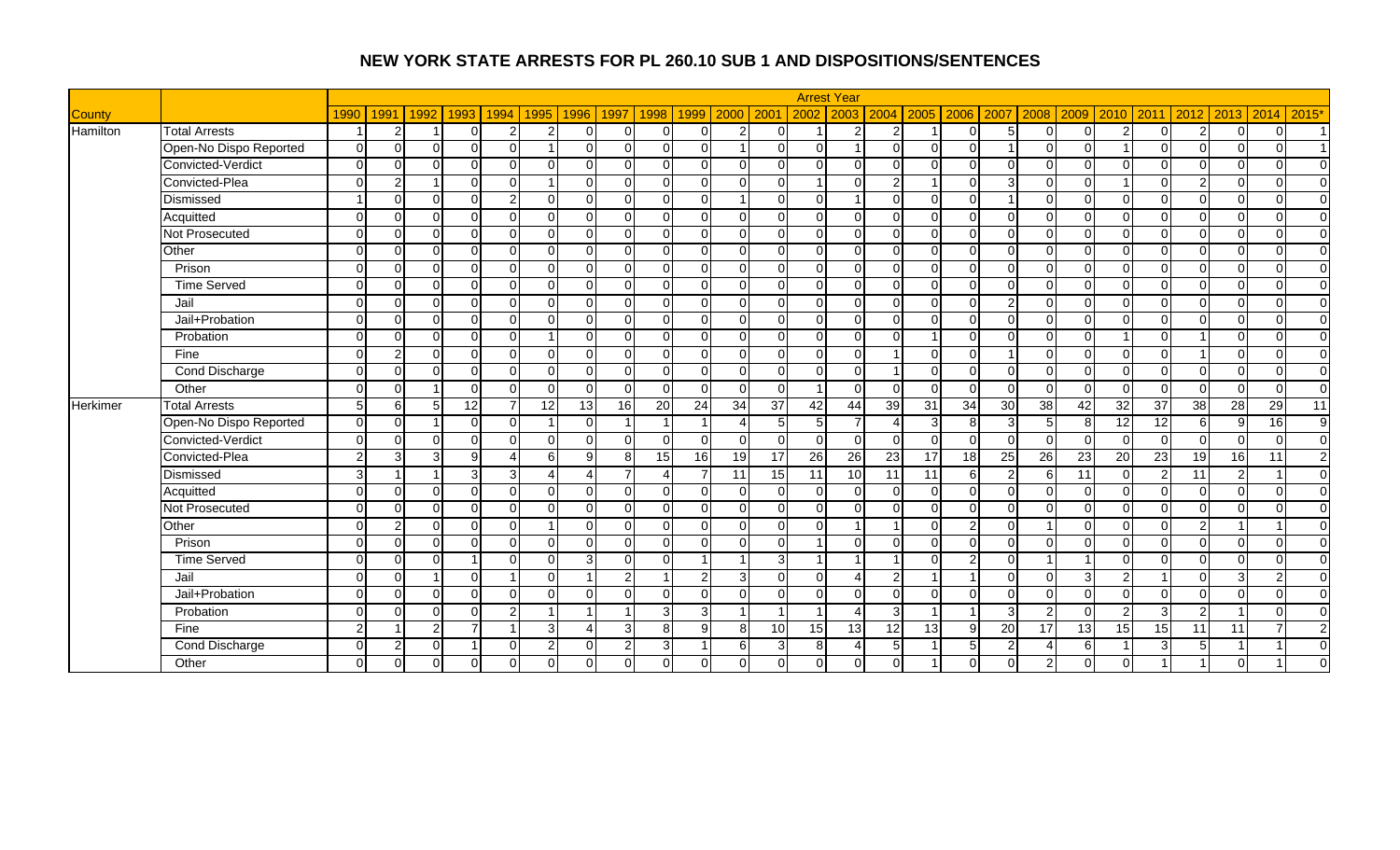|                 |                        |                |                |                |                |                |                         |                |                |                |               |                |                |                | <b>Arrest Year</b> |                 |          |                         |               |                          |                |                 |                 |                |                |                 |                |
|-----------------|------------------------|----------------|----------------|----------------|----------------|----------------|-------------------------|----------------|----------------|----------------|---------------|----------------|----------------|----------------|--------------------|-----------------|----------|-------------------------|---------------|--------------------------|----------------|-----------------|-----------------|----------------|----------------|-----------------|----------------|
| <b>County</b>   |                        | 1990           | 1991           | 1992           | 1993           | 1994           | 1995                    | 1996           | 1997           | 1998           | 1999          | 2000 2001      |                | 2002           | 2003               | 2004            | 2005     | 2006                    | 2007          | 2008                     | 2009           | 2010            | 2011            |                | 2012 2013      | 2014            | 2015*          |
| Hamilton        | <b>Total Arrests</b>   |                | 2              |                | $\Omega$       | $\overline{2}$ | $\overline{2}$          | $\Omega$       | $\Omega$       | $\overline{0}$ | $\Omega$      | $\overline{2}$ | $\overline{0}$ |                | ົ                  | 2               |          | $\Omega$                | 5             | $\overline{0}$           | $\Omega$       | 2               | $\Omega$        | 2 <sub>l</sub> | $\Omega$       | $\Omega$        |                |
|                 | Open-No Dispo Reported | $\Omega$       | $\Omega$       |                | $\Omega$       | $\Omega$       |                         | $\Omega$       | $\Omega$       | $\overline{0}$ | $\Omega$      |                | $\Omega$       | $\Omega$       |                    | $\Omega$        | $\Omega$ | $\Omega$                |               | $\Omega$                 | $\Omega$       |                 | $\Omega$        | $\Omega$       | 0              | O               |                |
|                 | Convicted-Verdict      | $\Omega$       | $\Omega$       | $\Omega$       | $\Omega$       | $\Omega$       | $\Omega$                | $\Omega$       | $\Omega$       | $\overline{0}$ | $\Omega$      | $\overline{0}$ | $\Omega$       | $\Omega$       |                    | <sup>0</sup>    | $\Omega$ | $\Omega$                | $\cap$        | $\overline{0}$           | $\Omega$       | $\Omega$        | $\Omega$        | $\Omega$       | 0              | $\Omega$        | $\Omega$       |
|                 | Convicted-Plea         | $\Omega$       | 2              |                | $\Omega$       | $\Omega$       | $\overline{\mathbf{A}}$ | $\Omega$       | $\Omega$       | $\overline{0}$ | $\Omega$      | $\overline{0}$ | $\Omega$       |                | $\cap$             | 2               |          | $\Omega$                | 3             | $\overline{0}$           | $\Omega$       |                 | $\Omega$        | $\overline{2}$ | $\Omega$       | O               | $\overline{0}$ |
|                 | Dismissed              |                | $\Omega$       | ΩI             | $\Omega$       | $\overline{2}$ | $\Omega$                | $\Omega$       | $\Omega$       | $\overline{0}$ | $\Omega$      |                | $\Omega$       | $\mathbf 0$    |                    | $\Omega$        | $\Omega$ | $\Omega$                |               | $\overline{0}$           | $\Omega$       | $\Omega$        | $\Omega$        | $\Omega$       | 0              |                 | $\overline{0}$ |
|                 | Acquitted              | $\Omega$       | $\Omega$       | $\Omega$       | $\Omega$       | $\Omega$       | $\Omega$                | $\Omega$       | $\Omega$       | $\overline{0}$ | $\Omega$      | $\overline{0}$ | $\Omega$       | $\mathbf 0$    | $\Omega$           | $\Omega$        | $\Omega$ | $\Omega$                | $\Omega$      | $\Omega$                 | $\Omega$       | $\Omega$        | $\Omega$        | $\Omega$       | $\Omega$       | O               | $\overline{0}$ |
|                 | Not Prosecuted         | $\Omega$       | $\Omega$       | $\Omega$       | $\Omega$       | $\Omega$       | $\Omega$                | $\Omega$       | $\Omega$       | $\overline{0}$ | $\Omega$      | $\overline{0}$ | $\Omega$       | $\Omega$       |                    | 0               | $\Omega$ | $\Omega$                | $\Omega$      | $\Omega$                 | $\Omega$       | $\Omega$        | $\Omega$        | $\Omega$       | $\Omega$       | O               | $\overline{0}$ |
|                 | Other                  | $\Omega$       | $\Omega$       | $\Omega$       | $\Omega$       | $\Omega$       | $\Omega$                | $\Omega$       | $\Omega$       | $\overline{0}$ | $\Omega$      | $\overline{0}$ | $\Omega$       | $\Omega$       |                    | $\Omega$        | $\Omega$ | $\Omega$                | $\cap$        | $\overline{0}$           | $\Omega$       | $\Omega$        | $\Omega$        | $\overline{0}$ | $\Omega$       | O               | $\overline{0}$ |
|                 | Prison                 | $\Omega$       | $\Omega$       | $\Omega$       | $\Omega$       | $\Omega$       | $\Omega$                | $\Omega$       | $\Omega$       | $\overline{0}$ | $\Omega$      | $\overline{0}$ | $\Omega$       | $\Omega$       | ∩                  | $\Omega$        | $\Omega$ | $\Omega$                | $\Omega$      | $\overline{0}$           | $\Omega$       | $\Omega$        | $\Omega$        | $\Omega$       | $\Omega$       | $\cap$          | $\overline{0}$ |
|                 | <b>Time Served</b>     | $\Omega$       | $\Omega$       | ΩI             | $\Omega$       | O              | $\Omega$                | $\Omega$       | $\Omega$       | $\overline{0}$ | $\Omega$      | $\overline{0}$ | $\Omega$       | $\mathbf{0}$   |                    | $\Omega$        | $\Omega$ | $\Omega$                | $\Omega$      | $\overline{0}$           | $\Omega$       | $\Omega$        | $\Omega$        | $\Omega$       | 0              |                 | $\overline{0}$ |
|                 | Jail                   | $\Omega$       | $\Omega$       | $\Omega$       | $\Omega$       | $\Omega$       | $\Omega$                | $\Omega$       | $\Omega$       | $\overline{0}$ | $\Omega$      | $\overline{0}$ | $\Omega$       | $\Omega$       |                    | $\Omega$        | $\Omega$ | $\Omega$                | $\mathcal{P}$ | $\overline{0}$           | $\Omega$       | $\Omega$        | $\Omega$        | $\Omega$       | $\Omega$       | $\Omega$        | $\overline{0}$ |
|                 | Jail+Probation         | $\Omega$       | $\Omega$       | $\Omega$       | $\Omega$       | $\Omega$       | $\Omega$                | $\Omega$       | $\Omega$       | $\overline{0}$ | $\Omega$      | $\overline{0}$ | $\Omega$       | $\Omega$       | ∩                  | $\Omega$        | $\Omega$ | $\Omega$                | $\Omega$      | $\overline{0}$           | $\Omega$       | $\Omega$        | $\Omega$        | $\Omega$       | $\Omega$       | $\Omega$        | $\overline{0}$ |
|                 | Probation              | $\Omega$       | $\Omega$       | ∩              | $\Omega$       | $\Omega$       |                         | <sup>0</sup>   | $\Omega$       | $\overline{0}$ | $\Omega$      | $\overline{0}$ | $\Omega$       | $\Omega$       |                    | ∩               |          | $\Omega$                | $\cap$        | $\overline{0}$           | $\Omega$       |                 | $\Omega$        |                | ∩              | n               | $\overline{0}$ |
|                 | Fine                   | $\Omega$       | $\overline{2}$ | ΩI             | $\Omega$       | $\Omega$       | $\Omega$                | $\Omega$       | $\Omega$       | $\overline{0}$ | $\Omega$      | $\overline{0}$ | $\Omega$       | $\Omega$       |                    |                 | $\Omega$ | $\Omega$                |               | $\overline{0}$           | $\Omega$       | $\Omega$        | $\Omega$        |                | 0              | O               | $\overline{0}$ |
|                 | <b>Cond Discharge</b>  | $\Omega$       | $\Omega$       | $\Omega$       | $\Omega$       | $\Omega$       | $\Omega$                | $\Omega$       | $\Omega$       | $\overline{0}$ | $\Omega$      | $\overline{0}$ | $\Omega$       | $\mathbf{0}$   | ∩                  | $\overline{ }$  | $\Omega$ | $\Omega$                | $\Omega$      | $\overline{0}$           | $\Omega$       | $\Omega$        | $\Omega$        | $\Omega$       | $\Omega$       | O               | $\overline{0}$ |
|                 | Other                  | $\Omega$       | $\Omega$       |                | $\Omega$       | $\Omega$       | $\Omega$                | $\Omega$       | $\Omega$       | $\overline{0}$ | $\Omega$      | $\overline{0}$ | $\Omega$       | $\mathbf{1}$   | $\Omega$           | $\Omega$        | $\Omega$ | $\mathbf 0$             | $\Omega$      | $\overline{0}$           | $\Omega$       | $\Omega$        | $\Omega$        | $\Omega$       | $\Omega$       | $\Omega$        | $\overline{0}$ |
| <b>Herkimer</b> | <b>Total Arrests</b>   | 5 <sub>l</sub> | -6             | 5 <sub>l</sub> | 12             | $\overline{7}$ | 12                      | 13             | 16             | 20             | 24            | 34             | 37             | 42             | 44                 | 39              | 31       | 34                      | 30            | 38                       | 42             | 32              | $\overline{37}$ | $\frac{3}{8}$  | 28             | 29              | 11             |
|                 | Open-No Dispo Reported | $\Omega$       | $\Omega$       |                | $\Omega$       | $\Omega$       |                         | $\Omega$       |                |                |               | $\Delta$       | 5              | $\overline{5}$ |                    |                 | 3        | 8                       | З             | 5                        | 8 <sup>1</sup> | 12              | 12              | 6              | 9              | $\overline{16}$ | 9              |
|                 | Convicted-Verdict      | $\Omega$       | $\Omega$       | ΩI             | $\Omega$       | $\Omega$       | $\Omega$                | $\Omega$       | $\Omega$       | $\overline{0}$ | $\Omega$      | $\overline{0}$ | $\Omega$       | $\mathbf 0$    |                    | $\Omega$        | $\Omega$ | $\Omega$                | $\Omega$      | $\overline{0}$           | $\Omega$       | $\Omega$        | $\Omega$        | $\Omega$       | $\overline{0}$ | $\Omega$        | $\overline{0}$ |
|                 | Convicted-Plea         | $\overline{2}$ | 3              | $\overline{3}$ | 9              | Δ              | 6                       | $\mathbf{Q}$   | 8 <sup>1</sup> | 15             | 16            | 19             | 17             | 26             | 26                 | 23              | 17       | $\overline{18}$         | 25            | 26                       | 23             | $\overline{20}$ | 23              | 19             | 16             | 11              | $\mathbf{2}$   |
|                 | Dismissed              | $\overline{3}$ |                |                | 3 <sup>1</sup> | 3 <sup>1</sup> | $\overline{\Lambda}$    | $\lambda$      | $\overline{7}$ | 4              |               | 11             | 15             | 11             | 10                 | 11              | 11       | 6                       | C             | $6 \mid$                 | 11             | $\Omega$        | $\overline{2}$  | 11             | $\overline{2}$ | $\overline{A}$  | $\overline{0}$ |
|                 | Acquitted              | $\Omega$       | $\Omega$       | $\Omega$       | $\Omega$       | $\Omega$       | $\Omega$                | $\Omega$       | $\Omega$       | $\overline{0}$ | $\Omega$      | $\overline{0}$ | $\Omega$       | $\Omega$       |                    | $\Omega$        | $\Omega$ | $\Omega$                | $\Omega$      | $\overline{0}$           | $\Omega$       | $\Omega$        | $\Omega$        | $\Omega$       | $\Omega$       | O               | $\Omega$       |
|                 | Not Prosecuted         | $\Omega$       | $\Omega$       | $\Omega$       | $\Omega$       | $\Omega$       | $\Omega$                | $\Omega$       | $\Omega$       | $\Omega$       | $\Omega$      | $\Omega$       | $\Omega$       | $\Omega$       | $\Omega$           | $\Omega$        | $\Omega$ | $\Omega$                | $\Omega$      | $\Omega$                 | $\Omega$       | $\Omega$        | $\Omega$        | $\Omega$       | $\Omega$       | $\Omega$        | $\overline{0}$ |
|                 | Other                  | $\Omega$       | 2              |                | $\Omega$       | O              |                         | $\Omega$       | $\Omega$       | $\Omega$       | $\Omega$      | $\overline{0}$ | $\Omega$       | $\Omega$       |                    |                 | $\Omega$ | $\overline{2}$          | $\Omega$      |                          | $\Omega$       | $\Omega$        | U               | 2              |                |                 | $\overline{0}$ |
|                 | Prison                 | $\Omega$       | $\Omega$       | ΩI             | $\Omega$       | $\Omega$       | $\Omega$                | $\Omega$       | $\Omega$       | $\Omega$       | $\Omega$      | $\Omega$       | $\Omega$       |                |                    | $\Omega$        | $\Omega$ | $\Omega$                | $\Omega$      | $\Omega$                 | $\Omega$       | $\Omega$        | $\Omega$        | $\Omega$       | $\Omega$       |                 | $\Omega$       |
|                 | <b>Time Served</b>     | $\Omega$       | $\Omega$       | $\Omega$       |                | $\Omega$       | $\Omega$                | $\overline{3}$ | $\Omega$       | $\Omega$       |               |                | $\mathbf{3}$   |                |                    | $\overline{1}$  | $\Omega$ | $\overline{2}$          | $\Omega$      | $\overline{1}$           |                | $\Omega$        | $\Omega$        | $\Omega$       | $\Omega$       | $\cap$          | $\Omega$       |
|                 | Jail                   | $\Omega$       | $\Omega$       |                | $\Omega$       | $\overline{ }$ | $\Omega$                |                | $\overline{2}$ | 1              | $\mathcal{P}$ | 3 <sup>l</sup> | $\Omega$       | $\mathbf 0$    | $\Delta$           | $\overline{2}$  |          | $\overline{\mathbf{1}}$ | $\Omega$      | $\Omega$                 | $\overline{3}$ | $\overline{2}$  |                 | $\Omega$       | 3              | $\overline{2}$  | $\overline{0}$ |
|                 | Jail+Probation         | $\Omega$       | $\Omega$       | $\Omega$       | $\Omega$       | $\Omega$       | $\Omega$                | $\Omega$       | $\Omega$       | $\overline{0}$ | $\Omega$      | $\Omega$       | $\Omega$       | $\Omega$       | $\Omega$           | $\Omega$        | $\Omega$ | $\Omega$                | $\Omega$      | $\overline{0}$           | $\overline{0}$ | $\Omega$        | $\Omega$        | $\Omega$       | $\Omega$       | O               | $\overline{0}$ |
|                 | Probation              | $\Omega$       | $\Omega$       | ΩI             | $\Omega$       | $\overline{2}$ |                         |                |                | 3              |               |                |                |                |                    | 3               |          |                         | 2             | $\overline{2}$           | $\Omega$       | $\overline{2}$  | $\overline{3}$  | $\overline{2}$ |                |                 | $\Omega$       |
|                 | Fine                   | $\overline{2}$ |                | $\overline{2}$ | $\overline{ }$ |                | $\mathcal{E}$           |                | $\overline{3}$ | 8 <sup>1</sup> | q             | 8              | 10             | 15             | 13                 | $\overline{12}$ | 13       | 9                       | 20            | $\overline{17}$          | 13             | 15              | 15              | 11             | 11             |                 | $\overline{2}$ |
|                 | <b>Cond Discharge</b>  | $\Omega$       | 2              | $\Omega$       | 1              | $\Omega$       | 2                       | $\Omega$       | $\overline{2}$ | $\overline{3}$ |               | 6              | $\overline{3}$ | 8              |                    | 5               |          | 5                       | っ             | $\boldsymbol{\varDelta}$ | $6 \mid$       |                 | $\overline{3}$  | 5              |                |                 | $\overline{0}$ |
|                 | Other                  | $\Omega$       | $\Omega$       | $\Omega$       | $\Omega$       |                |                         | $\Omega$       | $\Omega$       | $\overline{0}$ |               | $\overline{0}$ | $\Omega$       | $\mathbf{0}$   |                    | O               |          | $\Omega$                | $\Omega$      | $\overline{2}$           | $\Omega$       | $\Omega$        |                 |                |                |                 | $\overline{0}$ |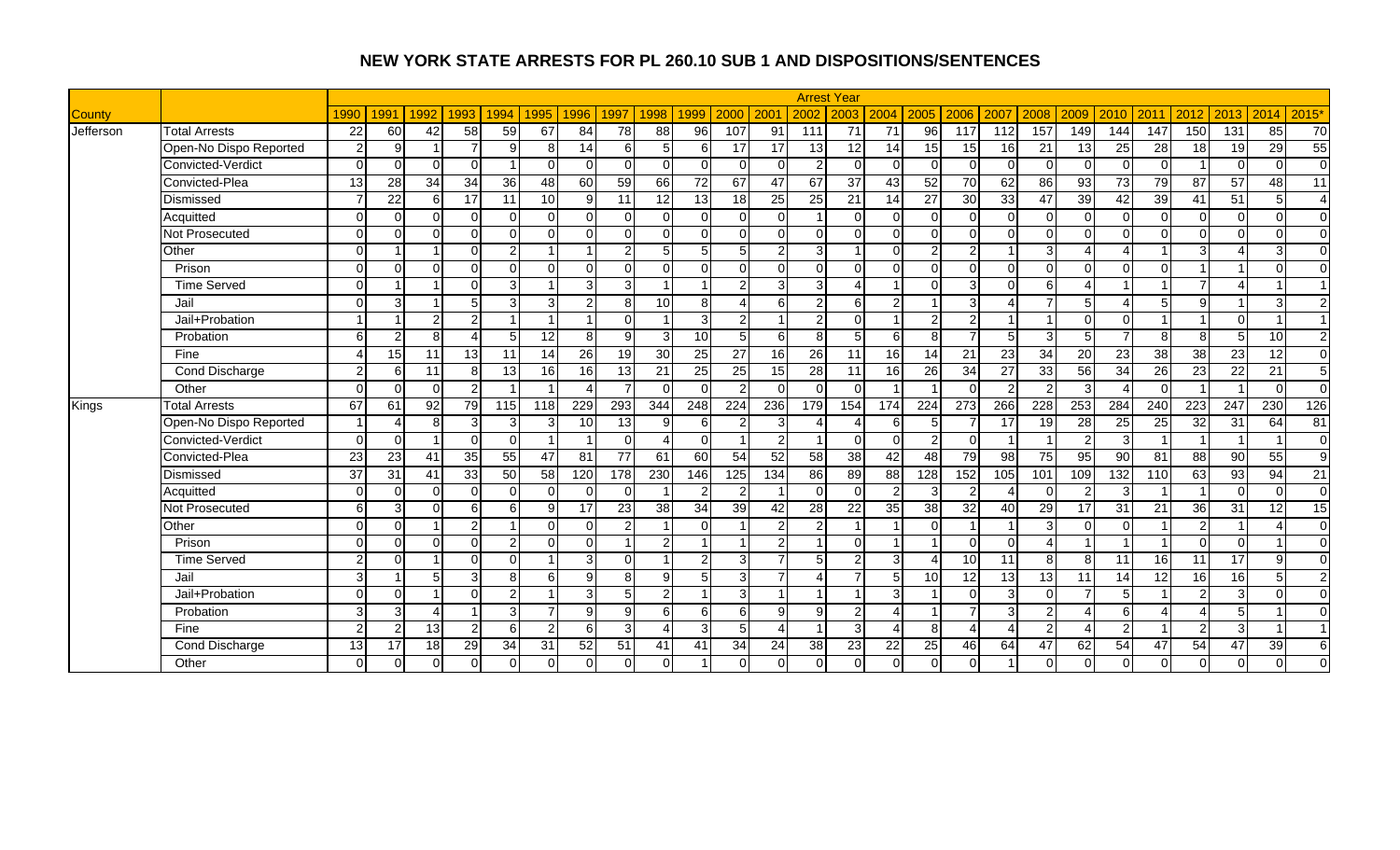|               |                        |                 |               |                |                          |                |                 |                 |                |                |                 |                 |                 |                 | <b>Arrest Year</b> |                |                 |                 |                |                |                |                 |                 |                         |                 |                          |                 |
|---------------|------------------------|-----------------|---------------|----------------|--------------------------|----------------|-----------------|-----------------|----------------|----------------|-----------------|-----------------|-----------------|-----------------|--------------------|----------------|-----------------|-----------------|----------------|----------------|----------------|-----------------|-----------------|-------------------------|-----------------|--------------------------|-----------------|
| <b>County</b> |                        | 1990            | 1991          | 1992           | 1993                     | 1994           | 1995            | 1996            | 1997           | 1998           | 1999            | 2000            | 200             | 2002            | 2003               | 2004           | 2005            | 2006            | 2007           | 2008           | 2009           | 2010            | 2011            | 2012                    | 2013            | 2014                     | 2015'           |
| Jefferson     | <b>Total Arrests</b>   | 22              | 60            | 42             | 58                       | 59             | 67              | 84              | 78             | 88             | 96              | 107             | 91              | 111             | 71                 | 71             | 96              | 117             | 112            | 157            | 149            | 144             | 147             | 150                     | 131             | 85                       | 70              |
|               | Open-No Dispo Reported | $\mathfrak{p}$  | 9             |                | $\overline{7}$           | $\mathbf{Q}$   | 8               | 14              | 6              | 5 <sub>l</sub> | 6               | 17              | $\overline{17}$ | $\overline{13}$ | $\overline{12}$    | 14             | 15              | $\overline{15}$ | 16             | 21             | 13             | 25              | 28              | 18                      | 19              | $\overline{29}$          | 55              |
|               | Convicted-Verdict      | $\Omega$        | $\Omega$      | $\Omega$       | $\Omega$                 |                | $\Omega$        | $\Omega$        | $\Omega$       | $\Omega$       | $\cap$          | $\Omega$        | $\Omega$        | $\overline{2}$  | $\Omega$           | $\Omega$       | $\Omega$        | $\Omega$        | $\Omega$       | $\Omega$       | ∩              | $\Omega$        | $\Omega$        |                         | n.              | $\Omega$                 | $\overline{0}$  |
|               | Convicted-Plea         | $\overline{13}$ | 28            | 34             | 34                       | 36             | 48              | 60              | 59             | 66             | $\overline{72}$ | 67              | 47              | 67              | $\overline{37}$    | 43             | 52              | $\overline{70}$ | 62             | 86             | 93             | $\overline{73}$ | 79              | 87                      | $\overline{57}$ | 48                       | $\overline{11}$ |
|               | Dismissed              |                 | 22            | 6              | 17                       | 11             | 10              | $\mathbf{Q}$    | 11             | 12             | 13              | 18              | 25              | 25              | 21                 | 14             | $\overline{27}$ | 30              | 33             | 47             | 39             | 42              | 39              | 41                      | $\overline{51}$ | 5                        | $\overline{4}$  |
|               | Acquitted              | $\Omega$        | $\Omega$      | $\Omega$       | $\overline{0}$           | $\Omega$       | $\Omega$        | $\Omega$        | $\Omega$       | $\Omega$       | $\Omega$        | $\Omega$        | $\Omega$        |                 | $\Omega$           | $\overline{0}$ | $\Omega$        | $\Omega$        | $\Omega$       | $\Omega$       | ∩              | $\Omega$        | $\Omega$        | $\mathbf 0$             | $\Omega$        | $\Omega$                 | $\overline{0}$  |
|               | <b>Not Prosecuted</b>  | $\Omega$        | $\Omega$      | $\Omega$       | $\Omega$                 | $\Omega$       | $\Omega$        | $\Omega$        | $\Omega$       | $\Omega$       | $\Omega$        | $\Omega$        | $\Omega$        | $\Omega$        | $\Omega$           | $\Omega$       | $\Omega$        | $\Omega$        | $\Omega$       | $\Omega$       | $\Omega$       | $\Omega$        | $\Omega$        | $\Omega$                | $\Omega$        | $\Omega$                 | $\overline{0}$  |
|               | Other                  | $\Omega$        |               |                | $\Omega$                 | $\overline{2}$ |                 |                 | $\overline{2}$ | 5              | 5               | 5               | 2               | 3               |                    | $\Omega$       | $\overline{2}$  | 2               |                | 3              |                |                 |                 | 3                       |                 | 3                        | $\overline{0}$  |
|               | Prison                 | $\Omega$        | $\Omega$      | ∩              | $\Omega$                 | $\Omega$       | $\Omega$        | $\Omega$        | $\Omega$       | $\Omega$       | $\cap$          | $\Omega$        | $\Omega$        | $\Omega$        | $\Omega$           | $\Omega$       | $\Omega$        | $\Omega$        | $\Omega$       | $\Omega$       |                | $\Omega$        | $\Omega$        |                         |                 | $\Omega$                 | $\Omega$        |
|               | <b>Time Served</b>     | $\Omega$        |               |                | $\Omega$                 | 3              |                 | $\mathbf{3}$    | $\overline{3}$ |                | $\overline{ }$  | $\mathcal{P}$   | 3               | 3               |                    |                | $\Omega$        | 3               | $\Omega$       | 6              |                |                 |                 | $\overline{7}$          | Λ               |                          | $\overline{1}$  |
|               | Jail                   | $\Omega$        | 3             |                | 5                        | $\overline{3}$ | 3               | $\overline{2}$  | 8              | 10             | 8               |                 | 6 <sup>1</sup>  | $\overline{c}$  | 6                  | $\overline{2}$ |                 | 3               | $\Delta$       | $\overline{7}$ | 5              | Δ               | 5 <sup>1</sup>  | 9                       |                 | 3                        | $\overline{2}$  |
|               | Jail+Probation         |                 |               | っ              | $\overline{2}$           |                |                 |                 | $\Omega$       |                | 3               | $\overline{2}$  |                 | 2               | $\Omega$           |                | $\overline{2}$  | $\overline{c}$  |                | $\overline{1}$ | $\Omega$       | $\Omega$        |                 |                         | $\Omega$        | $\overline{ }$           | $\overline{1}$  |
|               | Probation              | ĥ               |               | R              | $\boldsymbol{\varDelta}$ |                | $\overline{12}$ | 8               | 9              | 3              | 10              | 5               | 6               | 8               |                    | 6              | 8               | $\overline{7}$  |                | 3              |                |                 | <sub>8</sub>    | 8                       | 5               | 10                       | $\overline{2}$  |
|               | Fine                   |                 | 15            | 11             | 13                       | 11             | 14              | $\overline{26}$ | 19             | 30             | 25              | $\overline{27}$ | 16              | 26              | 11                 | 16             | 14              | $\overline{21}$ | 23             | 34             | 20             | 23              | 38              | 38                      | 23              | 12                       | $\overline{0}$  |
|               | Cond Discharge         | $\mathcal{P}$   | 6             | 11             | 8 <sup>1</sup>           | 13             | 16              | 16              | 13             | 21             | 25              | 25              | 15              | $\overline{28}$ | 11                 | 16             | 26              | $\overline{34}$ | 27             | 33             | 56             | 34              | 26              | 23                      | $\overline{22}$ | 21                       | $\overline{5}$  |
|               | Other                  | $\Omega$        | $\Omega$      | $\Omega$       | $\overline{2}$           |                |                 | 4               | $\overline{7}$ | $\Omega$       | $\Omega$        | $\overline{2}$  | $\Omega$        | $\Omega$        | $\Omega$           |                |                 | $\Omega$        | $\overline{2}$ | 2              | 3              |                 | $\Omega$        |                         |                 | $\Omega$                 | $\overline{0}$  |
| Kings         | <b>Total Arrests</b>   | 67              | 61            | 92             | 79                       | 115            | 118             | 229             | 293            | 344            | 248             | 224             | 236             | 179             | 154                | 174            | 224             | 273             | 266            | 228            | 253            | 284             | 240             | 223                     | 247             | 230                      | 126             |
|               | Open-No Dispo Reported |                 |               | 8              | $\overline{3}$           | 3              | 3               | 10              | 13             | 9              | 6               | 2               | 3               |                 |                    | 6              | 5               |                 | 17             | 19             | 28             | 25              | 25              | 32                      | 31              | 64                       | $\overline{81}$ |
|               | Convicted-Verdict      | $\Omega$        | $\Omega$      |                | $\Omega$                 | $\Omega$       |                 |                 | $\Omega$       | 4              | $\Omega$        |                 | $\overline{2}$  | -1              | $\Omega$           | $\Omega$       | $\overline{2}$  | $\Omega$        |                |                | $\mathfrak{p}$ | 3               |                 | -1                      | -1              | -1                       | $\overline{0}$  |
|               | Convicted-Plea         | 23              | 23            | 4 <sup>1</sup> | 35                       | 55             | 47              | 81              | 77             | 61             | 60              | 54              | 52              | 58              | 38                 | 42             | 48              | 79              | 98             | 75             | 95             | 90              | 81              | 88                      | 90              | 55                       | $\overline{9}$  |
|               | Dismissed              | 37              | 31            | 41             | 33                       | 50             | 58              | 120             | 178            | 230            | 146             | 125             | 134             | 86              | 89                 | 88             | 128             | 152             | 105            | 101            | 109            | 132             | 110             | 63                      | 93              | 94                       | 21              |
|               | Acquitted              | $\Omega$        | $\Omega$      | $\Omega$       | $\Omega$                 | $\Omega$       | $\Omega$        | <sup>0</sup>    | $\Omega$       |                | $\mathcal{P}$   | $\overline{2}$  |                 | $\Omega$        | n.                 | $\mathcal{P}$  | $\mathbf{3}$    | 2               | $\Lambda$      | $\Omega$       | っ              | 3               |                 |                         | n.              | $\Omega$                 | $\overline{0}$  |
|               | Not Prosecuted         | 6               | 3             | $\Omega$       | $\overline{6}$           | 6              | 9               | 17              | 23             | 38             | 34              | 39              | 42              | $\overline{28}$ | 22                 | 35             | 38              | $\overline{32}$ | 40             | 29             | 17             | 31              | 21              | 36                      | $\overline{31}$ | 12                       | 15              |
|               | Other                  | $\Omega$        | $\Omega$      |                | $\overline{2}$           |                | $\Omega$        | ∩               | $\overline{2}$ |                | O               |                 | 2               | 2               |                    |                | $\Omega$        |                 |                | $\overline{3}$ |                | $\Omega$        |                 | $\overline{2}$          |                 | $\boldsymbol{\varDelta}$ | $\overline{0}$  |
|               | Prison                 | $\Omega$        | $\Omega$      | $\Omega$       | $\overline{0}$           | 21             | $\Omega$        | $\Omega$        |                | $\overline{2}$ |                 |                 | $\overline{2}$  |                 | $\Omega$           |                |                 | $\Omega$        | $\Omega$       | $\overline{A}$ |                |                 |                 | $\Omega$                | $\Omega$        |                          | $\overline{0}$  |
|               | <b>Time Served</b>     | $\mathcal{D}$   | $\Omega$      |                | $\overline{0}$           | $\Omega$       |                 | 3 <sup>l</sup>  | $\Omega$       |                | $\overline{2}$  | $\overline{3}$  | $\overline{7}$  | 5               | 2                  | $\overline{3}$ | $\overline{4}$  | 10              | 11             | 8 <sup>1</sup> | 8              | 11              | 16              | 11                      | 17              | 9                        | $\overline{0}$  |
|               | Jail                   | 3               |               | 5 <sub>l</sub> | $\mathbf{3}$             | 8 <sup>1</sup> | 6               | 9 <sub>l</sub>  | 8              | 9 <sub>l</sub> | 5               | 3 <sup>l</sup>  | $\overline{7}$  | 4               | $\overline{7}$     | 5 <sup>1</sup> | 10              | 12              | 13             | 13             | 11             | 14              | $\overline{12}$ | 16                      | 16              | 5                        | 2               |
|               | Jail+Probation         | $\Omega$        | $\Omega$      |                | $\Omega$                 | $\overline{2}$ |                 | $\overline{3}$  | 5              | $\overline{2}$ | -1              | $\overline{3}$  |                 |                 |                    | $\mathbf{3}$   |                 | $\Omega$        | $\mathcal{R}$  | $\Omega$       |                | 5               |                 | $\overline{2}$          | $\overline{3}$  | $\Omega$                 | $\overline{0}$  |
|               | Probation              | 3               | 3             |                |                          | $\mathbf{3}$   | $\overline{7}$  | q               | 9              | 6              | 6               | 6               | 9               | 9               | $\mathcal{P}$      |                |                 | $\overline{7}$  | 3              | $\overline{2}$ |                | 6               |                 |                         | 5 <sub>l</sub>  |                          | $\Omega$        |
|               | Fine                   | $\mathcal{D}$   | $\mathcal{D}$ | 13             | $\overline{2}$           | 6              | 2               | 6               | $\mathbf{3}$   | $\Delta$       | 3               | $5\overline{5}$ | $\Delta$        | 1               | $\mathcal{R}$      | Δ              | $\mathbf{8}$    | $\overline{4}$  | $\Delta$       | 2              |                | 2               |                 | $\overline{2}$          | $\overline{3}$  |                          | $\overline{1}$  |
|               | <b>Cond Discharge</b>  | 13              | 17            | 18             | 29                       | 34             | 31              | 52              | 51             | 41             | 41              | 34              | 24              | 38              | 23                 | 22             | 25              | 46              | 64             | 47             | 62             | 54              | 47              | 54                      | 47              | 39                       | 6               |
|               | Other                  | $\Omega$        | $\Omega$      | $\Omega$       | $\overline{0}$           | $\overline{0}$ | $\Omega$        | $\Omega$        | $\Omega$       | $\Omega$       |                 | $\Omega$        | $\Omega$        | $\mathbf{0}$    | $\Omega$           | $\overline{0}$ | $\Omega$        | $\Omega$        |                | $\Omega$       |                | $\Omega$        | $\Omega$        | $\overline{\mathsf{o}}$ | $\Omega$        | $\Omega$                 | $\Omega$        |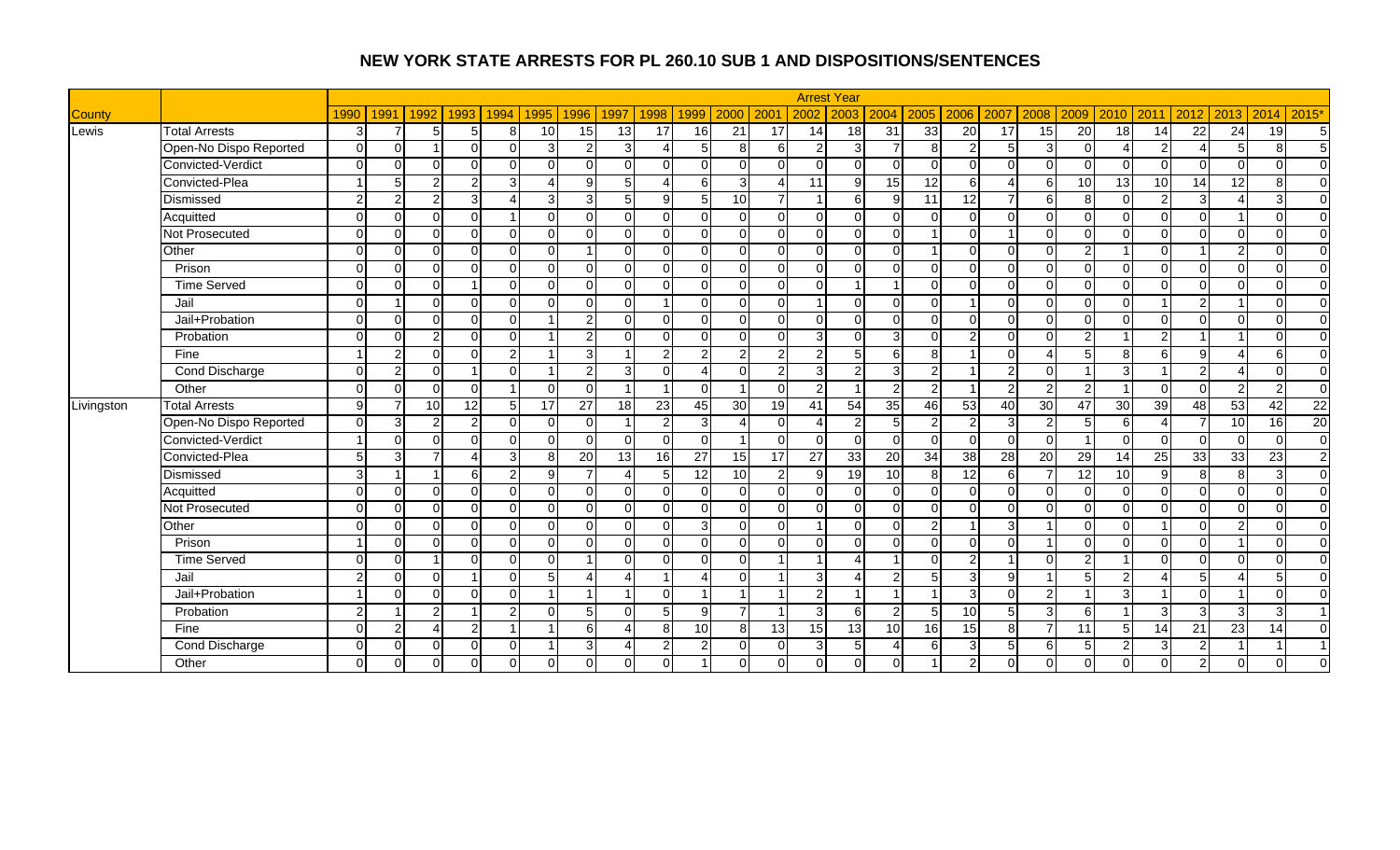|               |                        |               |                |          |                           |                            |           |                        |                |                 |                          |                          |                         | <b>Arrest Year</b> |                 |                 |                 |                 |                |                 |                         |                 |                        |                     |                 |                 |
|---------------|------------------------|---------------|----------------|----------|---------------------------|----------------------------|-----------|------------------------|----------------|-----------------|--------------------------|--------------------------|-------------------------|--------------------|-----------------|-----------------|-----------------|-----------------|----------------|-----------------|-------------------------|-----------------|------------------------|---------------------|-----------------|-----------------|
| <b>County</b> |                        | 1990          | 1991           | 1992     | 1993                      | 1995<br>1994               | 1996      | 1997                   | 1998           | 1999            | 2000                     | 2001                     | 2002                    | 2003               | 2004            | 2005            | 2006            | 2007            | 2008           | 2009            | 2010                    | 2011            | 2012                   | 2013                | 2014            | 2015*           |
| Lewis         | <b>Total Arrests</b>   | 3             |                | 5.       | 5                         | 10<br>8                    | 15        | 13                     | 17             | 16              | 21                       | 17                       | 14                      | 18                 | 31              | 33              | $\overline{20}$ | 17              | 15             | 20              | 18                      | 14              | 22                     | 24                  | $\overline{19}$ | 5               |
|               | Open-No Dispo Reported | $\Omega$      | $\Omega$       |          | $\Omega$                  | $\Omega$<br>3              | 2         | 3                      | Δ              | 5               | 8 <sup>1</sup>           | <sup>6</sup>             | $\overline{2}$          | 3                  |                 | 8               | $\overline{2}$  | $5 \square$     | 3              | $\Omega$        | Δ                       | C               | $\boldsymbol{\Lambda}$ | 5 <sub>l</sub>      | 8               | -5              |
|               | Convicted-Verdict      |               | ∩              |          | $\Omega$                  | $\Omega$<br>$\Omega$       | U         | $\Omega$               | $\Omega$       | $\Omega$        |                          | $\Omega$                 | $\Omega$                | $\Omega$           | $\Omega$        | $\Omega$        | $\Omega$        | $\Omega$        | $\Omega$       |                 | $\Omega$                | $\Omega$        | $\Omega$               | $\Omega$            | $\Omega$        | $\overline{0}$  |
|               | Convicted-Plea         |               | 5              |          | $\overline{2}$            | 3<br>$\Delta$              | q         | 5                      | 4              | 6               | $\overline{3}$           | $\boldsymbol{\varDelta}$ | 11                      | $\mathbf{Q}$       | 15              | 12              | 6               | $\Delta$        | 6 <sup>1</sup> | 10              | $\overline{13}$         | $\overline{10}$ | 14                     | 12                  | 8               | $\overline{0}$  |
|               | Dismissed              | $\mathcal{P}$ | $\mathcal{P}$  |          | $\overline{3}$            | 3                          | зІ        | 5                      | 9 <sup>1</sup> | 5               | 10                       | $\overline{7}$           | $\overline{\mathbf{A}}$ | 6                  | 9               | $\overline{11}$ | 12              |                 | $6 \mid$       | 8               | $\Omega$                | $\mathfrak{p}$  | $\overline{3}$         | $\lambda$           | 3               | $\overline{0}$  |
|               | Acquitted              | ∩             | $\Omega$       | $\Omega$ | $\overline{0}$            | $\Omega$                   | $\Omega$  | $\Omega$               | $\Omega$       | $\Omega$        | $\Omega$                 | $\Omega$                 | $\Omega$                | $\Omega$           | $\Omega$        | $\Omega$        | $\mathbf 0$     | $\Omega$        | $\Omega$       | $\Omega$        | $\Omega$                | $\Omega$        | $\mathbf 0$            |                     | $\Omega$        | $\overline{0}$  |
|               | Not Prosecuted         | ∩             | $\Omega$       | U        | $\overline{0}$            | $\Omega$<br>$\Omega$       | $\Omega$  | $\Omega$               | $\overline{0}$ | $\Omega$        | 0                        | $\Omega$                 | $\Omega$                | $\Omega$           | $\Omega$        |                 | $\Omega$        |                 | $\Omega$       | $\Omega$        | $\Omega$                | $\Omega$        | $\Omega$               | $\Omega$            | $\Omega$        | $\overline{0}$  |
|               | Other                  |               | ∩              |          | $\Omega$                  | $\Omega$<br>$\Omega$       |           | $\Omega$               | $\Omega$       | $\cap$          |                          | $\Omega$                 | $\Omega$                | $\Omega$           | $\Omega$        |                 | $\mathbf 0$     | $\Omega$        | $\Omega$       | 2               |                         | $\Omega$        |                        | $\overline{2}$      | $\Omega$        | $\overline{0}$  |
|               | Prison                 |               | $\Omega$       | ∩        | $\Omega$                  | $\Omega$<br>$\Omega$       | $\Omega$  | $\Omega$               | $\overline{0}$ | $\Omega$        | $\Omega$                 | $\Omega$                 | $\Omega$                | $\Omega$           | $\Omega$        | $\Omega$        | $\Omega$        | $\Omega$        | $\Omega$       | $\Omega$        | $\Omega$                | $\Omega$        | $\mathbf 0$            | $\Omega$            | $\Omega$        | $\overline{0}$  |
|               | <b>Time Served</b>     | $\cap$        | ∩              | $\Omega$ | $\overline{1}$            | $\Omega$<br>$\Omega$       | $\Omega$  | $\Omega$               | $\Omega$       | $\Omega$        | <sup>0</sup>             | $\Omega$                 | $\Omega$                |                    | -1              | $\overline{0}$  | $\Omega$        | $\Omega$        | $\Omega$       | $\Omega$        | $\Omega$                | $\Omega$        | $\mathbf 0$            | $\Omega$            | $\Omega$        | $\overline{0}$  |
|               | Jail                   |               |                | ∩        | $\Omega$                  | $\Omega$<br>$\Omega$       | ሰ         | $\Omega$               |                | O               | ∩                        | $\Omega$                 |                         | $\Omega$           | $\Omega$        | $\overline{0}$  |                 | $\Omega$        | $\Omega$       | ∩               | $\Omega$                |                 | $\overline{2}$         |                     | $\Omega$        | $\overline{0}$  |
|               | Jail+Probation         |               | $\Omega$       |          | $\overline{0}$            | $\Omega$                   | 21        | $\Omega$               | 0              | $\Omega$        | 0                        | $\Omega$                 | $\Omega$                | $\Omega$           | $\Omega$        | $\overline{0}$  | $\overline{0}$  | $\Omega$        | $\Omega$       | $\Omega$        | $\Omega$                | <sup>0</sup>    | $\mathbf 0$            | $\Omega$            | $\Omega$        | $\overline{0}$  |
|               | Probation              |               | ∩              |          | $\Omega$                  | $\Omega$                   | 21        | $\Omega$               | $\Omega$       | $\Omega$        | U                        | $\Omega$                 | 3                       | $\Omega$           | $\overline{3}$  | $\overline{0}$  | $\overline{2}$  | $\Omega$        | $\Omega$       | $\mathcal{P}$   |                         | $\mathcal{D}$   |                        |                     | $\Omega$        | $\overline{0}$  |
|               | Fine                   |               | 2              | $\cap$   | $\Omega$                  | $\mathfrak{p}$             | 3         |                        | $\overline{2}$ | $\overline{2}$  | $\overline{2}$           | $\overline{2}$           | $\overline{2}$          | 5                  | 61              | 8 <sup>1</sup>  |                 | $\Omega$        | 4              |                 | 8                       | 6               | 9                      | Δ                   | 6               | $\Omega$        |
|               | Cond Discharge         | ∩             | 2              | $\Omega$ | $\overline{1}$            | $\Omega$                   | 21        | 3                      | $\Omega$       | Δ               | $\Omega$                 | $\overline{2}$           | 3                       | 2                  | $\overline{3}$  | $\overline{2}$  |                 | $\mathcal{P}$   | $\Omega$       |                 | 3                       |                 | $\overline{2}$         | 4                   | $\Omega$        | $\overline{0}$  |
|               | Other                  |               | ∩              |          | $\Omega$                  | $\Omega$                   | $\Omega$  |                        |                | $\Omega$        |                          | $\Omega$                 | $\overline{2}$          |                    | $\overline{2}$  | $\overline{2}$  |                 | $\mathcal{P}$   | 2              | $\mathcal{P}$   | $\overline{\mathbf{1}}$ | $\Omega$        | $\Omega$               | $\overline{2}$      | $\overline{2}$  | $\overline{0}$  |
| Livingston    | <b>Total Arrests</b>   | q             | 7              | 10       | 12                        | 5 <sub>l</sub><br>17       | 27        | 18                     | 23             | 45              | 30 <sup>l</sup>          | 19                       | 41                      | 54                 | 35              | 46              | 53              | 40              | 30             | 47              | 30                      | 39              | 48                     | 53                  | 42              | $\overline{22}$ |
|               | Open-No Dispo Reported | $\Omega$      | 3              |          | $\overline{2}$            | $\Omega$<br>$\Omega$       | $\Omega$  |                        | $\overline{2}$ | 3               |                          | $\Omega$                 |                         |                    | 5 <sup>1</sup>  | $\overline{2}$  | $\overline{2}$  | $\overline{3}$  | $\overline{2}$ | 5               | 6                       |                 |                        | $\overline{10}$     | 16              | 20              |
|               | Convicted-Verdict      |               | ∩              |          | $\Omega$                  | $\Omega$<br>$\Omega$       | ∩         | $\Omega$               | $\Omega$       | $\Omega$        |                          | $\Omega$                 | $\Omega$                | $\Omega$           | $\Omega$        | $\Omega$        | $\mathbf 0$     | $\Omega$        | $\Omega$       |                 | $\Omega$                | $\Omega$        | $\mathbf 0$            | $\Omega$            | $\Omega$        | $\overline{0}$  |
|               | Convicted-Plea         |               | З              |          | $\boldsymbol{\varLambda}$ | 3<br>8                     | 20        | 13                     | 16             | $\overline{27}$ | 15                       | 17                       | 27                      | 33                 | 20              | 34              | 38              | 28              | 20             | 29              | 14                      | $\overline{25}$ | $\overline{33}$        | 33                  | 23              | $\overline{2}$  |
|               | Dismissed              | C             | $\overline{ }$ |          | $\overline{6}$            | 2 <sub>l</sub><br>9        |           | 4                      | 5              | 12              | 10 <sup>1</sup>          | $\overline{a}$           | 9                       | $\overline{19}$    | 10              | 8 <sup>1</sup>  | 12              | $6 \mid$        | $\overline{7}$ | $\overline{12}$ | 10                      | Q               | $\infty$               | $\overline{\infty}$ | 3               | $\overline{0}$  |
|               | Acquitted              | ∩             | ∩              | ∩        | $\overline{0}$            | $\Omega$<br>$\Omega$       | $\Omega$  | $\Omega$               | 0              | $\Omega$        | $\Omega$                 | $\Omega$                 | $\Omega$                | $\Omega$           | $\Omega$        | $\overline{0}$  | $\mathbf 0$     | $\Omega$        | $\Omega$       | $\Omega$        | $\Omega$                | $\Omega$        | $\mathbf 0$            | $\Omega$            | $\Omega$        | $\overline{0}$  |
|               | Not Prosecuted         | ∩             | $\Omega$       | U        | $\mathbf 0$               | $\Omega$<br>$\Omega$       | $\Omega$  | $\Omega$               | $\overline{0}$ | $\Omega$        | 0                        | $\Omega$                 | $\Omega$                | $\Omega$           | $\Omega$        | $\overline{0}$  | $\overline{0}$  | $\Omega$        | $\Omega$       | $\Omega$        | $\Omega$                | $\Omega$        | $\mathbf 0$            | $\Omega$            | $\Omega$        | $\overline{0}$  |
|               | Other                  |               |                |          | $\Omega$                  | $\Omega$<br>$\Omega$       | U         | $\Omega$               | $\Omega$       | 3               |                          | $\Omega$                 |                         | $\Omega$           | $\Omega$        | $\overline{2}$  |                 | 3               |                |                 | $\Omega$                |                 | $\Omega$               | $\overline{2}$      | $\Omega$        | $\overline{0}$  |
|               | Prison                 |               | ∩              | $\cap$   | $\mathbf 0$               | $\Omega$<br>$\Omega$       | $\Omega$  | $\Omega$               | $\mathbf{0}$   | $\Omega$        | $\Omega$                 | $\Omega$                 | $\Omega$                | $\Omega$           | $\Omega$        | $\overline{0}$  | $\Omega$        | $\Omega$        |                | ∩               | $\Omega$                | $\Omega$        | $\Omega$               |                     | $\Omega$        | $\overline{0}$  |
|               | <b>Time Served</b>     | ∩             | $\Omega$       |          | $\mathbf 0$               | $\Omega$<br>$\Omega$       |           | $\Omega$               | $\Omega$       | $\Omega$        | $\Omega$                 | $\overline{\mathbf{1}}$  | $\overline{\mathbf{A}}$ | Δ                  |                 | $\Omega$        | $\overline{2}$  |                 | $\Omega$       | $\mathfrak{p}$  | $\overline{ }$          | $\Omega$        | $\mathbf 0$            | $\Omega$            | $\Omega$        | $\overline{0}$  |
|               | Jail                   | ົ             | ∩              | ∩        | -1                        | $\Omega$<br>5              | $\lambda$ | 4                      |                | Δ               | <sup>n</sup>             | -1                       | 3                       |                    | $\overline{2}$  | 5               | 3               | 9 <sup>1</sup>  |                |                 | 2                       |                 | 5                      |                     | 5               | $\overline{0}$  |
|               | Jail+Probation         |               | $\Omega$       |          | $\Omega$                  | $\Omega$<br>$\overline{1}$ |           |                        | $\Omega$       |                 |                          |                          | $\overline{2}$          |                    | 1               |                 | 3 <sup>l</sup>  | $\Omega$        | 2              |                 | 3                       |                 | $\Omega$               |                     | $\Omega$        | $\Omega$        |
|               | Probation              | $\mathcal{P}$ |                |          |                           | 2<br>$\Omega$              | 5         | $\Omega$               | 5 <sub>l</sub> | 9               | $\overline{\phantom{a}}$ |                          | 3                       | 6                  | $\mathfrak{p}$  | $\overline{5}$  | 10              | $5\overline{5}$ | 3              | 6               |                         | 3               | 3                      | $\overline{3}$      | 3               | $\overline{1}$  |
|               | Fine                   |               | 2              |          | 2                         |                            | 6         | $\overline{A}$         | 8              | 10              | 8 <sup>1</sup>           | 13                       | 15                      | 13                 | 10 <sup>1</sup> | 16              | $\overline{15}$ | $\mathbf{8}$    | $\overline{7}$ | 11              | 5                       | 14              | 21                     | 23                  | 14              | $\Omega$        |
|               | Cond Discharge         | $\Omega$      | ∩              | ∩        | $\overline{0}$            | $\Omega$                   | зI        | $\boldsymbol{\Lambda}$ | $\overline{2}$ | 2               |                          | $\Omega$                 | 3                       | 5                  |                 | 6               | 3               | $5 \square$     | 6              | 5               | 2                       | 3               | $\overline{2}$         |                     | 1               | $\overline{1}$  |
|               | Other                  |               |                |          | $\overline{0}$            | $\Omega$<br>$\Omega$       |           | $\Omega$               | $\Omega$       |                 |                          | $\Omega$                 | 0                       | $\Omega$           | $\Omega$        |                 | $\overline{2}$  |                 | $\Omega$       |                 |                         | O               | $\overline{2}$         | $\Omega$            | $\Omega$        | $\Omega$        |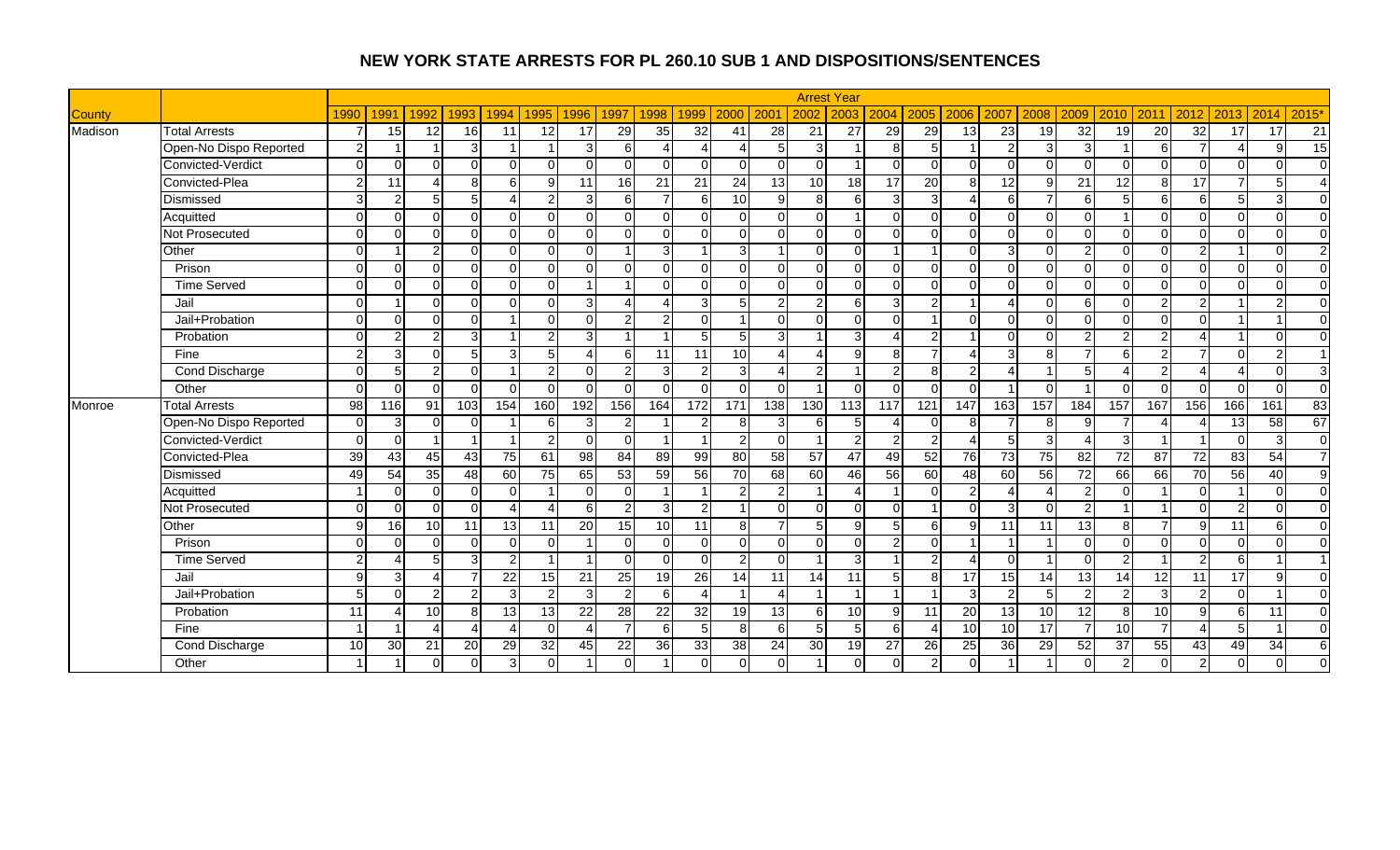|               |                        |                |               |                 |                        |                        |                          |                |                 |                |                          |                 |                 |                 | <b>Arrest Year</b> |                 |                 |                 |               |                |          |                        |                |                         |                 |                 |                        |
|---------------|------------------------|----------------|---------------|-----------------|------------------------|------------------------|--------------------------|----------------|-----------------|----------------|--------------------------|-----------------|-----------------|-----------------|--------------------|-----------------|-----------------|-----------------|---------------|----------------|----------|------------------------|----------------|-------------------------|-----------------|-----------------|------------------------|
| <b>County</b> |                        | 1990           | 1991          | 1992            | 1993                   | 1994                   | 1995                     | 1996           | 1997            | 1998           | 1999                     | 2000            | 200             | 2002            | 2003               | 2004            | 2005 2006       |                 | 2007          | 2008           | 2009     | 2010                   | 2011           | 2012                    | 2013            | 2014            | 2015'                  |
| Madison       | <b>Total Arrests</b>   | 7              | 15            | 12              | 16                     | 11                     | 12                       | 17             | $\overline{29}$ | 35             | 32                       | 41              | $\overline{28}$ | 21              | 27                 | 29              | 29              | $\overline{13}$ | 23            | 19             | 32       | 19                     | 20             | 32                      | $\overline{17}$ | $\overline{17}$ | 21                     |
|               | Open-No Dispo Reported | $\overline{2}$ |               |                 | 3                      |                        |                          | $\mathbf{3}$   | 6               | Δ              |                          |                 | 5               | 3               |                    | 8 <sup>1</sup>  | 5               |                 | 2             | 3              | З        |                        | 6              | 7                       | Δ               | 9               | $\overline{15}$        |
|               | Convicted-Verdict      | $\Omega$       | $\Omega$      | $\Omega$        | $\Omega$               | $\Omega$               | $\Omega$                 |                | $\Omega$        | $\Omega$       | $\Omega$                 | $\Omega$        | $\Omega$        | $\Omega$        |                    | $\Omega$        | $\Omega$        | $\Omega$        |               | $\Omega$       |          | $\Omega$               | $\cap$         | $\Omega$                | $\Omega$        | $\Omega$        | $\Omega$               |
|               | Convicted-Plea         | 2              | 11            |                 | 8 <sup>1</sup>         | 6                      | 9                        | 11             | 16              | 21             | 21                       | 24              | 13              | 10 <sup>1</sup> | 18                 | 17 <sup>1</sup> | $\overline{20}$ | 8               | 12            | $\mathbf{Q}$   | 21       | 12                     | $\mathbf{8}$   | 17                      | $\overline{7}$  | 5               | $\boldsymbol{\Lambda}$ |
|               | Dismissed              | $\overline{3}$ | $\mathcal{P}$ | 5 <sup>1</sup>  | 5 <sub>l</sub>         | $\boldsymbol{\Lambda}$ | $\overline{2}$           | $\overline{3}$ | 6               | $\overline{7}$ | $\epsilon$               | 10 <sup>1</sup> | $\mathfrak{g}$  | 8 <sup>1</sup>  | 6                  | $\mathbf{3}$    | $\overline{3}$  | $\overline{4}$  | 6             | $\overline{ }$ | 6        | 5                      | 6 <sup>1</sup> | 6                       | 5 <sub>l</sub>  | 3               | $\overline{0}$         |
|               | Acquitted              | $\Omega$       | $\Omega$      | ΩI              | $\Omega$               | $\Omega$               | $\Omega$                 | $\Omega$       | $\Omega$        | $\Omega$       | $\Omega$                 | $\Omega$        | $\Omega$        | $\Omega$        |                    | $\Omega$        | $\Omega$        | $\Omega$        | $\Omega$      | $\Omega$       | $\Omega$ |                        | $\Omega$       | $\Omega$                | $\Omega$        | $\Omega$        | $\overline{0}$         |
|               | Not Prosecuted         | $\Omega$       | $\Omega$      | $\Omega$        | $\Omega$               | $\Omega$               | $\Omega$                 | $\Omega$       | $\Omega$        | $\Omega$       | $\Omega$                 | $\Omega$        | n.              | $\Omega$        | $\Omega$           | $\Omega$        | $\Omega$        | $\Omega$        | $\Omega$      | $\Omega$       | $\Omega$ | $\Omega$               | $\Omega$       | $\Omega$                | $\Omega$        | $\Omega$        | $\Omega$               |
|               | Other                  | $\Omega$       |               | $\mathcal{D}$   | $\Omega$               | $\Omega$               | $\Omega$                 | $\cap$         |                 | 3              |                          | 3               |                 | $\Omega$        | $\Omega$           |                 |                 | $\Omega$        | વ             | $\Omega$       |          | $\Omega$               | $\Omega$       | $\overline{2}$          |                 | $\Omega$        | $\overline{2}$         |
|               | Prison                 | $\Omega$       | $\Omega$      | $\Omega$        | $\Omega$               | $\Omega$               | $\Omega$                 | $\Omega$       | $\Omega$        | $\Omega$       | $\Omega$                 | $\Omega$        | $\Omega$        | $\Omega$        | $\Omega$           | $\Omega$        | $\Omega$        | $\Omega$        |               | $\Omega$       | $\Omega$ | $\Omega$               | $\Omega$       | $\overline{\mathsf{o}}$ | $\Omega$        | $\Omega$        | $\Omega$               |
|               | <b>Time Served</b>     | $\Omega$       | $\Omega$      | $\cap$          | $\mathbf{0}$           | $\Omega$               | $\Omega$                 | 1              |                 | $\Omega$       | $\Omega$                 | $\Omega$        | $\Omega$        | $\Omega$        | $\Omega$           | $\Omega$        | $\Omega$        | $\Omega$        |               | $\Omega$       | $\Omega$ | $\Omega$               | $\cap$         | $\overline{0}$          | $\Omega$        | $\Omega$        | $\overline{0}$         |
|               | Jail                   | $\Omega$       |               | $\Omega$        | $\Omega$               | $\Omega$               | $\Omega$                 | $\overline{3}$ | $\Delta$        | Δ              | 3                        | 5               | 2               | $\overline{2}$  | $6 \mid$           | $\overline{3}$  | $\overline{2}$  |                 |               | $\Omega$       | 6        | $\Omega$               | 2              | $\overline{2}$          |                 | $\overline{2}$  | $\overline{0}$         |
|               | Jail+Probation         | $\Omega$       | $\Omega$      | $\Omega$        | $\Omega$               |                        | $\Omega$                 | $\Omega$       | $\mathcal{P}$   | $\overline{2}$ | $\Omega$                 |                 | $\Omega$        | $\Omega$        | $\Omega$           | $\Omega$        |                 | $\Omega$        | $\Omega$      | $\Omega$       | U        | $\Omega$               | $\Omega$       | $\Omega$                |                 |                 | $\mathbf{0}$           |
|               | Probation              | $\Omega$       | 2             | $\mathcal{D}$   | 3 <sup>l</sup>         |                        | $\overline{2}$           | $\mathbf{3}$   |                 |                |                          |                 | 3               |                 | 3                  |                 | $\overline{2}$  |                 | $\Omega$      |                | ှာ.      | 2                      | $\mathcal{D}$  |                         |                 | $\Omega$        | $\mathbf 0$            |
|               | Fine                   | 2              | 3             | $\Omega$        | $5\phantom{1}$         | $\overline{3}$         | 5                        | Δ              | 6               | 11             | 11                       | 10              |                 | 4               | $\mathbf{9}$       | 8 <sup>1</sup>  |                 | 4               | 3             | 8              |          | 6                      | $\mathfrak{p}$ | 7                       | $\Omega$        | $\overline{2}$  | $\overline{1}$         |
|               | <b>Cond Discharge</b>  | $\Omega$       | 5             | $\overline{2}$  | $\Omega$               |                        | $\overline{2}$           | $\Omega$       | $\overline{2}$  | 3              | $\overline{2}$           | $\overline{3}$  | Δ               | 2               | -1                 | $\overline{2}$  | 8               | $\overline{c}$  | $\Delta$      | $\overline{1}$ |          | $\boldsymbol{\Lambda}$ | $\overline{2}$ | $\boldsymbol{\Lambda}$  | Δ               | $\Omega$        | 3                      |
|               | Other                  | $\Omega$       | $\Omega$      | $\cap$          | $\Omega$               | $\Omega$               | $\Omega$                 | $\Omega$       | $\Omega$        | $\Omega$       | $\Omega$                 | $\Omega$        | $\Omega$        | -1              | $\Omega$           | $\Omega$        | $\Omega$        | $\Omega$        |               | $\Omega$       |          | $\Omega$               | $\Omega$       | $\Omega$                | $\Omega$        | $\Omega$        | $\overline{0}$         |
| Monroe        | <b>Total Arrests</b>   | 98             | 116           | 91              | 103                    | 154                    | 160                      | 192            | 156             | 164            | 172                      | 171             | 138             | 130             | 113                | 117             | 121             | 147             | 163           | 157            | 184      | 157                    | 167            | 156                     | 166             | 161             | 83                     |
|               | Open-No Dispo Reported | $\Omega$       | 3             | $\Omega$        | $\Omega$               |                        | 6                        | 3              | 2               |                |                          | 8               | 3               | 6               | 5 <sup>5</sup>     |                 | $\Omega$        | 8               |               | 8              |          |                        |                |                         | 13              | $\overline{58}$ | 67                     |
|               | Convicted-Verdict      | $\Omega$       | $\Omega$      |                 |                        |                        | $\overline{2}$           | ΩI             | 0               |                |                          | 2               | $\overline{0}$  |                 | $\overline{2}$     | 2               | $\overline{2}$  | $\overline{4}$  |               | 3              |          | 3                      |                |                         | $\Omega$        | 3               | $\overline{0}$         |
|               | Convicted-Plea         | 39             | 43            | 45              | 43                     | 75                     | 61                       | 98             | 84              | 89             | 99                       | 80              | 58              | 57              | 47                 | 49              | 52              | 76              | 73            | 75             | 82       | $\overline{72}$        | 87             | $\overline{72}$         | 83              | $\overline{54}$ | $\overline{7}$         |
|               | Dismissed              | 49             | 54            | 35              | 48                     | 60                     | 75                       | 65             | 53              | 59             | 56                       | 70              | 68              | 60              | 46                 | 56              | $\overline{60}$ | 48              | 60            | 56             | 72       | 66                     | 66             | 70                      | 56              | 40              | 9                      |
|               | Acquitted              |                | $\Omega$      | $\Omega$        | $\overline{0}$         | $\Omega$               |                          | $\Omega$       | $\Omega$        | -1             | $\overline{\phantom{a}}$ | 2               | $\overline{2}$  |                 |                    |                 | $\Omega$        | $\overline{2}$  |               | Δ              | 2        | $\Omega$               |                | $\mathbf 0$             |                 | $\mathbf 0$     | $\overline{0}$         |
|               | Not Prosecuted         | $\Omega$       | $\Omega$      | $\Omega$        | $\Omega$               | 4                      | $\boldsymbol{\varDelta}$ | 6              | 2               | 3              | 2                        |                 | $\Omega$        | $\Omega$        | $\Omega$           | $\Omega$        |                 | $\Omega$        | $\mathcal{B}$ | $\Omega$       | ົ        |                        |                | $\Omega$                | $\overline{2}$  | $\Omega$        | $\overline{0}$         |
|               | Other                  | Q              | 16            | 10 <sup>1</sup> | 11                     | 13                     | 11                       | 20             | 15              | 10             | 11                       | 8               | $\overline{7}$  |                 | $\mathbf{Q}$       |                 | 6               | 9               | 11            | 11             | 13       | 8                      |                | 9                       | 11              | 6               | $\mathbf 0$            |
|               | Prison                 | $\Omega$       | $\Omega$      | $\Omega$        | $\Omega$               | $\Omega$               | $\Omega$                 |                | $\Omega$        | $\Omega$       | $\Omega$                 | $\Omega$        | $\Omega$        | $\Omega$        | $\Omega$           | $\overline{2}$  | $\Omega$        |                 |               |                | $\Omega$ | $\Omega$               | $\Omega$       | $\Omega$                | $\Omega$        | $\Omega$        | $\Omega$               |
|               | <b>Time Served</b>     | $\overline{2}$ | Δ             | 5               | 3                      | 2 <sub>l</sub>         |                          | 1              | $\Omega$        | $\Omega$       | $\Omega$                 | $\overline{2}$  | $\Omega$        | 1               | $\overline{3}$     |                 | $\overline{2}$  | 4               | $\Omega$      |                | $\Omega$ | 2                      |                | $\overline{2}$          | $6 \mid$        |                 | $\overline{1}$         |
|               | Jail                   | 9              | 3             | Δ               | $\overline{7}$         | 22                     | 15                       | 21             | 25              | 19             | 26                       | 14              | 11              | 14              | 11                 | 5 <sub>l</sub>  | 8               | 17              | 15            | 14             | 13       | 14                     | 12             | 11                      | 17              | 9               | $\overline{0}$         |
|               | Jail+Probation         | 5              | $\Omega$      | $\overline{2}$  | $\overline{2}$         | $\mathbf{3}$           | 2                        | $\overline{3}$ | $\overline{2}$  | 6              |                          |                 | Δ               |                 | $\overline{1}$     |                 |                 | 3               | $\mathcal{P}$ | 5              | 2        | $\mathcal{P}$          | $\overline{3}$ | $\overline{2}$          | $\Omega$        |                 | $\Omega$               |
|               | Probation              | 11             |               | 10 <sup>1</sup> | 8 <sup>1</sup>         | 13                     | 13                       | 22             | 28              | 22             | 32                       | 19              | 13              | 6               | 10 <sup>1</sup>    | 9 <sub>l</sub>  | 11              | 20              | 13            | 10             | 12       | 8                      | 10             | 9                       | $6 \mid$        | 11              | $\Omega$               |
|               | Fine                   |                |               |                 | $\boldsymbol{\Lambda}$ | 4                      | $\Omega$                 | 4              | $\overline{7}$  | 6              | 5                        | 8               | 6               | 5               | 5 <sup>1</sup>     | 6 <sup>1</sup>  | $\overline{4}$  | 10              | 10            | 17             |          | 10                     |                | $\boldsymbol{\Lambda}$  | 5 <sup>1</sup>  |                 | $\Omega$               |
|               | <b>Cond Discharge</b>  | 10             | 30            | 21              | 20                     | 29                     | 32                       | 45             | 22              | 36             | 33                       | 38              | 24              | 30              | 19                 | 27              | 26              | 25              | 36            | 29             | 52       | 37                     | 55             | 43                      | 49              | 34              | 6                      |
|               | Other                  |                |               | $\Omega$        | $\mathbf 0$            | $\mathbf{3}$           | $\Omega$                 |                | $\Omega$        |                |                          | $\overline{0}$  | $\Omega$        |                 | $\overline{0}$     | $\overline{0}$  | $\overline{2}$  | $\Omega$        |               |                |          |                        | $\Omega$       | $\overline{2}$          | $\Omega$        | $\Omega$        | $\Omega$               |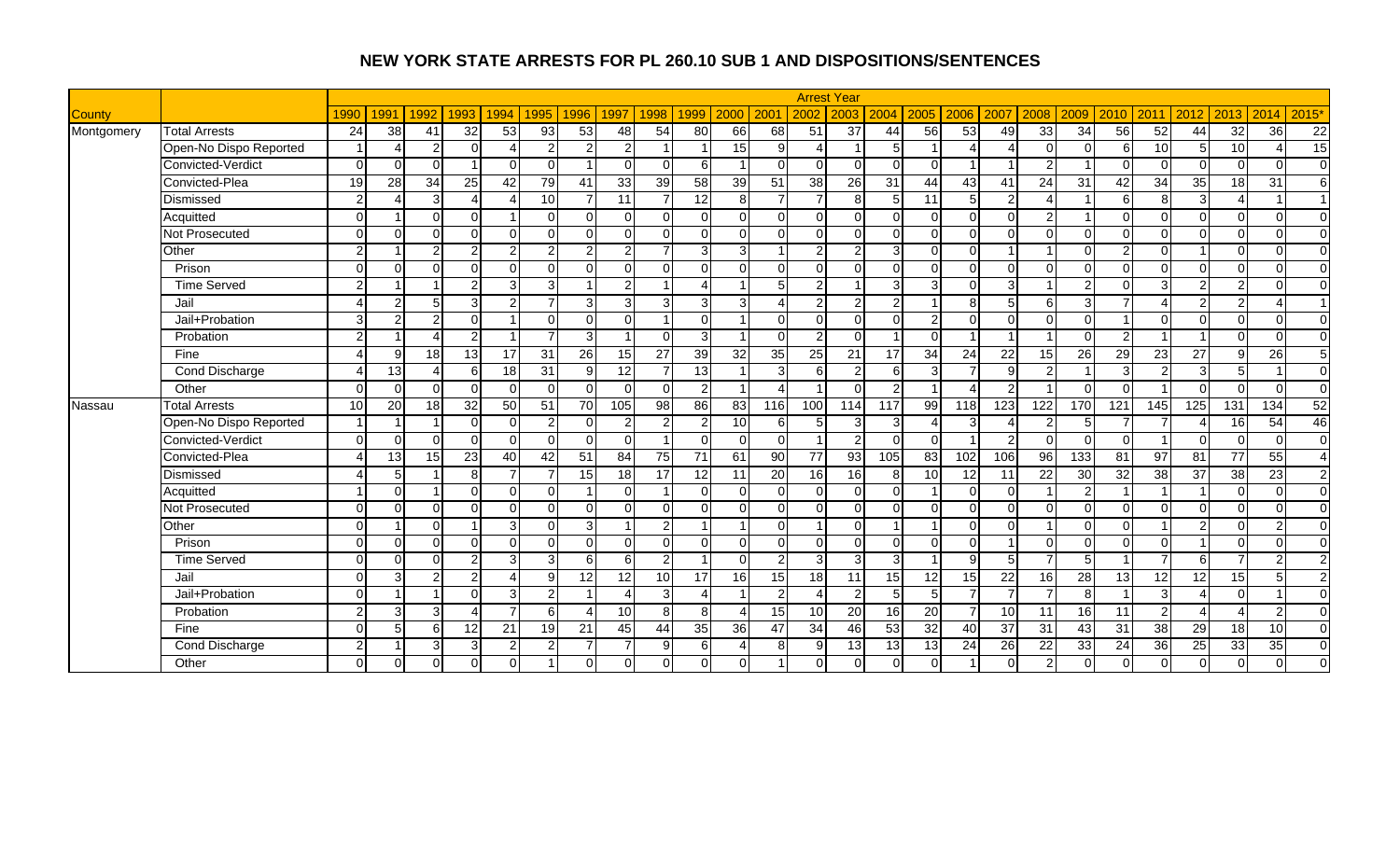|               |                        |                |                 |                 |                |                 |                 |                |                 |                         |                         |                 |                |                 | <b>Arrest Year</b> |                |                 |                          |                   |                |               |                      |                 |                          |                |                          |                |
|---------------|------------------------|----------------|-----------------|-----------------|----------------|-----------------|-----------------|----------------|-----------------|-------------------------|-------------------------|-----------------|----------------|-----------------|--------------------|----------------|-----------------|--------------------------|-------------------|----------------|---------------|----------------------|-----------------|--------------------------|----------------|--------------------------|----------------|
| <b>County</b> |                        | 1990           | 1991            | 1992            | 1993           | 1994            | 1995            | 1996           | 1997            | 1998                    | 1999                    | 2000            | 200            | 2002            | 2003               | 2004           | 2005            | 2006                     | 2007              | 2008           | 2009          | 2010                 | 2011            | 2012                     | 2013           | 2014                     | 2015'          |
| Montgomery    | <b>Total Arrests</b>   | 24             | 38              | 41              | 32             | 53              | 93              | 53             | 48              | 54                      | 80                      | 66              | 68             | 51              | $\overline{37}$    | 44             | 56              | $\overline{53}$          | 49                | 33             | 34            | 56                   | 52              | 44                       | 32             | $\overline{36}$          | 22             |
|               | Open-No Dispo Reported |                |                 | $\mathcal{P}$   | $\Omega$       | Δ               | $\overline{2}$  | $\overline{2}$ | $\overline{2}$  |                         |                         | 15              | $\overline{9}$ |                 |                    | 5 <sup>1</sup> |                 | $\boldsymbol{\varDelta}$ |                   | $\Omega$       | ∩             | 6                    | 10 <sup>1</sup> | 5                        | 10             | $\boldsymbol{\varDelta}$ | 15             |
|               | Convicted-Verdict      | $\Omega$       | $\Omega$        | $\cap$          |                | $\Omega$        | $\Omega$        |                | $\Omega$        | $\Omega$                | 6                       |                 | $\Omega$       | $\Omega$        | $\Omega$           | $\Omega$       | $\Omega$        |                          |                   | $\mathfrak{p}$ |               | $\Omega$             | $\Omega$        | $\Omega$                 | $\Omega$       | $\Omega$                 | $\overline{0}$ |
|               | Convicted-Plea         | 19             | 28              | 34              | 25             | 42              | 79              | 41             | 33              | 39                      | 58                      | 39              | 51             | 38              | $\overline{26}$    | 31             | 44              | 43                       | 41                | 24             | 31            | 42                   | 34              | 35                       | 18             | 31                       | 6              |
|               | Dismissed              | $\mathfrak{p}$ |                 | 3               | $\overline{4}$ | $\overline{A}$  | 10              |                | 11              | $\overline{7}$          | 12                      | 8 <sup>1</sup>  | $\overline{7}$ | $\overline{7}$  | 8                  | 5 <sub>l</sub> | 11              | 5                        | 2                 | $\Delta$       |               | 6                    | 8               | $\overline{3}$           | $\overline{A}$ |                          | $\mathbf{1}$   |
|               | Acquitted              | $\Omega$       |                 | $\Omega$        | $\Omega$       |                 | $\Omega$        | $\Omega$       | $\Omega$        | $\Omega$                | $\Omega$                | $\Omega$        | $\Omega$       | $\Omega$        | $\Omega$           | $\Omega$       | $\Omega$        | $\Omega$                 |                   | $\overline{2}$ |               | $\Omega$             | $\Omega$        | $\Omega$                 | $\Omega$       | $\Omega$                 | $\Omega$       |
|               | Not Prosecuted         | $\Omega$       | $\Omega$        | $\Omega$        | $\Omega$       | $\Omega$        | $\Omega$        | $\Omega$       | $\Omega$        | $\Omega$                | $\Omega$                | $\Omega$        | $\Omega$       | $\Omega$        | $\Omega$           | $\Omega$       | $\Omega$        | $\Omega$                 | $\Omega$          | $\Omega$       | $\Omega$      | $\Omega$             | $\Omega$        | $\Omega$                 | $\Omega$       | $\Omega$                 | $\Omega$       |
|               | Other                  | $\mathcal{P}$  |                 | C               | $\overline{2}$ | $\mathfrak{p}$  | $\overline{2}$  | $\overline{2}$ | $\overline{2}$  | $\overline{7}$          | 3                       | 3               |                | $\overline{2}$  | $\overline{2}$     | $\overline{3}$ | $\Omega$        | $\Omega$                 |                   |                |               |                      | $\Omega$        |                          | $\Omega$       | $\Omega$                 | $\mathbf{0}$   |
|               | Prison                 | $\Omega$       | $\Omega$        | $\cap$          | $\Omega$       | $\Omega$        | $\Omega$        | $\Omega$       | $\Omega$        | $\Omega$                | $\Omega$                | $\Omega$        | $\Omega$       | $\Omega$        | $\Omega$           | $\Omega$       | $\Omega$        | $\Omega$                 |                   | $\Omega$       | ∩             | $\Omega$             | $\cap$          | $\Omega$                 | $\Omega$       | $\Omega$                 | $\Omega$       |
|               | <b>Time Served</b>     | $\mathfrak{p}$ |                 |                 | $\overline{2}$ | $\overline{3}$  | 3               |                | $\overline{2}$  |                         |                         |                 | 5              | $\overline{2}$  |                    | $\overline{3}$ | 3               | $\Omega$                 | $\mathbf{\Omega}$ |                | $\mathcal{D}$ | $\Omega$             | 3               | $\overline{2}$           | $\overline{2}$ | $\Omega$                 | $\overline{0}$ |
|               | Jail                   | Δ              | 2               | 5               | $\overline{3}$ | $\overline{2}$  | $\overline{7}$  | $\mathbf{3}$   | 3               | 3                       | 3                       | 3               | Δ              | $\overline{2}$  | $\overline{2}$     | $\mathbf{2}$   |                 | 8                        |                   | 6              | 3             | $\overline{7}$       |                 | $\overline{2}$           | $\overline{2}$ | 4                        | $\overline{1}$ |
|               | Jail+Probation         | $\overline{3}$ | 2               | $\overline{2}$  | $\Omega$       |                 | $\Omega$        | $\Omega$       | $\Omega$        | $\overline{\mathbf{A}}$ | $\Omega$                |                 | $\Omega$       | $\Omega$        | $\Omega$           | $\Omega$       | $\overline{2}$  | $\Omega$                 | $\Omega$          | $\Omega$       | U             |                      | $\Omega$        | $\Omega$                 | $\Omega$       | $\Omega$                 | $\overline{0}$ |
|               | Probation              | $\mathfrak{p}$ |                 |                 | 2 <sub>l</sub> |                 | 7               | $\mathbf{3}$   |                 | $\Omega$                | 3                       |                 | $\Omega$       | $\overline{2}$  | $\Omega$           |                | $\Omega$        |                          |                   |                |               | 2                    |                 |                          | $\Omega$       | $\Omega$                 | $\overline{0}$ |
|               | Fine                   |                | 9               | 18              | 13             | $\overline{17}$ | $\overline{31}$ | 26             | 15              | $\overline{27}$         | 39                      | 32              | 35             | $\overline{25}$ | 21                 | 17             | 34              | 24                       | $\overline{22}$   | 15             | 26            | $\overline{29}$      | 23              | $\overline{27}$          | $\overline{9}$ | $\overline{26}$          | $\overline{5}$ |
|               | <b>Cond Discharge</b>  |                | 13              |                 | 6              | $\frac{1}{8}$   | 31              | $9 \mid$       | 12              | $\overline{7}$          | 13                      |                 | 3              | 6               | $\overline{2}$     | $6 \mid$       | $\overline{3}$  | $\overline{7}$           | q                 | 2              |               | 3                    | 2               | ω                        | 5 <sub>1</sub> |                          | $\overline{0}$ |
|               | Other                  | $\Omega$       | $\Omega$        | $\Omega$        | $\Omega$       | $\Omega$        | $\Omega$        | $\cap$         | $\Omega$        | $\Omega$                | $\overline{2}$          |                 | Δ              |                 | $\Omega$           | $\overline{2}$ |                 | $\boldsymbol{\Lambda}$   | $\mathcal{P}$     |                | $\cap$        | $\Omega$             |                 | $\Omega$                 | $\Omega$       | $\Omega$                 | $\overline{0}$ |
| Nassau        | <b>Total Arrests</b>   | 10             | 20              | 18 <sup>l</sup> | 32             | 50              | 51              | 70             | $\frac{105}{2}$ | $\overline{98}$         | 86                      | 83              | 116            | 100             | 114                | 117            | 99              | 118                      | 123               | 122            | 170           | 121                  | 145             | 125                      | 131            | $\overline{134}$         | 52             |
|               | Open-No Dispo Reported |                |                 |                 | $\Omega$       | $\Omega$        | 2               | ΩI             | 2               | $\overline{2}$          |                         | 10 <sup>1</sup> | $6 \mid$       | 5               | 3                  | 3              | $\overline{4}$  | 3                        |                   |                |               |                      |                 |                          | 16             | 54                       | 46             |
|               | Convicted-Verdict      | $\Omega$       | $\Omega$        | ∩               | $\Omega$       | $\Omega$        | $\Omega$        | ΩI             | $\Omega$        |                         | $\Omega$                | $\Omega$        | $\overline{0}$ |                 |                    | $\overline{0}$ | $\Omega$        |                          |                   | $\Omega$       | ∩             | $\Omega$             |                 | $\overline{0}$           | $\Omega$       | $\Omega$                 | $\overline{0}$ |
|               | Convicted-Plea         |                | $\overline{13}$ | 15              | 23             | 40              | 42              | 51             | 84              | 75                      | 71                      | 61              | 90             | 77              | 93                 | 105            | 83              | 102                      | 106               | 96             | 133           | 81                   | 97              | 81                       | 77             | $\overline{55}$          | $\overline{4}$ |
|               | Dismissed              |                | 5               |                 | 8 <sup>1</sup> | $\overline{7}$  | 7               | 15             | 18              | 17                      | 12                      | 11              | 20             | 16              | 16                 | 8 <sup>1</sup> | 10 <sup>1</sup> | 12                       | 11                | 22             | 30            | 32                   | 38              | 37                       | 38             | 23                       | $\overline{2}$ |
|               | Acquitted              |                | $\Omega$        |                 | $\mathbf 0$    | $\Omega$        | $\Omega$        | 1              | $\Omega$        | -1                      | $\Omega$                | $\Omega$        | $\Omega$       | $\Omega$        | $\Omega$           | $\overline{0}$ |                 | $\Omega$                 |                   |                | 2             |                      |                 |                          | $\Omega$       | $\mathbf 0$              | $\overline{0}$ |
|               | Not Prosecuted         | $\Omega$       | $\Omega$        | ΩI              | $\Omega$       | $\Omega$        | $\Omega$        | $\Omega$       | $\Omega$        | $\Omega$                | $\Omega$                | $\Omega$        | $\Omega$       | $\Omega$        | $\Omega$           | $\Omega$       | $\Omega$        | $\Omega$                 | $\Omega$          | $\Omega$       | $\Omega$      | $\Omega$             | $\Omega$        | $\Omega$                 | $\Omega$       | $\Omega$                 | $\overline{0}$ |
|               | Other                  | $\Omega$       |                 | $\cap$          |                | $\overline{3}$  | $\Omega$        | 3              |                 | $\overline{2}$          |                         |                 | $\Omega$       |                 | $\Omega$           |                |                 | $\Omega$                 |                   |                |               | $\Omega$             |                 | $\overline{2}$           | $\Omega$       | $\overline{2}$           | $\mathbf 0$    |
|               | Prison                 | $\Omega$       | $\Omega$        | $\Omega$        | $\Omega$       | $\Omega$        | $\Omega$        | $\Omega$       | $\Omega$        | $\Omega$                | $\Omega$                | $\Omega$        | $\Omega$       | $\Omega$        | $\Omega$           | $\Omega$       | $\Omega$        | $\Omega$                 |                   | $\Omega$       | ∩             | $\Omega$             | $\Omega$        |                          | $\Omega$       | $\Omega$                 | $\Omega$       |
|               | <b>Time Served</b>     | $\Omega$       | $\Omega$        | $\Omega$        | $\overline{2}$ | $\overline{3}$  | 3               | 6              | 6               | $\overline{2}$          | $\overline{\mathbf{A}}$ | $\Omega$        | $\overline{2}$ | $\overline{3}$  | $\overline{3}$     | $\overline{3}$ |                 | 9                        | 5                 | $\overline{ }$ | 5             | $\blacktriangleleft$ |                 | 6                        | $\overline{7}$ | $\overline{2}$           | 2              |
|               | Jail                   | $\Omega$       | 3               | $\mathcal{P}$   | $\overline{2}$ | 4               | 9               | 12             | 12              | 10                      | 17                      | <b>16</b>       | 15             | 18              | 11                 | 15             | 12              | 15                       | 22                | 16             | 28            | 13                   | 12              | 12                       | 15             | 5                        | $\overline{2}$ |
|               | Jail+Probation         | $\Omega$       |                 |                 | $\Omega$       | 3 <sup>1</sup>  | 2               | 1              | Δ               | 3                       | Δ                       |                 | $\mathfrak{p}$ | Δ               | 2                  | 5 <sup>1</sup> | 5 <sub>l</sub>  | $\overline{7}$           |                   | $\overline{ }$ | 8             |                      | $\overline{3}$  | $\boldsymbol{\varDelta}$ | $\Omega$       |                          | $\Omega$       |
|               | Probation              | $\mathfrak{p}$ | 3               | 3               | $\Delta$       | $\overline{7}$  | 6               | $\lambda$      | 10              | 8                       | 8                       |                 | 15             | 10 <sup>1</sup> | 20                 | 16             | 20              | $\overline{7}$           | 10                | 11             | 16            | 11                   | $\mathfrak{D}$  |                          | $\Delta$       | $\overline{2}$           | $\Omega$       |
|               | Fine                   | $\Omega$       | 5               | 6               | 12             | 21              | 19              | 21             | 45              | 44                      | 35                      | 36 <sup>1</sup> | 47             | $\overline{34}$ | 46                 | 53             | 32              | 40                       | 37                | 31             | 43            | 31                   | 38              | 29                       | 18             | 10                       | $\overline{0}$ |
|               | Cond Discharge         | $\overline{2}$ |                 | 3               | 3              | $\overline{2}$  | 2               |                | $\overline{7}$  | 9                       | 6                       |                 | 8              | 9               | 13                 | 13             | 13              | 24                       | 26                | 22             | 33            | 24                   | 36              | 25                       | 33             | 35                       | $\overline{0}$ |
|               | Other                  | $\Omega$       | $\Omega$        | 0               | $\Omega$       | $\Omega$        |                 |                | $\Omega$        |                         |                         | $\Omega$        |                | $\Omega$        | $\Omega$           | $\overline{0}$ | $\Omega$        |                          |                   | $\overline{2}$ |               |                      | U               | $\Omega$                 | $\Omega$       | $\Omega$                 | $\mathbf 0$    |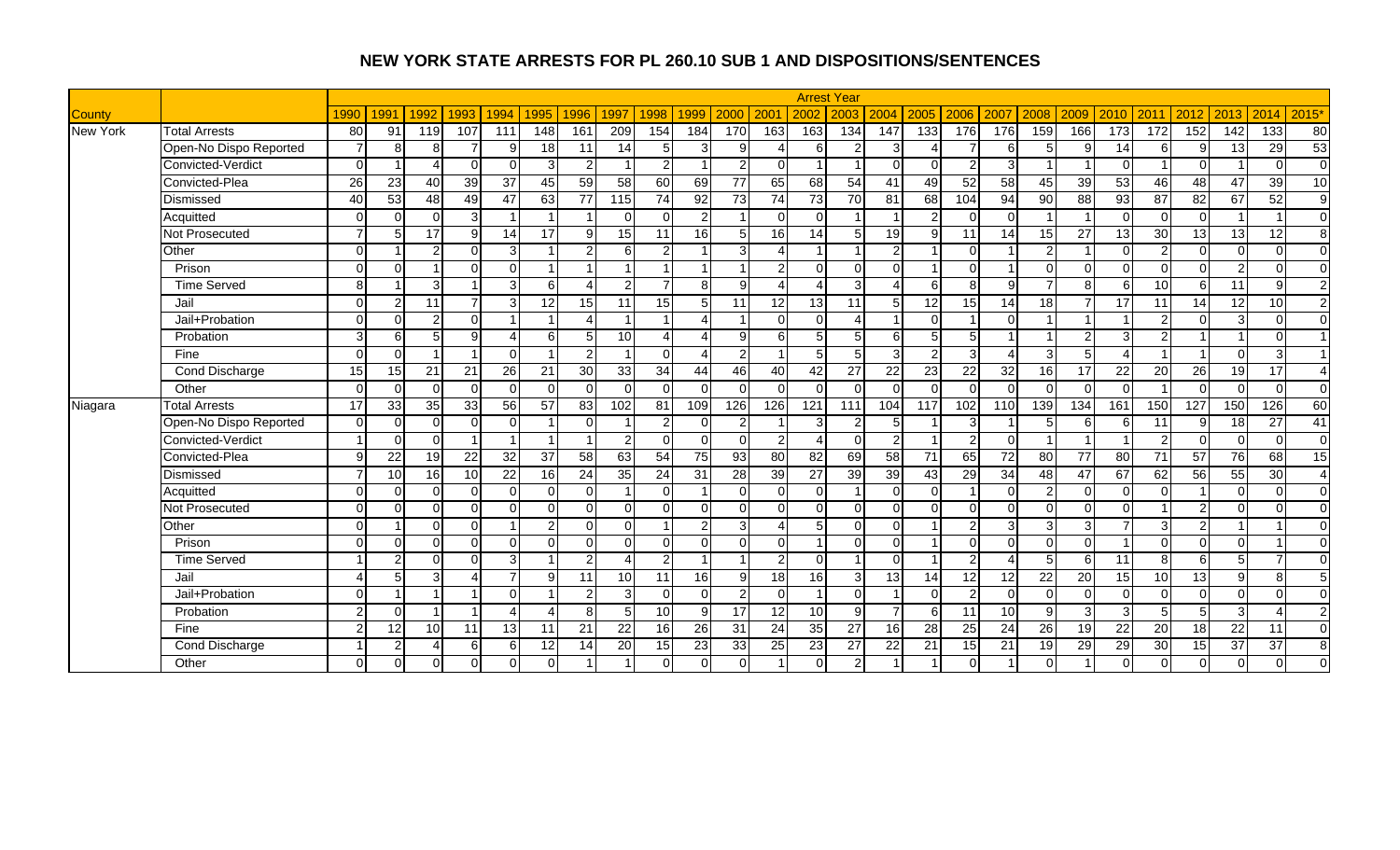|                 |                        |                 |                 |                 |                |                 |                        |                |                |                |                          |                |                |                 | <b>Arrest Year</b> |                |                        |                |                   |                 |          |                  |                  |                |                 |                 |                 |
|-----------------|------------------------|-----------------|-----------------|-----------------|----------------|-----------------|------------------------|----------------|----------------|----------------|--------------------------|----------------|----------------|-----------------|--------------------|----------------|------------------------|----------------|-------------------|-----------------|----------|------------------|------------------|----------------|-----------------|-----------------|-----------------|
| County          |                        | 1990            | 1991            | 1992            | 1993           | 1994            | 1995                   | 1996           | 1997           | 1998           | 1999                     | 2000           | 200            | 2002            | 2003               | 2004           | 2005                   | 2006           | 2007              | 2008            | 2009     | 2010             | 2011             | 2012           | 2013            | 2014            | 2015'           |
| <b>New York</b> | <b>Total Arrests</b>   | 80              | 91              | 119             | 107            | 111             | 148                    | 161            | 209            | 154            | 184                      | 170            | 163            | 163             | 134                | 147            | $\overline{133}$       | 176            | 176               | 159             | 166      | $\overline{173}$ | $\overline{172}$ | 152            | 142             | 133             | 80              |
|                 | Open-No Dispo Reported |                 | 8               | 8               | 7              | 9               | 18                     | 11             | 14             | 5 <sup>5</sup> |                          | 9              |                | 6               | $\mathcal{P}$      | $\overline{3}$ | $\boldsymbol{\Lambda}$ |                | 6                 | 5               | Ω        | 14               | 6                | 9              | 13              | 29              | 53              |
|                 | Convicted-Verdict      | $\Omega$        |                 |                 | $\Omega$       | $\Omega$        | 3                      | $\overline{2}$ | -1             | $\overline{2}$ |                          | $\mathcal{P}$  | $\Omega$       |                 |                    | $\Omega$       | $\Omega$               | $\overline{2}$ | વ                 |                 |          | $\Omega$         |                  | $\Omega$       |                 | $\Omega$        | $\overline{0}$  |
|                 | Convicted-Plea         | 26              | 23              | 40              | 39             | $\overline{37}$ | 45                     | 59             | 58             | 60             | 69                       | 77             | 65             | 68              | $\overline{54}$    | 41             | 49                     | 52             | 58                | 45              | 39       | 53               | 46               | 48             | 47              | 39              | $\overline{10}$ |
|                 | Dismissed              | 40              | 53              | 48              | 49             | 47              | 63                     | 77             | 115            | 74             | 92                       | 73             | 74             | 73              | 70                 | 81             | 68                     | 104            | 94                | 90              | 88       | 93               | 87               | 82             | 67              | 52              | 9               |
|                 | Acquitted              | $\Omega$        | $\Omega$        | $\Omega$        | $\overline{3}$ |                 |                        |                | $\Omega$       | $\Omega$       | $\overline{2}$           |                | $\Omega$       | $\Omega$        |                    |                | 2 <sub>l</sub>         | $\Omega$       |                   |                 |          | $\Omega$         | $\Omega$         | $\Omega$       |                 |                 | $\Omega$        |
|                 | Not Prosecuted         |                 | 5               | 17              | 9              | 14              | 17                     | 9              | 15             | 11             | 16                       | 5              | <b>16</b>      | 14              | 5 <sub>1</sub>     | 19             | 9                      | 11             | 14                | 15              | 27       | 13               | 30               | 13             | 13              | 12              | 8               |
|                 | Other                  | $\Omega$        |                 | C               | $\Omega$       | 3               |                        | $\mathfrak{p}$ | 6              | $\overline{2}$ |                          | 3              |                |                 |                    | $\overline{2}$ |                        | $\Omega$       |                   | 2               |          | $\Omega$         | າ                | $\mathbf 0$    | $\Omega$        | $\Omega$        | $\Omega$        |
|                 | Prison                 | $\Omega$        | $\Omega$        |                 | $\Omega$       | $\Omega$        |                        | 1              | $\overline{ }$ |                |                          |                | $\overline{2}$ | $\Omega$        | $\Omega$           | $\Omega$       |                        | $\Omega$       |                   | $\Omega$        | ∩        | $\Omega$         | $\Omega$         | $\overline{0}$ | 2 <sub>l</sub>  | $\Omega$        | $\Omega$        |
|                 | <b>Time Served</b>     | 8               |                 | 3               |                | 3               | 6                      | $\Lambda$      | $\mathfrak{p}$ | $\overline{7}$ | 8                        | 9              |                | Δ               | $\mathbf{3}$       | $\Delta$       | 6                      | 8              | ∩                 |                 | R        | 6                | 10               | 6              | 11              | 9               | $\overline{2}$  |
|                 | Jail                   | $\Omega$        | 2               | 11              | $\overline{7}$ | 3               | 12                     | 15             | 11             | 15             | 5                        | 11             | 12             | 13              | 11                 | 5 <sup>1</sup> | 12                     | 15             | 14                | 18              |          | 17               | 11               | 14             | 12              | 10              | $\overline{2}$  |
|                 | Jail+Probation         | $\Omega$        | $\Omega$        | $\overline{2}$  | $\Omega$       |                 |                        | Δ              |                |                |                          |                | $\Omega$       | $\Omega$        |                    |                | $\Omega$               |                | $\Omega$          |                 |          |                  | $\mathcal{P}$    | $\Omega$       | $\overline{3}$  | $\Omega$        | $\Omega$        |
|                 | Probation              | 3               | 6               | 5               | 9              | $\Delta$        | 6                      | 5 <sup>1</sup> | 10             | Δ              |                          | q              | 6              | 5               |                    | 6 <sup>1</sup> | 5                      | 5              |                   |                 | ົ        | 3                | C                |                |                 | $\Omega$        | $\overline{A}$  |
|                 | Fine                   | $\Omega$        | $\Omega$        |                 |                | $\Omega$        |                        | $\overline{2}$ | $\overline{1}$ | $\Omega$       | $\Delta$                 | 2              |                | 5               | 5                  | $\overline{3}$ | 2 <sub>l</sub>         | 3              |                   | $\overline{3}$  |          |                  |                  |                | $\Omega$        | 3               | $\overline{1}$  |
|                 | <b>Cond Discharge</b>  | 15              | 15              | 21              | 21             | 26              | 21                     | 30             | 33             | 34             | 44                       | 46             | 40             | 42              | $\overline{27}$    | 22             | 23                     | 22             | 32                | 16              | 17       | 22               | 20               | 26             | 19              | 17              | $\Delta$        |
|                 | Other                  | $\Omega$        | $\Omega$        | $\Omega$        | $\Omega$       | $\Omega$        | $\Omega$               | $\Omega$       | $\Omega$       | $\Omega$       | $\Omega$                 | $\Omega$       | $\Omega$       | $\Omega$        | $\Omega$           | $\Omega$       | $\Omega$               | $\Omega$       | $\Omega$          | $\Omega$        |          | $\Omega$         |                  | $\overline{0}$ | $\Omega$        | $\Omega$        | $\overline{0}$  |
| Niagara         | <b>Total Arrests</b>   | $\overline{17}$ | 33              | 35              | 33             | 56              | 57                     | 83             | 102            | 81             | 109                      | 126            | 126            | 121             | 111                | 104            | 117                    | 102            | 110               | 139             | 134      | 161              | 150              | 127            | 150             | 126             | 60              |
|                 | Open-No Dispo Reported | $\Omega$        | $\Omega$        | $\Omega$        | $\Omega$       | $\Omega$        |                        | $\Omega$       |                | $\overline{2}$ | $\Omega$                 | 2              |                | 3               | $\overline{2}$     | 5 <sub>l</sub> |                        | 3              |                   |                 |          | 6                | 11               | 9              | 18              | $\overline{27}$ | 41              |
|                 | Convicted-Verdict      |                 | $\Omega$        | U               |                |                 |                        |                | 2              | $\Omega$       | $\Omega$                 | $\Omega$       | 2              | 4               | $\Omega$           | $\mathbf{2}$   |                        | $\overline{2}$ |                   |                 |          |                  |                  | $\mathbf 0$    | $\Omega$        | $\Omega$        | $\overline{0}$  |
|                 | Convicted-Plea         | $\mathsf{Q}$    | $\overline{22}$ | 19              | 22             | 32              | 37                     | 58             | 63             | 54             | 75                       | 93             | 80             | 82              | 69                 | 58             | 71                     | 65             | 72                | 80              | 77       | 80               | 71               | 57             | 76              | 68              | 15              |
|                 | Dismissed              |                 | 10              | 16              | 10             | 22              | 16                     | 24             | 35             | 24             | 31                       | 28             | 39             | 27              | 39                 | 39             | 43                     | 29             | 34                | 48              | 47       | 67               | 62               | 56             | $\overline{55}$ | 30              | $\overline{4}$  |
|                 | Acquitted              | $\Omega$        | $\Omega$        | $\Omega$        | $\overline{0}$ | $\Omega$        | $\Omega$               | $\Omega$       | $\overline{1}$ | $\Omega$       | $\overline{\phantom{a}}$ | $\Omega$       | $\Omega$       | $\Omega$        |                    | $\overline{0}$ | $\Omega$               |                |                   | 2               | ∩        | $\Omega$         | $\Omega$         |                | $\Omega$        | $\Omega$        | $\overline{0}$  |
|                 | Not Prosecuted         | $\Omega$        | $\Omega$        | $\Omega$        | $\Omega$       | $\Omega$        | $\Omega$               | $\Omega$       | $\Omega$       | $\Omega$       | $\Omega$                 | $\Omega$       | $\Omega$       | $\Omega$        | $\Omega$           | $\Omega$       | $\Omega$               | $\Omega$       | $\Omega$          | $\Omega$        | $\Omega$ | $\Omega$         |                  | $\overline{2}$ | $\Omega$        | $\Omega$        | $\overline{0}$  |
|                 | Other                  | $\Omega$        |                 | $\cap$          | $\Omega$       |                 | $\overline{2}$         |                | $\Omega$       |                | $\overline{2}$           | 3              |                |                 | $\Omega$           | $\Omega$       |                        | 2              |                   | 3               |          |                  | વ                | $\overline{2}$ |                 |                 | $\mathbf 0$     |
|                 | Prison                 | $\Omega$        | $\Omega$        | $\Omega$        | $\Omega$       | $\Omega$        | $\Omega$               | $\Omega$       | $\Omega$       | $\Omega$       | $\Omega$                 | $\Omega$       | $\Omega$       | 1               | $\Omega$           | $\Omega$       |                        | $\Omega$       | $\Omega$          | $\Omega$        | $\Omega$ |                  | $\Omega$         | $\Omega$       | $\Omega$        |                 | $\Omega$        |
|                 | <b>Time Served</b>     |                 | $\overline{2}$  | ΩI              | $\Omega$       | $\overline{3}$  |                        | $\overline{2}$ | $\Delta$       | $\overline{2}$ | -1                       |                | $\overline{2}$ | $\Omega$        |                    | $\Omega$       |                        | $\overline{2}$ | $\Delta$          | 5               | 6        | 11               | 8 <sup>1</sup>   | $\sigma$       | 5 <sub>l</sub>  | 7               | $\Omega$        |
|                 | Jail                   | Δ               | 5               | 3               | $\overline{4}$ | $\overline{7}$  | 9                      | 11             | 10             | 11             | 16                       | $\mathbf{9}$   | 18             | <b>16</b>       | 3 <sup>l</sup>     | 13             | 14                     | 12             | $12 \overline{ }$ | 22              | 20       | 15               | 10 <sup>1</sup>  | 13             | 9 <sub>l</sub>  | 8               | 5               |
|                 | Jail+Probation         | $\Omega$        |                 |                 |                | $\Omega$        |                        | $\overline{2}$ | $\overline{3}$ | $\Omega$       | $\Omega$                 | $\mathfrak{p}$ | n.             | $\overline{1}$  | $\Omega$           |                | $\Omega$               | $\overline{c}$ | $\Omega$          | $\Omega$        |          | $\Omega$         | $\Omega$         | $\mathbf 0$    | $\Omega$        | $\Omega$        | $\Omega$        |
|                 | Probation              | $\mathfrak{p}$  | $\Omega$        |                 |                | 4               | $\boldsymbol{\Lambda}$ | $\mathbf{8}$   | 5              | 10             | 9                        | 17             | 12             | 10 <sup>1</sup> | .9                 | $\overline{7}$ | 6                      | 11             | 10                | $\mathsf{Q}$    | 3        | 3                | 5 <sup>1</sup>   | 5              | $\overline{3}$  | $\Delta$        | $\overline{c}$  |
|                 | Fine                   | $\mathcal{P}$   | 12              | 10 <sup>1</sup> | 11             | 13              | 11                     | 21             | 22             | 16             | 26                       | 31             | 24             | 35              | $\overline{27}$    | 16             | $\overline{28}$        | 25             | $\overline{24}$   | $\overline{26}$ | 19       | 22               | 20               | 18             | 22              | 11              | $\overline{0}$  |
|                 | Cond Discharge         |                 | 2               |                 | 6              | 6               | 12                     | 14             | 20             | 15             | 23                       | 33             | 25             | 23              | 27                 | 22             | 21                     | 15             | 21                | 19              | 29       | 29               | 30               | 15             | 37              | 37              | 8               |
|                 | Other                  | $\Omega$        | $\Omega$        |                 | $\Omega$       | $\Omega$        | $\Omega$               |                |                |                |                          | $\Omega$       |                | $\Omega$        | $\overline{2}$     |                |                        | $\Omega$       |                   | $\Omega$        |          |                  | $\Omega$         | $\Omega$       | $\Omega$        | $\Omega$        | $\mathbf 0$     |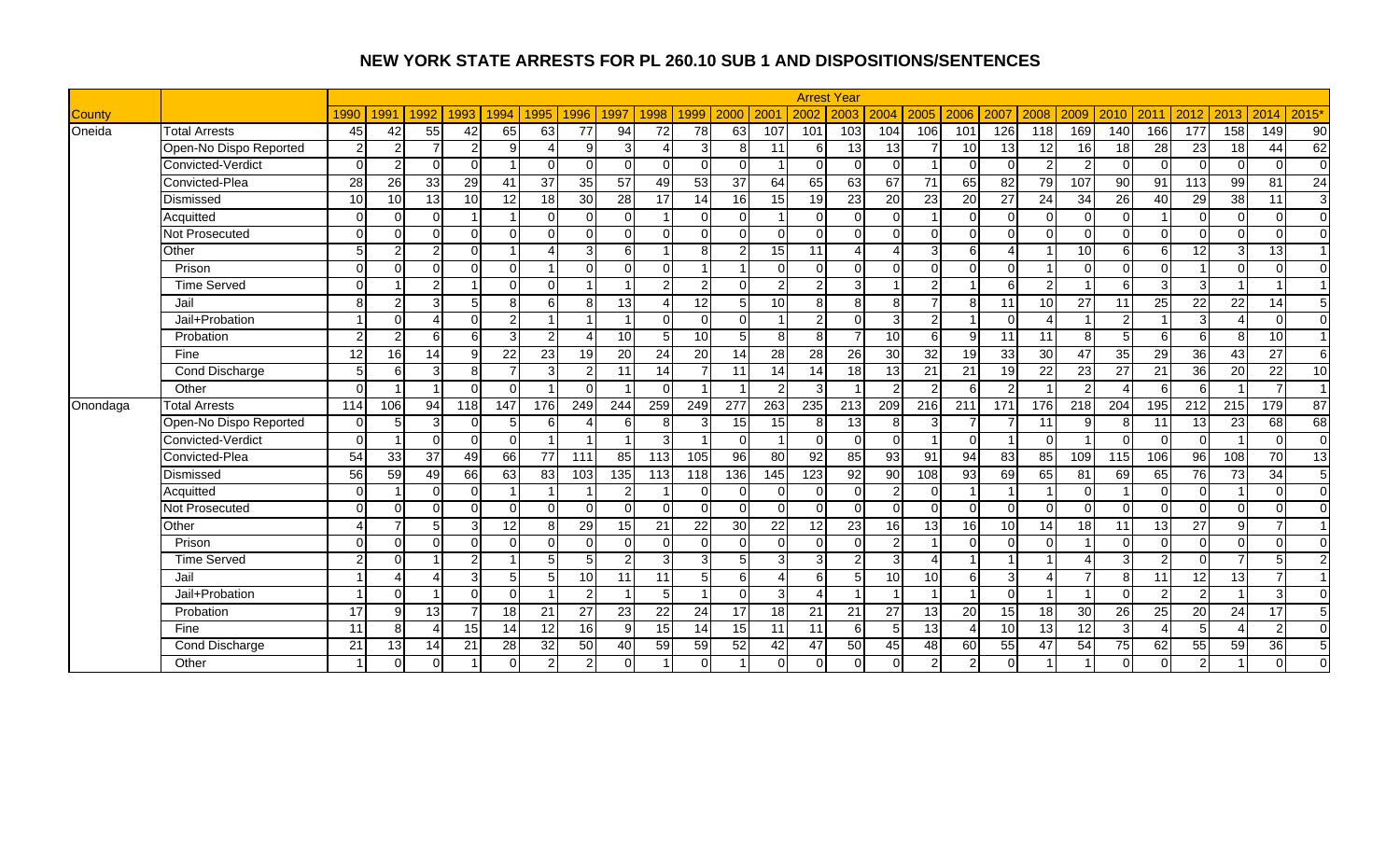|               |                        |                 |                 |               |                |                |                |                 |                 |                 |                 |                 |                 |                 | <b>Arrest Year</b> |                |                        |                  |                  |                  |                |                 |                |                  |                  |                 |                 |
|---------------|------------------------|-----------------|-----------------|---------------|----------------|----------------|----------------|-----------------|-----------------|-----------------|-----------------|-----------------|-----------------|-----------------|--------------------|----------------|------------------------|------------------|------------------|------------------|----------------|-----------------|----------------|------------------|------------------|-----------------|-----------------|
| <b>County</b> |                        | 1990            | 1991            | 1992          | 1993           | 1994           | 1995           | 1996            | 1997            | 1998            | 1999            | 2000            | 200             | 2002            | 2003               | 2004           | 2005                   | 2006             | 2007             | 2008             | 2009           | 2010            | 2011           | 2012             | 2013             | 2014            | 2015'           |
| Oneida        | <b>Total Arrests</b>   | 45              | 42              | 55            | 42             | 65             | 63             | 77              | 94              | 72              | 78              | 63              | 107             | 101             | 103                | 104            | 106                    | 101              | 126              | $\overline{118}$ | 169            | 140             | 166            | $\overline{177}$ | 158              | 149             | 90              |
|               | Open-No Dispo Reported | $\overline{2}$  | 2               |               | 2              | g              |                | g               | 3               |                 | 3               | 8               | 11              | 6               | 13                 | 13             |                        | 10               | 13               | 12               | 16             | 18              | 28             | 23               | $\overline{18}$  | 44              | 62              |
|               | Convicted-Verdict      | $\Omega$        | 2               | $\Omega$      | $\Omega$       |                | $\Omega$       | $\Omega$        | $\Omega$        | $\Omega$        | $\cap$          | $\Omega$        |                 | $\Omega$        | $\Omega$           | $\Omega$       |                        | $\Omega$         | $\Omega$         | $\mathfrak{p}$   | າ              | $\Omega$        | $\Omega$       | $\Omega$         | $\Omega$         | $\Omega$        | $\overline{0}$  |
|               | Convicted-Plea         | 28              | 26              | 33            | 29             | 41             | 37             | 35              | 57              | 49              | 53              | 37              | 64              | 65              | 63                 | 67             | 71                     | 65               | 82               | 79               | 107            | $\overline{90}$ | 91             | 113              | 99               | 81              | $\overline{24}$ |
|               | Dismissed              | 10              | 10              | 13            | 10             | 12             | 18             | 30              | 28              | 17              | 14              | 16              | 15              | 19              | 23                 | 20             | 23                     | 20               | 27               | 24               | 34             | 26              | 40             | 29               | 38               | 11              | 3               |
|               | Acquitted              | $\Omega$        | $\Omega$        | $\Omega$      | $\overline{1}$ |                | $\Omega$       | $\Omega$        | $\Omega$        |                 | $\Omega$        | $\Omega$        |                 | $\Omega$        | $\Omega$           | $\Omega$       |                        | $\Omega$         | $\Omega$         | $\Omega$         | ∩              | $\Omega$        |                | $\Omega$         | $\Omega$         | $\Omega$        | $\overline{0}$  |
|               | Not Prosecuted         | $\Omega$        | $\Omega$        | $\Omega$      | $\Omega$       | U              | $\Omega$       | $\Omega$        | $\Omega$        | $\Omega$        | $\cap$          | $\Omega$        | $\Omega$        | $\Omega$        | $\Omega$           | $\Omega$       | $\Omega$               | $\Omega$         | $\Omega$         | $\Omega$         | $\Omega$       | $\Omega$        | $\Omega$       | $\Omega$         | $\Omega$         | $\Omega$        | $\Omega$        |
|               | Other                  |                 |                 |               | $\Omega$       |                | $\lambda$      | 3               | 6               |                 | 8               | 2               | 15              | 11              |                    |                | 3                      | 6                |                  |                  | 10             | 6               | 6              | $\overline{12}$  | 3                | $\overline{13}$ | $\overline{1}$  |
|               | Prison                 | $\Omega$        | $\Omega$        | $\Omega$      | $\Omega$       | $\Omega$       |                | $\Omega$        | $\Omega$        | $\Omega$        | $\overline{ }$  |                 | $\Omega$        | $\Omega$        | $\Omega$           | $\Omega$       | $\Omega$               | $\Omega$         | $\Omega$         |                  | $\Omega$       | $\Omega$        | $\Omega$       |                  | $\Omega$         | $\Omega$        | $\Omega$        |
|               | <b>Time Served</b>     | $\Omega$        |                 | $\mathcal{P}$ | $\overline{1}$ | $\Omega$       | $\Omega$       |                 |                 | $\overline{2}$  | $\overline{2}$  | $\Omega$        | $\overline{2}$  | $\overline{2}$  | 3                  |                | $\overline{2}$         |                  | $6 \overline{6}$ | 2                |                | 6               | 3              | 3                |                  |                 | $\overline{1}$  |
|               | Jail                   | 8               | $\mathcal{P}$   | 3             | 5              | 8              | 6              | 8               | 13              | Δ               | 12              | 5 <sub>l</sub>  | 10              | 8               | 8                  | 8              | $\overline{7}$         | 8                | 11               | 10               | 27             | 11              | 25             | 22               | 22               | 14              | 5               |
|               | Jail+Probation         |                 | $\Omega$        |               | $\overline{0}$ | $\overline{2}$ |                |                 |                 | $\Omega$        | $\Omega$        | $\Omega$        |                 | $\overline{2}$  | $\Omega$           | $\mathbf{3}$   | 2 <sub>l</sub>         |                  | $\Omega$         | Δ                |                | $\mathcal{P}$   |                | $\overline{3}$   |                  | $\Omega$        | $\overline{0}$  |
|               | Probation              | $\mathcal{D}$   | 2               | $6 \mid$      | $6 \mid$       | $\mathbf{3}$   | $\overline{2}$ |                 | 10              | 5               | 10              | 5               | 8               | 8               |                    | 10             | 6                      | 9                | $\overline{11}$  | 11               | 8              | 5               | 6              | 6                | 8                | 10              | $\overline{1}$  |
|               | Fine                   | 12              | 16              | 14            | 9              | 22             | 23             | 19              | $\overline{20}$ | $\overline{24}$ | $\overline{20}$ | 14              | $\overline{28}$ | $\overline{28}$ | $\overline{26}$    | 30             | 32                     | 19               | 33               | 30               | 47             | $\overline{35}$ | 29             | 36               | 43               | $\overline{27}$ | $\overline{6}$  |
|               | Cond Discharge         | 5               | 6               | 3             | $\infty$       | $\overline{7}$ | 3              | $\overline{2}$  | 11              | 14              |                 | 11              | 14              | 14              | 18                 | 13             | $\overline{21}$        | 21               | 19               | 22               | 23             | 27              | 21             | 36               | 20               | 22              | 10              |
|               | Other                  | $\Omega$        |                 |               | $\Omega$       | $\Omega$       |                | $\Omega$        |                 | $\Omega$        | - 1             |                 | 2               | 3               |                    | $\mathfrak{p}$ | 2                      | 6                | 2                |                  | $\mathcal{D}$  |                 | 6              | 6                |                  | $\overline{7}$  | $\overline{1}$  |
| Onondaga      | <b>Total Arrests</b>   | 114             | 106             | 94            | 118            | 147            | 176            | 249             | 244             | 259             | 249             | 277             | 263             | 235             | 213                | 209            | 216                    | $\overline{211}$ | $\overline{171}$ | 176              | 218            | 204             | 195            | $\overline{212}$ | $\overline{215}$ | 179             | 87              |
|               | Open-No Dispo Reported | $\Omega$        |                 | з             | $\overline{0}$ | 5 <sub>l</sub> | 6              | Λ               | 6               | 8               |                 | 15              | 15              | 8               | 13                 | 8              | $\overline{3}$         |                  |                  | 11               |                |                 | 11             | 13               | $\overline{23}$  | 68              | 68              |
|               | Convicted-Verdict      | $\Omega$        |                 | $\Omega$      | $\overline{0}$ | $\Omega$       |                |                 |                 | 3               |                 | $\Omega$        |                 | $\Omega$        | $\Omega$           | $\overline{0}$ |                        | $\Omega$         |                  | $\Omega$         |                | ∩               | $\Omega$       | $\mathbf 0$      |                  | $\Omega$        | $\overline{0}$  |
|               | Convicted-Plea         | $\overline{54}$ | $\overline{33}$ | 37            | 49             | 66             | 77             | 111             | 85              | 113             | 105             | 96              | 80              | 92              | 85                 | 93             | 91                     | 94               | 83               | 85               | 109            | 115             | 106            | 96               | 108              | $\overline{70}$ | 13              |
|               | Dismissed              | $\overline{56}$ | 59              | 49            | 66             | 63             | 83             | 103             | 135             | 113             | 118             | 136             | 145             | 123             | 92                 | 90             | 108                    | $\overline{93}$  | 69               | 65               | 81             | 69              | 65             | 76               | $\overline{73}$  | 34              | $\sqrt{5}$      |
|               | Acquitted              | $\Omega$        |                 | $\Omega$      | $\overline{0}$ |                |                |                 | $\overline{2}$  |                 | O               | $\Omega$        | $\Omega$        | $\Omega$        | $\Omega$           | $\overline{c}$ | $\overline{0}$         |                  |                  |                  | ∩              |                 | $\Omega$       | $\mathbf 0$      |                  | $\mathbf 0$     | $\overline{0}$  |
|               | Not Prosecuted         | $\Omega$        | $\Omega$        | $\Omega$      | $\Omega$       | $\Omega$       | $\Omega$       | $\Omega$        | $\Omega$        | $\Omega$        | $\cap$          | $\Omega$        | $\Omega$        | $\Omega$        | $\Omega$           | $\Omega$       | $\Omega$               | $\Omega$         | $\Omega$         | $\Omega$         | $\Omega$       | $\Omega$        | $\Omega$       | $\overline{0}$   | $\Omega$         | $\Omega$        | $\overline{0}$  |
|               | Other                  |                 |                 |               | 3              | 12             | 8              | 29              | 15              | 21              | 22              | 30              | 22              | 12              | 23                 | 16             | 13                     | 16               | 10               | 14               | 18             | 11              | 13             | 27               | 9 <sub>l</sub>   |                 | $\overline{1}$  |
|               | Prison                 | $\Omega$        | $\Omega$        | $\Omega$      | $\Omega$       | $\Omega$       | $\Omega$       | $\Omega$        | $\Omega$        | $\Omega$        | $\Omega$        | $\Omega$        | $\Omega$        | $\Omega$        | $\Omega$           | $\overline{2}$ |                        | $\Omega$         | $\Omega$         | $\Omega$         |                | $\Omega$        | $\Omega$       | $\Omega$         | $\Omega$         | $\Omega$        | $\Omega$        |
|               | <b>Time Served</b>     | $\mathcal{P}$   | $\Omega$        |               | $\overline{2}$ |                | 5              | 5 <sub>l</sub>  | $\overline{2}$  | $\overline{3}$  | 3               | 5 <sub>l</sub>  | 3               | 3               | $\mathfrak{p}$     | $\overline{3}$ | $\boldsymbol{\Lambda}$ |                  |                  |                  |                | 3               | $\mathfrak{p}$ | $\Omega$         | $\overline{7}$   | 5               | $\overline{2}$  |
|               | Jail                   |                 |                 |               | $\overline{3}$ | 5              | 5              | 10 <sup>1</sup> | 11              | 11              | 5               | $6 \mid$        | 4               | 6               | 5                  | 10             | 10                     | 6                | 3I               | $\overline{4}$   | $\overline{ }$ | 8               | 11             | 12               | 13               | $\overline{7}$  | $\overline{1}$  |
|               | Jail+Probation         |                 | $\Omega$        |               | $\Omega$       | $\Omega$       |                | $\overline{2}$  |                 | 5 <sup>1</sup>  | $\overline{1}$  | $\Omega$        | 3               | Δ               |                    |                |                        | $\overline{1}$   | $\Omega$         |                  |                | $\Omega$        | $\mathfrak{D}$ | $\overline{2}$   |                  | 3               | $\Omega$        |
|               | Probation              | 17              | 9               | 13            | $\overline{7}$ | 18             | 21             | $\overline{27}$ | 23              | 22              | 24              | 17              | 18              | 21              | 21                 | 27             | 13                     | 20               | 15               | 18               | 30             | 26              | 25             | 20               | 24               | 17              | 5               |
|               | Fine                   | 11              | 8               |               | 15             | 14             | 12             | 16              | 9               | 15              | 14              | 15 <sup>1</sup> | 11              | 11              | 6                  | 5              | 13                     | $\overline{4}$   | 10               | 13               | 12             | 3               |                | 5                | Δ                | $\overline{2}$  | $\Omega$        |
|               | Cond Discharge         | 21              | 13              | 14            | 21             | 28             | 32             | 50              | 40              | 59              | 59              | 52              | 42              | 47              | 50                 | 45             | 48                     | 60               | 55               | 47               | 54             | 75              | 62             | 55               | 59               | 36              | $\sqrt{5}$      |
|               | Other                  |                 | $\Omega$        | $\Omega$      |                | $\Omega$       | $\overline{2}$ | $\overline{2}$  | $\Omega$        |                 |                 |                 | $\Omega$        | $\Omega$        | $\Omega$           | $\Omega$       | $\overline{2}$         | $\overline{2}$   |                  |                  |                |                 | $\Omega$       | $\overline{2}$   |                  | $\Omega$        | $\Omega$        |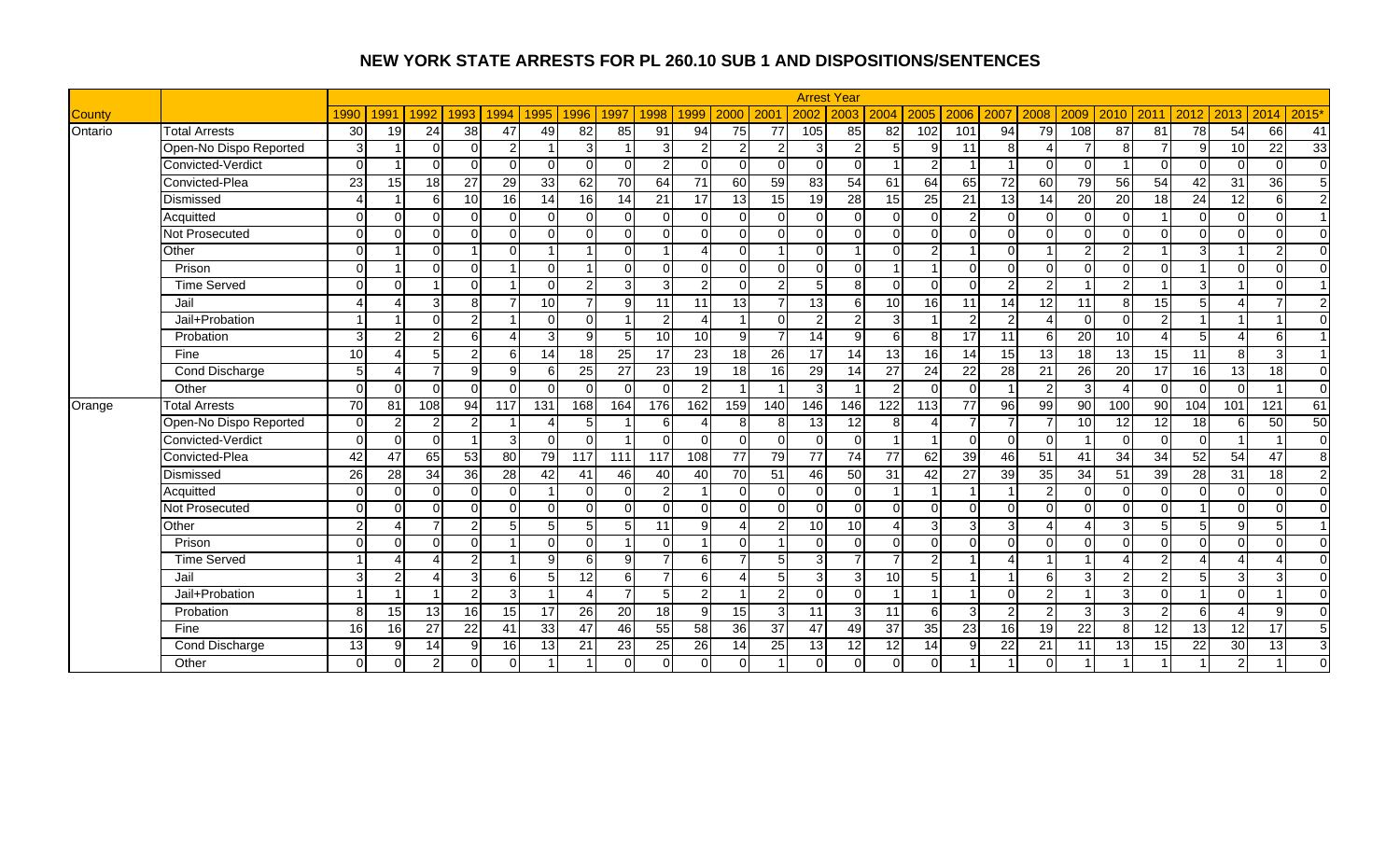|               |                        |                |           |                |                  |                |          |                 |                 |                 |                         |                |                 |                 | <b>Arrest Year</b> |                 |                |                 |                 |                 |                 |                        |                 |                        |                          |                  |                |
|---------------|------------------------|----------------|-----------|----------------|------------------|----------------|----------|-----------------|-----------------|-----------------|-------------------------|----------------|-----------------|-----------------|--------------------|-----------------|----------------|-----------------|-----------------|-----------------|-----------------|------------------------|-----------------|------------------------|--------------------------|------------------|----------------|
| <b>County</b> |                        | 1990           | 1991      | 1992           | 1993             | 1994           | 1995     | 1996            | 1997            | 1998            | 1999                    | 2000           | 200             | 2002            | 2003               | 2004            | 2005           | 2006            | 2007            | 2008            | 2009            | 2010                   | 2011            | 2012                   | 2013                     | 2014             | 2015'          |
| Ontario       | <b>Total Arrests</b>   | 30             | 19        | 24             | 38               | 47             | 49       | 82              | 85              | 91              | $\overline{94}$         | 75             | $\overline{77}$ | 105             | 85                 | $\overline{82}$ | 102            | 101             | 94              | 79              | 108             | $\overline{87}$        | 81              | $\overline{78}$        | 54                       | 66               | 41             |
|               | Open-No Dispo Reported | 3              |           | $\Omega$       | $\Omega$         | $\overline{2}$ |          | 3               |                 | $\overline{3}$  | $\overline{2}$          | $\overline{2}$ | 2               | 3               | $\mathfrak{p}$     | 5               | $9 \mid$       | 11              | 8               | $\Delta$        |                 | 8                      |                 | 9                      | 10                       | 22               | 33             |
|               | Convicted-Verdict      | $\Omega$       |           | $\Omega$       | $\Omega$         | $\Omega$       | $\Omega$ | $\Omega$        | $\Omega$        | $\overline{2}$  | $\Omega$                | $\Omega$       | $\Omega$        | $\Omega$        | $\Omega$           |                 | $\overline{2}$ |                 |                 | ∩               | ∩               |                        | $\Omega$        | $\Omega$               | $\Omega$                 | $\Omega$         | $\overline{0}$ |
|               | Convicted-Plea         | 23             | 15        | 18             | 27               | 29             | 33       | 62              | 70              | 64              | 71                      | 60             | 59              | 83              | 54                 | 61              | 64             | 65              | 72              | 60              | 79              | 56                     | 54              | 42                     | 31                       | 36               | 5              |
|               | Dismissed              |                |           | $6 \mid$       | 10               | 16             | 14       | 16              | 14              | 21              | 17                      | 13             | 15              | 19              | 28                 | 15              | 25             | 21              | 13              | 14              | 20              | 20                     | 18              | 24                     | 12                       | 6                | $\overline{2}$ |
|               | Acquitted              | $\Omega$       | $\Omega$  | $\Omega$       | $\Omega$         | $\Omega$       | $\Omega$ | $\Omega$        | $\Omega$        | $\Omega$        | $\Omega$                | $\Omega$       | $\Omega$        | $\Omega$        | $\Omega$           | $\Omega$        | $\Omega$       | $\overline{2}$  | $\Omega$        | $\Omega$        | ∩               | $\Omega$               |                 | $\Omega$               | $\Omega$                 | $\Omega$         | $\overline{1}$ |
|               | Not Prosecuted         | $\Omega$       | $\Omega$  | $\cap$         | $\Omega$         | $\Omega$       | $\Omega$ | $\Omega$        | $\Omega$        | $\Omega$        | n                       | $\Omega$       | $\Omega$        | $\Omega$        | $\Omega$           | $\Omega$        | $\Omega$       | $\Omega$        | $\Omega$        | $\Omega$        | $\Omega$        | $\Omega$               | $\Omega$        | $\Omega$               | $\Omega$                 | $\Omega$         | $\Omega$       |
|               | Other                  | $\Omega$       |           | $\Omega$       |                  | $\Omega$       |          |                 | $\Omega$        |                 |                         | $\Omega$       |                 | $\Omega$        |                    | $\Omega$        | $\overline{2}$ |                 | $\Omega$        |                 |                 |                        |                 | 3                      |                          | $\overline{2}$   | $\Omega$       |
|               | Prison                 | $\Omega$       |           | $\Omega$       | $\Omega$         |                | $\Omega$ |                 | $\Omega$        | $\Omega$        | $\cap$                  | $\Omega$       | $\Omega$        | $\Omega$        | $\Omega$           |                 |                | $\Omega$        | $\Omega$        | $\Omega$        | ∩               | $\Omega$               | $\Omega$        |                        | $\Omega$                 | $\Omega$         | $\Omega$       |
|               | <b>Time Served</b>     | $\Omega$       | $\Omega$  |                | $\overline{0}$   |                | $\Omega$ | $\overline{2}$  | 3               | 3 <sup>1</sup>  | $\mathcal{P}$           | $\Omega$       | 2               | 5               | $\mathbf{8}$       | $\Omega$        | $\Omega$       | $\Omega$        | $\mathcal{P}$   | $\overline{2}$  |                 | $\mathcal{P}$          |                 | 3                      |                          | $\Omega$         | $\overline{1}$ |
|               | Jail                   |                |           | વ              | 8 <sup>1</sup>   |                | 10       | $\overline{7}$  | 9               | 11              | 11                      | 13             | $\overline{7}$  | 13              | 6                  | 10              | 16             | 11              | 14              | 12              | 11              | 8                      | 15              | 5                      | Δ                        | $\overline{7}$   | $\overline{2}$ |
|               | Jail+Probation         |                |           | $\Omega$       | $\overline{2}$   |                | $\Omega$ | $\Omega$        |                 | $\mathbf{2}$    | Δ                       |                | $\Omega$        | $\overline{2}$  | $\mathcal{P}$      | $\overline{3}$  |                | $\overline{c}$  | $\overline{2}$  | Δ               | $\Omega$        | $\Omega$               | $\overline{2}$  |                        |                          |                  | $\mathbf{0}$   |
|               | Probation              | 3              |           | ົ              | $6 \overline{6}$ |                | 3        | $\Omega$        | 5               | 10              | 10                      | $\mathbf{Q}$   | 7               | $\overline{14}$ | $\mathsf{Q}$       | 6               | 8 <sup>1</sup> | $\overline{17}$ | 11              | 6               | 20              | 10                     |                 | 5                      |                          | 6                | $\overline{1}$ |
|               | Fine                   | 10             |           | 5 <sup>1</sup> | $\overline{2}$   | 6              | 14       | 18              | 25              | $\overline{17}$ | $\overline{23}$         | 18             | $\overline{26}$ | $\overline{17}$ | $\overline{14}$    | 13              | 16             | 14              | 15              | 13              | $\overline{18}$ | 13                     | 15              | 11                     | 8 <sup>1</sup>           | 3                | $\overline{1}$ |
|               | Cond Discharge         | $\overline{5}$ | $\Lambda$ |                | g                | 9              | 6        | 25              | $\overline{27}$ | 23              | 19                      | 18             | 16              | 29              | 14                 | 27              | 24             | $\overline{22}$ | $\overline{28}$ | 21              | 26              | 20                     | 17              | 16                     | 13                       | 18               | $\overline{0}$ |
|               | Other                  | $\Omega$       | $\Omega$  | $\Omega$       | $\overline{0}$   | $\Omega$       | $\Omega$ | $\Omega$        | $\Omega$        | $\Omega$        | 2                       |                |                 | 3               |                    | $\mathfrak{p}$  | $\Omega$       | $\Omega$        |                 | 2               | 3               |                        | $\Omega$        | $\Omega$               | $\Omega$                 |                  | $\overline{0}$ |
| Orange        | <b>Total Arrests</b>   | 70             | 81        | 108            | 94               | 117            | 131      | 168             | 164             | 176             | 162                     | 159            | 140             | 146             | 146                | 122             | 113            | 77              | 96              | $\overline{99}$ | 90              | 100                    | $\overline{90}$ | 104                    | 101                      | $\overline{121}$ | 61             |
|               | Open-No Dispo Reported | $\Omega$       | 2         | 2              | $\overline{2}$   |                | Δ        | 5               |                 | 6               |                         | 8              | 8               | 13              | $\overline{12}$    | 8               | $\Delta$       | $\overline{7}$  |                 |                 | 10              | 12                     | $\overline{12}$ | 18                     | $6 \mid$                 | 50               | 50             |
|               | Convicted-Verdict      | $\Omega$       | $\Omega$  | $\Omega$       |                  | 3              | $\Omega$ | <sup>0</sup>    |                 | ∩               | n                       | 0              | $\Omega$        | $\mathbf 0$     | -O I               |                 |                | $\Omega$        | $\Omega$        | $\Omega$        |                 | $\Omega$               | $\Omega$        | $\mathbf 0$            |                          |                  | $\overline{0}$ |
|               | Convicted-Plea         | 42             | 47        | 65             | 53               | 80             | 79       | 117             | 111             | 117             | 108                     | 77             | 79              | 77              | 74                 | 77              | 62             | 39              | 46              | 51              | 41              | 34                     | 34              | 52                     | 54                       | 47               | $\infty$       |
|               | Dismissed              | 26             | 28        | 34             | 36               | 28             | 42       | 41              | 46              | 40              | 40                      | 70             | 51              | 46              | 50                 | 31              | 42             | 27              | 39              | 35              | 34              | 51                     | 39              | 28                     | $\overline{31}$          | 18               | $\overline{2}$ |
|               | Acquitted              | $\Omega$       | $\Omega$  | $\Omega$       | $\overline{0}$   | $\Omega$       |          | $\Omega$        | $\mathbf 0$     | $\mathbf{2}$    | -1                      | $\Omega$       | $\Omega$        | $\Omega$        | $\Omega$           |                 |                |                 |                 | $\overline{2}$  | ∩               | $\Omega$               | $\Omega$        | $\mathbf 0$            | $\Omega$                 | $\mathbf 0$      | $\overline{0}$ |
|               | Not Prosecuted         | $\Omega$       | $\Omega$  | $\Omega$       | $\Omega$         | U              | $\Omega$ | $\Omega$        | $\Omega$        | $\Omega$        | $\Omega$                | $\Omega$       | $\Omega$        | $\Omega$        | $\Omega$           | $\Omega$        | $\Omega$       | $\Omega$        | $\Omega$        | $\Omega$        | $\Omega$        | $\Omega$               | $\Omega$        |                        | $\Omega$                 | $\Omega$         | $\overline{0}$ |
|               | Other                  | ົ              |           |                | $\overline{2}$   | 5              | 5        |                 | 5               | 11              | q                       |                | 2               | 10              | 10                 |                 | 3              | 3               | 3               |                 |                 | 3                      |                 | 5                      | 9 <sub>l</sub>           | 5                | $\overline{1}$ |
|               | Prison                 | $\Omega$       | $\Omega$  | $\Omega$       | $\Omega$         |                | $\Omega$ | $\Omega$        |                 | $\Omega$        | $\overline{\mathbf{A}}$ | $\Omega$       |                 | $\Omega$        | $\Omega$           | $\Omega$        | $\Omega$       | $\Omega$        | $\Omega$        | $\Omega$        |                 | $\Omega$               | $\Omega$        | $\Omega$               | $\Omega$                 | $\Omega$         | $\Omega$       |
|               | <b>Time Served</b>     |                |           |                | $\overline{2}$   |                | 9        | 6               | 9               | $\overline{7}$  | 6                       | 7              | 5               | 3               |                    |                 | $\overline{2}$ |                 | $\Delta$        | $\overline{1}$  |                 | $\boldsymbol{\Lambda}$ | $\overline{2}$  | $\boldsymbol{\Lambda}$ | 4                        | Δ                | $\Omega$       |
|               | Jail                   | 3              | 2         |                | $\overline{3}$   | 6              | 5        | 12 <sup>1</sup> | 6               | $\overline{7}$  | 6                       | Δ              | 5               | 3               | 3                  | 10              | 5              |                 |                 | 6               | 3               | $\overline{2}$         | $\mathfrak{p}$  | 5                      | 3                        | 3                | $\overline{0}$ |
|               | Jail+Probation         |                |           |                | $\overline{2}$   | $\overline{3}$ |          | $\Delta$        | $\overline{7}$  | 5 <sub>l</sub>  | $\mathfrak{p}$          |                | $\mathfrak{p}$  | $\Omega$        | $\Omega$           |                 |                | $\overline{1}$  | $\Omega$        | 2               |                 | 3                      | $\Omega$        |                        | $\Omega$                 |                  | $\Omega$       |
|               | Probation              | 8              | 15        | 13             | 16               | 15             | 17       | 26              | 20              | 18              | <b>g</b>                | 15             | 3               | 11              | 3                  | 11              | 6              | 3               | $\mathfrak{p}$  | $\mathcal{P}$   | 3               | 3                      | $\mathcal{D}$   | 6                      | $\boldsymbol{\varDelta}$ | 9                | $\Omega$       |
|               | Fine                   | 16             | 16        | 27             | 22               | 41             | 33       | 47              | 46              | 55              | 58                      | 36             | 37              | 47              | 49                 | $\overline{37}$ | 35             | 23              | 16 <sup>1</sup> | 19              | $\overline{22}$ | 8                      | 12              | 13                     | 12                       | 17               | $\sqrt{5}$     |
|               | Cond Discharge         | 13             | 9         | 14             | 9 <sup>1</sup>   | 16             | 13       | 21              | 23              | 25              | 26                      | 14             | 25              | 13              | 12                 | 12              | 14             | 9               | 22              | 21              | 11              | 13                     | 15              | 22                     | 30                       | 13               | $\mathbf{3}$   |
|               | Other                  | $\Omega$       |           | $\mathfrak{p}$ | $\overline{0}$   | $\Omega$       |          |                 | $\Omega$        |                 |                         | $\Omega$       |                 | $\Omega$        | $\Omega$           | $\overline{0}$  | $\Omega$       |                 |                 | $\Omega$        |                 |                        |                 |                        | $\overline{2}$           |                  | $\Omega$       |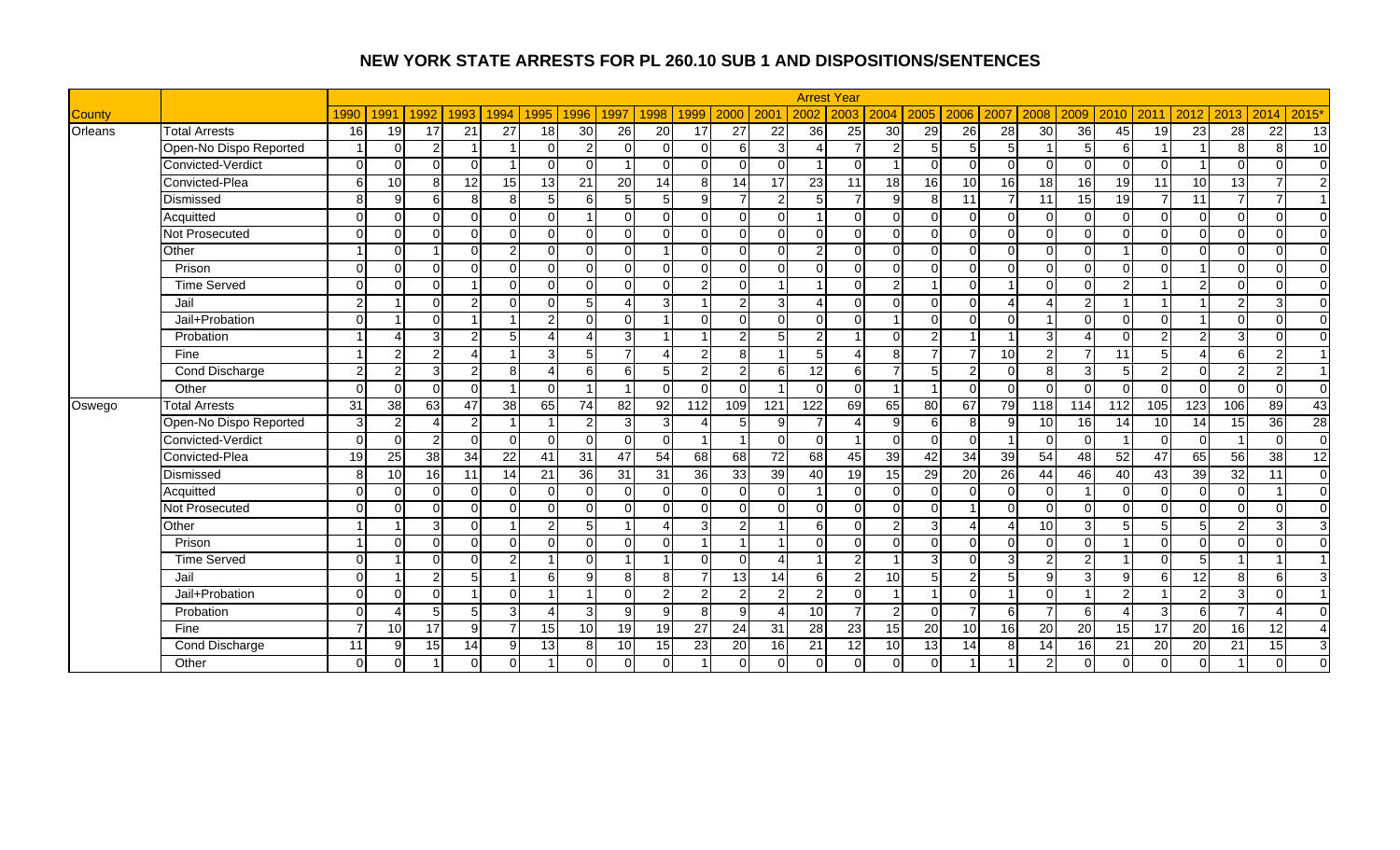|               |                        |               |                 |                |                        |                |                 |                 |                 |                 |                         |                |                  |                 | <b>Arrest Year</b> |                |                 |                 |                 |                 |               |                 |                |                        |                |                        |                         |
|---------------|------------------------|---------------|-----------------|----------------|------------------------|----------------|-----------------|-----------------|-----------------|-----------------|-------------------------|----------------|------------------|-----------------|--------------------|----------------|-----------------|-----------------|-----------------|-----------------|---------------|-----------------|----------------|------------------------|----------------|------------------------|-------------------------|
| <b>County</b> |                        | 1990          | 1991            | 1992           | 1993                   | 1994           | 1995            | 1996            | 1997            | 1998            | 1999                    | 2000           | 200 <sup>o</sup> | 2002            | 2003               | 2004           | 2005            | 2006            | 2007            | 2008            | 2009          | 2010            | 2011           | 2012                   | 2013           | 2014                   | 2015'                   |
| Orleans       | <b>Total Arrests</b>   | 16            | 19              | 17             | 21                     | 27             | 18              | 30              | 26              | 20              | 17                      | 27             | 22               | 36              | 25                 | 30             | 29              | $\overline{26}$ | $\overline{28}$ | $\overline{30}$ | 36            | 45              | 19             | 23                     | 28             | 22                     | 13                      |
|               | Open-No Dispo Reported |               | $\Omega$        | 2              | $\overline{1}$         |                | $\Omega$        | $\overline{2}$  | $\Omega$        | $\Omega$        | $\Omega$                | 6              | 3                |                 |                    | $\mathcal{P}$  | 5 <sub>l</sub>  | 5               | $5 \square$     |                 | 5             | 6               |                |                        | 8              | 8                      | 10                      |
|               | Convicted-Verdict      | $\Omega$      | $\Omega$        | $\Omega$       | $\Omega$               |                | $\Omega$        | $\Omega$        |                 |                 |                         | U              | $\Omega$         |                 | $\Omega$           |                | $\Omega$        | $\Omega$        | $\Omega$        | $\Omega$        |               | $\Omega$        | $\Omega$       |                        | $\Omega$       | $\Omega$               | $\mathbf 0$             |
|               | Convicted-Plea         | 6             | 10              | 8 <sup>1</sup> | $\overline{12}$        | 15             | $\overline{13}$ | 21              | $\overline{20}$ | 14              | 8                       | 14             | $\overline{17}$  | $\overline{23}$ | 11                 | 18             | 16              | 10              | 16              | 18              | 16            | $\overline{19}$ | 11             | 10                     | 13             | $\overline{7}$         | $\overline{2}$          |
|               | Dismissed              | $\mathbf{8}$  | 9               | $6 \mid$       | $\overline{8}$         | 8 <sup>1</sup> | 5               | 6               | 5               | 5 <sub>l</sub>  | $\mathbf{Q}$            | $\overline{7}$ | $\overline{2}$   | 5               |                    | $\mathbf{Q}$   | 8 <sup>1</sup>  | 11              |                 | 11              | 15            | 19              |                | 11                     | $\overline{7}$ | 7                      | $\overline{1}$          |
|               | Acquitted              | $\Omega$      | $\Omega$        | $\cap$         | $\Omega$               | $\Omega$       | $\Omega$        |                 | $\Omega$        | $\Omega$        | $\Omega$                | $\Omega$       | $\Omega$         | -1              | $\Omega$           | $\Omega$       | $\Omega$        | $\Omega$        | $\Omega$        | $\Omega$        | ∩             | $\Omega$        | $\Omega$       | $\mathbf 0$            | $\Omega$       | $\Omega$               | $\overline{0}$          |
|               | Not Prosecuted         | $\Omega$      | $\Omega$        | $\Omega$       | $\Omega$               | $\Omega$       | $\Omega$        | $\Omega$        | $\Omega$        | $\Omega$        | $\Omega$                | $\Omega$       | $\Omega$         | $\Omega$        | $\Omega$           | $\Omega$       | $\Omega$        | $\Omega$        | $\Omega$        | $\Omega$        | $\Omega$      | $\Omega$        | $\Omega$       | $\mathbf 0$            | $\Omega$       | $\Omega$               | $\overline{0}$          |
|               | Other                  |               | $\Omega$        |                | $\Omega$               | $\mathfrak{p}$ | $\Omega$        | $\Omega$        | $\Omega$        |                 |                         | $\Omega$       | $\Omega$         | $\overline{2}$  | $\Omega$           | $\Omega$       | $\Omega$        | $\mathbf 0$     | $\Omega$        |                 |               |                 | $\Omega$       | $\Omega$               | $\Omega$       | $\Omega$               | $\overline{0}$          |
|               | Prison                 | $\Omega$      | $\Omega$        | $\Omega$       | $\Omega$               | $\Omega$       | $\Omega$        | $\Omega$        | $\Omega$        | $\Omega$        | $\Omega$                | $\Omega$       | $\Omega$         | $\Omega$        | $\Omega$           | $\Omega$       | $\Omega$        | $\Omega$        | $\Omega$        | $\Omega$        | ∩             | $\Omega$        | $\Omega$       |                        | $\Omega$       | $\Omega$               | $\overline{0}$          |
|               | <b>Time Served</b>     | $\Omega$      | $\Omega$        | $\Omega$       | $\overline{1}$         | $\Omega$       | $\Omega$        | $\Omega$        | $\Omega$        | $\Omega$        | $\overline{2}$          | $\Omega$       | -1               | -1              | $\Omega$           | $\overline{2}$ |                 | $\Omega$        |                 | $\Omega$        | ∩             | 2               |                | $\overline{2}$         | $\Omega$       | $\Omega$               | $\overline{0}$          |
|               | Jail                   | ົ             |                 | U              | $\overline{2}$         | $\Omega$       | $\Omega$        | 5               | $\Delta$        | 3               | -1                      | $\mathcal{P}$  | 3                | Δ               | $\Omega$           | $\Omega$       | $\Omega$        | $\Omega$        |                 | Δ               |               |                 |                |                        | $\overline{2}$ | 3                      | $\overline{0}$          |
|               | Jail+Probation         | $\Omega$      |                 | $\Omega$       | $\overline{ }$         |                | $\overline{2}$  | $\Omega$        | $\Omega$        |                 | $\cap$                  | $\Omega$       | $\Omega$         | $\overline{0}$  | $\Omega$           |                | $\Omega$        | 0               | $\Omega$        |                 |               | $\Omega$        | $\Omega$       |                        | $\Omega$       | $\Omega$               | $\overline{0}$          |
|               | Probation              |               |                 | 3              | 2                      | 5              | $\Delta$        | $\overline{A}$  | 3               |                 |                         | $\mathfrak{p}$ | 5                | $\overline{2}$  |                    | $\Omega$       | $\overline{2}$  |                 |                 | 3               |               | $\Omega$        | $\mathcal{D}$  | $\overline{2}$         | $\overline{3}$ | $\Omega$               | $\mathbf 0$             |
|               | Fine                   |               | $\mathcal{P}$   | 2              | $\boldsymbol{\Lambda}$ |                | 3               | 5 <sub>l</sub>  | $\overline{7}$  | 4               | $\overline{2}$          | 8 <sup>1</sup> |                  | 5               |                    | 8              |                 | $\overline{7}$  | 10 <sup>1</sup> | 2               |               | 11              | 5              | $\boldsymbol{\Lambda}$ | $6 \mid$       | $\overline{2}$         | $\overline{1}$          |
|               | Cond Discharge         | $\mathcal{P}$ | $\mathcal{P}$   | 31             | $\overline{2}$         | 8              | $\Delta$        | 6               | 6               | 5 <sub>l</sub>  | 2                       | $\overline{2}$ | <sup>6</sup>     | 12              | 6                  |                | 5               | $\overline{c}$  | $\Omega$        | 8 <sup>1</sup>  | 3             | $\overline{5}$  | $\overline{2}$ | $\Omega$               | $\overline{2}$ | 2                      | $\overline{1}$          |
|               | Other                  | $\Omega$      | $\Omega$        | $\Omega$       | $\Omega$               |                | $\Omega$        |                 |                 | $\Omega$        | O                       | $\Omega$       |                  | $\Omega$        | $\Omega$           |                |                 | $\Omega$        | $\Omega$        | $\Omega$        | ∩             | $\Omega$        | $\Omega$       | $\Omega$               | $\Omega$       | $\Omega$               | $\overline{0}$          |
| Oswego        | <b>Total Arrests</b>   | 31            | 38              | 63             | 47                     | 38             | 65              | 74              | 82              | 92              | 112                     | 109            | 121              | 122             | 69                 | 65             | 80              | 67              | 79              | 118             | 114           | 112             | 105            | 123                    | 106            | 89                     | 43                      |
|               | Open-No Dispo Reported | 3             | 2               |                | $\overline{2}$         |                |                 | $\mathcal{P}$   | 3               | $\overline{3}$  |                         | 5              | 9                |                 |                    | 9              | $6 \mid$        | 8               | $\mathbf{Q}$    | 10              | 16            | 14              | 10             | 14                     | 15             | $\overline{36}$        | 28                      |
|               | Convicted-Verdict      | $\Omega$      | $\Omega$        | っ              | $\Omega$               | $\Omega$       | $\Omega$        | $\Omega$        | $\overline{0}$  | $\Omega$        | - 1                     |                | $\Omega$         | $\Omega$        |                    | $\Omega$       | $\Omega$        | $\Omega$        |                 | $\Omega$        | $\Omega$      |                 | $\Omega$       | $\mathbf 0$            |                | $\Omega$               | $\overline{0}$          |
|               | Convicted-Plea         | 19            | $\overline{25}$ | 38             | 34                     | 22             | 41              | 31              | 47              | 54              | 68                      | 68             | $\overline{72}$  | 68              | 45                 | 39             | 42              | 34              | 39              | 54              | 48            | 52              | 47             | 65                     | 56             | $\overline{38}$        | 12                      |
|               | Dismissed              | 8             | 10              | 16             | 11                     | 14             | 21              | 36              | $\overline{31}$ | $\overline{31}$ | 36                      | 33             | 39               | $\overline{40}$ | $\overline{19}$    | 15             | 29              | 20              | $\overline{26}$ | 44              | 46            | 40              | 43             | 39                     | 32             | 11                     | $\overline{0}$          |
|               | Acquitted              | $\Omega$      | $\Omega$        | $\Omega$       | $\overline{0}$         | $\Omega$       | $\Omega$        | <sup>0</sup>    | $\Omega$        | $\Omega$        | O                       | $\Omega$       | $\Omega$         |                 | $\Omega$           | $\Omega$       | $\overline{0}$  | $\Omega$        | $\Omega$        | $\Omega$        |               | $\Omega$        | $\Omega$       | $\mathbf 0$            | $\Omega$       |                        | $\overline{0}$          |
|               | Not Prosecuted         | $\Omega$      | $\Omega$        | $\Omega$       | $\Omega$               | $\Omega$       | $\Omega$        | $\Omega$        | $\Omega$        | $\Omega$        | O                       | $\Omega$       | $\Omega$         | $\Omega$        | $\Omega$           | $\Omega$       | $\Omega$        |                 | $\Omega$        | $\Omega$        | $\Omega$      | $\Omega$        | $\Omega$       | $\mathbf 0$            | $\Omega$       | $\Omega$               | $\mathbf 0$             |
|               | Other                  |               |                 | <b>Q</b>       | $\Omega$               |                | $\overline{2}$  | 5               |                 | Δ               | 3                       | $\mathfrak{p}$ |                  | 6               | $\Omega$           |                | 3 <sup>l</sup>  | 4               |                 | 10              |               |                 |                | 5                      | $\overline{2}$ | 3                      | 3                       |
|               | Prison                 |               | $\Omega$        | $\Omega$       | $\Omega$               | $\Omega$       | $\Omega$        | $\Omega$        | $\Omega$        | $\Omega$        | $\overline{\mathbf{A}}$ |                |                  | $\Omega$        | $\Omega$           | $\Omega$       | $\Omega$        | $\Omega$        | $\Omega$        | $\Omega$        | ∩             |                 | $\Omega$       | $\mathbf 0$            | $\Omega$       | $\Omega$               | $\overline{0}$          |
|               | <b>Time Served</b>     | $\Omega$      |                 | $\Omega$       | $\overline{0}$         | $\overline{2}$ |                 | $\Omega$        |                 |                 | $\cap$                  | $\Omega$       | Δ                | -1              | $\overline{2}$     |                | 3               | $\Omega$        | $\overline{3}$  | 2               | $\mathcal{P}$ | $\overline{1}$  | $\Omega$       | 5                      |                |                        | $\overline{\mathbf{1}}$ |
|               | Jail                   | $\Omega$      |                 | っ              | 5                      |                | 6               | g               | 8               | 8               | 7                       | 13             | 14               | 6               | $\overline{2}$     | 10             | $5\overline{)}$ | 2               |                 | 9               | 3             | 9               | 6              | $\overline{12}$        | 8 <sup>1</sup> | 6                      | 3                       |
|               | Jail+Probation         | $\Omega$      | $\Omega$        | $\Omega$       | $\overline{1}$         | $\Omega$       |                 |                 | $\Omega$        | $\overline{2}$  | $\overline{2}$          | $\overline{2}$ | 2                | $\overline{2}$  | $\Omega$           |                |                 | $\Omega$        |                 | $\Omega$        |               | 2               |                | $\overline{2}$         | 3 <sup>1</sup> | $\Omega$               | $\overline{1}$          |
|               | Probation              | $\Omega$      |                 | ц              | 5                      | 3              | $\Delta$        | $\mathbf{3}$    | 9               | 9               | 8                       | 9              |                  | 10 <sup>1</sup> | $\overline{7}$     | $\mathfrak{p}$ | $\Omega$        | $\overline{7}$  | 6               | $\overline{ }$  | 6             |                 | 3              | 6                      | $\overline{7}$ | $\boldsymbol{\Lambda}$ | $\Omega$                |
|               | Fine                   |               | 10              | 17             | 9                      |                | 15              | 10 <sup>1</sup> | 19              | 19              | 27                      | 24             | 31               | 28              | 23                 | 15             | $\overline{20}$ | 10              | 16 <sup>1</sup> | 20              | 20            | 15              | 17             | 20                     | 16             | 12                     | $\overline{4}$          |
|               | Cond Discharge         | 11            | 9               | 15             | 14                     | 9              | 13              | 8               | 10              | 15              | 23                      | 20             | 16               | 21              | 12                 | 10             | 13              | 14              | 8               | 14              | 16            | 21              | 20             | 20                     | 21             | 15                     | 3                       |
|               | Other                  | $\Omega$      | $\Omega$        |                | $\overline{0}$         | $\Omega$       |                 |                 | $\Omega$        |                 |                         | $\Omega$       | $\Omega$         | $\Omega$        | $\Omega$           | $\overline{0}$ | $\Omega$        |                 |                 | $\mathcal{P}$   |               |                 | $\Omega$       | $\mathbf 0$            |                | $\Omega$               | $\Omega$                |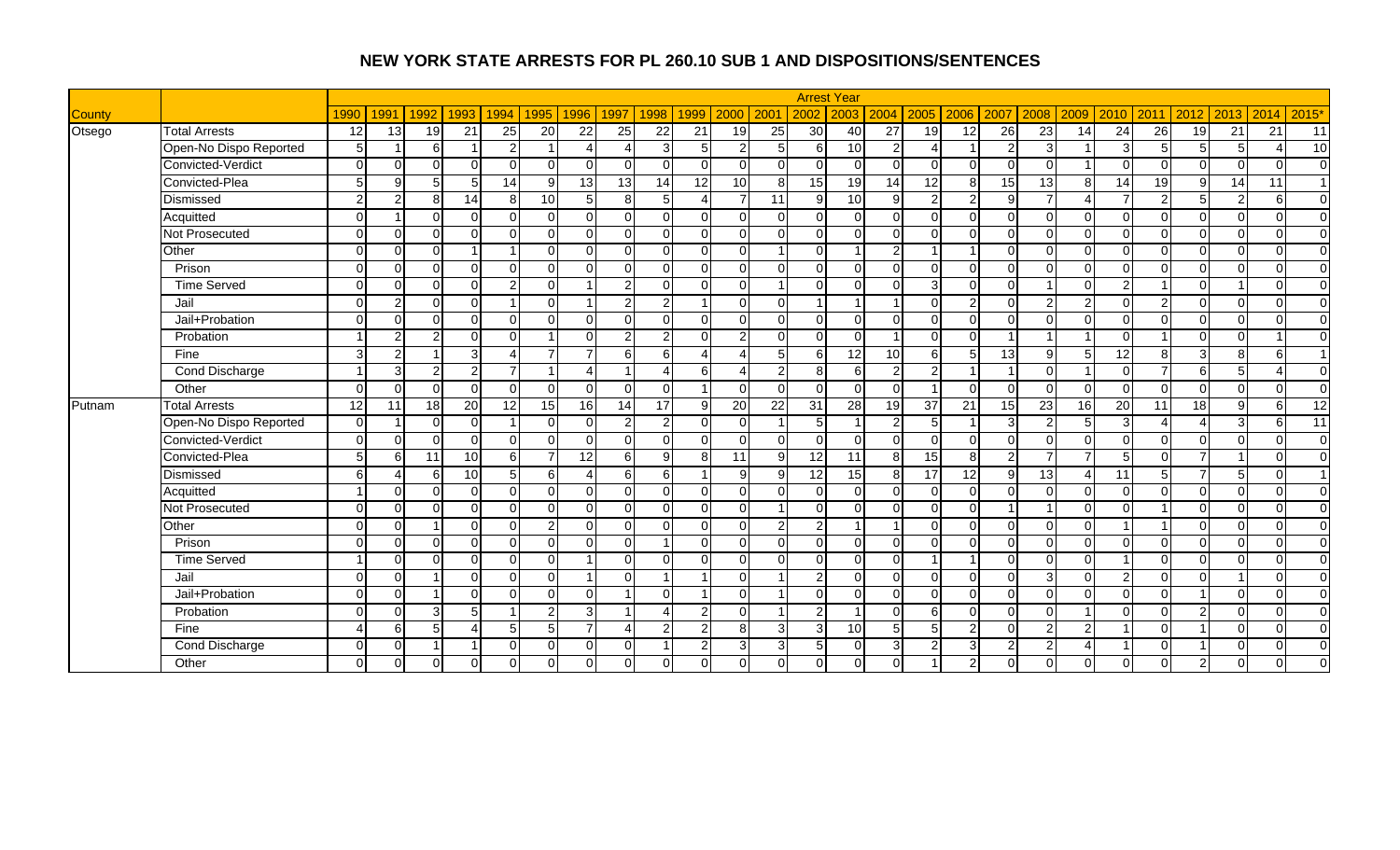|               |                        |                 |               |               |                |                |                 |                |                          |                        |                          |                 |                 |                 | <b>Arrest Year</b> |                 |                        |                 |                |                |                |                 |                |                         |                |              |                 |
|---------------|------------------------|-----------------|---------------|---------------|----------------|----------------|-----------------|----------------|--------------------------|------------------------|--------------------------|-----------------|-----------------|-----------------|--------------------|-----------------|------------------------|-----------------|----------------|----------------|----------------|-----------------|----------------|-------------------------|----------------|--------------|-----------------|
| <b>County</b> |                        | 1990            | 1991          | 1992          | 1993           | 1994           | 1995            | 1996           | 1997                     | 1998                   | 1999                     | 2000            | 200             | 2002            | 2003               | 2004            | 2005                   | 2006            | 2007           | 2008           | 2009           | 2010            | 2011           | 2012                    | 2013           | 2014         | 2015'           |
| Otsego        | <b>Total Arrests</b>   | 12              | 13            | 19            | 21             | 25             | 20              | 22             | 25                       | 22                     | 21                       | 19              | 25              | 30              | 40                 | $\overline{27}$ | 19                     | $\overline{12}$ | 26             | 23             | 14             | 24              | 26             | 19                      | 21             | 21           | 11              |
|               | Open-No Dispo Reported | 5               |               | 6             | $\overline{1}$ | $\overline{2}$ |                 | $\Lambda$      | $\boldsymbol{\varDelta}$ | $\overline{3}$         | 5                        | $\mathcal{P}$   | 5               | 6               | 10 <sup>1</sup>    | $\mathfrak{p}$  | $\boldsymbol{\Lambda}$ |                 | $\mathcal{P}$  | 3              |                | 3               | 5 <sup>1</sup> | 5                       | 5 <sub>l</sub> | Δ            | 10              |
|               | Convicted-Verdict      | $\Omega$        | $\Omega$      | $\Omega$      | $\Omega$       | $\Omega$       | $\Omega$        | $\Omega$       | $\Omega$                 | $\Omega$               | n                        | U               | $\Omega$        | $\Omega$        | $\Omega$           | $\Omega$        | $\Omega$               | $\Omega$        | U              | ∩              |                | ∩               | $\Omega$       | $\Omega$                | $\Omega$       | $\Omega$     | $\mathbf 0$     |
|               | Convicted-Plea         | $5\overline{5}$ | $\mathbf{q}$  | 5             | 5              | 14             | 9               | 13             | 13                       | 14                     | 12                       | 10 <sup>1</sup> | 8               | 15              | 19                 | 14              | 12                     | 8               | 15             | 13             | 8              | 14              | 19             | 9                       | 14             | 11           | $\overline{1}$  |
|               | Dismissed              | $\mathcal{P}$   | $\mathcal{P}$ | 8             | 14             | 8 <sup>1</sup> | 10              | 5 <sub>l</sub> | 8 <sup>1</sup>           | 5 <sub>1</sub>         | $\boldsymbol{\varDelta}$ | $\overline{7}$  | 11              | 9               | 10                 | 9               | 2 <sub>l</sub>         | $\overline{c}$  | $\mathsf{Q}$   | $\overline{ }$ |                | 7               | $\mathcal{P}$  | $\overline{5}$          | $\overline{2}$ | 6            | $\overline{0}$  |
|               | Acquitted              | $\Omega$        |               | $\Omega$      | $\overline{0}$ | $\Omega$       | $\Omega$        | $\Omega$       | $\mathbf 0$              | $\overline{0}$         | $\Omega$                 | $\Omega$        | $\Omega$        | $\overline{0}$  | $\Omega$           | $\Omega$        | $\overline{0}$         | $\mathbf 0$     | $\Omega$       | $\Omega$       | <sup>0</sup>   | $\Omega$        | $\Omega$       | $\mathbf 0$             | $\overline{0}$ | $\mathbf 0$  | $\overline{0}$  |
|               | <b>Not Prosecuted</b>  | $\Omega$        | $\Omega$      | $\Omega$      | $\Omega$       | U              | $\Omega$        | $\Omega$       | $\Omega$                 | $\Omega$               | $\Omega$                 | $\Omega$        | $\Omega$        | $\Omega$        | $\Omega$           | $\Omega$        | $\Omega$               | $\Omega$        | $\Omega$       | $\Omega$       | $\Omega$       | $\Omega$        | $\Omega$       | $\Omega$                | $\Omega$       | $\Omega$     | $\Omega$        |
|               | Other                  | $\Omega$        | $\Omega$      | $\Omega$      |                |                | $\Omega$        | $\Omega$       | $\Omega$                 | $\Omega$               | $\cap$                   | $\Omega$        |                 | $\Omega$        |                    | $\mathfrak{p}$  |                        |                 | U              |                |                | $\Omega$        | $\Omega$       | $\Omega$                | $\Omega$       | $\Omega$     | $\Omega$        |
|               | Prison                 | $\Omega$        | $\Omega$      | $\cap$        | $\Omega$       | $\Omega$       | $\Omega$        | $\Omega$       | $\Omega$                 | $\Omega$               | $\Omega$                 | $\Omega$        | $\Omega$        | $\Omega$        | $\Omega$           | $\Omega$        | $\Omega$               | $\Omega$        | $\Omega$       | $\Omega$       | ∩              | $\Omega$        | $\Omega$       | $\overline{\mathsf{o}}$ | $\Omega$       | $\Omega$     | $\Omega$        |
|               | <b>Time Served</b>     | $\Omega$        | $\Omega$      | $\cap$        | $\overline{0}$ | $\mathfrak{p}$ | $\Omega$        |                | $\overline{2}$           | $\Omega$               | $\cap$                   | $\Omega$        |                 | $\Omega$        | $\Omega$           | $\Omega$        | $\overline{3}$         | $\Omega$        | $\Omega$       |                | ∩              | 2               |                | $\mathbf 0$             |                | $\Omega$     | $\overline{0}$  |
|               | Jail                   | $\Omega$        | $\mathcal{P}$ | $\cap$        | $\Omega$       |                | $\Omega$        |                | $\overline{2}$           | $\mathbf{2}$           | $\overline{ }$           | $\Omega$        | $\Omega$        | 1               | - 1                |                 | $\Omega$               | $\overline{c}$  | $\Omega$       | $\overline{2}$ | $\mathfrak{p}$ | $\Omega$        | 2              | $\mathbf 0$             | $\Omega$       | $\Omega$     | $\overline{0}$  |
|               | Jail+Probation         | $\Omega$        | $\Omega$      | $\Omega$      | $\overline{0}$ | $\Omega$       | $\Omega$        | $\Omega$       | $\Omega$                 | $\Omega$               | $\Omega$                 | $\Omega$        | $\Omega$        | $\overline{0}$  | $\Omega$           | $\Omega$        | $\Omega$               | $\mathbf 0$     | $\Omega$       | $\Omega$       | ∩              | $\Omega$        | $\Omega$       | $\mathbf 0$             | $\Omega$       | $\mathbf 0$  | $\overline{0}$  |
|               | Probation              |                 | 2             | ົ             | $\Omega$       | $\Omega$       |                 | U              | $\overline{2}$           | $\mathbf{2}$           | $\cap$                   | $\overline{2}$  | $\Omega$        | $\Omega$        | $\Omega$           |                 | $\Omega$               | 0               |                |                |                | $\Omega$        |                | $\Omega$                | $\Omega$       |              | $\overline{0}$  |
|               | Fine                   | З               | $\mathcal{P}$ |               | $\overline{3}$ | Δ              | $\overline{7}$  |                | 6                        | 6 <sup>1</sup>         | Δ                        |                 | 5               | 6               | 12                 | 10              | 6                      | 5               | 13             | 9              |                | 12              | 8              | 3                       | 8 <sup>1</sup> | 6            | $\overline{1}$  |
|               | Cond Discharge         |                 | 3             | $\mathcal{P}$ | $\overline{2}$ | $\overline{7}$ |                 | $\overline{4}$ |                          | $\boldsymbol{\Lambda}$ | 6                        | Δ               | $\overline{c}$  | 8               | 6                  | $\overline{2}$  | $\overline{2}$         |                 |                | $\Omega$       |                | $\Omega$        |                | $\sigma$                | 5 <sub>1</sub> | 4            | $\overline{0}$  |
|               | Other                  | $\Omega$        | $\Omega$      | $\Omega$      | $\Omega$       | $\Omega$       | $\Omega$        | $\Omega$       | $\Omega$                 | $\Omega$               | $\overline{\mathbf{1}}$  | $\Omega$        | $\Omega$        | $\Omega$        | $\Omega$           | $\Omega$        |                        | $\Omega$        | $\Omega$       | $\Omega$       | $\Omega$       | $\Omega$        | $\Omega$       | $\Omega$                | $\Omega$       | $\Omega$     | $\overline{0}$  |
| Putnam        | <b>Total Arrests</b>   | 12              | 11            | 18            | 20             | 12             | $\overline{15}$ | 16             | 14                       | 17                     | 9                        | $\overline{20}$ | $\overline{22}$ | 31              | $\overline{28}$    | 19              | 37                     | $\overline{21}$ | 15             | 23             | 16             | $\overline{20}$ | 11             | $\frac{1}{8}$           | 9              | 6            | $\overline{12}$ |
|               | Open-No Dispo Reported | $\Omega$        |               | $\Omega$      | $\Omega$       |                | $\Omega$        | $\Omega$       | $\overline{2}$           | $\mathbf{2}$           | $\cap$                   | U               |                 | 5               |                    | $\mathcal{P}$   | $5\overline{)}$        |                 | 3              | $\mathcal{P}$  |                | 3               |                |                         | $\overline{3}$ | 6            | $\overline{11}$ |
|               | Convicted-Verdict      | $\Omega$        | $\Omega$      | $\Omega$      | $\Omega$       | $\Omega$       | $\Omega$        | $\Omega$       | $\Omega$                 | $\Omega$               | $\Omega$                 | $\Omega$        | $\Omega$        | $\Omega$        | $\Omega$           | $\Omega$        | $\Omega$               | $\Omega$        | $\Omega$       | $\Omega$       |                | $\Omega$        | $\cap$         | $\Omega$                | $\Omega$       | $\Omega$     | $\Omega$        |
|               | Convicted-Plea         | $5\overline{5}$ | 6             | 11            | 10             | 6 <sup>1</sup> |                 | 12             | $6 \mid$                 | 9                      | 8                        | 11              | $\overline{9}$  | 12              | 11                 | 8 <sup>1</sup>  | 15                     | 8               | $\mathcal{D}$  | $\overline{7}$ |                | 5               | $\Omega$       | $\overline{7}$          |                | $\Omega$     | $\overline{0}$  |
|               | Dismissed              | 6               |               | 6             | 10             | 5 <sub>l</sub> | 6               | $\Delta$       | 6                        | 6                      | -1                       | 9               | 9               | $\overline{12}$ | 15                 | 8               | 17                     | 12              | q              | 13             | Δ              | 11              | 5              | $\overline{7}$          | 5              | $\Omega$     | $\overline{1}$  |
|               | Acquitted              |                 | $\Omega$      | $\Omega$      | $\Omega$       | $\Omega$       | $\Omega$        | $\Omega$       | $\Omega$                 | $\Omega$               | $\Omega$                 | $\Omega$        | $\Omega$        | $\Omega$        | $\Omega$           | $\Omega$        | $\Omega$               | $\Omega$        | $\Omega$       | $\Omega$       | $\Omega$       | $\Omega$        | $\Omega$       | $\Omega$                | $\Omega$       | $\Omega$     | $\Omega$        |
|               | Not Prosecuted         | $\Omega$        | $\Omega$      | $\Omega$      | $\Omega$       | $\Omega$       | $\Omega$        | $\Omega$       | $\Omega$                 | $\Omega$               | $\Omega$                 | $\Omega$        |                 | $\Omega$        | $\Omega$           | $\Omega$        | $\Omega$               | $\Omega$        |                |                | $\Omega$       | $\Omega$        |                | $\Omega$                | $\Omega$       | $\Omega$     | $\Omega$        |
|               | Other                  | $\Omega$        | $\Omega$      |               | $\Omega$       | $\Omega$       | $\mathfrak{p}$  | $\Omega$       | $\Omega$                 | $\Omega$               | $\cap$                   | $\Omega$        | 2               | $\overline{2}$  |                    |                 | $\Omega$               | $\Omega$        | $\Omega$       | $\Omega$       | ∩              |                 |                | $\Omega$                | $\Omega$       | $\Omega$     | $\overline{0}$  |
|               | Prison                 | $\Omega$        | $\Omega$      | $\Omega$      | $\overline{0}$ | $\Omega$       | $\Omega$        | $\Omega$       | $\Omega$                 |                        | n                        | $\Omega$        | $\Omega$        | $\Omega$        | $\Omega$           | $\Omega$        | $\Omega$               | $\Omega$        | $\Omega$       | $\Omega$       | ∩              | $\Omega$        | $\Omega$       | $\overline{\mathsf{o}}$ | $\Omega$       | $\Omega$     | $\overline{0}$  |
|               | <b>Time Served</b>     |                 | $\Omega$      | $\cap$        | $\overline{0}$ | $\Omega$       | $\Omega$        |                | $\Omega$                 | $\Omega$               | $\cap$                   | $\Omega$        | $\Omega$        | $\Omega$        | $\Omega$           | $\Omega$        |                        |                 | $\Omega$       | $\Omega$       | $\Omega$       |                 | $\Omega$       | $\Omega$                | $\Omega$       | $\Omega$     | $\overline{0}$  |
|               | Jail                   | $\Omega$        | $\Omega$      |               | $\overline{0}$ | $\Omega$       | $\Omega$        |                | $\Omega$                 |                        | -1                       | $\Omega$        |                 | $\overline{a}$  | $\Omega$           | $\Omega$        | $\overline{0}$         | $\mathbf 0$     | $\Omega$       | $\overline{3}$ | $\Omega$       | 2               | $\Omega$       | $\mathbf 0$             |                | $\mathbf 0$  | $\overline{0}$  |
|               | Jail+Probation         | $\Omega$        | $\Omega$      |               | $\Omega$       | $\Omega$       | $\Omega$        | $\Omega$       |                          | $\Omega$               | -1                       | $\Omega$        |                 | $\Omega$        | $\Omega$           | $\Omega$        | $\Omega$               | $\Omega$        | $\Omega$       | $\Omega$       | $\Omega$       | $\Omega$        | $\Omega$       |                         | $\Omega$       | $\Omega$     | $\overline{0}$  |
|               | Probation              | $\Omega$        | $\Omega$      |               | 5              |                | $\overline{2}$  | 3              |                          | Δ                      | 2                        | 0               |                 | 2               |                    | $\Omega$        | 6                      | $\Omega$        | $\Omega$       | ∩              |                | $\Omega$        | $\cap$         | $\overline{2}$          | $\Omega$       | $\Omega$     | $\Omega$        |
|               | Fine                   |                 | 6             | 5             | $\Delta$       | 5 <sub>l</sub> | $\overline{5}$  | 7              | $\Delta$                 | $\overline{2}$         | 2                        | 8               | 3               | 3               | 10 <sup>1</sup>    | 5 <sub>l</sub>  | $\overline{5}$         | 2               | $\Omega$       | $\mathcal{P}$  | າ              |                 | $\Omega$       |                         | n.             | $\Omega$     | $\overline{0}$  |
|               | Cond Discharge         | $\Omega$        | $\Omega$      |               | $\overline{1}$ | $\Omega$       | $\Omega$        | $\Omega$       | $\Omega$                 |                        | $\overline{2}$           | $\overline{3}$  | 3               | 5               | $\Omega$           | $\overline{3}$  | $\overline{2}$         | 3               | $\mathfrak{p}$ | 2              |                |                 | $\Omega$       |                         | $\Omega$       | $\Omega$     | $\overline{0}$  |
|               | Other                  | $\Omega$        | $\Omega$      | $\Omega$      | $\overline{0}$ | $\overline{0}$ | $\Omega$        | $\Omega$       | $\Omega$                 | $\Omega$               | $\Omega$                 | $\overline{0}$  | $\Omega$        | $\mathbf{0}$    | $\Omega$           | $\overline{0}$  |                        | $\overline{c}$  | ΟI             | $\Omega$       |                | $\Omega$        | $\Omega$       | $\overline{2}$          | $\Omega$       | $\mathbf{0}$ | $\Omega$        |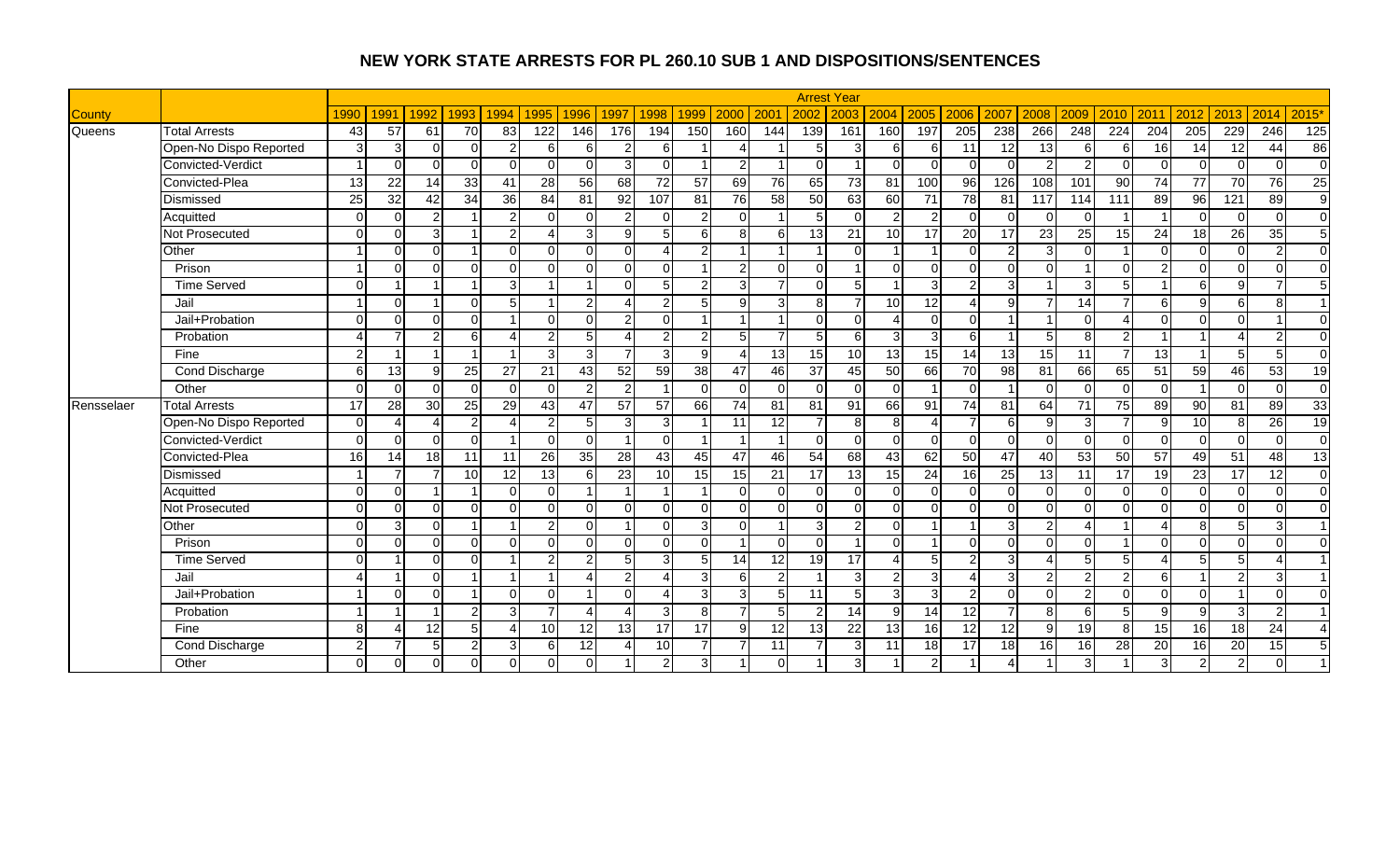|               |                        |                 |                 |                 |                 |                        |                 |                |                 |                 |                          |                |                |                 | <b>Arrest Year</b> |                          |                 |                  |                 |                |               |                 |                  |                         |                  |                  |                        |
|---------------|------------------------|-----------------|-----------------|-----------------|-----------------|------------------------|-----------------|----------------|-----------------|-----------------|--------------------------|----------------|----------------|-----------------|--------------------|--------------------------|-----------------|------------------|-----------------|----------------|---------------|-----------------|------------------|-------------------------|------------------|------------------|------------------------|
| <b>County</b> |                        | 1990            | 1991            | 1992            | 1993            | 1994                   | 1995            | 1996           | 1997            | 1998            | 1999                     | 2000           | 200            | 2002            | 2003               | 2004                     | 2005            | 2006             | 2007            | 2008           | 2009          | 2010            | 2011             | 2012                    | 2013             | 2014             | 2015'                  |
| Queens        | <b>Total Arrests</b>   | 43              | 57              | 61              | 70              | 83                     | 122             | 146            | 176             | 194             | 150                      | 160            | 144            | 139             | 161                | 160                      | 197             | $\overline{205}$ | 238             | 266            | 248           | 224             | $\overline{204}$ | $\overline{205}$        | 229              | $\overline{246}$ | $\overline{125}$       |
|               | Open-No Dispo Reported | 3               | 3               | $\Omega$        | $\Omega$        | $\overline{2}$         | 6               | $6 \mid$       | $\overline{2}$  | 6               |                          |                |                | 5               | 3                  | 6 <sup>1</sup>           | $6 \mid$        | 11               | 12              | 13             | 6             | 6               | 16               | 14                      | 12               | 44               | 86                     |
|               | Convicted-Verdict      |                 | $\Omega$        | $\cap$          | $\Omega$        | $\Omega$               | $\Omega$        | $\Omega$       | 3               | $\Omega$        | $\overline{\phantom{a}}$ | $\mathcal{P}$  |                | $\Omega$        |                    | $\Omega$                 | $\Omega$        | $\Omega$         |                 | $\mathfrak{p}$ |               | $\Omega$        | $\Omega$         | $\Omega$                | n.               | $\Omega$         | $\overline{0}$         |
|               | Convicted-Plea         | 13              | $\overline{22}$ | 14              | 33              | 41                     | $\overline{28}$ | 56             | 68              | 72              | $\overline{57}$          | 69             | 76             | 65              | 73                 | 81                       | 100             | 96               | 126             | 108            | 101           | $\overline{90}$ | 74               | 77                      | 70               | $\overline{76}$  | 25                     |
|               | Dismissed              | $\overline{25}$ | 32              | 42              | $\overline{34}$ | 36                     | 84              | 81             | 92              | 107             | 81                       | 76             | 58             | 50              | 63                 | 60                       | $\overline{71}$ | $\overline{78}$  | 81              | 117            | 114           | 111             | 89               | 96                      | 121              | 89               | $\overline{9}$         |
|               | Acquitted              | $\Omega$        | $\Omega$        | $\mathfrak{p}$  |                 | 2 <sub>l</sub>         | $\Omega$        | $\Omega$       | $\overline{2}$  | $\Omega$        | $\mathcal{P}$            | $\Omega$       |                | 5               | $\Omega$           | $\overline{2}$           | $\overline{2}$  | $\Omega$         |                 | $\Omega$       |               |                 |                  | $\overline{\mathsf{o}}$ | $\Omega$         | $\mathbf 0$      | $\overline{0}$         |
|               | Not Prosecuted         | $\Omega$        | $\Omega$        | 3 <sup>1</sup>  |                 | $\overline{2}$         | $\Lambda$       | $\overline{3}$ | 9               | 5 <sup>1</sup>  | 6                        | 8              | 6              | 13              | 21                 | 10                       | 17              | 20               | 17              | 23             | 25            | 15              | 24               | 18                      | 26               | 35               | 5                      |
|               | Other                  |                 | $\Omega$        | $\Omega$        |                 | $\Omega$               | $\Omega$        | $\Omega$       | $\Omega$        | Δ               | $\overline{2}$           |                |                |                 | $\Omega$           |                          |                 | $\Omega$         |                 | 3              |               |                 | $\Omega$         | $\overline{0}$          | $\Omega$         | $\overline{2}$   | $\overline{0}$         |
|               | Prison                 |                 | $\Omega$        | $\Omega$        | $\Omega$        | $\Omega$               | $\Omega$        | $\Omega$       | $\Omega$        | $\Omega$        |                          | 2              | $\Omega$       | $\Omega$        |                    | $\Omega$                 | $\Omega$        | $\Omega$         | $\Omega$        | $\Omega$       |               | $\Omega$        | っ                | $\overline{0}$          | $\Omega$         | $\Omega$         | $\overline{0}$         |
|               | <b>Time Served</b>     | $\Omega$        |                 |                 |                 | 3 <sup>1</sup>         |                 | $\overline{A}$ | $\Omega$        | 5               | $\mathcal{P}$            | $\overline{3}$ | $\overline{7}$ | $\Omega$        | 5 <sup>1</sup>     |                          | $\overline{3}$  | $\overline{c}$   | 3               |                | З             | 5               |                  | $\sigma$                | 9                | 7                | $\sqrt{5}$             |
|               | Jail                   |                 | $\Omega$        |                 | $\overline{0}$  | 5                      |                 | $\overline{2}$ | $\overline{A}$  | $\overline{2}$  | 5                        | $\mathbf{9}$   | $\overline{3}$ | 8 <sup>1</sup>  |                    | 10                       | 12              | 4                | 9               |                | 14            | $\overline{7}$  | 6 <sup>1</sup>   | 9                       | $6 \overline{6}$ | 8                | $\overline{1}$         |
|               | Jail+Probation         | $\Omega$        | $\Omega$        | $\Omega$        | $\Omega$        |                        | $\Omega$        | $\Omega$       | $\mathfrak{p}$  | $\Omega$        |                          |                |                | $\Omega$        | $\Omega$           | $\boldsymbol{\varDelta}$ | $\Omega$        | 0                |                 |                | ∩             |                 | $\Omega$         | $\Omega$                | $\Omega$         |                  | $\overline{0}$         |
|               | Probation              |                 |                 | $\mathcal{P}$   | 6               | $\Lambda$              | 2               | 5 <sup>1</sup> | Δ               | $\overline{2}$  | 2                        |                |                |                 | 6                  | 3                        | 3 <sup>l</sup>  | 6                |                 |                | я             |                 |                  |                         |                  | $\overline{2}$   | $\overline{0}$         |
|               | Fine                   | $\mathcal{P}$   |                 |                 |                 |                        | 3               | $\overline{3}$ | $\overline{7}$  | 3               | 9                        |                | 13             | 15              | 10 <sup>1</sup>    | 13                       | 15              | $\overline{14}$  | $\overline{13}$ | 15             | 11            | $\overline{7}$  | $\overline{13}$  |                         | 5 <sub>l</sub>   | 5                | $\overline{0}$         |
|               | <b>Cond Discharge</b>  | 6               | 13              | 9               | 25              | 27                     | 21              | 43             | 52              | 59              | 38                       | 47             | 46             | $\overline{37}$ | 45                 | 50 <sup>1</sup>          | 66              | 70               | 98              | 81             | 66            | 65              | 51               | 59                      | 46               | $\overline{53}$  | 19                     |
|               | Other                  | $\Omega$        | $\Omega$        | $\Omega$        | $\Omega$        | $\Omega$               | $\Omega$        | $\overline{2}$ | $\overline{2}$  | -1              | $\Omega$                 | $\Omega$       | $\Omega$       | $\Omega$        | $\Omega$           | $\Omega$                 |                 | $\Omega$         |                 | $\Omega$       | $\Omega$      | $\Omega$        | $\Omega$         |                         | $\Omega$         | $\Omega$         | $\overline{0}$         |
| Rensselaer    | <b>Total Arrests</b>   | 17              | 28              | 30              | 25              | 29                     | 43              | 47             | 57              | $\overline{57}$ | 66                       | 74             | 81             | 81              | $\overline{91}$    | 66                       | 91              | 74               | $\overline{81}$ | 64             | 71            | $\overline{75}$ | $\overline{89}$  | $\overline{90}$         | $\overline{81}$  | 89               | 33                     |
|               | Open-No Dispo Reported | $\Omega$        | $\Lambda$       |                 | 2 <sub>l</sub>  | Δ                      | $\overline{2}$  | 5 <sub>l</sub> | $\mathbf{3}$    | 3               |                          | 11             | 12             |                 | 8                  | 8 <sup>1</sup>           | $\overline{4}$  |                  | 6               | q              | З             |                 | $\mathbf{Q}$     | 10                      | 8 <sup>1</sup>   | $\overline{26}$  | 19                     |
|               | Convicted-Verdict      | $\Omega$        | $\Omega$        | $\Omega$        | $\Omega$        |                        | $\Omega$        | $\Omega$       | $\overline{1}$  | $\Omega$        |                          |                | 1              | $\Omega$        | $\Omega$           | $\overline{0}$           | $\Omega$        | $\Omega$         | ∩               | $\Omega$       | $\Omega$      | $\Omega$        | $\Omega$         | $\overline{0}$          | $\Omega$         | $\Omega$         | $\overline{0}$         |
|               | Convicted-Plea         | 16              | 14              | $\overline{18}$ | 11              | 11                     | 26              | 35             | $\overline{28}$ | 43              | 45                       | 47             | 46             | 54              | 68                 | 43                       | 62              | 50               | 47              | 40             | 53            | 50              | 57               | 49                      | 51               | 48               | 13                     |
|               | Dismissed              |                 | 7               |                 | 10              | 12                     | 13              | 6              | 23              | 10              | 15                       | 15             | 21             | 17              | 13                 | 15                       | $\overline{24}$ | 16               | 25              | 13             | 11            | 17              | 19               | 23                      | 17               | 12               | $\overline{0}$         |
|               | Acquitted              | $\Omega$        | $\Omega$        |                 |                 | $\Omega$               | $\Omega$        |                | $\overline{ }$  |                 |                          | $\Omega$       | $\Omega$       | $\Omega$        | $\Omega$           | $\overline{0}$           | $\Omega$        | $\Omega$         |                 | $\Omega$       |               | $\Omega$        | $\Omega$         | $\mathbf 0$             | $\Omega$         | $\Omega$         | $\overline{0}$         |
|               | Not Prosecuted         | $\Omega$        | $\Omega$        | $\Omega$        | $\Omega$        | $\Omega$               | $\Omega$        | $\Omega$       | $\Omega$        | $\Omega$        | $\Omega$                 | $\Omega$       | $\Omega$       | $\Omega$        | $\Omega$           | $\Omega$                 | $\Omega$        | $\Omega$         | $\Omega$        | $\Omega$       | ∩             | $\Omega$        | $\Omega$         | $\Omega$                | $\Omega$         | $\Omega$         | $\overline{0}$         |
|               | Other                  | $\Omega$        | 3               | $\Omega$        |                 |                        | $\overline{2}$  |                |                 | $\Omega$        | 3                        | $\Omega$       |                | 3               | $\overline{2}$     | $\overline{0}$           |                 |                  | વ               | 2              |               |                 |                  | 8                       | 5                | 3                |                        |
|               | Prison                 | $\Omega$        | $\Omega$        | $\Omega$        | $\Omega$        | $\Omega$               | $\Omega$        | $\Omega$       | $\Omega$        | $\Omega$        | $\Omega$                 |                | $\Omega$       | $\Omega$        |                    | $\overline{0}$           |                 | $\Omega$         | $\Omega$        | $\Omega$       | ∩             |                 | $\Omega$         | $\mathbf 0$             | $\Omega$         | $\Omega$         | $\overline{0}$         |
|               | <b>Time Served</b>     | $\Omega$        |                 | ΩI              | $\Omega$        |                        | $\overline{2}$  | $\overline{2}$ | 5               | 3               | 5                        | 14             | 12             | 19              | $\overline{17}$    | $\Delta$                 | 5               | $\overline{2}$   | $\mathbf{3}$    | $\Delta$       |               | 5               |                  | 5                       | 5 <sub>l</sub>   | 4                | $\overline{1}$         |
|               | Jail                   | Δ               |                 | ΩI              |                 |                        |                 | 4              | $\overline{2}$  | 4               | 3                        | 6              | $\overline{2}$ |                 | 3 <sup>l</sup>     | $\mathbf{2}$             | 3 <sup>1</sup>  | 4                | 3 <sup>l</sup>  | $\overline{2}$ | 2             | 2               | $6 \mid$         |                         | $\overline{2}$   | 3                | $\overline{1}$         |
|               | Jail+Probation         |                 | $\Omega$        | $\Omega$        |                 | $\Omega$               | $\Omega$        | $\overline{ }$ | $\Omega$        | Δ               | 3                        | $\mathbf{3}$   | 5              | 11              | $5 \frac{1}{2}$    | $\mathcal{E}$            | $\overline{3}$  | 2                | $\Omega$        | $\Omega$       | $\mathcal{D}$ | $\Omega$        | $\Omega$         | $\Omega$                |                  | $\Omega$         | $\Omega$               |
|               | Probation              |                 |                 |                 | $\overline{2}$  | 3                      |                 |                |                 | 3               | 8                        |                |                |                 | 14                 | 9                        | 14              | 12               |                 | 8              | 6             | 5               | Q                | 9                       | $\overline{3}$   | $\overline{2}$   | $\overline{1}$         |
|               | Fine                   | $\mathbf{8}$    | Δ               | 12              | $5\phantom{1}$  | $\boldsymbol{\Lambda}$ | 10              | 12             | 13              | 17              | 17                       | 9              | 12             | 13              | $\overline{22}$    | 13                       | 16              | 12               | 12              | $\mathfrak{g}$ | 19            | $\mathbf{8}$    | 15               | 16                      | $\overline{18}$  | 24               | $\boldsymbol{\Lambda}$ |
|               | <b>Cond Discharge</b>  | $\mathfrak{p}$  |                 | 5               | $\overline{2}$  | 3 <sup>1</sup>         | 6               | 12             | $\Delta$        | $\overline{10}$ |                          |                | 11             | $\overline{7}$  | 3                  | 11                       | 18              | $\overline{17}$  | 18              | 16             | 16            | 28              | 20               | 16                      | 20               | $\overline{15}$  | 5                      |
|               | Other                  | $\Omega$        | $\Omega$        | $\Omega$        | $\overline{0}$  | $\Omega$               | $\Omega$        | $\Omega$       |                 | $\overline{2}$  | 3                        |                | $\Omega$       |                 | 3                  |                          | $\overline{2}$  |                  |                 |                |               |                 | 3                | $\overline{2}$          | $\overline{2}$   | $\Omega$         | $\overline{1}$         |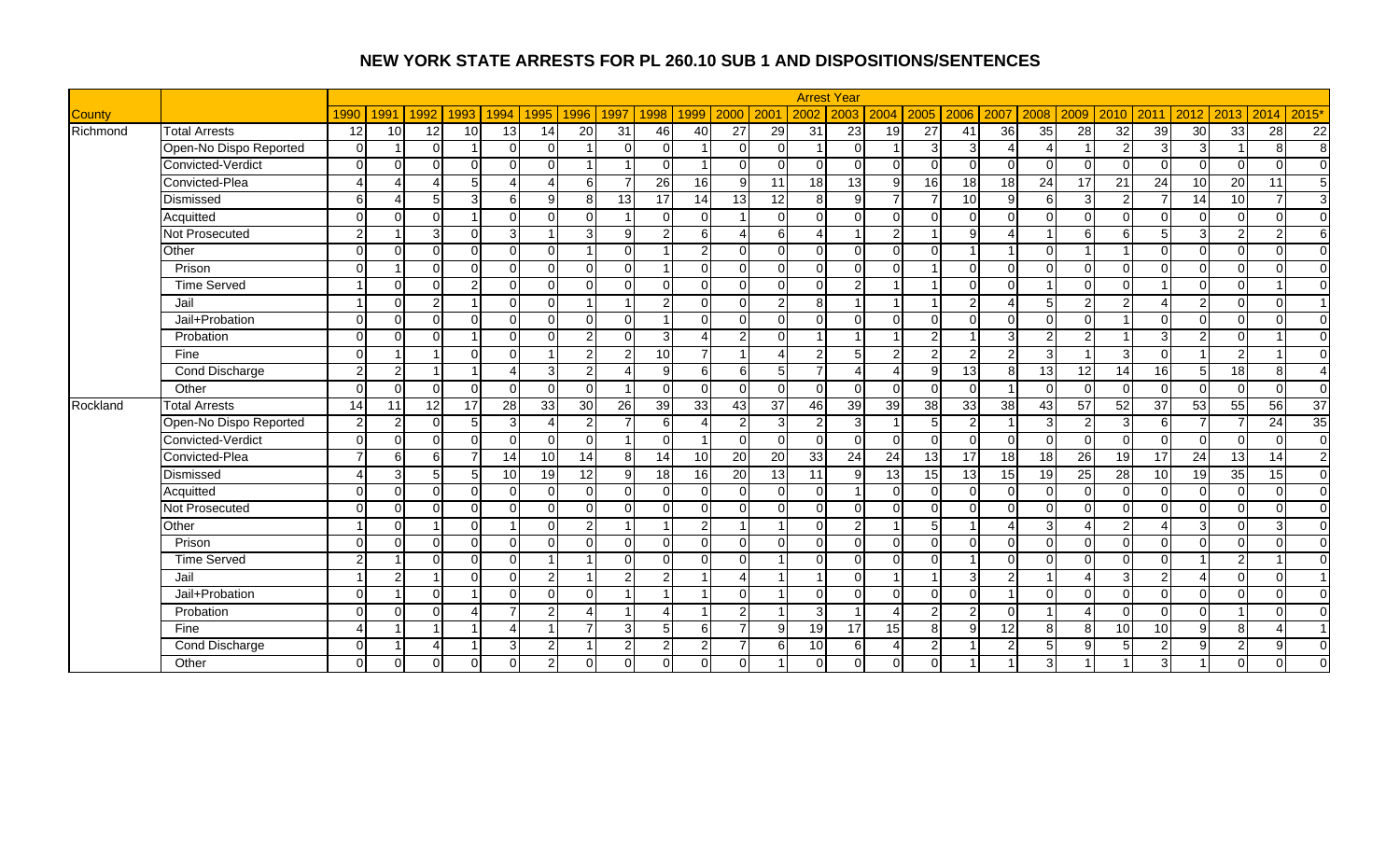|               |                        |                 |                      |                |                |                        |                        |                 |                 |                         |                      |                 |                 |                 | <b>Arrest Year</b> |                |                 |                 |                |                 |                 |                 |                 |                         |                |                        |                        |
|---------------|------------------------|-----------------|----------------------|----------------|----------------|------------------------|------------------------|-----------------|-----------------|-------------------------|----------------------|-----------------|-----------------|-----------------|--------------------|----------------|-----------------|-----------------|----------------|-----------------|-----------------|-----------------|-----------------|-------------------------|----------------|------------------------|------------------------|
| <b>County</b> |                        | 1990            | 1991                 | 1992           | 1993           | 1994                   | 1995                   | 1996            | 1997            | 1998                    | 1999                 | 2000            | 200             | 2002            | 2003               | 2004           |                 | 2005 2006       | 2007           | 2008            | 2009            | 2010            | 2011            | 2012                    | 2013           | 2014                   | 2015'                  |
| Richmond      | <b>Total Arrests</b>   | $\overline{12}$ | 10                   | 12             | 10             | 13                     | 14                     | $\overline{20}$ | 31              | 46                      | 40                   | 27              | 29              | $\overline{31}$ | $\overline{23}$    | 19             | $\overline{27}$ | 41              | 36             | 35              | 28              | 32              | 39              | 30                      | 33             | $\overline{28}$        | 22                     |
|               | Open-No Dispo Reported | $\Omega$        |                      | $\Omega$       |                | $\Omega$               | $\Omega$               |                 | $\Omega$        | $\Omega$                |                      | $\Omega$        | $\Omega$        |                 | $\Omega$           |                | $\overline{3}$  | 3               |                |                 |                 | 2               | 3               | 3                       |                | 8                      | 8                      |
|               | Convicted-Verdict      | $\Omega$        | $\Omega$             | $\cap$         | $\Omega$       | $\Omega$               | $\Omega$               |                 |                 | $\Omega$                | - 1                  | $\Omega$        | $\Omega$        | $\Omega$        | $\Omega$           | $\Omega$       | $\Omega$        | $\Omega$        |                | $\Omega$        |                 | $\Omega$        | $\Omega$        | $\Omega$                | $\Omega$       | $\Omega$               | $\Omega$               |
|               | Convicted-Plea         |                 | Δ                    |                | 5              | 4                      | Δ                      | 6               |                 | 26                      | 16                   | $\mathbf{Q}$    | $\overline{11}$ | 18              | 13                 | $\overline{9}$ | 16              | $\overline{18}$ | 18             | $\overline{24}$ | 17              | 21              | 24              | 10                      | 20             | 11                     | თ                      |
|               | Dismissed              | $6 \mid$        | $\overline{\Lambda}$ | 5 <sup>1</sup> | دن             | $6 \mid$               | 9                      | 8 <sup>1</sup>  | 13              | 17                      | 14                   | 13              | $\overline{12}$ | 8 <sup>1</sup>  | $\mathfrak{g}$     | $\overline{7}$ | $\overline{7}$  | 10              | a              | 6               | 3               | 2               |                 | 14                      | 10             | $\overline{7}$         | دی                     |
|               | Acquitted              | $\Omega$        | $\Omega$             | ΩI             |                | $\Omega$               | $\Omega$               | $\Omega$        | $\overline{ }$  | $\Omega$                | $\Omega$             |                 | $\Omega$        | $\Omega$        | $\Omega$           | $\overline{0}$ | $\Omega$        | $\Omega$        | ∩              | $\Omega$        | ∩               | $\Omega$        | $\Omega$        | $\mathbf 0$             | $\Omega$       | $\Omega$               | $\overline{0}$         |
|               | Not Prosecuted         | $\overline{2}$  |                      | 3 <sup>1</sup> | $\Omega$       | $\overline{3}$         |                        | $\overline{3}$  | 9               | $\overline{2}$          | 6                    |                 | 6               |                 | -1                 | $\overline{2}$ |                 | 9               |                |                 | ี               | 6               | 5 <sup>1</sup>  | 3                       | $\overline{2}$ | $\overline{2}$         | 6                      |
|               | Other                  | $\Omega$        | $\Omega$             | $\Omega$       | $\Omega$       | $\Omega$               | $\Omega$               |                 | $\Omega$        |                         | 2                    | $\Omega$        | $\Omega$        | $\Omega$        | $\Omega$           | $\overline{0}$ | $\Omega$        |                 |                | $\Omega$        |                 |                 | $\Omega$        | $\mathbf 0$             | $\Omega$       | $\Omega$               | $\mathbf 0$            |
|               | Prison                 | $\Omega$        |                      | $\Omega$       | $\Omega$       | $\Omega$               | $\Omega$               | $\Omega$        | $\Omega$        |                         | $\Omega$             | $\Omega$        | $\Omega$        | $\Omega$        | $\Omega$           | $\Omega$       |                 | $\Omega$        |                | $\Omega$        | ∩               | $\Omega$        | $\cap$          | $\mathbf 0$             | $\Omega$       | $\Omega$               | $\overline{0}$         |
|               | <b>Time Served</b>     |                 | $\Omega$             | $\Omega$       | 2 <sub>l</sub> | $\Omega$               | $\Omega$               | $\Omega$        | $\Omega$        | $\Omega$                | $\Omega$             | $\Omega$        | $\Omega$        | $\Omega$        | $\overline{2}$     |                |                 | $\Omega$        | ∩              |                 | $\cap$          | $\Omega$        |                 | $\overline{0}$          | $\Omega$       |                        | $\mathbf 0$            |
|               | Jail                   |                 | $\Omega$             | $\overline{2}$ |                | $\Omega$               | $\Omega$               | 1               | $\overline{1}$  | $\overline{2}$          | $\Omega$             | $\Omega$        | $\overline{2}$  | 8 <sup>1</sup>  | -1                 |                |                 | 2               | Δ              | 5               | 2               | $\overline{2}$  |                 | $\overline{2}$          | $\Omega$       | $\Omega$               | $\overline{1}$         |
|               | Jail+Probation         | $\Omega$        | $\Omega$             | $\Omega$       | $\Omega$       | $\Omega$               | $\Omega$               | $\Omega$        | $\Omega$        | -1                      | $\Omega$             | $\Omega$        | $\Omega$        | $\overline{0}$  | $\Omega$           | $\Omega$       | $\Omega$        | $\Omega$        | $\Omega$       | $\Omega$        | ∩               |                 | $\Omega$        | $\Omega$                | $\Omega$       | $\Omega$               | $\mathbf 0$            |
|               | Probation              | $\Omega$        | $\Omega$             | $\cap$         |                | $\Omega$               | $\Omega$               | $\overline{2}$  | ∩               | 3                       |                      | 2               | $\Omega$        |                 |                    |                | $\mathcal{P}$   |                 | З              | 2               |                 |                 | ঽ               | $\overline{2}$          | $\Omega$       |                        | $\Omega$               |
|               | Fine                   | $\Omega$        |                      |                | $\Omega$       | $\Omega$               |                        | $\overline{2}$  | $\overline{2}$  | $\overline{10}$         | $\overline{7}$       |                 | Δ               | $\overline{2}$  | 5 <sub>1</sub>     | $\overline{2}$ | $\overline{2}$  | $\overline{c}$  | $\mathcal{D}$  | $\mathcal{E}$   |                 | 3               | $\Omega$        |                         | 2 <sub>l</sub> |                        | $\Omega$               |
|               | <b>Cond Discharge</b>  | $\mathfrak{p}$  | $\overline{2}$       |                |                | $\boldsymbol{\Lambda}$ | 3                      | $\overline{2}$  | $\Delta$        | 9                       | 6                    | 6I              | 5               | $\overline{7}$  | $\overline{4}$     | $\overline{4}$ | 9               | $\overline{13}$ | $\mathsf{R}$   | 13              | 12              | 14              | 16              | 5                       | 18             | 8                      | $\boldsymbol{\Lambda}$ |
|               | Other                  | $\Omega$        | $\Omega$             | $\Omega$       | $\Omega$       | $\Omega$               | $\Omega$               | $\Omega$        | $\overline{1}$  | $\Omega$                | $\Omega$             | $\Omega$        | $\Omega$        | $\Omega$        | $\Omega$           | $\Omega$       | $\Omega$        | $\Omega$        |                | $\Omega$        | $\Omega$        | $\Omega$        | $\Omega$        | $\Omega$                | $\Omega$       | $\Omega$               | $\overline{0}$         |
| Rockland      | <b>Total Arrests</b>   | 14              | 11                   | 12             | 17             | $\overline{28}$        | 33                     | 30              | $\overline{26}$ | 39                      | 33                   | 43              | $\overline{37}$ | 46              | 39                 | 39             | 38              | $\overline{33}$ | 38             | 43              | $\overline{57}$ | $\overline{52}$ | $\overline{37}$ | 53                      | 55             | $\overline{56}$        | $\overline{37}$        |
|               | Open-No Dispo Reported | $\overline{2}$  | $\overline{2}$       | $\Omega$       | 5 <sub>5</sub> | 3                      | $\boldsymbol{\Lambda}$ | $\mathbf{2}$    | $\overline{7}$  | 6                       | $\overline{\Lambda}$ | 2               | 3               | $\overline{2}$  | 3                  |                | 5               | $\overline{2}$  |                | 3               | 2               | 3               | 6 <sup>1</sup>  | 7                       | $\overline{7}$ | $\overline{24}$        | 35                     |
|               | Convicted-Verdict      | $\Omega$        | $\Omega$             | $\Omega$       | $\Omega$       | $\Omega$               | $\Omega$               | $\Omega$        | $\overline{1}$  | $\Omega$                |                      | $\Omega$        | $\Omega$        | $\overline{0}$  | $\Omega$           | $\overline{0}$ | $\Omega$        | $\mathbf 0$     |                | $\Omega$        | $\Omega$        | $\Omega$        | $\Omega$        | $\overline{0}$          | $\Omega$       | $\Omega$               | $\overline{0}$         |
|               | Convicted-Plea         |                 | 6                    | 61             | $\overline{7}$ | 14                     | 10                     | 14              | 8 <sup>1</sup>  | 14                      | 10                   | <b>20</b>       | 20              | 33              | 24                 | 24             | 13              | 17              | 18             | 18              | $\overline{26}$ | $\overline{19}$ | 17              | $\overline{24}$         | 13             | 14                     | $\overline{2}$         |
|               | Dismissed              |                 | 3                    | 5 <sup>1</sup> | 5              | $\overline{10}$        | 19                     | 12              | 9               | 18                      | 16                   | $\overline{20}$ | 13              | 11              | $\mathbf{Q}$       | 13             | 15              | 13              | 15             | 19              | 25              | 28              | 10              | 19                      | 35             | 15                     | $\overline{0}$         |
|               | Acquitted              | $\Omega$        | $\Omega$             | $\Omega$       | $\Omega$       | $\Omega$               | $\Omega$               | $\Omega$        | $\Omega$        | $\Omega$                | $\Omega$             | $\Omega$        | $\Omega$        | $\Omega$        |                    | $\overline{0}$ | $\Omega$        | $\Omega$        |                | $\Omega$        |                 | $\Omega$        | $\Omega$        | $\overline{\mathsf{o}}$ | $\Omega$       | $\Omega$               | $\overline{0}$         |
|               | Not Prosecuted         | $\Omega$        | $\Omega$             | $\Omega$       | $\Omega$       | $\Omega$               | $\Omega$               | $\Omega$        | $\Omega$        | $\Omega$                | $\Omega$             | $\Omega$        | $\Omega$        | $\Omega$        | $\Omega$           | $\Omega$       | $\Omega$        | $\Omega$        | $\Omega$       | $\Omega$        | ∩               | $\Omega$        | $\Omega$        | $\Omega$                | $\Omega$       | $\Omega$               | $\overline{0}$         |
|               | Other                  |                 | $\Omega$             |                | $\Omega$       |                        | $\Omega$               | $\overline{2}$  |                 |                         | $\overline{2}$       |                 |                 | $\Omega$        | $\overline{2}$     |                | 5               |                 |                | 3               |                 | 2               |                 | 3                       | $\Omega$       | 3                      | $\overline{0}$         |
|               | Prison                 | $\Omega$        | $\Omega$             | <sup>n</sup>   | $\overline{0}$ | $\Omega$               | $\Omega$               | $\cap$          | $\Omega$        | $\Omega$                | $\Omega$             | $\Omega$        | $\Omega$        | $\Omega$        | $\Omega$           | $\overline{0}$ | $\Omega$        | $\Omega$        | $\Omega$       | $\Omega$        | ∩               | $\Omega$        | $\Omega$        | $\mathbf 0$             | $\Omega$       | $\Omega$               | $\overline{0}$         |
|               | <b>Time Served</b>     | $\overline{2}$  |                      | $\Omega$       | $\overline{0}$ | $\Omega$               |                        | 1               | $\Omega$        | $\Omega$                | $\Omega$             | $\Omega$        |                 | $\Omega$        | $\Omega$           | $\overline{0}$ | $\Omega$        |                 | ∩              | $\Omega$        | ∩               | $\Omega$        | $\Omega$        |                         | $\overline{2}$ |                        | $\overline{0}$         |
|               | Jail                   |                 | $\overline{2}$       |                | $\Omega$       | $\Omega$               | 2                      | 1               | $\overline{2}$  | $\overline{2}$          | -1                   | 4               |                 | -1              | $\Omega$           |                |                 | 3               | $\overline{2}$ |                 |                 | 3               | $\overline{2}$  | $\boldsymbol{\Lambda}$  | $\Omega$       | $\mathbf 0$            | $\overline{1}$         |
|               | Jail+Probation         | $\Omega$        |                      | $\Omega$       |                | $\Omega$               | $\Omega$               | $\Omega$        |                 | $\overline{\mathbf{A}}$ |                      | $\Omega$        |                 | $\Omega$        | $\Omega$           | $\Omega$       | $\Omega$        | $\Omega$        |                | $\Omega$        | U               | $\Omega$        | ΩI              | $\Omega$                | $\Omega$       | $\Omega$               | $\Omega$               |
|               | Probation              | $\Omega$        | $\Omega$             | $\Omega$       | $\lambda$      | $\overline{7}$         | 2                      | $\Lambda$       |                 | Δ                       |                      | $\mathfrak{p}$  |                 | 3               |                    |                | $\overline{2}$  | $\overline{2}$  |                |                 |                 | $\Omega$        | $\Omega$        | $\Omega$                |                | $\Omega$               | $\mathbf{0}$           |
|               | Fine                   |                 |                      |                |                | 4                      |                        |                 | $\mathbf{3}$    | 5 <sup>5</sup>          | 6                    |                 | $\mathfrak{g}$  | 19              | 17                 | 15             | 8 <sup>1</sup>  | 9               | 12             | 8 <sup>1</sup>  | 8               | 10              | 10 <sup>1</sup> | 9                       | 8 <sup>1</sup> | $\boldsymbol{\Lambda}$ | $\overline{1}$         |
|               | <b>Cond Discharge</b>  | $\Omega$        |                      | л              |                | 3                      | $\overline{2}$         |                 | $\overline{2}$  | $\overline{2}$          | $\mathcal{P}$        |                 | 6               | 10              | 6                  | $\overline{4}$ | 2 <sub>l</sub>  |                 |                | 5               | $\Omega$        | 5               | $\mathfrak{p}$  | g                       | $\overline{2}$ | 9                      | $\mathbf 0$            |
|               | Other                  | $\Omega$        | $\Omega$             | $\Omega$       | $\Omega$       | $\Omega$               | $\overline{2}$         | $\Omega$        | $\Omega$        | $\Omega$                | $\Omega$             | $\Omega$        |                 | $\Omega$        | $\overline{0}$     | $\overline{0}$ | $\Omega$        |                 |                | 3               |                 |                 | 3               |                         | $\Omega$       | $\Omega$               | $\Omega$               |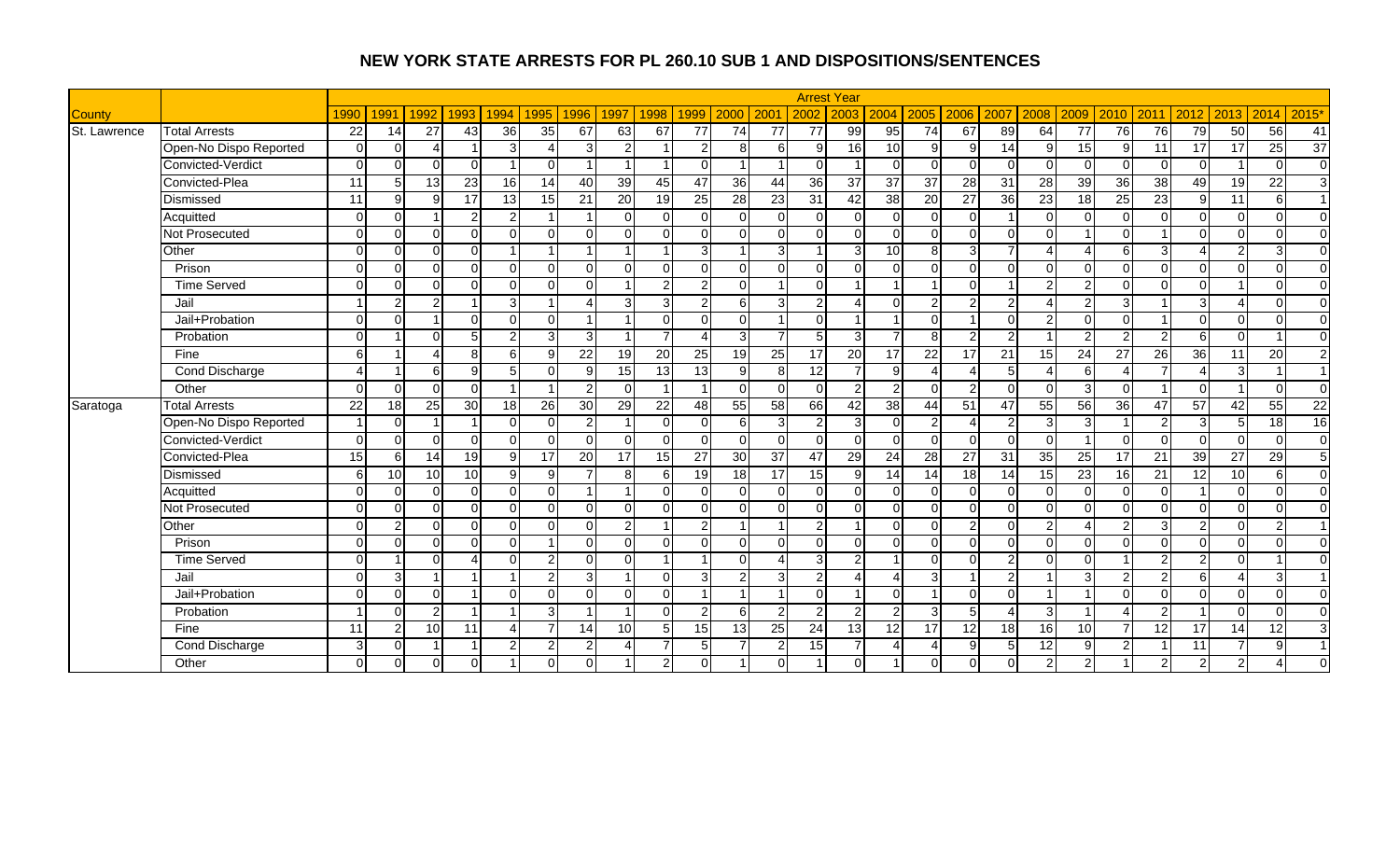|               |                        |                |               |                 |                 |                |                |                 |                         |                         |                 |                 |                  |                 | <b>Arrest Year</b>     |                        |                |                        |                 |                 |                 |                |                 |                          |                 |                 |                 |
|---------------|------------------------|----------------|---------------|-----------------|-----------------|----------------|----------------|-----------------|-------------------------|-------------------------|-----------------|-----------------|------------------|-----------------|------------------------|------------------------|----------------|------------------------|-----------------|-----------------|-----------------|----------------|-----------------|--------------------------|-----------------|-----------------|-----------------|
| <b>County</b> |                        | 1990           | 1991          | 1992            | 1993            | 1994           | 1995           | 1996            | 1997                    | 1998                    | 1999            | 2000            | 200 <sup>1</sup> | 2002            | 2003                   | 2004                   | 2005           | 2006                   | 2007            | 2008            | 2009            | 2010           | 2011            | 2012                     | 2013            | 2014            | 2015'           |
| St. Lawrence  | <b>Total Arrests</b>   | 22             | 14            | 27              | 43              | 36             | 35             | 67              | 63                      | 67                      | 77              | 74              | 77               | $\overline{77}$ | 99                     | 95                     | 74             | 67                     | 89              | 64              | 77              | 76             | 76              | 79                       | 50              | 56              | 41              |
|               | Open-No Dispo Reported | $\Omega$       | $\Omega$      | 4               |                 | $\overline{3}$ |                | $\mathcal{E}$   | 2                       |                         | 2               | 8               | 61               | 9               | 16                     | 10                     | 9              | 9                      | 14              | 9               | 15              | 9              | 11              | 17                       | 17              | 25              | $\overline{37}$ |
|               | Convicted-Verdict      | $\Omega$       | $\Omega$      | $\Omega$        | $\Omega$        |                |                |                 |                         |                         | $\Omega$        |                 |                  | $\Omega$        |                        | $\Omega$               | $\Omega$       | $\Omega$               |                 |                 |                 | $\Omega$       | $\Omega$        | $\Omega$                 |                 | $\Omega$        | $\overline{0}$  |
|               | Convicted-Plea         | 11             | 5             | 13              | 23              | 16             | 14             | 40              | 39                      | 45                      | 47              | 36              | 44               | 36              | $\overline{37}$        | 37                     | 37             | $\overline{28}$        | $\overline{31}$ | $\overline{28}$ | 39              | 36             | 38              | 49                       | 19              | $\overline{22}$ | دى              |
|               | Dismissed              | 11             | $\mathbf{Q}$  | $\mathbf{Q}$    | $\overline{17}$ | 13             | 15             | 21              | 20                      | 19                      | 25              | 28              | 23               | 31              | 42                     | 38                     | 20             | $\overline{27}$        | $\overline{36}$ | 23              | 18              | 25             | $\overline{23}$ | $\overline{9}$           | $\overline{11}$ | 6               | $\overline{1}$  |
|               | Acquitted              | $\Omega$       | $\Omega$      |                 | $\overline{2}$  | $\overline{2}$ | - 1            |                 | $\Omega$                | $\Omega$                | $\Omega$        | $\Omega$        | $\overline{0}$   | $\Omega$        | $\Omega$               | $\overline{0}$         | $\Omega$       | $\Omega$               |                 | $\Omega$        | $\Omega$        | $\Omega$       | $\Omega$        | $\overline{0}$           | $\Omega$        | $\Omega$        | $\overline{0}$  |
|               | <b>Not Prosecuted</b>  | $\Omega$       | $\Omega$      | $\Omega$        | $\Omega$        | $\Omega$       | $\Omega$       | 0               | $\Omega$                | $\Omega$                | $\Omega$        | $\Omega$        | $\Omega$         | $\Omega$        | $\Omega$               | $\overline{0}$         | $\Omega$       | $\Omega$               | ∩               | $\Omega$        |                 | $\Omega$       |                 | $\Omega$                 | $\Omega$        | $\Omega$        | $\overline{0}$  |
|               | Other                  | $\Omega$       | $\cap$        | $\Omega$        | $\Omega$        |                |                |                 |                         |                         | 3               |                 | $\overline{3}$   |                 | $\mathbf{3}$           | 10                     | 8              | 3                      |                 |                 |                 | 6              | 3               |                          | $\overline{2}$  | 3               | $\overline{0}$  |
|               | Prison                 | $\Omega$       | $\Omega$      | $\Omega$        | $\mathbf 0$     | $\Omega$       | $\Omega$       | 0               | $\Omega$                | $\Omega$                | $\Omega$        | $\Omega$        | $\Omega$         | $\Omega$        | $\Omega$               | $\Omega$               | $\Omega$       | $\Omega$               |                 | $\Omega$        | $\Omega$        | $\Omega$       | $\Omega$        | $\mathbf 0$              | $\Omega$        | $\Omega$        | $\overline{0}$  |
|               | <b>Time Served</b>     | $\Omega$       | $\Omega$      | $\Omega$        | $\Omega$        | $\Omega$       | $\Omega$       | U               | $\overline{\mathbf{A}}$ | $\overline{2}$          | 2               | $\Omega$        | -1               | $\Omega$        |                        |                        |                | $\Omega$               |                 | $\overline{2}$  | 2               | $\Omega$       | $\Omega$        | $\overline{0}$           |                 | $\Omega$        | $\overline{0}$  |
|               | Jail                   |                | 2             | $\overline{2}$  |                 | 3 <sup>l</sup> |                |                 | 3                       | 3                       | 2               | 61              | $\overline{3}$   | $\overline{2}$  |                        | $\overline{0}$         | $\overline{2}$ | $\overline{2}$         |                 |                 | っ               | 3              |                 | 3                        |                 | $\Omega$        | $\overline{0}$  |
|               | Jail+Probation         | $\Omega$       | $\Omega$      |                 | $\Omega$        | $\Omega$       | O              | 4               |                         | $\overline{0}$          | $\Omega$        | $\Omega$        | 1                | $\overline{0}$  |                        |                        | $\Omega$       | $\overline{1}$         | ∩               | $\mathcal{P}$   |                 | $\Omega$       |                 | $\mathbf 0$              | $\Omega$        | $\Omega$        | $\overline{0}$  |
|               | Probation              | $\Omega$       |               | ΩI              | 5               | $\overline{2}$ | 3              | $\overline{3}$  |                         | $\overline{7}$          |                 | $\overline{3}$  | $\overline{7}$   | 5               | $\overline{3}$         | $\overline{7}$         | 8              | $\overline{2}$         |                 |                 | $\mathcal{D}$   | $\overline{2}$ | $\overline{2}$  | 6                        | $\Omega$        |                 | $\overline{0}$  |
|               | Fine                   | 6 <sup>1</sup> |               | 4               | 8               | 6              | 9              | 22              | 19                      | 20                      | 25              | 19              | 25               | 17              | $\overline{20}$        | 17                     | 22             | 17                     | 21              | 15              | 24              | 27             | 26              | 36                       | 11              | 20              | $\overline{2}$  |
|               | Cond Discharge         | 4              |               | 61              | 9               | 5 <sub>l</sub> | $\Omega$       | 9               | 15                      | 13                      | 13              | 9               | 8                | 12              |                        | 9 <sub>l</sub>         | $\overline{4}$ | $\boldsymbol{\Lambda}$ |                 | $\overline{4}$  | 6I              |                |                 | $\boldsymbol{\varDelta}$ | $\mathbf{3}$    |                 | $\overline{1}$  |
|               | Other                  | $\Omega$       | $\Omega$      | $\Omega$        | $\Omega$        | $\overline{1}$ | - 1            | $\mathfrak{p}$  | $\Omega$                | $\overline{\mathbf{1}}$ |                 | $\Omega$        | $\Omega$         | $\Omega$        | $\overline{2}$         | 2                      | $\Omega$       | $\overline{2}$         |                 | $\Omega$        | 3               | $\Omega$       |                 | $\Omega$                 |                 | $\Omega$        | $\overline{0}$  |
| Saratoga      | <b>Total Arrests</b>   | 22             | 18            | 25              | 30              | 18             | 26             | 30 <sup>l</sup> | 29                      | 22                      | 48              | 55              | 58               | 66              | 42                     | 38                     | 44             | 51                     | 47              | 55              | 56              | 36             | 47              | 57                       | 42              | 55              | 22              |
|               | Open-No Dispo Reported |                | $\cap$        |                 |                 | $\Omega$       |                | $\overline{2}$  | $\overline{1}$          | $\Omega$                | $\Omega$        | 6               | $\overline{3}$   | $\overline{2}$  | $\overline{3}$         | $\overline{0}$         | 2 <sub>l</sub> | Δ                      |                 | 3               | З               |                | $\mathcal{P}$   | 3                        | 5 <sub>5</sub>  | $\overline{18}$ | 16              |
|               | Convicted-Verdict      | $\Omega$       | $\Omega$      | U               | $\Omega$        | $\Omega$       | $\Omega$       | U               | $\Omega$                | $\Omega$                | $\Omega$        | $\Omega$        | $\Omega$         | $\overline{0}$  | $\Omega$               | $\overline{0}$         | $\Omega$       | $\Omega$               |                 | $\Omega$        |                 | $\Omega$       | $\Omega$        | $\overline{0}$           | $\Omega$        | $\Omega$        | $\overline{0}$  |
|               | Convicted-Plea         | 15             | 6             | 14              | 19              | 9              | 17             | 20              | 17                      | 15                      | $\overline{27}$ | 30              | 37               | 47              | 29                     | 24                     | 28             | $\overline{27}$        | 31              | 35              | $\overline{25}$ | 17             | $\overline{21}$ | 39                       | $\overline{27}$ | $\overline{29}$ | 5               |
|               | Dismissed              | $6 \mid$       | 10            | 10              | 10              | 9 <sub>l</sub> | <b>q</b>       | $\overline{7}$  | 8                       | 6                       | 19              | 18              | 17               | 15              | 9                      | 14                     | 14             | $\overline{18}$        | 14              | 15              | $\overline{23}$ | 16             | 21              | $\overline{12}$          | 10              | 6               | $\overline{0}$  |
|               | Acquitted              | $\Omega$       | $\Omega$      | $\Omega$        | $\mathbf 0$     | $\Omega$       | $\Omega$       | 4               | $\overline{1}$          | $\Omega$                | $\Omega$        | $\Omega$        | $\overline{0}$   | $\Omega$        | $\Omega$               | $\overline{0}$         | $\Omega$       | $\Omega$               |                 | $\Omega$        | $\Omega$        | $\Omega$       | $\Omega$        |                          | $\Omega$        | $\Omega$        | $\overline{0}$  |
|               | <b>Not Prosecuted</b>  | $\Omega$       | $\Omega$      | $\Omega$        | $\Omega$        | $\Omega$       | $\Omega$       | U               | $\Omega$                | $\Omega$                | $\Omega$        | $\Omega$        | $\Omega$         | $\overline{0}$  | $\Omega$               | $\Omega$               | $\Omega$       | $\Omega$               | ∩               | $\Omega$        | U               | $\Omega$       | $\Omega$        | $\mathbf 0$              | $\Omega$        | $\Omega$        | $\mathbf 0$     |
|               | Other                  | $\Omega$       | 2             | $\Omega$        | $\Omega$        | $\Omega$       |                |                 | $\overline{2}$          |                         | $\overline{2}$  |                 |                  | $\overline{2}$  |                        | $\Omega$               | $\Omega$       | $\overline{2}$         |                 | $\mathcal{P}$   |                 | $\overline{2}$ | κ               | $\overline{2}$           | $\Omega$        | $\overline{2}$  | $\overline{1}$  |
|               | Prison                 | $\Omega$       | $\Omega$      | $\Omega$        | $\mathbf 0$     | $\Omega$       | 1              | 0               | $\Omega$                | $\Omega$                | $\Omega$        | $\Omega$        | $\Omega$         | $\overline{0}$  | $\Omega$               | $\Omega$               | $\Omega$       | $\Omega$               |                 | $\Omega$        | ∩               | $\Omega$       | $\Omega$        | $\overline{0}$           | $\Omega$        | $\Omega$        | $\overline{0}$  |
|               | <b>Time Served</b>     | $\Omega$       |               | $\Omega$        | $\Delta$        | $\Omega$       | 2              | 0               | $\Omega$                | $\overline{\mathbf{1}}$ |                 | $\Omega$        | $\Delta$         | 3               | $\overline{2}$         |                        | $\Omega$       | $\Omega$               | ົ               | $\Omega$        | $\Omega$        | $\overline{1}$ | $\overline{2}$  | $\overline{2}$           | $\Omega$        |                 | $\overline{0}$  |
|               | Jail                   | $\Omega$       | 3             |                 |                 |                | $\overline{2}$ | $\mathbf{3}$    | $\blacktriangleleft$    | $\Omega$                | 3               | $\overline{2}$  | $\overline{3}$   | $\overline{2}$  | $\boldsymbol{\Lambda}$ | $\overline{4}$         | 3              |                        |                 |                 | વ               | $\overline{2}$ | $\overline{2}$  | $\,6\,$                  | Δ               | 3               | $\overline{1}$  |
|               | Jail+Probation         | $\Omega$       | $\Omega$      | $\Omega$        |                 | $\Omega$       | $\Omega$       | 0               | $\Omega$                | $\Omega$                |                 |                 | 1                | $\Omega$        |                        | $\Omega$               |                | $\Omega$               | ∩               |                 |                 | $\Omega$       | $\Omega$        | $\Omega$                 | $\Omega$        | $\Omega$        | $\Omega$        |
|               | Probation              |                | $\Omega$      | $\overline{2}$  |                 |                | 3              |                 |                         | $\Omega$                | 2               | 6               | $\overline{2}$   | 2               | $\overline{2}$         | $\overline{2}$         | $\overline{3}$ | 5                      |                 | 3               |                 |                | $\overline{2}$  |                          | $\Omega$        | $\Omega$        | $\Omega$        |
|               | Fine                   | 11             | $\mathcal{P}$ | 10 <sup>1</sup> | 11              | Δ              |                | 14              | 10                      | 5 <sub>5</sub>          | 15              | 13 <sup>l</sup> | 25               | 24              | 13                     | 12                     | 17             | 12                     | 18              | 16              | 10              | 7              | 12              | 17                       | 14              | 12              | $\mathbf{3}$    |
|               | Cond Discharge         | $\overline{3}$ | $\Omega$      |                 | $\overline{ }$  | $\overline{2}$ | 2              | $\overline{c}$  | Δ                       | $\overline{7}$          | 5               |                 | $\mathbf{2}$     | 15              |                        | $\boldsymbol{\Lambda}$ | $\Delta$       | 9                      |                 | 12              | q               | $\mathcal{P}$  |                 | 11                       | $\overline{7}$  | 9               | $\overline{1}$  |
|               | Other                  | $\Omega$       | $\Omega$      | 0               | $\mathbf{0}$    |                |                |                 |                         | $\overline{2}$          | $\Omega$        |                 | $\overline{0}$   |                 | $\overline{0}$         |                        | $\Omega$       |                        |                 | $\mathfrak{p}$  |                 |                | $\mathcal{P}$   | $\overline{2}$           | $\overline{2}$  | Δ               | $\Omega$        |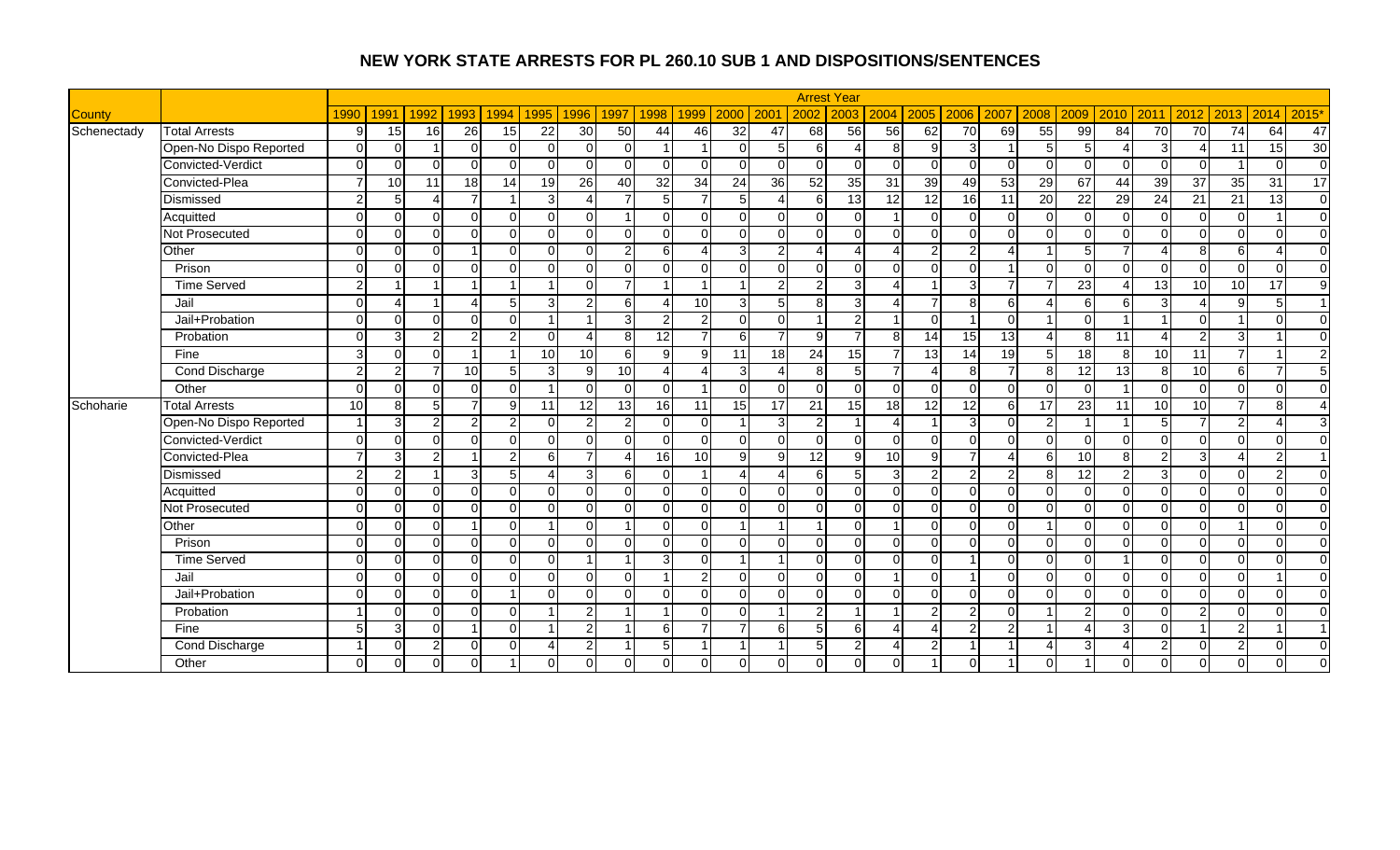|               |                        |                |               |                |                          |                |                |                 |                         |                        |                 |                 |                |                        | <b>Arrest Year</b> |                        |                 |                 |          |                          |                 |                |                 |                        |                |                        |                          |
|---------------|------------------------|----------------|---------------|----------------|--------------------------|----------------|----------------|-----------------|-------------------------|------------------------|-----------------|-----------------|----------------|------------------------|--------------------|------------------------|-----------------|-----------------|----------|--------------------------|-----------------|----------------|-----------------|------------------------|----------------|------------------------|--------------------------|
| <b>County</b> |                        | 1990           | 1991          | 1992           | 1993                     | 1994           | 1995           | 1996            | 1997                    | 1998                   | 1999            | 2000            | 200            | 2002                   | 2003               | 2004                   | 2005            | 2006            | 2007     | 2008                     | 2009            | 2010           | 2011            | 2012                   | 2013           | 2014                   | 2015'                    |
| Schenectady   | <b>Total Arrests</b>   | 9              | 15            | 16             | 26                       | 15             | 22             | 30              | 50                      | 44                     | 46              | 32              | 47             | 68                     | 56                 | 56                     | 62              | $\overline{70}$ | 69       | 55                       | 99              | 84             | 70              | 70                     | 74             | 64                     | 47                       |
|               | Open-No Dispo Reported | $\Omega$       | $\Omega$      |                | $\Omega$                 | $\Omega$       | $\Omega$       | U               | $\Omega$                | $\overline{1}$         |                 | $\Omega$        | 5 <sup>1</sup> | 6                      | $\Delta$           | 8 <sup>1</sup>         | 9               | 3               |          | 5                        | $5 \mid$        |                | 31              | Δ                      | 11             | 15                     | 30                       |
|               | Convicted-Verdict      | $\Omega$       | $\cap$        | ∩              | $\Omega$                 | $\Omega$       | $\Omega$       |                 | $\Omega$                | $\Omega$               | $\Omega$        | $\Omega$        | $\Omega$       | $\Omega$               | $\Omega$           | $\Omega$               | $\Omega$        | $\Omega$        |          | ∩                        |                 | $\Omega$       | $\cap$          | $\Omega$               |                | $\Omega$               | $\overline{0}$           |
|               | Convicted-Plea         | 7              | 10            | 11             | 18                       | 14             | 19             | 26              | $\overline{40}$         | 32                     | 34              | $\overline{24}$ | 36             | 52                     | 35                 | 31                     | 39              | 49              | 53       | 29                       | 67              | 44             | 39              | 37                     | 35             | 31                     | 17                       |
|               | Dismissed              | 2 <sub>1</sub> | 5             | Δ              | $\overline{7}$           | 1              | 3              | Δ               | $\overline{7}$          | 5                      |                 | 5 <sub>l</sub>  | $\Delta$       | 6                      | 13                 | 12                     | $\overline{12}$ | 16              | 11       | 20                       | $\overline{22}$ | 29             | 24              | 21                     | 21             | 13                     | $\overline{0}$           |
|               | Acquitted              | $\Omega$       | $\Omega$      | $\Omega$       | $\mathbf 0$              | $\Omega$       | $\Omega$       | $\Omega$        | $\overline{1}$          | $\overline{0}$         | ΟI              | $\Omega$        | $\overline{0}$ | $\overline{0}$         | $\Omega$           |                        | $\Omega$        | $\Omega$        |          | $\Omega$                 | $\Omega$        | $\Omega$       | $\Omega$        | $\overline{0}$         | $\overline{0}$ |                        | $\overline{0}$           |
|               | <b>Not Prosecuted</b>  | $\Omega$       | $\Omega$      | $\Omega$       | $\Omega$                 | $\Omega$       | $\Omega$       | $\Omega$        | $\Omega$                | $\Omega$               | $\Omega$        | $\Omega$        | $\Omega$       | $\Omega$               | $\Omega$           | $\Omega$               | $\Omega$        | $\Omega$        | ∩        | $\Omega$                 | $\Omega$        | $\Omega$       | $\Omega$        | $\Omega$               | $\Omega$       | $\Omega$               | $\Omega$                 |
|               | Other                  | $\Omega$       | $\cap$        | $\Omega$       |                          | $\Omega$       | O              |                 | $\overline{2}$          | 6                      |                 |                 | $\overline{2}$ | $\boldsymbol{\Lambda}$ |                    | $\overline{A}$         | $\mathcal{P}$   | $\overline{2}$  |          |                          |                 |                |                 | 8                      | 6 <sup>1</sup> | $\boldsymbol{\Lambda}$ | $\mathbf{0}$             |
|               | Prison                 | $\Omega$       | $\Omega$      | $\Omega$       | $\Omega$                 | $\Omega$       | $\cap$         | 0               | $\Omega$                | $\Omega$               | $\Omega$        | $\Omega$        | $\Omega$       | $\Omega$               | $\Omega$           | $\Omega$               | $\Omega$        | $\Omega$        |          | $\Omega$                 | $\Omega$        | $\Omega$       | $\cap$          | $\overline{0}$         | $\Omega$       | $\Omega$               | $\Omega$                 |
|               | <b>Time Served</b>     | 2 <sub>1</sub> |               |                |                          |                |                | $\Omega$        | $\overline{7}$          | $\overline{A}$         |                 |                 | 2 <sub>1</sub> | $\overline{2}$         | $\overline{3}$     | $\Delta$               |                 | 3               |          |                          | $\overline{23}$ | $\Lambda$      | $\overline{13}$ | 10                     | 10             | $\overline{17}$        | $9\,$                    |
|               | Jail                   | $\Omega$       | Δ             |                | $\boldsymbol{\varDelta}$ | 5 <sub>l</sub> | 3              | $\overline{2}$  | 6                       | 4                      | 10 <sup>1</sup> | $\overline{3}$  | 5 <sub>l</sub> | 8 <sup>1</sup>         | 3 <sup>l</sup>     | $\overline{4}$         |                 | 8               | 6        |                          | 6               | 6              | $\overline{3}$  | $\boldsymbol{\Lambda}$ | 9 <sub>l</sub> | 5                      | $\overline{1}$           |
|               | Jail+Probation         | $\Omega$       | $\Omega$      | $\Omega$       | $\Omega$                 | $\Omega$       |                |                 | 3                       | $\overline{2}$         | $\mathcal{P}$   | $\Omega$        | $\Omega$       | -1                     | $\overline{2}$     |                        | $\Omega$        | -1              | $\Omega$ |                          | ∩               |                |                 | $\Omega$               |                | $\Omega$               | $\mathbf 0$              |
|               | Probation              | $\Omega$       | 3             | $\overline{2}$ | $\overline{2}$           | 2 <sub>l</sub> | ∩              |                 | 8                       | $\overline{12}$        |                 | 6               | $\overline{7}$ | 9                      | $\overline{ }$     | 8 <sup>1</sup>         | 14              | 15              | 13       |                          | 8               | 11             |                 | $\overline{2}$         | $\overline{3}$ |                        | $\mathbf 0$              |
|               | Fine                   | 3 <sup>l</sup> | $\Omega$      | $\Omega$       | 1                        | 1              | 10             | 10 <sup>1</sup> | 6                       | 9                      | 9               | 11              | 18             | 24                     | 15                 | $\overline{7}$         | 13              | 14              | 19       | $5\overline{)}$          | 18              | 8              | 10 <sup>1</sup> | 11                     | $\overline{7}$ |                        | $\overline{2}$           |
|               | Cond Discharge         | 2 <sub>1</sub> | $\mathcal{P}$ | 7              | 10                       | 5 <sub>l</sub> | 3              | 9               | 10                      | $\boldsymbol{\Lambda}$ | Δ               | $\overline{3}$  | $\overline{4}$ | 8 <sup>1</sup>         | 5 <sup>1</sup>     | $\overline{7}$         | $\Delta$        | 8               |          | 8                        | 12              | 13             | 8               | 10                     | $6 \mid$       |                        | 5                        |
|               | Other                  | $\Omega$       | $\Omega$      | $\Omega$       | $\Omega$                 | $\Omega$       | $\overline{1}$ | $\Omega$        | $\Omega$                | $\Omega$               |                 | $\Omega$        | $\Omega$       | $\Omega$               | $\Omega$           | $\overline{0}$         | $\Omega$        | $\Omega$        |          | $\Omega$                 | $\Omega$        | $\overline{1}$ | $\Omega$        | $\Omega$               | $\Omega$       | $\Omega$               | $\Omega$                 |
| Schoharie     | <b>Total Arrests</b>   | 10             | 8             | 5 <sup>1</sup> | $\overline{7}$           | 9              | 11             | 12              | 13                      | 16                     | 11              | 15              | 17             | $\overline{21}$        | 15                 | 18                     | 12              | 12              | 6        | 17                       | 23              | 11             | 10              | 10                     | $\overline{7}$ | 8                      | $\boldsymbol{\varDelta}$ |
|               | Open-No Dispo Reported |                | 3             | $\overline{2}$ | $\overline{2}$           | 2 <sub>l</sub> | $\Omega$       | $\overline{2}$  | $\overline{a}$          | $\Omega$               | $\Omega$        |                 | $\overline{3}$ | 2                      |                    | $\overline{4}$         |                 | 3               |          | $\mathcal{P}$            |                 |                | 5 <sup>1</sup>  | $\overline{7}$         | $\overline{2}$ | Δ                      | 3                        |
|               | Convicted-Verdict      | $\Omega$       | $\Omega$      | ΩI             | $\Omega$                 | $\Omega$       | $\Omega$       | 0               | $\Omega$                | $\overline{0}$         | $\Omega$        | $\Omega$        | $\Omega$       | $\overline{0}$         | $\Omega$           | $\overline{0}$         | $\Omega$        | $\Omega$        |          | $\Omega$                 | $\Omega$        | $\Omega$       | $\Omega$        | $\overline{0}$         | $\Omega$       | $\Omega$               | $\Omega$                 |
|               | Convicted-Plea         | $\overline{7}$ | 3             | $\overline{2}$ |                          | $\overline{2}$ | 6              | $\overline{7}$  | Δ                       | 16                     | 10              | 9 <sub>l</sub>  | 9              | 12                     | $\mathbf{9}$       | 10                     | 9               | $\overline{7}$  |          | 6                        | 10              | 8              | $\overline{2}$  | $\overline{3}$         | 4              | $\overline{2}$         | $\overline{1}$           |
|               | Dismissed              | $\overline{2}$ | $\mathcal{P}$ |                | $\mathbf{3}$             | 5              | Δ              | $\overline{3}$  | 6                       | $\Omega$               |                 | $\Lambda$       | $\overline{4}$ | 6                      | 5 <sup>1</sup>     | 3 <sup>l</sup>         | $\overline{2}$  | 2               |          | 8                        | 12              | $\overline{2}$ | 3               | $\overline{0}$         | $\Omega$       | $\overline{2}$         | $\overline{0}$           |
|               | Acquitted              | $\Omega$       | $\Omega$      | $\Omega$       | $\Omega$                 | $\Omega$       | $\Omega$       | $\Omega$        | $\Omega$                | $\Omega$               | ΟI              | $\Omega$        | $\Omega$       | $\Omega$               | $\Omega$           | $\Omega$               | $\Omega$        | $\Omega$        |          | $\Omega$                 | $\Omega$        | $\Omega$       | $\Omega$        | $\Omega$               | $\Omega$       | $\Omega$               | $\overline{0}$           |
|               | Not Prosecuted         | $\Omega$       | $\Omega$      | $\Omega$       | $\Omega$                 | $\Omega$       | $\Omega$       | $\Omega$        | $\Omega$                | $\Omega$               | $\Omega$        | $\Omega$        | $\Omega$       | $\Omega$               | $\Omega$           | $\Omega$               | $\Omega$        | $\Omega$        | $\Omega$ | $\Omega$                 | $\Omega$        | $\Omega$       | $\Omega$        | $\Omega$               | $\Omega$       | $\Omega$               | $\Omega$                 |
|               | Other                  | $\Omega$       | $\Omega$      | $\Omega$       |                          | $\Omega$       |                |                 |                         | $\Omega$               | $\Omega$        |                 |                |                        | $\Omega$           |                        | $\Omega$        | $\Omega$        |          |                          | $\Omega$        | $\Omega$       | $\cap$          | $\Omega$               |                | $\Omega$               | $\Omega$                 |
|               | Prison                 | $\Omega$       | $\Omega$      | $\Omega$       | $\mathbf 0$              | $\Omega$       | $\cap$         | 0               | $\Omega$                | $\Omega$               | $\Omega$        | $\Omega$        | $\Omega$       | $\Omega$               | $\Omega$           | $\Omega$               | $\Omega$        | $\Omega$        |          | $\Omega$                 | $\Omega$        | $\Omega$       | $\Omega$        | $\overline{0}$         | $\Omega$       | $\Omega$               | $\overline{0}$           |
|               | <b>Time Served</b>     | $\Omega$       | $\Omega$      | $\Omega$       | $\mathbf 0$              | $\Omega$       | $\Omega$       | 4               | $\overline{ }$          | 3                      | $\Omega$        |                 | $\overline{1}$ | $\Omega$               | $\Omega$           | $\overline{0}$         | $\Omega$        |                 |          | $\Omega$                 | $\Omega$        |                | $\Omega$        | $\Omega$               | $\Omega$       | $\Omega$               | $\overline{0}$           |
|               | Jail                   | $\Omega$       | $\Omega$      | $\Omega$       | $\mathbf 0$              | $\Omega$       | $\Omega$       | $\Omega$        | $\Omega$                | -1                     | $\overline{2}$  | $\Omega$        | $\Omega$       | $\overline{0}$         | $\overline{0}$     |                        | $\Omega$        |                 |          | $\Omega$                 | $\Omega$        | $\Omega$       | $\Omega$        | $\mathbf 0$            | $\overline{0}$ |                        | $\overline{0}$           |
|               | Jail+Probation         | $\Omega$       | $\Omega$      | $\Omega$       | $\Omega$                 |                | $\Omega$       | $\Omega$        | $\Omega$                | $\Omega$               | $\Omega$        | $\Omega$        | $\Omega$       | $\overline{0}$         | $\Omega$           | $\Omega$               | $\Omega$        | $\Omega$        | ∩        | $\Omega$                 | $\Omega$        | $\Omega$       | $\Omega$        | $\Omega$               | $\Omega$       | $\Omega$               | $\mathbf 0$              |
|               | Probation              |                | $\cap$        | $\Omega$       | $\Omega$                 | $\Omega$       |                | 2               |                         |                        | $\Omega$        | $\Omega$        |                | $\overline{2}$         |                    |                        | $\overline{2}$  | $\overline{2}$  |          |                          |                 | $\Omega$       | $\cap$          | $\overline{2}$         | $\Omega$       | $\Omega$               | $\mathbf{0}$             |
|               | Fine                   | 5 <sup>1</sup> | 3             | $\Omega$       | 1                        | $\Omega$       |                | $\overline{2}$  | $\overline{\mathbf{A}}$ | 6                      |                 |                 | 61             | 5                      | $6 \mid$           | $\boldsymbol{\Lambda}$ | $\Delta$        | 2               |          |                          |                 | 3              | $\Omega$        |                        | 2 <sub>l</sub> |                        | $\overline{1}$           |
|               | Cond Discharge         |                | $\Omega$      | $\overline{2}$ | $\mathbf 0$              | $\Omega$       | Δ              | $\mathfrak{p}$  | -1                      | 5                      |                 |                 | $\overline{1}$ | 5                      | $\overline{2}$     | $\overline{4}$         | $\mathcal{P}$   |                 |          | $\boldsymbol{\varDelta}$ |                 |                | $\mathcal{P}$   | $\overline{0}$         | $\overline{2}$ | $\Omega$               | $\mathbf 0$              |
|               | Other                  | $\overline{0}$ | $\Omega$      | $\Omega$       | $\Omega$                 |                | O              | 0               | $\Omega$                | $\overline{0}$         | ΟI              | $\overline{0}$  | $\overline{0}$ | $\overline{0}$         | $\overline{0}$     | $\overline{0}$         |                 | $\Omega$        |          | $\Omega$                 |                 | $\Omega$       | ΩI              | $\overline{0}$         | $\overline{0}$ | $\Omega$               | $\Omega$                 |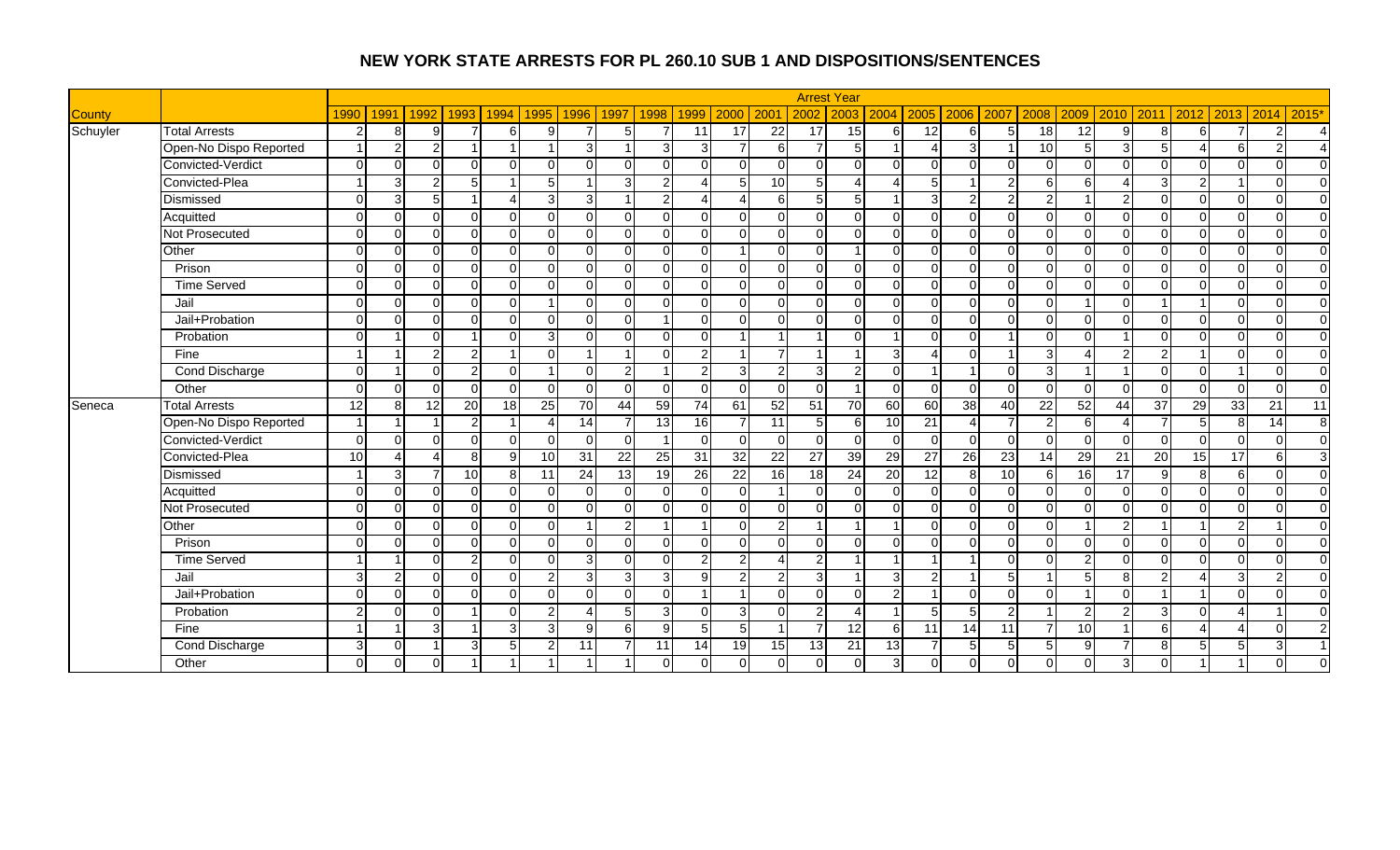|               |                        |                |               |                 |                 |                |                |                |                |                         |                 |                |                  |                 | <b>Arrest Year</b> |                  |                 |                           |      |                |               |                        |                |                        |                |                |                |
|---------------|------------------------|----------------|---------------|-----------------|-----------------|----------------|----------------|----------------|----------------|-------------------------|-----------------|----------------|------------------|-----------------|--------------------|------------------|-----------------|---------------------------|------|----------------|---------------|------------------------|----------------|------------------------|----------------|----------------|----------------|
| <b>County</b> |                        | 1990           | 1991          | 1992            | 1993            | 1994           | 1995           | 1996           | 1997           | 1998                    | 1999            | 2000           | 200              | 2002            | 2003               | 2004             | 2005            | 2006                      | 2007 | 2008           | 2009          | 2010                   | 2011           | 2012                   |                | 2013 2014      | 2015*          |
| Schuyler      | <b>Total Arrests</b>   | $\overline{2}$ | 8             | 9               |                 | $6 \mid$       | 9              | $\overline{7}$ | 5              | $\overline{7}$          | 11              | 17             | 22               | 17              | 15                 | $6 \mid$         | 12              | 6                         | 5    | 18             | 12            | 9                      | 8 <sup>1</sup> | 6                      | $\overline{7}$ | $\overline{2}$ | Δ              |
|               | Open-No Dispo Reported |                | 2             | 21              |                 |                |                | 3              |                | 3                       | 3               |                | 6I               | $\overline{7}$  | $\overline{5}$     |                  | $\Lambda$       | 3                         |      | 10             | 5             | 3                      | 5 <sub>l</sub> |                        | 6              | $\overline{c}$ |                |
|               | Convicted-Verdict      | $\Omega$       | $\Omega$      | $\Omega$        | $\Omega$        | $\Omega$       | $\Omega$       |                | $\Omega$       | $\Omega$                | $\Omega$        | $\Omega$       | $\Omega$         | $\Omega$        | $\Omega$           | $\Omega$         |                 | $\Omega$                  |      | $\Omega$       | $\Omega$      | $\Omega$               | $\Omega$       | $\Omega$               | $\overline{0}$ | $\Omega$       | $\Omega$       |
|               | Convicted-Plea         |                | 3             | 21              | $5\overline{)}$ |                | 5              |                | $\mathcal{E}$  | $\overline{2}$          |                 | 5              | 10               | 5 <sub>l</sub>  | $\Delta$           | $\Delta$         |                 |                           |      | 6              | 6             | $\boldsymbol{\Lambda}$ | $\overline{3}$ | $\overline{2}$         |                | $\Omega$       | $\Omega$       |
|               | Dismissed              | $\Omega$       | 3             | 5 <sup>1</sup>  |                 | $\overline{A}$ | 3              | $\overline{3}$ | -1             | $\overline{2}$          | Δ               |                | $6 \overline{6}$ | 5 <sub>l</sub>  | 5 <sub>l</sub>     |                  | 3               | $\overline{2}$            |      | $\overline{2}$ |               | $\mathcal{P}$          | $\Omega$       | $\overline{0}$         | $\Omega$       | $\Omega$       | $\Omega$       |
|               | Acquitted              | $\Omega$       | $\Omega$      | ΩI              | $\Omega$        | $\Omega$       | $\Omega$       | $\Omega$       | $\Omega$       | $\Omega$                | ΩI              | $\Omega$       | $\Omega$         | $\overline{0}$  | $\Omega$           | $\overline{0}$   | $\Omega$        | $\Omega$                  | ∩    | $\Omega$       | $\Omega$      | $\Omega$               | $\Omega$       | $\Omega$               | $\overline{0}$ | $\Omega$       | $\Omega$       |
|               | Not Prosecuted         | $\Omega$       | $\Omega$      | ΩI              | $\Omega$        | $\Omega$       | $\Omega$       | $\Omega$       | $\Omega$       | $\Omega$                | $\Omega$        | $\Omega$       | $\Omega$         | $\Omega$        | $\Omega$           | $\Omega$         | $\Omega$        | $\Omega$                  |      | $\Omega$       | $\Omega$      | $\Omega$               | $\Omega$       | $\Omega$               | $\Omega$       | $\Omega$       | $\Omega$       |
|               | Other                  | $\Omega$       | $\Omega$      | $\Omega$        | $\Omega$        | $\Omega$       | $\Omega$       |                | $\Omega$       | $\Omega$                | $\Omega$        |                | $\Omega$         | $\Omega$        |                    | $\Omega$         | $\Omega$        | $\Omega$                  |      | $\Omega$       | $\Omega$      | $\Omega$               | $\Omega$       | $\Omega$               | $\Omega$       | $\Omega$       | $\Omega$       |
|               | Prison                 | $\Omega$       | $\Omega$      | ΩI              | $\Omega$        | $\Omega$       | $\Omega$       | $\Omega$       | $\Omega$       | $\Omega$                | $\Omega$        | $\Omega$       | $\Omega$         | $\Omega$        | $\Omega$           | $\overline{0}$   | $\Omega$        | $\Omega$                  |      | $\mathbf 0$    | $\Omega$      | $\Omega$               | $\Omega$       | $\mathbf 0$            | $\Omega$       | $\Omega$       | $\Omega$       |
|               | <b>Time Served</b>     | $\Omega$       | $\Omega$      | ΩI              | $\Omega$        | $\Omega$       | $\Omega$       | U              | $\Omega$       | $\Omega$                | $\Omega$        | $\Omega$       | $\Omega$         | $\Omega$        | $\Omega$           | $\overline{0}$   | $\Omega$        | ∩                         |      | $\Omega$       | $\Omega$      | $\Omega$               | $\Omega$       | $\Omega$               | $\Omega$       | $\Omega$       | $\Omega$       |
|               | Jail                   | $\Omega$       | $\Omega$      | ΩI              | $\Omega$        | $\Omega$       | 1              | $\Omega$       | $\Omega$       | $\Omega$                | ΩI              | $\Omega$       | $\overline{0}$   | $\overline{0}$  | $\overline{0}$     | $\overline{0}$   | $\Omega$        | $\Omega$                  |      | $\Omega$       |               | $\Omega$               |                | $\overline{1}$         | $\overline{0}$ | $\mathbf{0}$   | $\overline{0}$ |
|               | Jail+Probation         | $\Omega$       | $\Omega$      | ΩI              | $\Omega$        | $\Omega$       | $\Omega$       | $\Omega$       | $\Omega$       | $\overline{\mathbf{A}}$ | $\Omega$        | $\Omega$       | $\Omega$         | $\Omega$        | $\Omega$           | $\Omega$         | $\Omega$        | $\Omega$                  |      | $\Omega$       | $\Omega$      | $\Omega$               | $\Omega$       | $\Omega$               | $\Omega$       | $\Omega$       | $\Omega$       |
|               | Probation              | $\Omega$       |               | $\Omega$        |                 | $\Omega$       | 3              |                | $\Omega$       | $\Omega$                | $\Omega$        |                |                  |                 | $\Omega$           |                  |                 | $\Omega$                  |      | $\Omega$       | $\Omega$      |                        | ΩI             | $\Omega$               | $\Omega$       | $\Omega$       | $\overline{0}$ |
|               | Fine                   |                |               | $\overline{2}$  | $\overline{2}$  |                | $\Omega$       |                |                | $\Omega$                | $\mathcal{P}$   |                | $\overline{7}$   | -1              |                    | 3 <sup>l</sup>   |                 | $\Omega$                  |      | 3              |               | $\mathcal{P}$          | $\overline{2}$ |                        | $\Omega$       | $\Omega$       | $\Omega$       |
|               | <b>Cond Discharge</b>  | $\Omega$       |               | ΩI              | 2 <sub>1</sub>  | $\Omega$       |                | U              | $\mathbf{2}$   | 1                       | $\overline{2}$  | $\overline{3}$ | $\overline{2}$   | $\mathbf{3}$    | $\overline{2}$     | $\overline{0}$   |                 | $\overline{\mathbf{1}}$   |      | سا             |               |                        | $\Omega$       | $\Omega$               |                | $\Omega$       | $\overline{0}$ |
|               | Other                  | $\Omega$       | $\Omega$      | $\Omega$        | $\Omega$        | $\Omega$       | $\Omega$       | $\Omega$       | $\Omega$       | $\overline{0}$          | $\Omega$        | $\Omega$       | $\overline{0}$   | $\overline{0}$  |                    | $\overline{0}$   | $\Omega$        | $\Omega$                  |      | $\Omega$       | $\Omega$      | $\Omega$               | $\Omega$       | $\Omega$               | $\overline{0}$ | $\Omega$       | $\overline{0}$ |
| Seneca        | <b>Total Arrests</b>   | 12             | 8             | 12 <sup>1</sup> | 20              | 18             | 25             | 70             | 44             | 59                      | 74              | 61             | 52               | $\overline{51}$ | 70                 | 60               | 60              | 38                        | 40   | 22             | 52            | 44                     | 37             | $\overline{29}$        | 33             | 21             | 11             |
|               | Open-No Dispo Reported |                |               |                 | $\overline{2}$  |                | Δ              | 14             | 7              | $\overline{13}$         | $\overline{16}$ |                | 11               | 5 <sub>l</sub>  | 6                  | 10               | $\overline{21}$ | $\boldsymbol{\varLambda}$ |      | $\mathcal{P}$  | 6             |                        |                | 5                      | 8              | 14             | 8 <sup>1</sup> |
|               | Convicted-Verdict      | $\Omega$       | $\Omega$      | $\Omega$        | $\mathbf 0$     | $\Omega$       | $\Omega$       | $\Omega$       | $\Omega$       | $\overline{1}$          | $\Omega$        | $\Omega$       | $\overline{0}$   | $\overline{0}$  | $\Omega$           | $\overline{0}$   | $\Omega$        | $\Omega$                  |      | $\Omega$       | $\Omega$      | $\Omega$               | $\Omega$       | $\overline{0}$         | $\overline{0}$ | $\Omega$       | $\overline{0}$ |
|               | Convicted-Plea         | 10             | Δ             | Δ               | 8 <sup>1</sup>  | 9              | 10             | 31             | 22             | 25                      | $\overline{31}$ | 32             | 22               | 27              | 39                 | 29               | $\overline{27}$ | $\overline{26}$           | 23   | 14             | 29            | 21                     | 20             | 15                     | 17             | 6              | 3 <sup>l</sup> |
|               | Dismissed              |                | 3             |                 | 10              | 8              | 11             | 24             | 13             | 19                      | 26              | 22             | 16               | 18              | 24                 | 20               | 12              | 8                         | 10   | 6              | 16            | 17                     | $\mathbf{9}$   | 8 <sup>1</sup>         | $6 \mid$       | $\Omega$       | $\Omega$       |
|               | Acquitted              | $\Omega$       | $\Omega$      | ΩI              | $\overline{0}$  | $\Omega$       | $\Omega$       | 0              | $\Omega$       | $\overline{0}$          | $\Omega$        | $\Omega$       | $\mathbf{1}$     | $\overline{0}$  | $\Omega$           | $\overline{0}$   | $\Omega$        | $\Omega$                  |      | $\Omega$       | $\Omega$      | $\Omega$               | $\overline{0}$ | $\overline{0}$         | οI             | $\Omega$       | $\Omega$       |
|               | Not Prosecuted         | $\Omega$       | $\Omega$      | $\Omega$        | $\Omega$        | $\Omega$       | $\Omega$       | $\Omega$       | $\Omega$       | $\Omega$                | $\Omega$        | $\Omega$       | $\Omega$         | $\overline{0}$  | $\Omega$           | $\Omega$         | $\Omega$        | $\Omega$                  |      | $\Omega$       | $\Omega$      | $\Omega$               | $\Omega$       | $\Omega$               | $\Omega$       | $\Omega$       | $\overline{0}$ |
|               | Other                  | $\Omega$       | $\Omega$      | $\Omega$        | $\Omega$        | $\Omega$       | $\Omega$       |                | $\overline{2}$ |                         |                 | $\Omega$       | $\overline{2}$   |                 |                    |                  |                 | $\Omega$                  |      | $\Omega$       |               | $\overline{2}$         |                |                        | $\overline{2}$ |                | $\overline{0}$ |
|               | Prison                 | $\Omega$       | $\Omega$      | ΩI              | $\Omega$        | $\Omega$       | $\Omega$       | U              | $\Omega$       | $\Omega$                | $\Omega$        | $\Omega$       | $\Omega$         | $\Omega$        | $\Omega$           | $\Omega$         | $\Omega$        | $\Omega$                  |      | $\Omega$       | $\Omega$      | $\Omega$               | $\Omega$       | $\Omega$               | $\Omega$       | $\Omega$       | $\Omega$       |
|               | <b>Time Served</b>     |                |               | ΩI              | 2 <sub>l</sub>  | $\Omega$       | $\Omega$       | $\overline{3}$ | $\Omega$       | $\Omega$                | $\overline{2}$  | $\overline{2}$ | $\overline{4}$   | $\overline{2}$  |                    |                  |                 |                           |      | $\Omega$       | $\mathcal{P}$ | $\Omega$               | $\Omega$       | $\Omega$               | $\overline{0}$ | $\Omega$       | $\Omega$       |
|               | Jail                   | $\overline{3}$ | $\mathcal{P}$ | ΩI              | $\Omega$        | $\Omega$       | $\overline{2}$ | $\overline{3}$ | $\overline{3}$ | 3                       | 91              | $\overline{2}$ | $\overline{2}$   | $\mathbf{3}$    |                    | $\mathbf{3}$     | $\mathfrak{p}$  |                           |      |                | 5             | 8                      | $\overline{2}$ | $\boldsymbol{\Lambda}$ | 3 <sup>l</sup> | $\overline{2}$ | $\Omega$       |
|               | Jail+Probation         | $\Omega$       | $\Omega$      | ΩI              | $\Omega$        | $\Omega$       | $\Omega$       | $\Omega$       | $\Omega$       | $\Omega$                |                 |                | $\Omega$         | $\Omega$        | $\Omega$           | $\overline{2}$   |                 | $\Omega$                  |      | $\Omega$       |               | $\Omega$               |                |                        | $\Omega$       | $\Omega$       | $\Omega$       |
|               | Probation              | $\mathfrak{p}$ | $\Omega$      | $\Omega$        |                 | $\Omega$       | $\overline{2}$ |                | 5              | 3                       | $\Omega$        |                | $\Omega$         | $\overline{2}$  |                    |                  |                 |                           |      |                | っ             | $\mathcal{P}$          | 3              | $\Omega$               | 4              |                | $\Omega$       |
|               | Fine                   |                |               | зI              |                 | 3 <sup>1</sup> | 3              | 9              | 6 <sup>1</sup> | $\overline{9}$          | 5               | 5 <sub>l</sub> | $\overline{1}$   | $\overline{7}$  | $\overline{12}$    | $6 \overline{6}$ | 11              | 14                        | 11   | $\overline{7}$ | 10            |                        | $6 \mid$       | $\Delta$               | 4              | $\Omega$       | $\overline{2}$ |
|               | Cond Discharge         | 3              | $\Omega$      |                 | 3               | 5 <sub>l</sub> | $\overline{2}$ | 11             | $\overline{7}$ | 11                      | 14              | 19             | 15               | 13              | 21                 | 13               | $\overline{ }$  | 5                         |      | 5              | 9             | 7                      | 8 <sup>1</sup> | 5                      | 5 <sup>1</sup> | 3              | $\overline{1}$ |
|               | Other                  | $\Omega$       | $\Omega$      | $\Omega$        |                 |                |                |                |                | $\Omega$                | $\Omega$        | $\Omega$       | $\overline{0}$   | $\overline{0}$  | $\overline{0}$     | 3 <sup>l</sup>   |                 | $\Omega$                  |      | $\mathbf 0$    | $\Omega$      | 3                      | $\Omega$       |                        |                | $\Omega$       | $\Omega$       |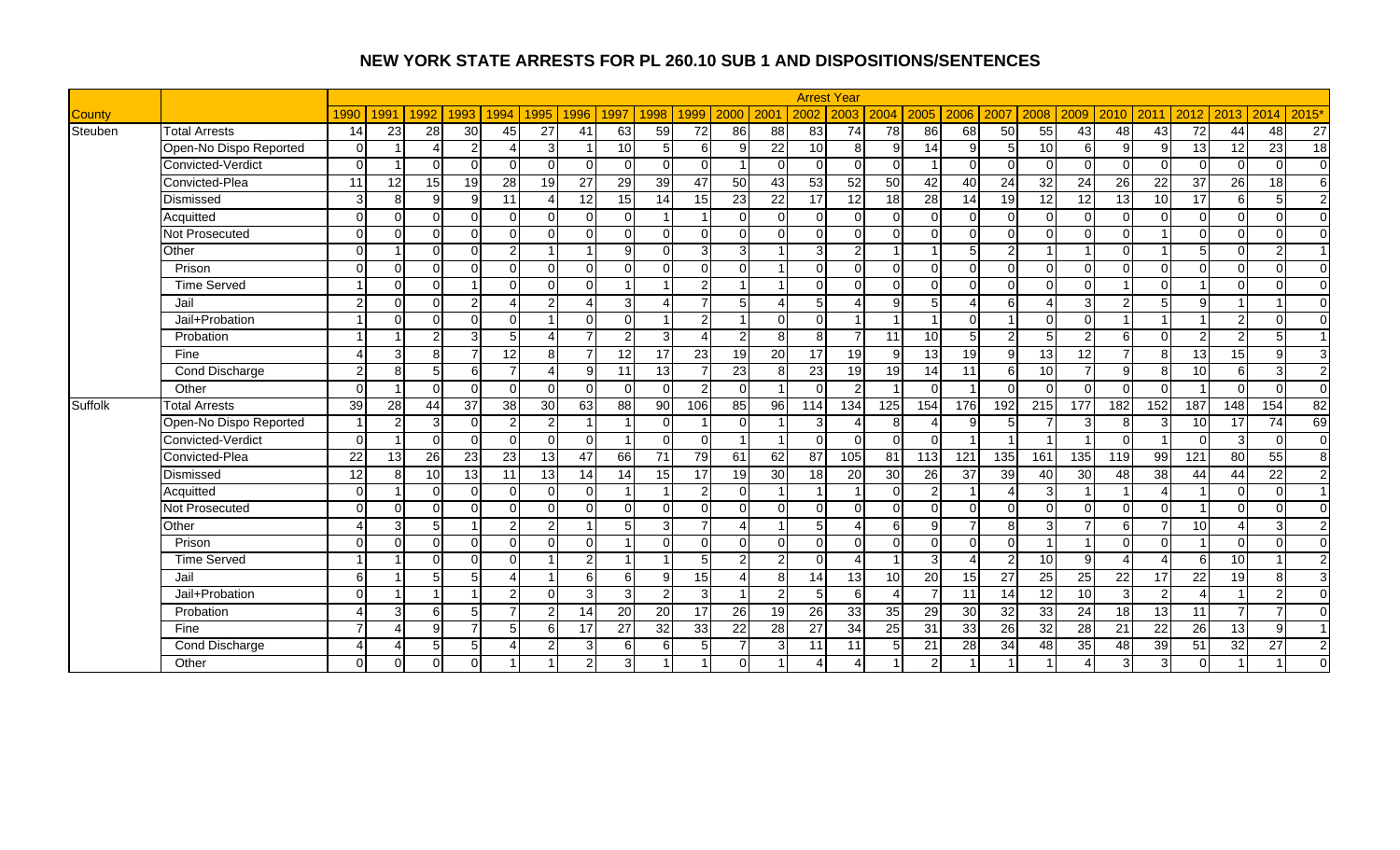|               |                        |                        |                 |                 |                |                |                          |                 |                |                         |               |                |                |                 | <b>Arrest Year</b> |                       |                 |          |                 |                          |                |                |                |                          |                          |                |                |
|---------------|------------------------|------------------------|-----------------|-----------------|----------------|----------------|--------------------------|-----------------|----------------|-------------------------|---------------|----------------|----------------|-----------------|--------------------|-----------------------|-----------------|----------|-----------------|--------------------------|----------------|----------------|----------------|--------------------------|--------------------------|----------------|----------------|
| <b>County</b> |                        | 1990                   | 1991            | 1992            | 1993           | 1994           | 1995                     | 1996            | 1997           | 1998                    | 1999          | 2000           | 200            | 2002            | 2003               | 2004                  | 2005            | 2006     | 2007            | 2008                     | 2009           | 2010           | 2011           | 2012                     | 2013                     | 2014           | 2015'          |
| Steuben       | <b>Total Arrests</b>   | 14                     | 23              | 28              | 30             | 45             | 27                       | 41              | 63             | 59                      | 72            | 86             | 88             | 83              | 74                 | 78                    | 86              | 68       | 50              | 55                       | 43             | 48             | 43             | $\overline{72}$          | 44                       | 48             | 27             |
|               | Open-No Dispo Reported | $\Omega$               |                 |                 | $\overline{2}$ | Δ              | 3                        |                 | 10             | 5 <sup>1</sup>          | 6             | 9              | 22             | 10              | 8                  | $\overline{9}$        | 14              | 9        |                 | 10                       | 6              | 9              | g              | 13                       | 12                       | 23             | 18             |
|               | Convicted-Verdict      | $\Omega$               |                 | $\Omega$        | $\Omega$       | $\Omega$       | $\Omega$                 |                 | $\Omega$       | $\Omega$                | $\Omega$      |                | $\Omega$       | $\Omega$        | $\Omega$           | $\Omega$              |                 | $\Omega$ |                 | $\Omega$                 | ∩              | $\Omega$       | $\Omega$       | $\Omega$                 | $\Omega$                 | $\Omega$       | $\overline{0}$ |
|               | Convicted-Plea         | 11                     | 12              | 15 <sup>1</sup> | 19             | 28             | 19                       | $\overline{27}$ | 29             | 39                      | 47            | 50             | 43             | 53              | 52                 | 50                    | 42              | 40       | $\overline{24}$ | 32                       | 24             | 26             | 22             | 37                       | 26                       | 18             | 6              |
|               | Dismissed              | 3                      | 8               | $\mathbf{Q}$    | $\overline{9}$ | 11             | $\boldsymbol{\varDelta}$ | 12              | 15             | 14                      | 15            | 23             | 22             | 17              | 12                 | 18                    | 28              | 14       | 19              | 12                       | 12             | 13             | 10             | 17                       | $6 \mid$                 | 5              | $\overline{2}$ |
|               | Acquitted              | $\Omega$               | $\Omega$        | ΩI              | $\Omega$       | $\Omega$       | $\Omega$                 | $\Omega$        | $\Omega$       |                         |               | $\Omega$       | $\Omega$       | $\Omega$        | $\Omega$           | $\Omega$              | $\Omega$        | $\Omega$ |                 | $\Omega$                 |                | $\Omega$       | $\Omega$       | $\overline{0}$           | $\Omega$                 | $\Omega$       | $\overline{0}$ |
|               | Not Prosecuted         | $\Omega$               | $\Omega$        | $\Omega$        | $\Omega$       | $\Omega$       | $\Omega$                 | $\Omega$        | $\Omega$       | $\Omega$                | $\Omega$      | $\Omega$       | $\Omega$       | $\Omega$        | $\Omega$           | $\Omega$              | $\Omega$        | $\Omega$ | U               | $\Omega$                 | ∩              | $\Omega$       |                | $\Omega$                 | $\Omega$                 | $\Omega$       | $\Omega$       |
|               | Other                  | $\Omega$               |                 | $\Omega$        | $\Omega$       | $\mathfrak{p}$ |                          |                 | 9              | $\Omega$                | 3             |                |                | 3               | $\overline{2}$     |                       |                 | 5        |                 |                          |                | $\Omega$       |                | 5                        | $\Omega$                 | $\overline{2}$ | $\overline{1}$ |
|               | Prison                 | $\Omega$               | $\Omega$        | $\Omega$        | $\Omega$       | $\Omega$       | $\Omega$                 | $\Omega$        | $\Omega$       | $\Omega$                | $\Omega$      | $\Omega$       |                | $\Omega$        | ΩI                 | $\Omega$              | $\Omega$        | $\Omega$ | $\Omega$        | $\Omega$                 | $\Omega$       | $\Omega$       | $\cap$         | $\mathbf 0$              | $\Omega$                 | $\Omega$       | $\Omega$       |
|               | <b>Time Served</b>     |                        | $\Omega$        | $\Omega$        |                | $\Omega$       | $\Omega$                 | $\Omega$        | $\overline{ }$ |                         | $\mathcal{P}$ |                |                | $\Omega$        | ΩI                 | $\Omega$              | $\Omega$        | $\Omega$ | $\Omega$        | $\Omega$                 | $\Omega$       |                | $\Omega$       |                          | $\Omega$                 | $\Omega$       | $\overline{0}$ |
|               | Jail                   | $\mathfrak{p}$         | $\Omega$        | $\Omega$        | $\overline{2}$ | 4              | 2                        | 4               | 3              | Δ                       |               | 5              | Δ              | 5               |                    | $\overline{9}$        | 5               | 4        | 6               | $\boldsymbol{\varDelta}$ | 3              | $\mathfrak{p}$ | 5 <sup>1</sup> | 9                        |                          |                | $\overline{0}$ |
|               | Jail+Probation         |                        | $\Omega$        | $\Omega$        | $\Omega$       | $\Omega$       |                          | $\Omega$        | $\Omega$       |                         | $\mathcal{P}$ |                | $\Omega$       | $\Omega$        |                    |                       |                 | $\Omega$ |                 | $\Omega$                 | U              |                |                |                          | $\overline{2}$           | $\Omega$       | $\mathbf 0$    |
|               | Probation              |                        |                 | $\mathcal{D}$   | $\overline{3}$ | 5              |                          |                 | $\overline{2}$ | 3                       |               | $\mathfrak{p}$ | 8              | 8               | $\overline{ }$     | 11                    | 10              | 5        |                 |                          | ົ              | 6              | $\Omega$       | $\overline{2}$           | $\overline{2}$           | 5              | $\overline{1}$ |
|               | Fine                   |                        | 3               | 8               | $\overline{7}$ | 12             | 8                        |                 | 12             | 17                      | 23            | 19             | 20             | $\overline{17}$ | 19                 | 9                     | 13              | 19       | q               | 13                       | 12             | 7              | 8              | 13                       | 15                       | 9              | دی             |
|               | <b>Cond Discharge</b>  | $\overline{2}$         | 8               | 5 <sup>1</sup>  | 6              | 7 <sup>1</sup> | $\boldsymbol{\Lambda}$   | 9               | 11             | $\overline{13}$         |               | 23             | 8 <sup>1</sup> | $\overline{23}$ | 19                 | 19                    | 14              | 11       | 6               | 10                       | $\overline{ }$ | 9              | 8              | 10                       | $6 \overline{6}$         | 3              | $\overline{2}$ |
|               | Other                  | $\Omega$               |                 | $\Omega$        | $\Omega$       | $\Omega$       | $\Omega$                 | $\Omega$        | $\Omega$       | $\Omega$                | 2             | $\Omega$       | -1             | $\Omega$        | 2                  |                       | $\Omega$        |          |                 | $\Omega$                 | $\cap$         | $\Omega$       | $\Omega$       |                          | $\Omega$                 | $\Omega$       | $\overline{0}$ |
| Suffolk       | <b>Total Arrests</b>   | 39                     | 28              | 44              | 37             | 38             | 30                       | 63              | 88             | $\overline{90}$         | 106           | 85             | 96             | 114             | 134                | 125                   | 154             | 176      | 192             | $\boxed{215}$            | 177            | 182            | 152            | 187                      | 148                      | 154            | 82             |
|               | Open-No Dispo Reported |                        | 2               | 3               | $\overline{0}$ | $\overline{2}$ | 2                        |                 | 1              | $\Omega$                |               | $\Omega$       |                | 3               |                    | 8                     | $\overline{4}$  | 9        |                 |                          | C              | 8              | З              | 10                       | 17                       | 74             | 69             |
|               | Convicted-Verdict      | $\Omega$               |                 | U               | $\Omega$       | $\Omega$       | $\Omega$                 | ΩI              |                | $\Omega$                | $\Omega$      |                |                | $\Omega$        | $\Omega$           | $\overline{0}$        | $\Omega$        |          |                 |                          |                | $\Omega$       |                | $\overline{0}$           | 3                        | $\Omega$       | $\overline{0}$ |
|               | Convicted-Plea         | 22                     | $\overline{13}$ | 26              | 23             | 23             | 13                       | 47              | 66             | 71                      | 79            | 61             | 62             | 87              | 105                | 81                    | 113             | 121      | 135             | 161                      | 135            | 119            | 99             | 121                      | 80                       | 55             | $\infty$       |
|               | Dismissed              | 12                     | 8               | 10              | 13             | 11             | 13                       | 14              | 14             | 15                      | 17            | 19             | 30             | 18              | $\overline{20}$    | 30                    | 26              | 37       | 39              | 40                       | 30             | 48             | 38             | 44                       | 44                       | 22             | $\overline{2}$ |
|               | Acquitted              | $\Omega$               |                 | $\Omega$        | $\overline{0}$ | $\Omega$       | $\Omega$                 | $\Omega$        | -1             | -1                      | 2             | $\Omega$       |                |                 |                    | $\overline{0}$        | $\overline{2}$  |          |                 | 3                        |                |                |                |                          | $\Omega$                 | $\mathbf 0$    | $\overline{1}$ |
|               | Not Prosecuted         | $\Omega$               | $\Omega$        | $\Omega$        | $\Omega$       | $\Omega$       | $\Omega$                 | $\Omega$        | $\Omega$       | $\Omega$                | $\Omega$      | $\Omega$       | $\Omega$       | $\Omega$        | $\Omega$           | $\Omega$              | $\Omega$        | $\Omega$ | $\Omega$        | $\Omega$                 | $\Omega$       | $\Omega$       | $\Omega$       |                          | $\Omega$                 | $\Omega$       | $\mathbf 0$    |
|               | Other                  |                        | З               | 5               |                | $\overline{2}$ | 2                        |                 |                | 3                       |               |                |                | 5               |                    | 6                     | 9               |          |                 | 3                        |                | 6              |                | 10                       | $\boldsymbol{\varDelta}$ | 3              | $\overline{2}$ |
|               | Prison                 | $\Omega$               | $\Omega$        | $\Omega$        | $\Omega$       | $\Omega$       | $\Omega$                 | $\Omega$        |                | $\Omega$                | $\Omega$      | $\Omega$       | $\Omega$       | $\Omega$        | $\Omega$           | $\Omega$              | $\Omega$        | $\Omega$ | $\Omega$        | $\overline{1}$           |                | $\Omega$       | $\Omega$       |                          | $\Omega$                 | $\Omega$       | $\Omega$       |
|               | <b>Time Served</b>     |                        |                 | $\Omega$        | $\Omega$       | $\Omega$       |                          | $\overline{2}$  | 1              | $\overline{\mathbf{A}}$ | 5             | $\overline{2}$ | $\overline{2}$ | $\Omega$        | $\overline{A}$     |                       | $\overline{3}$  | 4        | 2               | 10 <sup>1</sup>          | $\mathsf{Q}$   | $\Delta$       |                | 6                        | 10                       |                | $\overline{2}$ |
|               | Jail                   | 6                      |                 | 5               | 5 <sup>5</sup> | 4              |                          | 6               | 6              | 9                       | 15            |                | 8 <sup>1</sup> | 14              | 13                 | 10                    | 20              | 15       | 27              | 25                       | 25             | 22             | 17             | 22                       | 19                       | 8              | 3              |
|               | Jail+Probation         | $\Omega$               |                 |                 |                | 2 <sub>l</sub> | $\Omega$                 | $\overline{3}$  | $\overline{3}$ | $\overline{2}$          | 3             |                | $\mathfrak{p}$ | 5               | 6                  | $\boldsymbol{\Delta}$ | $\overline{7}$  | 11       | 14              | 12                       | 10             | 3              | $\overline{2}$ | $\boldsymbol{\varDelta}$ |                          | 2              | $\Omega$       |
|               | Probation              |                        | 3               | 6               | 5              | $\overline{7}$ | $\overline{2}$           | 14              | 20             | 20                      | 17            | <b>26</b>      | 19             | 26              | 33                 | 35                    | 29              | 30       | 32              | 33                       | 24             | 18             | 13             | 11                       | $\overline{7}$           | $\overline{7}$ | $\Omega$       |
|               | Fine                   |                        | Δ               | q               | $\overline{7}$ | 5              | 6                        | 17              | 27             | 32                      | 33            | 22             | 28             | 27              | $\overline{34}$    | 25                    | $\overline{31}$ | 33       | $\overline{26}$ | 32                       | 28             | 21             | 22             | 26                       | 13                       | 9              | $\overline{1}$ |
|               | Cond Discharge         | $\boldsymbol{\Lambda}$ | Δ               | 5               | 5 <sub>5</sub> | 4              | 2                        | $\overline{3}$  | 6              | 6                       | 5             |                | 3              | 11              | 11                 | 5 <sup>1</sup>        | $\overline{21}$ | 28       | 34              | 48                       | 35             | 48             | 39             | 51                       | 32                       | 27             | $\overline{c}$ |
|               | Other                  | $\Omega$               | $\Omega$        | $\Omega$        | $\Omega$       |                |                          | $\overline{2}$  | 3              |                         |               | $\Omega$       |                |                 |                    |                       | $\overline{2}$  |          |                 |                          |                | 3              | 3              | $\overline{\mathsf{o}}$  |                          |                | $\Omega$       |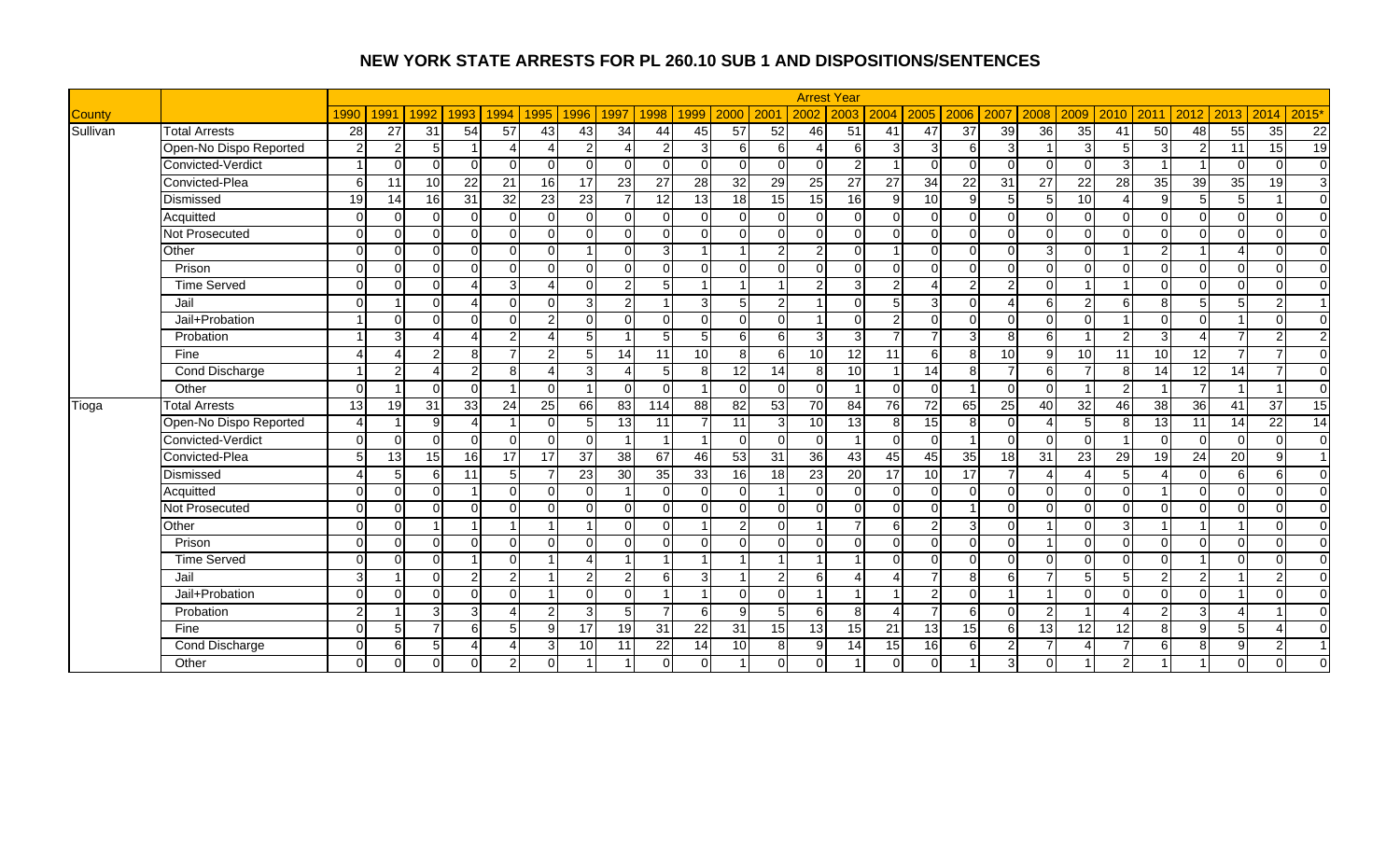|               |                        |                 |                |                 |                          |                |                |                 |                        |                |                |                |                |                 | <b>Arrest Year</b> |                 |                 |                 |                 |                 |                 |                 |                 |                 |                |                 |                |
|---------------|------------------------|-----------------|----------------|-----------------|--------------------------|----------------|----------------|-----------------|------------------------|----------------|----------------|----------------|----------------|-----------------|--------------------|-----------------|-----------------|-----------------|-----------------|-----------------|-----------------|-----------------|-----------------|-----------------|----------------|-----------------|----------------|
| <b>County</b> |                        | 1990            | 1991           | 1992            | 1993                     | 1994           | 1995           | 1996            | 1997                   | 1998           | 1999           | 2000           | 200            | 2002            | 2003               | 2004            | 2005            | 2006            | 2007            | 2008            | 2009            | 2010            | 2011            | 2012            | 2013           | 2014            | 2015'          |
| Sullivan      | <b>Total Arrests</b>   | 28              | 27             | 31              | 54                       | 57             | 43             | 43              | 34                     | 44             | 45             | 57             | 52             | 46              | 51                 | 41              | 47              | $\overline{37}$ | 39              | 36              | 35              | 41              | 50              | 48              | 55             | $\overline{35}$ | 22             |
|               | Open-No Dispo Reported | $\mathcal{P}$   | $\overline{2}$ | 5               |                          | Δ              | Δ              | $\overline{2}$  | Δ                      | $\overline{2}$ | 3              | 6              | 6              | Δ               | 6                  | $\overline{3}$  | $\overline{3}$  | 6               | 3               |                 | 3               | 5               | 3               | $\overline{2}$  | 11             | 15              | 19             |
|               | Convicted-Verdict      |                 | $\Omega$       | $\Omega$        | $\Omega$                 | $\Omega$       | $\Omega$       | $\Omega$        | $\Omega$               | $\Omega$       | $\Omega$       | $\Omega$       | $\Omega$       | $\Omega$        | $\mathcal{P}$      |                 | $\Omega$        | $\Omega$        | $\Omega$        | $\Omega$        | ∩               | 3               |                 |                 | $\Omega$       | $\Omega$        | $\overline{0}$ |
|               | Convicted-Plea         | 6               | 11             | 10 <sup>1</sup> | 22                       | 21             | 16             | 17              | 23                     | 27             | 28             | 32             | 29             | 25              | 27                 | $\overline{27}$ | 34              | $\overline{22}$ | $\overline{31}$ | $\overline{27}$ | 22              | 28              | $\overline{35}$ | 39              | 35             | 19              | $\mathbf{3}$   |
|               | Dismissed              | 19              | 14             | 16              | 31                       | 32             | 23             | 23              | $\overline{7}$         | 12             | 13             | 18             | 15             | 15              | <b>16</b>          | 9               | 10              | 9               |                 | 5               | 10              |                 | $\mathbf{Q}$    | 5               | 5 <sub>l</sub> | 1               | $\overline{0}$ |
|               | Acquitted              | $\Omega$        | $\Omega$       | $\Omega$        | $\Omega$                 | $\Omega$       | $\Omega$       | $\Omega$        | $\Omega$               | $\Omega$       | $\Omega$       | $\Omega$       | $\Omega$       | $\Omega$        | $\Omega$           | $\Omega$        | $\Omega$        | $\Omega$        | $\Omega$        | $\Omega$        | $\Omega$        | $\Omega$        | $\Omega$        | $\Omega$        | $\Omega$       | $\Omega$        | $\overline{0}$ |
|               | Not Prosecuted         | $\Omega$        | $\Omega$       | $\Omega$        | $\Omega$                 | $\Omega$       | $\Omega$       | $\Omega$        | $\Omega$               | $\Omega$       | $\Omega$       | $\Omega$       | $\Omega$       | $\Omega$        | $\Omega$           | $\Omega$        | $\Omega$        | $\Omega$        | $\Omega$        | $\Omega$        | $\Omega$        | $\Omega$        | $\Omega$        | $\Omega$        | $\Omega$       | $\Omega$        | $\Omega$       |
|               | Other                  | $\Omega$        | $\Omega$       | $\Omega$        | $\Omega$                 | $\Omega$       | $\Omega$       |                 | $\Omega$               | $\overline{3}$ |                |                | $\mathcal{P}$  | 2               | $\Omega$           |                 | $\Omega$        | $\Omega$        | $\cap$          | 3               |                 |                 | o               |                 | $\Delta$       | $\Omega$        | $\Omega$       |
|               | Prison                 | $\Omega$        | $\Omega$       | $\cap$          | $\overline{0}$           | $\Omega$       | $\Omega$       | $\Omega$        | $\Omega$               | $\Omega$       | $\cap$         | $\Omega$       | $\Omega$       | $\Omega$        | $\Omega$           | $\Omega$        | $\Omega$        | $\Omega$        | $\Omega$        | $\Omega$        | ∩               | $\Omega$        | $\Omega$        | $\mathbf 0$     | $\Omega$       | $\Omega$        | $\Omega$       |
|               | <b>Time Served</b>     | $\Omega$        | $\Omega$       | $\cap$          | $\boldsymbol{\varDelta}$ | 3              | $\Delta$       | $\Omega$        | $\overline{2}$         | 5 <sub>1</sub> | $\overline{ }$ |                |                | $\overline{2}$  | 3                  | $\overline{2}$  | $\Delta$        | $\overline{c}$  | $\mathfrak{p}$  | $\Omega$        |                 |                 | $\Omega$        | $\mathbf 0$     | $\Omega$       | $\Omega$        | $\overline{0}$ |
|               | Jail                   | $\Omega$        |                | $\cap$          | $\Delta$                 | $\Omega$       | $\Omega$       | $\overline{3}$  | $\overline{2}$         |                | 3              | 5 <sub>l</sub> | 2              | -1              | $\Omega$           | 5 <sup>1</sup>  | 3 <sup>l</sup>  | $\Omega$        | $\Delta$        | 6               | $\mathcal{P}$   | 6               | 8               | 5               | 5 <sub>l</sub> | $\overline{2}$  | $\overline{1}$ |
|               | Jail+Probation         |                 | $\Omega$       | $\Omega$        | $\Omega$                 | $\Omega$       | $\overline{2}$ | $\Omega$        | $\Omega$               | $\Omega$       | $\cap$         | $\Omega$       | $\Omega$       |                 | $\Omega$           | $\mathfrak{p}$  | $\Omega$        | $\Omega$        | $\Omega$        | $\Omega$        | ∩               |                 | $\Omega$        | $\Omega$        |                | $\Omega$        | $\mathbf 0$    |
|               | Probation              |                 | 3              |                 | $\Lambda$                | $\mathfrak{p}$ | $\Lambda$      | 5               |                        | 5              | 5              | 6              | 6              | 3               | 3                  |                 | $\overline{7}$  | 3               | 8               | 6               |                 | 2               | વ               |                 | $\overline{7}$ | $\overline{2}$  | $\overline{2}$ |
|               | Fine                   |                 |                | 2               | 8 <sup>1</sup>           | 7              | 2              | 5 <sub>l</sub>  | 14                     | 11             | 10             | 8 <sup>1</sup> | 6 <sup>1</sup> | 10              | 12                 | 11              | 6               | 8               | 10              | 9               | 10              | $\overline{11}$ | 10              | $\overline{12}$ | $\overline{7}$ | 7               | $\overline{0}$ |
|               | <b>Cond Discharge</b>  |                 | $\mathcal{P}$  |                 | $\overline{2}$           | 8              | $\Delta$       | $\overline{3}$  | $\boldsymbol{\Lambda}$ | 5 <sub>l</sub> | -8             | 12             | 14             | 8               | 10                 |                 | $\overline{14}$ | 8               | $\overline{ }$  | $6 \mid$        | $\overline{ }$  | 8               | 14              | 12              | 14             | 7               | $\overline{0}$ |
|               | Other                  | $\Omega$        |                | $\Omega$        | $\overline{0}$           |                | $\Omega$       |                 | $\Omega$               | $\Omega$       | - 1            | $\Omega$       | $\Omega$       | $\Omega$        | -1                 | $\Omega$        | $\Omega$        | -1              | $\Omega$        | $\Omega$        |                 | $\mathcal{P}$   |                 | $\overline{7}$  |                |                 | $\overline{0}$ |
| Tioga         | <b>Total Arrests</b>   | $\overline{13}$ | 19             | 31              | 33                       | 24             | 25             | 66              | 83                     | 114            | 88             | 82             | 53             | 70              | 84                 | 76              | 72              | 65              | 25              | 40              | 32              | 46              | $\overline{38}$ | 36              | 41             | 37              | 15             |
|               | Open-No Dispo Reported |                 |                | q               | Δ                        |                | $\Omega$       | 5 <sub>l</sub>  | 13                     | 11             |                | 11             | 3              | 10 <sup>1</sup> | 13                 | 8               | $\overline{15}$ | 8               | $\Omega$        | Δ               |                 | 8               | $\overline{13}$ | 11              | 14             | $\overline{22}$ | 14             |
|               | Convicted-Verdict      | $\Omega$        | $\Omega$       | $\Omega$        | $\Omega$                 | $\Omega$       | $\Omega$       | <sup>0</sup>    |                        |                | - 1            | $\Omega$       | $\Omega$       | $\mathbf 0$     |                    | $\Omega$        | $\overline{0}$  |                 | $\Omega$        | $\Omega$        | ∩               |                 | $\Omega$        | $\mathbf 0$     | $\Omega$       | $\Omega$        | $\overline{0}$ |
|               | Convicted-Plea         | $5 \frac{1}{2}$ | 13             | 15              | 16                       | 17             | 17             | 37              | 38                     | 67             | 46             | 53             | 31             | 36              | 43                 | 45              | 45              | 35              | 18              | 31              | $\overline{23}$ | 29              | 19              | $\overline{24}$ | 20             | 9               | $\overline{1}$ |
|               | Dismissed              |                 | 5              | 6               | 11                       | 5 <sub>l</sub> | $\overline{7}$ | 23              | 30                     | 35             | 33             | 16             | 18             | $\overline{23}$ | $\overline{20}$    | 17              | 10              | 17              |                 | $\overline{A}$  |                 | 5               |                 | $\overline{0}$  | $6 \mid$       | 6               | $\overline{0}$ |
|               | Acquitted              | $\Omega$        | $\Omega$       | $\Omega$        | $\overline{1}$           | $\Omega$       | $\Omega$       | $\Omega$        |                        | $\Omega$       | O              | $\Omega$       |                | $\Omega$        | $\Omega$           | $\Omega$        | $\overline{0}$  | $\mathbf 0$     | $\Omega$        | $\Omega$        | ∩               | $\Omega$        |                 | $\mathbf 0$     | $\Omega$       | $\mathbf 0$     | $\overline{0}$ |
|               | Not Prosecuted         | $\Omega$        | $\Omega$       | $\Omega$        | $\Omega$                 | U              | $\Omega$       | $\Omega$        | $\Omega$               | $\Omega$       | $\cap$         | $\Omega$       | $\Omega$       | $\Omega$        | $\Omega$           | $\Omega$        | $\Omega$        | $\overline{1}$  | $\Omega$        | $\Omega$        | $\Omega$        | $\Omega$        | $\Omega$        | $\mathbf 0$     | $\Omega$       | $\Omega$        | $\overline{0}$ |
|               | Other                  | ∩               | $\Omega$       |                 |                          |                |                |                 | $\Omega$               | U              |                | $\overline{2}$ | $\Omega$       |                 |                    |                 | $\overline{2}$  | 3               | $\Omega$        |                 |                 | 3               |                 |                 |                | $\Omega$        | $\overline{0}$ |
|               | Prison                 | $\Omega$        | $\Omega$       | $\Omega$        | $\Omega$                 | $\Omega$       | $\Omega$       | $\Omega$        | $\Omega$               | $\Omega$       | O              | $\Omega$       | $\Omega$       | $\Omega$        | $\Omega$           | $\Omega$        | $\Omega$        | $\Omega$        | $\Omega$        |                 | ∩               | $\Omega$        | $\Omega$        | $\Omega$        | $\Omega$       | $\Omega$        | $\Omega$       |
|               | <b>Time Served</b>     | $\Omega$        | $\Omega$       | $\Omega$        | $\overline{1}$           | $\Omega$       |                | Δ               |                        | 4              | -1             | $\overline{A}$ | -1             | -1              |                    | $\Omega$        | $\Omega$        | $\Omega$        | $\Omega$        | $\Omega$        | ∩               | $\Omega$        | $\Omega$        |                 | $\Omega$       | $\Omega$        | $\Omega$       |
|               | Jail                   | 3               |                | $\Omega$        | $\overline{2}$           | $\overline{2}$ |                | $\overline{2}$  | $\overline{2}$         | 6              | 3              |                | 2              | 6               |                    |                 | $\overline{7}$  | 8               | 61              | $\overline{7}$  |                 | 5               | $\mathfrak{p}$  | $\overline{2}$  |                | 2               | $\overline{0}$ |
|               | Jail+Probation         | $\Omega$        | $\Omega$       | $\Omega$        | $\Omega$                 | $\Omega$       |                | $\Omega$        | $\Omega$               |                | $\overline{1}$ | $\Omega$       | $\Omega$       | 1               | $\overline{ }$     |                 | $\overline{2}$  | $\Omega$        |                 |                 | U               | $\Omega$        | $\Omega$        | $\Omega$        |                | $\Omega$        | $\Omega$       |
|               | Probation              | $\mathcal{P}$   |                | 3               | $\overline{3}$           | Δ              | $\overline{2}$ | $\overline{3}$  | 5                      | $\overline{7}$ | 6              | $\mathbf{Q}$   | 5              | 6               | $\mathbf{8}$       |                 | $\overline{7}$  | 6               | $\Omega$        | $\mathcal{P}$   |                 |                 | $\mathcal{D}$   | 3               | 4              |                 | $\Omega$       |
|               | Fine                   | $\Omega$        | 5              |                 | 6                        | 5 <sup>1</sup> | 9              | 17              | 19                     | 31             | 22             | 31             | 15             | 13              | 15                 | 21              | 13              | 15              | 61              | 13              | 12              | 12              | 8               | 9               | 5 <sub>l</sub> | Δ               | $\Omega$       |
|               | Cond Discharge         | $\Omega$        | 6              | 5.              | $\boldsymbol{\varDelta}$ | 4              | 3              | 10 <sup>1</sup> | 11                     | 22             | 14             | 10             | 8              | 9               | 14                 | 15              | 16              | 6               | $\mathfrak{p}$  | $\overline{ }$  |                 | $\overline{7}$  | 6 <sup>1</sup>  | 8               | 9              | $\overline{2}$  | $\overline{1}$ |
|               | Other                  | $\Omega$        | $\mathbf{0}$   | $\Omega$        | $\overline{0}$           | $\overline{2}$ | $\Omega$       |                 |                        |                |                |                | $\Omega$       | $\Omega$        |                    | $\Omega$        | $\Omega$        |                 | $\overline{3}$  | $\Omega$        |                 |                 |                 |                 | $\Omega$       | $\Omega$        | $\Omega$       |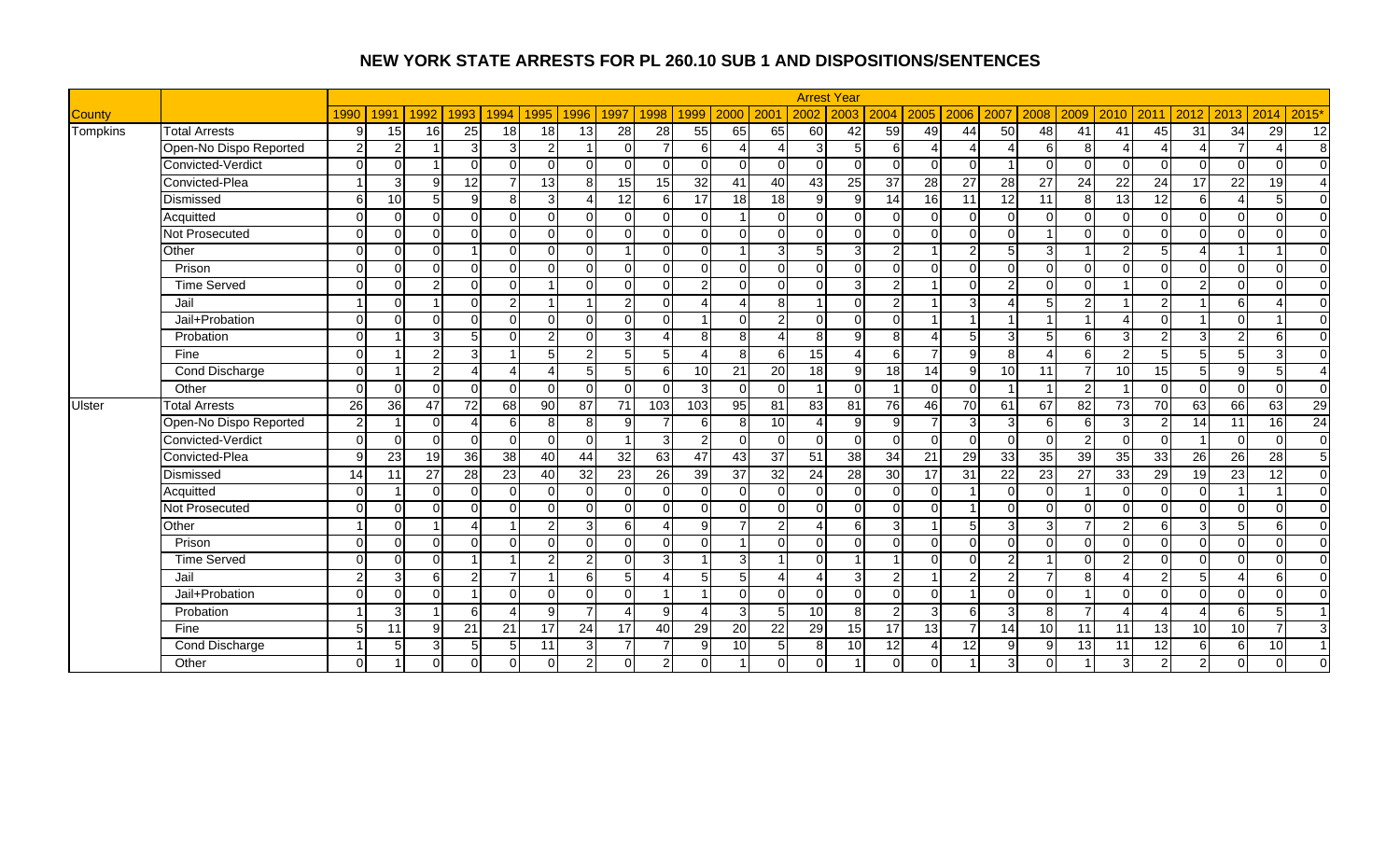|               |                        |                |          |          |                        |                 |                          |                 |                          |                 |                          |                 |                  |                 | <b>Arrest Year</b> |                 |                 |                 |                 |                        |                 |                 |                |                         |                          |                 |                        |
|---------------|------------------------|----------------|----------|----------|------------------------|-----------------|--------------------------|-----------------|--------------------------|-----------------|--------------------------|-----------------|------------------|-----------------|--------------------|-----------------|-----------------|-----------------|-----------------|------------------------|-----------------|-----------------|----------------|-------------------------|--------------------------|-----------------|------------------------|
| <b>County</b> |                        | 1990           | 1991     | 1992     | 1993                   | 1994            | 1995                     | 1996            | 1997                     | 1998            | 1999                     | 2000            | 200 <sup>o</sup> | 2002            | 2003               | 2004            | 2005            | 2006            | 2007            | 2008                   | 2009            | 2010            | 2011           | 2012                    | 2013                     | 2014            | 2015'                  |
| Tompkins      | <b>Total Arrests</b>   | 9              | 15       | 16       | 25                     | 18              | 18                       | 13              | 28                       | 28              | 55                       | 65              | 65               | 60              | 42                 | 59              | 49              | 44              | 50              | 48                     | 41              | 41              | 45             | 31                      | 34                       | 29              | 12                     |
|               | Open-No Dispo Reported | $\mathcal{P}$  | 2        |          | 3                      | $\overline{3}$  | $\overline{2}$           |                 | $\Omega$                 | $\overline{7}$  | 6                        |                 |                  | $\mathcal{S}$   | 5                  | 6               | $\overline{4}$  | 4               | $\Delta$        | 6                      | 8               |                 |                | Δ                       | $\overline{7}$           | Δ               | 8                      |
|               | Convicted-Verdict      | $\Omega$       | $\Omega$ |          | $\Omega$               | $\Omega$        | $\Omega$                 |                 | $\Omega$                 | $\Omega$        | $\Omega$                 | O               | $\Omega$         | $\Omega$        | $\Omega$           | $\Omega$        | $\Omega$        | $\Omega$        |                 | ∩                      |                 | $\Omega$        | $\Omega$       | $\Omega$                | $\Omega$                 | $\Omega$        | $\mathbf{0}$           |
|               | Convicted-Plea         |                | 3        | $\alpha$ | $\overline{12}$        | $\overline{7}$  | $\overline{13}$          | $\mathbf{8}$    | 15                       | 15              | $\overline{32}$          | 41              | 40               | 43              | $\overline{25}$    | $\overline{37}$ | 28              | $\overline{27}$ | $\overline{28}$ | $\overline{27}$        | $\overline{24}$ | $\overline{22}$ | 24             | 17                      | $\overline{22}$          | $\overline{19}$ | $\overline{4}$         |
|               | Dismissed              | 6              | 10       | 5        | g                      | 8 <sup>1</sup>  | 3                        | Λ               | 12                       | 6 <sup>1</sup>  | 17                       | 18              | 18               | $\overline{9}$  | 9                  | 14              | 16              | $\overline{11}$ | 12              | 11                     | 8               | 13              | 12             | $\sigma$                | $\boldsymbol{\varDelta}$ | 5               | $\overline{0}$         |
|               | Acquitted              | $\Omega$       | $\Omega$ | $\Omega$ | $\Omega$               | $\Omega$        | $\Omega$                 | $\Omega$        | $\Omega$                 | $\Omega$        | $\cap$                   |                 | $\Omega$         | $\Omega$        | $\Omega$           | $\Omega$        | $\Omega$        | $\Omega$        | $\Omega$        | $\Omega$               | ∩               | $\Omega$        | $\Omega$       | $\mathbf 0$             | $\Omega$                 | $\Omega$        | $\overline{0}$         |
|               | Not Prosecuted         | $\Omega$       | $\Omega$ | $\Omega$ | $\Omega$               | $\Omega$        | $\Omega$                 | $\Omega$        | $\Omega$                 | $\Omega$        | $\Omega$                 | $\Omega$        | $\Omega$         | $\Omega$        | $\Omega$           | $\Omega$        | $\Omega$        | $\mathbf 0$     | $\Omega$        |                        | ∩               | $\Omega$        | $\Omega$       | $\mathbf 0$             | $\Omega$                 | $\Omega$        | $\overline{0}$         |
|               | Other                  | $\Omega$       | $\Omega$ | $\Omega$ |                        | $\Omega$        | $\Omega$                 | $\Omega$        |                          | $\Omega$        | $\cap$                   |                 | 3                | 5               | 3                  | $\mathfrak{p}$  |                 | $\overline{2}$  |                 | 3                      |                 | $\mathcal{P}$   | д              |                         |                          |                 | $\overline{0}$         |
|               | Prison                 | $\Omega$       | $\Omega$ | $\Omega$ | $\Omega$               | $\Omega$        | $\Omega$                 | $\Omega$        | $\Omega$                 | $\Omega$        | $\Omega$                 | $\Omega$        | $\Omega$         | $\Omega$        | $\Omega$           | $\Omega$        | $\Omega$        | $\Omega$        | $\Omega$        | $\Omega$               | ∩               | $\Omega$        | $\Omega$       | $\Omega$                | $\Omega$                 | $\Omega$        | $\overline{0}$         |
|               | <b>Time Served</b>     | $\Omega$       | $\Omega$ | っ        | $\overline{0}$         | $\Omega$        |                          | $\Omega$        | $\Omega$                 | $\Omega$        | $\overline{2}$           | $\Omega$        | $\Omega$         | $\Omega$        | 3                  | $\overline{2}$  |                 | $\Omega$        | $\mathfrak{p}$  | $\Omega$               | ∩               | $\overline{A}$  | $\Omega$       | $\overline{a}$          | $\Omega$                 | $\Omega$        | $\overline{0}$         |
|               | Jail                   |                | $\Omega$ |          | $\Omega$               | $\mathfrak{p}$  |                          |                 | $\overline{2}$           | ∩               | ⊿                        |                 | 8                |                 | $\Omega$           | $\overline{2}$  |                 | 3               |                 | 5                      |                 |                 | $\mathcal{D}$  |                         | 6                        | Δ               | $\mathbf 0$            |
|               | Jail+Probation         | $\Omega$       | $\Omega$ | $\Omega$ | $\Omega$               | $\Omega$        | $\Omega$                 | $\Omega$        | $\Omega$                 | $\Omega$        | $\overline{ }$           | $\Omega$        | 2                | $\mathbf 0$     | $\Omega$           | $\Omega$        |                 | -1              |                 |                        |                 |                 | $\Omega$       |                         | $\Omega$                 |                 | $\overline{0}$         |
|               | Probation              | $\Omega$       |          | 3        | 5                      | $\Omega$        | $\overline{2}$           | $\Omega$        | 3 <sup>1</sup>           | $\Delta$        | 8                        | 8 <sup>1</sup>  |                  | 8               | 9                  | 8               | $\Delta$        | 5               | $\mathbf{3}$    | 5                      | 6               | 3               | $\mathcal{D}$  | 3                       | $\overline{2}$           | 6               | $\mathbf 0$            |
|               | Fine                   | $\Omega$       |          | 2        | 3                      |                 | 5                        | $\overline{2}$  | $\overline{5}$           | 5 <sub>l</sub>  | Δ                        | 8               | 6                | 15              |                    | 61              |                 | 9               | 8               | $\boldsymbol{\Lambda}$ | 6               | 2               | 5              | 5                       | 5 <sub>l</sub>           | 3               | $\Omega$               |
|               | Cond Discharge         | $\Omega$       |          | 21       | $\boldsymbol{\Lambda}$ | 4               | $\boldsymbol{\varDelta}$ | 5 <sub>l</sub>  | $5\overline{)}$          | 6               | 10                       | 21              | 20               | 18              | 9                  | 18              | $\overline{14}$ | 9               | 10 <sup>1</sup> | 11                     | $\overline{ }$  | 10              | 15             | $\sqrt{5}$              | 9                        | 5               | $\boldsymbol{\Lambda}$ |
|               | Other                  | $\Omega$       | $\Omega$ | $\Omega$ | $\Omega$               | $\Omega$        | $\Omega$                 | $\Omega$        | $\Omega$                 | $\Omega$        | 3                        | $\Omega$        | $\Omega$         | -1              | $\Omega$           |                 | $\Omega$        | $\Omega$        |                 |                        | $\mathcal{P}$   |                 | $\Omega$       | $\Omega$                | $\Omega$                 | $\Omega$        | $\overline{0}$         |
| <b>Ulster</b> | <b>Total Arrests</b>   | 26             | 36       | 47       | 72                     | 68              | 90                       | 87              | 71                       | 103             | 103                      | 95              | 81               | 83              | 81                 | 76              | 46              | 70              | 61              | 67                     | 82              | 73              | 70             | 63                      | 66                       | 63              | 29                     |
|               | Open-No Dispo Reported | $\mathfrak{p}$ |          | $\Omega$ | $\Delta$               | $6 \mid$        | 8                        | 8               | 9                        |                 | 6                        | 8               | 10               |                 | $\mathbf{Q}$       | 9               | $\overline{7}$  | 3               | $\mathbf{3}$    | 6                      | 6               | 3               | 2              | 14                      | 11                       | 16              | 24                     |
|               | Convicted-Verdict      | $\Omega$       | $\Omega$ | $\Omega$ | $\Omega$               | $\Omega$        | $\Omega$                 | $\Omega$        |                          | $\overline{3}$  | 2                        | U               | $\Omega$         | $\Omega$        | $\Omega$           | $\Omega$        | $\Omega$        | $\mathbf 0$     | $\Omega$        | $\Omega$               | $\mathcal{P}$   | $\Omega$        | $\Omega$       |                         | $\Omega$                 | $\Omega$        | $\overline{0}$         |
|               | Convicted-Plea         | Q              | 23       | 19       | 36                     | 38              | 40                       | $\overline{44}$ | 32                       | 63              | 47                       | 43              | 37               | 51              | 38                 | 34              | 21              | 29              | 33              | 35                     | 39              | $\overline{35}$ | 33             | 26                      | 26                       | $\overline{28}$ | $5\overline{)}$        |
|               | Dismissed              | 14             | 11       | 27       | 28                     | $\overline{23}$ | 40                       | 32              | $\overline{23}$          | $\overline{26}$ | 39                       | 37              | $\overline{32}$  | $\overline{24}$ | 28                 | 30              | 17              | $\overline{31}$ | $\overline{22}$ | 23                     | $\overline{27}$ | 33              | 29             | 19                      | $\overline{23}$          | $\overline{12}$ | $\overline{0}$         |
|               | Acquitted              | $\Omega$       |          | $\Omega$ | $\overline{0}$         | $\Omega$        | $\Omega$                 | <sup>0</sup>    | $\mathbf 0$              | $\Omega$        | O                        | $\Omega$        | $\Omega$         | $\Omega$        | $\Omega$           | $\Omega$        | $\Omega$        |                 | $\Omega$        | $\Omega$               |                 | $\Omega$        | $\Omega$       | $\overline{0}$          |                          | -1              | $\overline{0}$         |
|               | Not Prosecuted         | $\Omega$       | $\Omega$ | $\Omega$ | $\Omega$               | U               | $\Omega$                 | $\Omega$        | $\Omega$                 | $\Omega$        | O                        | $\Omega$        | $\Omega$         | $\Omega$        | $\Omega$           | $\Omega$        | $\Omega$        |                 | $\Omega$        | $\Omega$               | ∩               | $\Omega$        | $\Omega$       | $\mathbf 0$             | $\Omega$                 | $\Omega$        | $\mathbf 0$            |
|               | Other                  |                | $\Omega$ |          | $\lambda$              |                 | $\overline{2}$           | 3               | 6                        | Δ               | q                        |                 | 2                |                 | 6                  | 3               |                 | 5               | 3               | 3                      |                 | 2               | 6              | 3                       | 5                        | 6               | $\overline{0}$         |
|               | Prison                 | $\Omega$       | $\Omega$ | $\Omega$ | $\Omega$               | O               | $\Omega$                 | $\Omega$        | $\Omega$                 | $\Omega$        | $\Omega$                 |                 | $\Omega$         | $\Omega$        | $\Omega$           | $\Omega$        | $\Omega$        | $\Omega$        | $\Omega$        | $\Omega$               | ∩               | $\Omega$        | $\Omega$       | $\overline{\mathsf{o}}$ | $\Omega$                 | $\Omega$        | $\overline{0}$         |
|               | <b>Time Served</b>     | $\Omega$       | $\Omega$ | $\Omega$ | $\overline{1}$         |                 | 2                        | $\overline{2}$  | $\Omega$                 | $\overline{3}$  | -1                       | $\overline{3}$  | -4               | $\Omega$        | -1                 |                 | $\Omega$        | $\Omega$        | $\overline{2}$  | $\overline{1}$         | ∩               | 2               | $\Omega$       | $\mathbf 0$             | $\Omega$                 | $\Omega$        | $\overline{0}$         |
|               | Jail                   | $\mathcal{D}$  | 3        | 6        | $\overline{2}$         | 7               |                          | 6               | 5                        | Δ               | 5                        | 5 <sub>l</sub>  | Δ                | 4               | 3                  | $\overline{2}$  |                 | 2               | 2               | $\overline{7}$         | 8               |                 | C              | 5                       |                          | 6               | $\overline{0}$         |
|               | Jail+Probation         | $\Omega$       | $\Omega$ | $\Omega$ | $\overline{1}$         | $\Omega$        | $\Omega$                 | $\Omega$        | $\Omega$                 |                 | $\overline{\mathbf{A}}$  | $\Omega$        | $\Omega$         | $\Omega$        | $\Omega$           | $\Omega$        | $\Omega$        | -1              | $\Omega$        | $\Omega$               |                 | $\Omega$        | $\Omega$       | $\Omega$                | $\Omega$                 | $\Omega$        | $\Omega$               |
|               | Probation              |                | 3        |          | 6                      |                 | 9                        | $\overline{7}$  | $\boldsymbol{\varDelta}$ | 9               | $\overline{\phantom{a}}$ | 3               | 5                | 10 <sup>1</sup> | 8                  | $\mathfrak{p}$  | $\overline{3}$  | 6               | 3               | 8                      | ⇁               |                 |                |                         | $6 \mid$                 | 5               | $\overline{1}$         |
|               | Fine                   | 5              | 11       | q        | 21                     | 21              | 17                       | 24              | 17                       | 40              | 29                       | 20              | 22               | 29              | 15                 | 17              | 13              | $\overline{7}$  | 14              | 10                     | 11              | 11              | 13             | 10                      | 10 <sup>1</sup>          | $\overline{7}$  | $\mathbf{3}$           |
|               | Cond Discharge         |                | 5        | 3        | 5                      | 5               | 11                       | 3               | $\overline{7}$           | $\overline{7}$  | $\mathbf{Q}$             | 10 <sup>1</sup> | 5                | 8               | 10                 | 12              | $\overline{4}$  | 12              | q               | 9                      | 13              | 11              | 12             | 6                       | $6 \mid$                 | 10              | $\overline{1}$         |
|               | Other                  | $\Omega$       |          | $\Omega$ | $\overline{0}$         | $\Omega$        | $\Omega$                 | $\overline{2}$  | $\mathbf{0}$             | $\overline{2}$  |                          |                 | $\Omega$         | $\Omega$        |                    | $\overline{0}$  | $\Omega$        |                 |                 |                        |                 | 3               | $\mathfrak{p}$ | $\overline{2}$          | $\Omega$                 | $\Omega$        | $\Omega$               |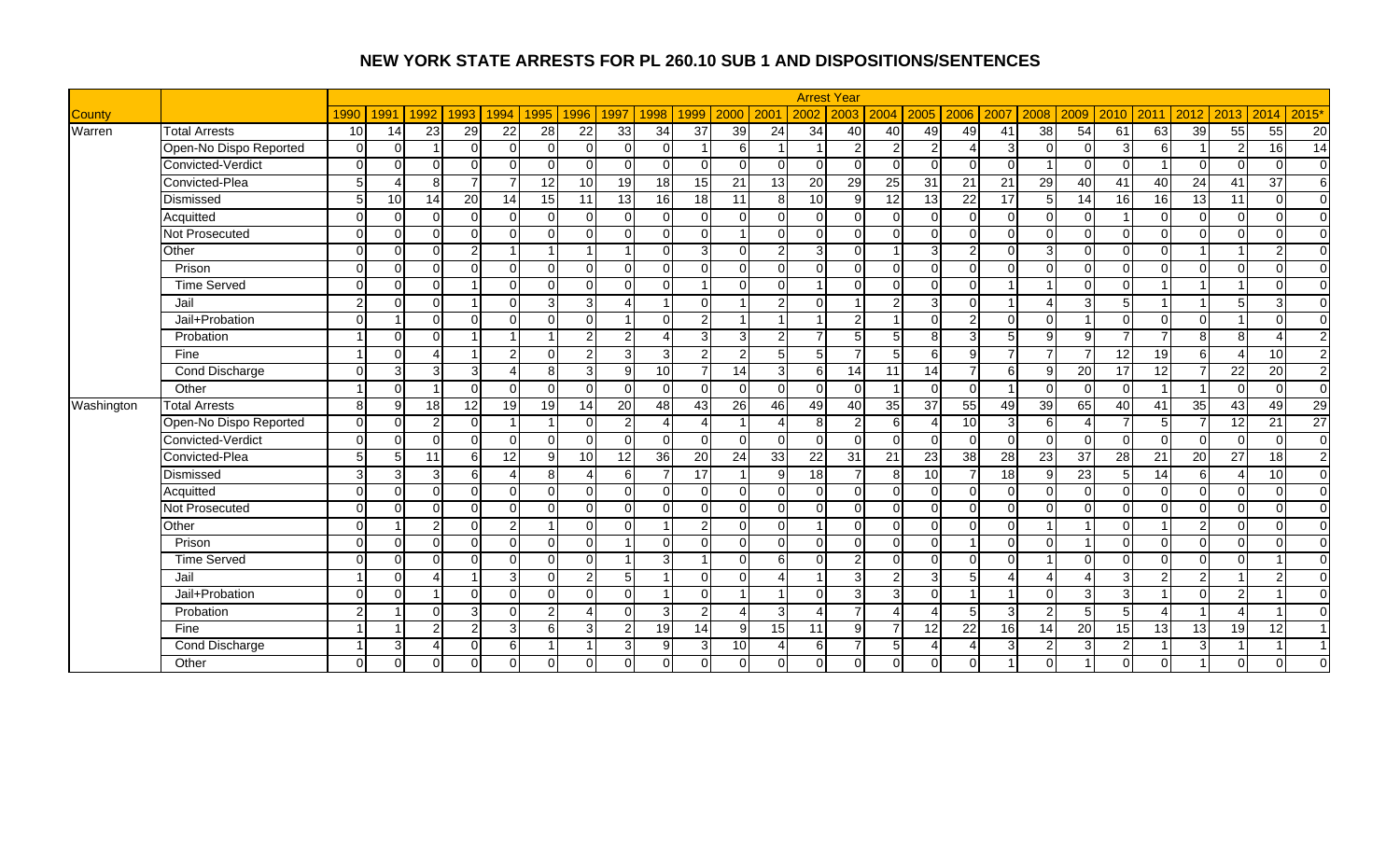|            |                        |                 |          |                |                |                |                 |                 |                         |                 |                          |                 |                  |                 | <b>Arrest Year</b> |                |                |                 |                 |                |              |                |                 |                 |                          |                 |                  |
|------------|------------------------|-----------------|----------|----------------|----------------|----------------|-----------------|-----------------|-------------------------|-----------------|--------------------------|-----------------|------------------|-----------------|--------------------|----------------|----------------|-----------------|-----------------|----------------|--------------|----------------|-----------------|-----------------|--------------------------|-----------------|------------------|
| County     |                        | 1990            | 1991     | 1992           | 1993           | 1994           | 1995            | 1996            | 1997                    | 1998            | 1999                     | 2000            | 200 <sup>1</sup> | 2002            | 2003               | 2004           | 2005           | 2006            | 2007            | 2008           | 2009         | 2010           | 2011            | 2012            | 2013                     | 2014            | 2015'            |
| Warren     | <b>Total Arrests</b>   | 10 <sup>1</sup> | 14       | 23             | 29             | 22             | 28              | 22              | 33                      | 34              | 37                       | 39              | 24               | $\overline{34}$ | 40                 | 40             | 49             | 49              | 41              | 38             | 54           | 61             | 63              | 39              | 55                       | 55              | 20               |
|            | Open-No Dispo Reported | $\Omega$        | $\Omega$ |                | $\Omega$       | $\Omega$       | $\Omega$        | $\Omega$        | $\Omega$                | $\Omega$        |                          | 6               |                  |                 | $\mathcal{P}$      | $\overline{2}$ | $\overline{2}$ | 4               | $\mathcal{B}$   | $\Omega$       | $\Omega$     | 3              | 6               |                 | $\overline{2}$           | 16              | 14               |
|            | Convicted-Verdict      | $\Omega$        | $\Omega$ | ∩              | $\Omega$       | $\Omega$       | $\Omega$        |                 | $\Omega$                | $\Omega$        | $\Omega$                 | $\Omega$        | $\Omega$         | $\Omega$        | $\Omega$           | $\Omega$       | $\Omega$       | $\Omega$        |                 |                |              | $\Omega$       |                 | $\Omega$        | $\Omega$                 | $\Omega$        | $\overline{0}$   |
|            | Convicted-Plea         | 5 <sup>1</sup>  | $\Delta$ | R              | $\overline{7}$ | $\overline{7}$ | $\overline{12}$ | 10 <sup>1</sup> | 19                      | $\overline{18}$ | 15                       | 21              | 13               | 20              | 29                 | 25             | 31             | $\overline{21}$ | $\overline{21}$ | 29             | 40           | 41             | 40              | $\overline{24}$ | 41                       | $\overline{37}$ | $6 \overline{6}$ |
|            | Dismissed              | 5               | 10       | 14             | 20             | 14             | 15              | 11              | 13                      | $\overline{16}$ | 18                       | 11              | 8 <sup>1</sup>   | 10              | 9                  | 12             | 13             | $\overline{22}$ | 17              | 5              | 14           | 16             | 16              | $\overline{13}$ | $\overline{11}$          | $\Omega$        | $\overline{0}$   |
|            | Acquitted              | $\Omega$        | $\Omega$ | $\Omega$       | $\Omega$       | $\Omega$       | $\Omega$        | $\Omega$        | $\Omega$                | $\Omega$        | $\Omega$                 | $\Omega$        | $\Omega$         | $\Omega$        | $\Omega$           | $\overline{0}$ | $\Omega$       | $\Omega$        | $\Omega$        | $\Omega$       | ∩            |                | $\Omega$        | $\overline{0}$  | $\Omega$                 | $\Omega$        | $\overline{0}$   |
|            | Not Prosecuted         | $\Omega$        | $\Omega$ | $\Omega$       | $\Omega$       | $\Omega$       | $\Omega$        | $\Omega$        | $\Omega$                | $\Omega$        | $\Omega$                 |                 | $\Omega$         | $\Omega$        | $\Omega$           | $\Omega$       | $\Omega$       | $\Omega$        | $\Omega$        | $\Omega$       | U            | $\Omega$       | $\Omega$        | $\Omega$        | $\Omega$                 | $\Omega$        | $\overline{0}$   |
|            | Other                  | $\Omega$        | $\Omega$ | $\cap$         | $\overline{2}$ |                |                 |                 |                         | $\Omega$        | 3                        | $\Omega$        | $\overline{2}$   | 3               | $\Omega$           |                | 3              | $\overline{2}$  |                 | 3              |              | $\Omega$       | $\cap$          |                 |                          | $\overline{2}$  | $\overline{0}$   |
|            | Prison                 | $\Omega$        | $\Omega$ | $\Omega$       | $\Omega$       | $\Omega$       | $\Omega$        | $\Omega$        | $\Omega$                | $\Omega$        | $\Omega$                 | $\Omega$        | $\Omega$         | $\Omega$        | $\Omega$           | $\overline{0}$ | $\Omega$       | $\Omega$        |                 | $\Omega$       | ∩            | $\Omega$       | $\Omega$        | $\Omega$        | $\Omega$                 | $\Omega$        | $\overline{0}$   |
|            | <b>Time Served</b>     | $\Omega$        | $\Omega$ | $\Omega$       |                | $\Omega$       | $\Omega$        | $\Omega$        | $\Omega$                | $\Omega$        | $\overline{\phantom{a}}$ | $\Omega$        | $\Omega$         | 1               | $\Omega$           | $\Omega$       | $\Omega$       | $\Omega$        |                 |                | $\cap$       | $\Omega$       |                 | $\overline{1}$  |                          | $\Omega$        | $\overline{0}$   |
|            | Jail                   | $\mathcal{P}$   | $\Omega$ | $\Omega$       |                | $\Omega$       | 3               | 3 <sup>l</sup>  | Δ                       |                 | $\Omega$                 |                 | 2                | $\Omega$        |                    | $\overline{2}$ | $\mathbf{3}$   | $\Omega$        |                 | Δ              | વ            | 5              |                 |                 | 5                        | 3               | $\mathbf 0$      |
|            | Jail+Probation         | $\Omega$        |          | $\Omega$       | $\Omega$       | $\Omega$       | $\Omega$        | $\Omega$        | -1                      | $\Omega$        | $\overline{2}$           |                 |                  |                 | $\overline{2}$     |                | $\Omega$       | $\overline{c}$  | $\Omega$        | $\Omega$       |              | $\Omega$       | $\Omega$        | $\mathbf 0$     |                          | $\Omega$        | $\overline{0}$   |
|            | Probation              |                 | $\Omega$ | $\Omega$       |                |                |                 | $\overline{2}$  | $\overline{2}$          | Δ               | 3                        | $\overline{3}$  | 2                | $\overline{7}$  | 5 <sub>1</sub>     | 5              | 8 <sup>1</sup> | 3               |                 | $\mathsf{Q}$   | $\Omega$     |                |                 | 8               | 8 <sup>1</sup>           | Δ               | $\overline{c}$   |
|            | Fine                   |                 | $\Omega$ |                |                | $\overline{2}$ | $\Omega$        | $\overline{2}$  | 3                       | 3               | $\overline{2}$           | 2               | 5                | 5               |                    | 5              | 6              | 9               |                 |                |              | 12             | 19              | 6               | $\boldsymbol{\Lambda}$   | 10              | $\overline{2}$   |
|            | Cond Discharge         | $\Omega$        | 3        | 31             | 3 <sup>1</sup> | 4              | 8               | $\mathbf{3}$    | 9                       | 10              |                          | 14              | $\overline{3}$   | 6               | 14                 | 11             | 14             | $\overline{7}$  | 6               | 9              | 20           | 17             | 12              | 7               | 22                       | 20              | $\overline{2}$   |
|            | Other                  |                 | $\Omega$ |                | $\Omega$       | $\Omega$       | $\Omega$        | $\Omega$        | $\Omega$                | $\Omega$        | $\Omega$                 | $\Omega$        | $\Omega$         | $\Omega$        | $\Omega$           |                | $\Omega$       | $\Omega$        |                 | $\Omega$       | $\Omega$     | $\Omega$       |                 |                 | $\Omega$                 | $\Omega$        | $\overline{0}$   |
| Washington | <b>Total Arrests</b>   | 8 <sup>1</sup>  | 9        | 18             | 12             | 19             | 19              | 14              | 20                      | 48              | 43                       | 26              | 46               | 49              | 40                 | 35             | 37             | 55              | 49              | 39             | 65           | 40             | 41              | 35              | 43                       | 49              | 29               |
|            | Open-No Dispo Reported | $\Omega$        | $\Omega$ | 2              | $\Omega$       |                |                 |                 | $\overline{2}$          | Δ               |                          |                 |                  | 8               | $\overline{2}$     | $6 \mid$       | $\overline{4}$ | 10              | 3               | 6              |              |                | 5 <sup>1</sup>  |                 | 12                       | $\overline{21}$ | $\overline{27}$  |
|            | Convicted-Verdict      | $\Omega$        | $\Omega$ | $\cap$         | $\Omega$       | $\Omega$       | $\Omega$        | $\cap$          | $\Omega$                | $\Omega$        | $\Omega$                 | $\Omega$        | $\Omega$         | $\Omega$        | $\Omega$           | $\overline{0}$ | $\Omega$       | $\Omega$        |                 | $\Omega$       | ∩            | $\Omega$       | $\Omega$        | $\mathbf 0$     | $\Omega$                 | $\Omega$        | $\overline{0}$   |
|            | Convicted-Plea         | 5 <sup>1</sup>  | 5        | 11             | 6              | 12             | 9               | 10 <sup>1</sup> | 12                      | 36              | $\overline{20}$          | 24              | 33               | $\overline{22}$ | 31                 | 21             | 23             | 38              | 28              | 23             | 37           | 28             | $\overline{21}$ | 20              | $\overline{27}$          | $\overline{18}$ | $\overline{2}$   |
|            | Dismissed              | 3               | 3        | 3              | 6              | 4              | 8               | 4               | 6                       | $\overline{7}$  | 17                       |                 | $\overline{9}$   | 18              |                    | 8 <sup>1</sup> | 10             | $\overline{7}$  | 18              | 9              | 23           | 5              | 14              | $\overline{6}$  | $\Delta$                 | 10              | $\overline{0}$   |
|            | Acquitted              | $\Omega$        | $\Omega$ | $\Omega$       | $\Omega$       | $\Omega$       | $\Omega$        | $\Omega$        | $\Omega$                | $\Omega$        | $\Omega$                 | $\Omega$        | $\Omega$         | $\Omega$        | $\Omega$           | $\overline{0}$ | $\Omega$       | $\Omega$        | ∩               | $\Omega$       | ∩            | $\Omega$       | $\Omega$        | $\overline{0}$  | $\Omega$                 | $\Omega$        | $\overline{0}$   |
|            | <b>Not Prosecuted</b>  | $\Omega$        | $\Omega$ | $\Omega$       | $\Omega$       | $\Omega$       | $\Omega$        | $\Omega$        | $\Omega$                | $\Omega$        | $\Omega$                 | $\Omega$        | $\Omega$         | $\Omega$        | $\Omega$           | $\Omega$       | $\Omega$       | $\Omega$        | $\Omega$        | $\Omega$       |              | $\Omega$       | $\Omega$        | $\mathbf 0$     | $\Omega$                 | $\Omega$        | $\overline{0}$   |
|            | Other                  | $\Omega$        |          | <sup>o</sup>   | $\Omega$       | $\overline{2}$ |                 |                 |                         |                 | $\overline{2}$           | $\Omega$        | $\Omega$         |                 | $\Omega$           | $\Omega$       | $\Omega$       | $\Omega$        |                 |                |              | $\Omega$       |                 | $\overline{2}$  | $\Omega$                 | $\Omega$        | $\overline{0}$   |
|            | Prison                 | $\Omega$        | $\Omega$ | $\Omega$       | $\overline{0}$ | $\Omega$       | $\Omega$        | $\Omega$        |                         | $\Omega$        | $\Omega$                 | $\Omega$        | $\Omega$         | $\Omega$        | $\Omega$           | $\overline{0}$ | $\Omega$       | $\overline{1}$  | $\Omega$        | $\Omega$       |              | $\Omega$       | $\Omega$        | $\mathbf 0$     | $\Omega$                 | $\Omega$        | $\overline{0}$   |
|            | <b>Time Served</b>     | $\Omega$        | $\Omega$ | $\Omega$       | $\mathbf 0$    | $\Omega$       | $\Omega$        | $\Omega$        | $\overline{\mathbf{A}}$ | 3               | $\overline{\mathbf{A}}$  | $\Omega$        | 6                | $\Omega$        | $\overline{2}$     | $\Omega$       | $\Omega$       | $\Omega$        | $\Omega$        | $\overline{1}$ | $\Omega$     | $\Omega$       | $\Omega$        | $\mathbf 0$     | $\Omega$                 |                 | $\overline{0}$   |
|            | Jail                   |                 | $\Omega$ | $\Lambda$      |                | 3              | $\Omega$        | $\overline{2}$  | 5                       |                 | $\Omega$                 | $\Omega$        | Δ                | -1              | $\overline{3}$     | $\overline{2}$ | 3              | 5               |                 | Δ              |              | 3              | $\overline{2}$  | $\overline{2}$  |                          | $\overline{2}$  | $\mathbf 0$      |
|            | Jail+Probation         | $\Omega$        | $\Omega$ |                | $\Omega$       | $\Omega$       | $\Omega$        | $\Omega$        | $\Omega$                | -1              | $\Omega$                 |                 |                  | $\Omega$        | $\overline{3}$     | $\overline{3}$ | $\Omega$       | -1              |                 | $\Omega$       | 3            | 3              |                 | $\Omega$        | $\overline{2}$           |                 | $\Omega$         |
|            | Probation              | $\mathfrak{p}$  |          | $\cap$         | 3              | $\Omega$       | $\overline{2}$  | $\Lambda$       | $\Omega$                | 3               | $\overline{2}$           |                 | 3                | Δ               | $\overline{7}$     | $\lambda$      | $\Delta$       | 5               | ◠               | 2              |              | $\overline{5}$ |                 |                 | $\boldsymbol{\varDelta}$ |                 | $\Omega$         |
|            | Fine                   |                 |          | $\mathfrak{p}$ | $\overline{2}$ | $\overline{3}$ | 6               | $\mathbf{3}$    | $\overline{2}$          | 19              | 14                       | 9               | 15               | 11              | $\mathbf{9}$       |                | 12             | $\overline{22}$ | 16              | 14             | 20           | 15             | 13              | 13              | 19                       | 12              | $\overline{1}$   |
|            | Cond Discharge         |                 | 3        |                | $\overline{0}$ | 6              |                 | $\overline{1}$  | 3                       | 9               | 3                        | 10 <sup>1</sup> |                  | 6               |                    | 5 <sub>l</sub> | $\overline{4}$ | Δ               | ર               | $\overline{2}$ | $\mathbf{r}$ | 2              |                 | 3               |                          | $\overline{ }$  | $\overline{1}$   |
|            | Other                  | $\Omega$        | $\Omega$ | 0              | $\mathbf 0$    | $\Omega$       | $\Omega$        |                 | $\Omega$                |                 |                          | $\Omega$        | $\Omega$         | $\overline{0}$  | $\overline{0}$     | $\overline{0}$ | $\Omega$       | $\Omega$        |                 | $\Omega$       |              | $\Omega$       | $\Omega$        |                 | $\Omega$                 | $\Omega$        | $\Omega$         |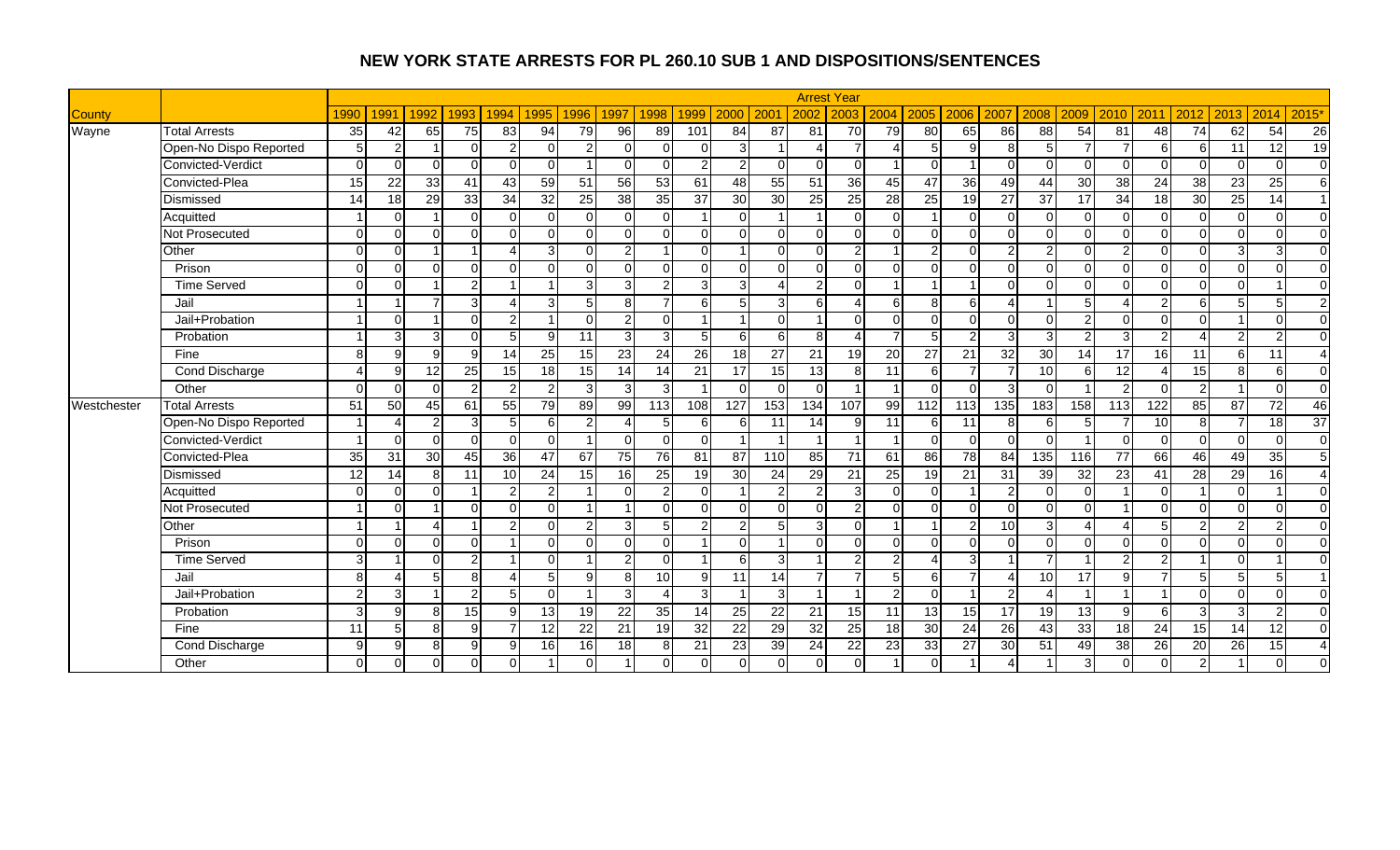|               |                        |               |              |          |                |                |                 |                 |                 |                        |                         |                |                 |                 | <b>Arrest Year</b> |                |                 |                 |                 |                |                 |                 |                |                         |                |                 |                        |
|---------------|------------------------|---------------|--------------|----------|----------------|----------------|-----------------|-----------------|-----------------|------------------------|-------------------------|----------------|-----------------|-----------------|--------------------|----------------|-----------------|-----------------|-----------------|----------------|-----------------|-----------------|----------------|-------------------------|----------------|-----------------|------------------------|
| <b>County</b> |                        | 1990          | 1991         | 1992     | 1993           | 1994           | 1995            | 1996            | 1997            | 1998                   | 1999                    | 2000           | 200             | 2002            | 2003               | 2004           | 2005            | 2006            | 2007            | 2008           | 2009            | 2010            | 2011           | 2012                    | 2013           | 2014            | 2015'                  |
| Wayne         | <b>Total Arrests</b>   | 35            | 42           | 65       | 75             | 83             | 94              | 79              | $\overline{96}$ | 89                     | 101                     | 84             | 87              | 81              | 70                 | 79             | 80              | 65              | 86              | 88             | 54              | 81              | 48             | 74                      | 62             | 54              | 26                     |
|               | Open-No Dispo Reported | 5             | 2            |          | $\Omega$       | $\overline{2}$ | $\Omega$        | $\overline{2}$  | $\Omega$        | $\Omega$               | O                       | 3              |                 |                 |                    |                | 5               | 9               | 8               | 5              | $\overline{ }$  |                 | $6 \mid$       | 6                       | 11             | 12              | 19                     |
|               | Convicted-Verdict      | $\Omega$      | $\Omega$     | $\Omega$ | $\Omega$       | $\Omega$       | $\Omega$        |                 | $\Omega$        | $\Omega$               | 2                       | 2              | $\Omega$        | $\Omega$        | $\Omega$           |                | $\Omega$        |                 | $\Omega$        | $\Omega$       | ∩               | $\Omega$        | $\Omega$       | $\Omega$                | $\Omega$       | $\Omega$        | $\overline{0}$         |
|               | Convicted-Plea         | 15            | 22           | 33       | 41             | 43             | 59              | 51              | 56              | 53                     | 61                      | 48             | 55              | 51              | $\overline{36}$    | 45             | 47              | $\overline{36}$ | 49              | 44             | $\overline{30}$ | 38              | 24             | 38                      | 23             | 25              | 6                      |
|               | Dismissed              | 14            | 18           | 29       | 33             | 34             | 32              | 25              | 38              | 35                     | 37                      | 30             | 30              | 25              | 25                 | 28             | 25              | 19              | 27              | 37             | 17              | 34              | 18             | 30                      | 25             | 14              | $\overline{1}$         |
|               | Acquitted              |               | $\Omega$     |          | $\Omega$       | $\Omega$       | $\Omega$        | $\Omega$        | $\Omega$        | $\Omega$               | $\overline{\mathbf{1}}$ | $\Omega$       |                 |                 | $\Omega$           | $\Omega$       |                 | $\Omega$        | $\Omega$        | $\Omega$       | ∩               | $\Omega$        | $\Omega$       | $\mathbf 0$             | $\Omega$       | $\Omega$        | $\overline{0}$         |
|               | Not Prosecuted         | $\Omega$      | $\Omega$     | $\cap$   | $\Omega$       | U              | $\Omega$        | $\Omega$        | $\Omega$        | $\Omega$               | $\cap$                  | $\Omega$       | $\Omega$        | $\Omega$        | $\Omega$           | $\Omega$       | $\Omega$        | $\Omega$        | $\Omega$        | $\Omega$       | $\Omega$        | $\Omega$        | $\Omega$       | $\Omega$                | $\Omega$       | $\Omega$        | $\overline{0}$         |
|               | Other                  | $\Omega$      | $\Omega$     |          |                |                | 3               | $\Omega$        | $\overline{2}$  |                        | n                       |                | $\Omega$        | $\Omega$        | $\mathfrak{p}$     |                | $\overline{2}$  | $\Omega$        | $\mathcal{P}$   | $\overline{2}$ |                 |                 | $\Omega$       | $\mathbf 0$             | 3 <sup>1</sup> | 3               | $\overline{0}$         |
|               | Prison                 | $\Omega$      | $\Omega$     | $\Omega$ | $\Omega$       | $\Omega$       | $\Omega$        | $\Omega$        | $\Omega$        | $\Omega$               | $\Omega$                | $\Omega$       | $\Omega$        | $\Omega$        | $\Omega$           | $\Omega$       | $\Omega$        | $\Omega$        | $\Omega$        | $\Omega$       | ∩               | $\Omega$        | $\cap$         | $\overline{\mathsf{o}}$ | $\Omega$       | $\Omega$        | $\Omega$               |
|               | <b>Time Served</b>     | $\Omega$      | $\Omega$     |          | $\overline{2}$ |                |                 | 3               | 3               | $\overline{2}$         | 3                       | $\overline{3}$ |                 | $\overline{2}$  | $\Omega$           |                |                 |                 | $\Omega$        | $\Omega$       | $\Omega$        | $\Omega$        | $\Omega$       | $\mathbf 0$             | $\Omega$       |                 | $\mathbf 0$            |
|               | Jail                   |               |              |          | دی             | Δ              | 3               | 5               | 8               | $\overline{7}$         | 6                       | 5 <sub>l</sub> | 3               | 6               |                    | 6              | 8 <sup>1</sup>  | 6               | $\Delta$        |                |                 |                 | $\mathcal{P}$  | 6                       | 5              | 5               | $\overline{2}$         |
|               | Jail+Probation         |               | $\Omega$     |          | $\overline{0}$ | $\overline{2}$ |                 | $\Omega$        | 2 <sub>l</sub>  | $\Omega$               | $\overline{\mathbf{A}}$ |                | $\Omega$        |                 | $\Omega$           | $\Omega$       | $\Omega$        | 0               | $\Omega$        | $\Omega$       | $\mathcal{D}$   | $\Omega$        | $\Omega$       | $\Omega$                |                | $\Omega$        | $\overline{0}$         |
|               | Probation              |               | З            |          | $\Omega$       | 5 <sup>1</sup> | $\mathbf{Q}$    | 11              | 3               | $\overline{3}$         | 5                       | 6              | 6               | 8               |                    |                | $5\overline{5}$ | $\overline{2}$  | 3               | 3              | ົ               | 3               | າ              |                         | $\overline{2}$ | $\overline{2}$  | $\overline{0}$         |
|               | Fine                   | 8             | 9            | q        | 9              | 14             | $\overline{25}$ | 15              | 23              | 24                     | $\overline{26}$         | 18             | $\overline{27}$ | 21              | 19                 | 20             | 27              | 21              | 32              | 30             | 14              | $\overline{17}$ | 16             | 11                      | $6 \mid$       | 11              | $\overline{4}$         |
|               | Cond Discharge         |               | 9            | 12       | 25             | 15             | 18              | 15              | 14              | 14                     | 21                      | 17             | 15              | 13              | 8                  | 11             | 6               | $\overline{7}$  |                 | 10             | 6               | 12              |                | $\overline{15}$         | 8 <sup>1</sup> | 6               | $\overline{0}$         |
|               | Other                  | $\Omega$      | $\Omega$     | $\Omega$ | $\overline{2}$ | $\overline{2}$ | $\overline{2}$  | 3               | 3               | 3                      | - 1                     | $\Omega$       | $\Omega$        | $\Omega$        |                    |                | $\Omega$        | $\Omega$        | 3               | $\Omega$       |                 | 2               | $\Omega$       | $\overline{2}$          |                | $\Omega$        | $\overline{0}$         |
| Westchester   | <b>Total Arrests</b>   | 51            | 50           | 45       | 61             | 55             | 79              | 89              | 99              | 113                    | 108                     | 127            | 153             | 134             | 107                | 99             | 112             | 113             | 135             | 183            | 158             | 113             | 122            | 85                      | 87             | 72              | 46                     |
|               | Open-No Dispo Reported |               |              | っ        | 3              | 5 <sub>l</sub> | 6               | $\overline{2}$  | Δ               | 5 <sub>l</sub>         | 6                       | 6              | 11              | 14              | g                  | 11             | 6               | 11              | 8               | 6              |                 |                 | 10             | 8                       | $\overline{7}$ | $\overline{18}$ | 37                     |
|               | Convicted-Verdict      |               | $\Omega$     | $\Omega$ | $\Omega$       | $\Omega$       | $\Omega$        |                 | $\Omega$        | 0                      | $\Omega$                |                |                 |                 |                    |                | $\overline{0}$  | $\mathbf 0$     | $\Omega$        | $\Omega$       |                 | $\Omega$        | $\Omega$       | $\mathbf 0$             | $\Omega$       | $\Omega$        | $\overline{0}$         |
|               | Convicted-Plea         | 35            | 31           | 30       | 45             | 36             | 47              | 67              | 75              | 76                     | 81                      | 87             | 110             | $\overline{85}$ | 71                 | 61             | 86              | $\overline{78}$ | 84              | 135            | 116             | 77              | 66             | 46                      | 49             | $\overline{35}$ | 5                      |
|               | Dismissed              | 12            | 14           | 8        | 11             | 10             | 24              | 15              | 16              | 25                     | 19                      | 30             | 24              | 29              | 21                 | 25             | 19              | 21              | 31              | 39             | 32              | 23              | 41             | 28                      | 29             | $\overline{16}$ | $\boldsymbol{\Lambda}$ |
|               | Acquitted              | $\Omega$      | $\Omega$     | $\Omega$ | -1             | $\overline{2}$ | 2               |                 | $\Omega$        | $\mathbf{2}$           | $\Omega$                |                | 2               | $\overline{2}$  | 3                  | $\Omega$       | $\overline{0}$  |                 | $\overline{2}$  | $\Omega$       | ∩               |                 | $\Omega$       |                         | $\Omega$       |                 | $\overline{0}$         |
|               | Not Prosecuted         |               | $\Omega$     |          | $\Omega$       | U              | $\Omega$        |                 |                 | $\Omega$               | $\cap$                  | $\Omega$       | $\Omega$        | $\Omega$        | 2                  | $\Omega$       | $\Omega$        | $\Omega$        | $\Omega$        | $\Omega$       | $\Omega$        |                 | $\Omega$       | $\Omega$                | $\Omega$       | $\Omega$        | $\overline{0}$         |
|               | Other                  |               |              |          |                | $\mathcal{P}$  | $\Omega$        | $\mathcal{P}$   | 3               | 5                      | 2                       | $\overline{c}$ |                 | 3               | $\Omega$           |                |                 | $\overline{2}$  | 10              | 3              |                 |                 |                | $\overline{2}$          | $\overline{2}$ | $\overline{2}$  | $\overline{0}$         |
|               | Prison                 | $\Omega$      | $\Omega$     | $\Omega$ | $\Omega$       |                | $\Omega$        | $\Omega$        | $\Omega$        | $\Omega$               | -1                      | $\Omega$       |                 | $\Omega$        | $\Omega$           | $\Omega$       | $\Omega$        | $\Omega$        | $\Omega$        | $\Omega$       | ∩               | $\Omega$        | $\Omega$       | $\Omega$                | $\Omega$       | $\Omega$        | $\Omega$               |
|               | <b>Time Served</b>     | 3             |              | $\Omega$ | $\overline{2}$ |                | $\Omega$        |                 | $\overline{2}$  | $\Omega$               | -1                      | $6 \mid$       | 3               | -1              | $\overline{2}$     | $\overline{2}$ | $\Delta$        | 3               |                 | $\overline{7}$ |                 | 2               | $\overline{2}$ |                         | $\Omega$       |                 | $\Omega$               |
|               | Jail                   | 8             |              |          | 8              | Δ              | 5               | 9               | 8               | 10                     | 9                       | 11             | 14              | $\overline{7}$  | $\overline{7}$     | 5 <sub>l</sub> | 6               | $\overline{7}$  | 4               | 10             | 17              | 9               | 7              | 5                       | 5 <sub>l</sub> | 5               | $\overline{1}$         |
|               | Jail+Probation         | $\mathcal{P}$ | 3            |          | $\overline{2}$ | 5              | $\Omega$        |                 | $\overline{3}$  | $\boldsymbol{\Lambda}$ | 3                       |                | 3               | $\overline{1}$  | $\overline{1}$     | $\overline{2}$ | $\Omega$        | $\overline{1}$  | $\mathcal{P}$   | Δ              |                 |                 |                | $\Omega$                | $\Omega$       | $\Omega$        | $\overline{0}$         |
|               | Probation              | 3             | $\mathsf{Q}$ | 8        | 15             | $\mathsf{Q}$   | 13              | 19              | 22              | 35                     | 14                      | 25             | 22              | 21              | 15                 | 11             | 13              | 15              | 17              | 19             | 13              | 9               | $6 \mid$       | 3                       | $\overline{3}$ | $\overline{2}$  | $\Omega$               |
|               | Fine                   | 11            | 5            | 8        | 9              |                | 12              | 22              | 21              | 19                     | 32                      | 22             | 29              | 32              | 25                 | 18             | 30              | $\overline{24}$ | $\overline{26}$ | 43             | 33              | 18              | 24             | 15                      | 14             | 12              | $\overline{0}$         |
|               | Cond Discharge         | $\mathbf{Q}$  | 9            | 8        | $\overline{9}$ | 9              | 16              | 16 <sup>1</sup> | 18              | 8                      | 21                      | 23             | 39              | 24              | 22                 | 23             | 33              | 27              | 30              | 51             | 49              | 38              | 26             | 20                      | 26             | 15              | $\boldsymbol{\Lambda}$ |
|               | Other                  | $\Omega$      | $\Omega$     | $\Omega$ | $\overline{0}$ | $\Omega$       |                 |                 |                 |                        |                         |                | $\Omega$        | $\Omega$        | $\Omega$           |                | $\Omega$        |                 |                 |                |                 |                 | $\Omega$       | $\overline{2}$          |                | $\Omega$        | $\Omega$               |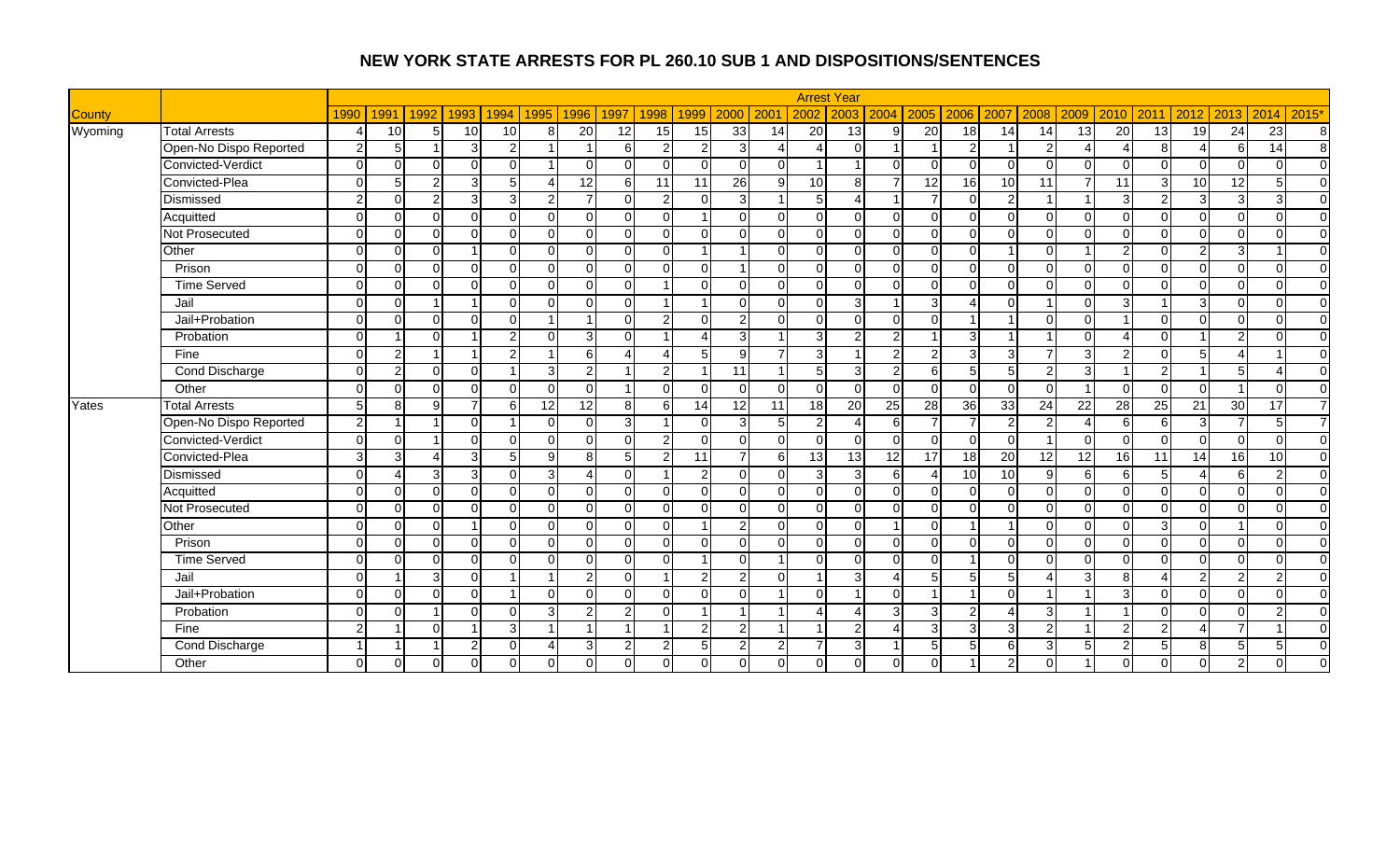|               |                        |                |                |          |                |                 |                |                 |                |                         |                          |                |                |                | <b>Arrest Year</b> |                          |                 |                 |                 |                |          |               |                |                          |                |                 |                |
|---------------|------------------------|----------------|----------------|----------|----------------|-----------------|----------------|-----------------|----------------|-------------------------|--------------------------|----------------|----------------|----------------|--------------------|--------------------------|-----------------|-----------------|-----------------|----------------|----------|---------------|----------------|--------------------------|----------------|-----------------|----------------|
| <b>County</b> |                        | 1990           | 1991           | 1992     | 1993           | 1994            | 1995           | 1996            | 1997           | 1998                    | 1999                     | 2000           | 200            | 2002           | 2003               | 2004                     | $2005$ 2006     |                 | 2007            | 2008           | 2009     | 2010          | 2011           | 2012                     | 2013           | 2014            | 2015'          |
| Wyoming       | <b>Total Arrests</b>   | $\Delta$       | 10             | 5        | 10             | 10 <sup>1</sup> | 8              | $\overline{20}$ | 12             | 15                      | 15                       | 33             | 14             | 20             | 13                 | 9                        | 20              | 18              | 14              | 14             | 13       | 20            | 13             | 19                       | 24             | $\overline{23}$ | 8              |
|               | Open-No Dispo Reported | $\overline{2}$ | 5              |          | دن             | $\overline{2}$  |                |                 | 6              | $\overline{2}$          | 2                        | 3              |                |                | $\Omega$           |                          |                 | $\overline{2}$  |                 | $\mathcal{P}$  |          |               | $\mathbf{8}$   |                          | $6 \mid$       | 14              | $\infty$       |
|               | Convicted-Verdict      | $\Omega$       | $\Omega$       | $\Omega$ | $\Omega$       | $\Omega$        |                |                 | $\Omega$       | $\Omega$                | $\Omega$                 | $\Omega$       | $\Omega$       |                |                    | $\Omega$                 | $\Omega$        | $\Omega$        |                 | $\Omega$       |          | $\Omega$      | $\cap$         | $\Omega$                 | $\Omega$       | $\Omega$        | $\overline{0}$ |
|               | Convicted-Plea         | $\Omega$       | 5              | 21       | ω              | 5 <sub>l</sub>  | Δ              | $\overline{12}$ | 6              | 11                      | 11                       | 26             | $\mathfrak{g}$ | 10             | 8                  |                          | $\overline{12}$ | 16              | 10              | 11             |          | 11            | $\mathbf{3}$   | 10                       | 12             | 5               | $\overline{0}$ |
|               | Dismissed              | $\mathfrak{p}$ | $\Omega$       | 21       | دن             | 3               | $\overline{2}$ | $\overline{7}$  | $\Omega$       | $\overline{a}$          | $\Omega$                 | $\overline{3}$ | 1              | 5              | $\Delta$           |                          | $\overline{7}$  | $\Omega$        |                 |                |          | 3             | 2              | $\mathbf{3}$             | 3 <sup>1</sup> | 3               | $\overline{0}$ |
|               | Acquitted              | $\Omega$       | $\Omega$       | ΩI       | $\overline{0}$ | $\Omega$        | $\Omega$       | $\Omega$        | $\Omega$       | $\Omega$                | $\overline{\mathbf{A}}$  | $\Omega$       | $\Omega$       | $\overline{0}$ | $\Omega$           | $\overline{0}$           | $\Omega$        | $\mathbf 0$     | <sup>0</sup>    | $\Omega$       | ∩        | $\Omega$      | $\Omega$       | $\mathbf 0$              | $\Omega$       | $\Omega$        | $\overline{0}$ |
|               | <b>Not Prosecuted</b>  | $\Omega$       | $\Omega$       | $\Omega$ | $\Omega$       | $\Omega$        | $\Omega$       | $\Omega$        | $\Omega$       | $\Omega$                | $\Omega$                 | $\Omega$       | $\Omega$       | $\Omega$       | $\Omega$           | $\Omega$                 | $\Omega$        | $\Omega$        | $\Omega$        | $\Omega$       | $\cap$   | $\Omega$      | $\Omega$       | $\mathbf 0$              | $\Omega$       | $\Omega$        | $\overline{0}$ |
|               | Other                  | $\Omega$       | $\Omega$       | $\Omega$ |                | $\Omega$        | $\Omega$       | $\cap$          | $\Omega$       | $\Omega$                |                          |                | $\Omega$       | $\Omega$       | $\Omega$           | $\overline{0}$           | $\Omega$        | $\Omega$        |                 | $\Omega$       |          | 2             | $\cap$         | $\overline{2}$           | 3 <sup>1</sup> |                 | $\overline{0}$ |
|               | Prison                 | $\Omega$       | $\Omega$       | $\Omega$ | $\Omega$       | $\Omega$        | $\Omega$       | $\Omega$        | $\Omega$       | $\Omega$                | $\Omega$                 |                | $\Omega$       | $\Omega$       | $\Omega$           | $\Omega$                 | $\Omega$        | $\Omega$        |                 | $\Omega$       | ∩        | $\Omega$      | $\Omega$       | $\overline{0}$           | $\Omega$       | $\Omega$        | $\Omega$       |
|               | <b>Time Served</b>     | $\Omega$       | $\Omega$       | $\Omega$ | $\Omega$       | $\Omega$        | $\Omega$       | $\Omega$        | $\Omega$       |                         | $\Omega$                 | $\Omega$       | $\Omega$       | $\Omega$       | $\Omega$           | $\Omega$                 | $\Omega$        | $\Omega$        |                 | $\Omega$       | $\Omega$ | $\Omega$      | $\Omega$       | $\Omega$                 | $\Omega$       | $\Omega$        | $\overline{0}$ |
|               | Jail                   | $\Omega$       | $\Omega$       |          |                | $\Omega$        | $\Omega$       | $\Omega$        | $\Omega$       | $\overline{\mathbf{A}}$ | -1                       | $\Omega$       | $\Omega$       | $\Omega$       | $\overline{3}$     |                          | $\overline{3}$  | $\overline{4}$  | ∩               |                | ∩        | 3             |                | 3                        | $\Omega$       | $\Omega$        | $\Omega$       |
|               | Jail+Probation         | $\Omega$       | $\Omega$       | $\Omega$ | $\Omega$       | $\Omega$        |                | $\overline{ }$  | $\Omega$       | $\overline{2}$          | $\Omega$                 | $\mathfrak{p}$ | n.             | $\Omega$       | $\Omega$           | $\Omega$                 | $\Omega$        | $\overline{1}$  |                 | $\Omega$       | $\Omega$ |               | $\Omega$       | $\Omega$                 | $\Omega$       | $\Omega$        | $\overline{0}$ |
|               | Probation              | $\Omega$       |                | $\Omega$ |                | $\mathfrak{p}$  | $\Omega$       | $\overline{3}$  | ∩              |                         |                          | 3              |                | 3              | $\mathcal{P}$      | $\mathcal{P}$            |                 | 3               |                 |                |          |               | $\Omega$       |                          | $\mathcal{P}$  | $\Omega$        | $\overline{0}$ |
|               | Fine                   | $\Omega$       | $\overline{2}$ |          |                | $\overline{2}$  |                | 6               | Δ              | Δ                       | 5                        | 9              |                | $\mathbf{3}$   |                    | $\overline{2}$           | $\overline{2}$  | 3               | 3               |                | 3        | $\mathcal{P}$ | $\Omega$       | 5                        | Δ              |                 | $\overline{0}$ |
|               | <b>Cond Discharge</b>  | $\Omega$       | $\overline{2}$ | ΩI       | $\overline{0}$ |                 | 3              | $\overline{2}$  |                | $\overline{a}$          | $\overline{\phantom{a}}$ | 11             |                | 5 <sub>l</sub> | $\overline{3}$     | $\overline{2}$           | 6               | 5               | 5               | $\overline{2}$ | 3        |               | $\overline{2}$ |                          | 5 <sub>l</sub> | Δ               | $\overline{0}$ |
|               | Other                  | $\Omega$       | $\Omega$       | $\Omega$ | $\overline{0}$ | $\Omega$        | $\Omega$       | $\Omega$        | $\overline{1}$ | $\Omega$                | $\Omega$                 | $\Omega$       | $\Omega$       | $\overline{0}$ | $\Omega$           | $\overline{0}$           | $\Omega$        | $\mathbf 0$     | $\Omega$        | $\Omega$       |          | $\Omega$      | $\Omega$       | $\mathbf 0$              |                | $\mathbf 0$     | $\overline{0}$ |
| Yates         | <b>Total Arrests</b>   | 5 <sub>l</sub> | 8              | a        | $\overline{7}$ | 6               | 12             | 12              | 8              | 6                       | 14                       | 12             | 11             | 18             | 20                 | 25                       | 28              | $\overline{36}$ | $\overline{33}$ | 24             | 22       | 28            | 25             | 21                       | 30             | 17              | $\overline{7}$ |
|               | Open-No Dispo Reported | $\overline{2}$ |                |          | $\Omega$       |                 | $\Omega$       | $\cap$          | 3              |                         | $\Omega$                 | 3              | 5              | 2              |                    | $6 \mid$                 | $\overline{7}$  |                 |                 |                |          | 6             | 6              | 3                        | $\overline{7}$ | 5               | $\overline{7}$ |
|               | Convicted-Verdict      | $\Omega$       | $\Omega$       |          | $\Omega$       | $\Omega$        | $\Omega$       | $\Omega$        | $\Omega$       | $\overline{2}$          | $\Omega$                 | $\Omega$       | $\Omega$       | $\Omega$       | $\Omega$           | $\Omega$                 | $\Omega$        | $\Omega$        | $\Omega$        |                | $\Omega$ | $\Omega$      | $\Omega$       | $\Omega$                 | $\Omega$       | $\Omega$        | $\Omega$       |
|               | Convicted-Plea         | $\overline{3}$ | 3              |          | 3 <sup>l</sup> | 5 <sub>l</sub>  | 9              | 8               | 5              | $\overline{2}$          | 11                       |                | $6 \mid$       | 13             | 13                 | 12                       | 17              | $\overline{18}$ | 20              | 12             | 12       | 16            | 11             | 14                       | 16             | 10              | $\Omega$       |
|               | Dismissed              | $\Omega$       | Δ              | зI       | 3 <sup>1</sup> | $\Omega$        | 3              | $\Delta$        | $\Omega$       |                         | $\mathfrak{p}$           | $\Omega$       | $\Omega$       | 3              | 3                  | $6 \mid$                 | $\overline{4}$  | 10              | 10              | 9              | 6        | 6             | 5              | $\boldsymbol{\varDelta}$ | $6 \mid$       | $\overline{2}$  | $\overline{0}$ |
|               | Acquitted              | $\Omega$       | $\Omega$       | $\Omega$ | $\Omega$       | $\Omega$        | $\Omega$       | $\Omega$        | $\Omega$       | $\Omega$                | $\Omega$                 | $\Omega$       | $\Omega$       | $\Omega$       | $\Omega$           | $\Omega$                 | $\Omega$        | $\Omega$        | $\Omega$        | $\Omega$       | $\Omega$ | $\Omega$      | $\Omega$       | $\Omega$                 | $\Omega$       | $\Omega$        | $\overline{0}$ |
|               | Not Prosecuted         | $\Omega$       | $\Omega$       | ΩI       | $\Omega$       | $\Omega$        | $\Omega$       | $\Omega$        | $\Omega$       | $\Omega$                | $\Omega$                 | $\Omega$       | $\Omega$       | $\Omega$       | $\Omega$           | $\Omega$                 | $\Omega$        | $\Omega$        | ∩               | $\Omega$       | $\Omega$ | $\Omega$      | $\Omega$       | $\Omega$                 | $\Omega$       | $\Omega$        | $\overline{0}$ |
|               | Other                  | $\Omega$       | $\Omega$       | $\Omega$ |                | $\Omega$        | $\Omega$       | U               | $\Omega$       | $\Omega$                |                          | 2              | $\Omega$       | $\Omega$       | $\Omega$           |                          | $\Omega$        |                 |                 | $\Omega$       | $\cap$   | $\Omega$      | 3              | $\Omega$                 |                | $\Omega$        | $\overline{0}$ |
|               | Prison                 | $\Omega$       | $\Omega$       | ΩI       | $\Omega$       | $\Omega$        | $\Omega$       | $\Omega$        | $\Omega$       | $\Omega$                | $\Omega$                 | $\Omega$       | $\Omega$       | $\Omega$       | $\Omega$           | $\overline{0}$           | $\Omega$        | $\Omega$        | $\Omega$        | $\Omega$       | $\Omega$ | $\Omega$      | $\Omega$       | $\overline{\mathsf{o}}$  | $\Omega$       | $\Omega$        | $\overline{0}$ |
|               | <b>Time Served</b>     | $\Omega$       | $\Omega$       | $\Omega$ | $\Omega$       | $\Omega$        | $\Omega$       | $\Omega$        | $\Omega$       | $\Omega$                | $\overline{\mathbf{A}}$  | $\Omega$       | 1              | $\Omega$       | $\Omega$           | $\overline{0}$           | $\Omega$        |                 | ∩               | $\Omega$       | ∩        | $\Omega$      | $\Omega$       | $\Omega$                 | $\Omega$       | $\Omega$        | $\overline{0}$ |
|               | Jail                   | $\Omega$       |                | 31       | $\overline{0}$ |                 |                | $\overline{2}$  | $\Omega$       | -1                      | $\overline{2}$           | $\overline{2}$ | $\Omega$       | 1              | $\overline{3}$     | $\overline{A}$           | 5 <sub>l</sub>  | 5               | 5 <sup>1</sup>  | Δ              | 3        | 8             |                | $\overline{a}$           | $\overline{2}$ | $\overline{c}$  | $\overline{0}$ |
|               | Jail+Probation         | $\Omega$       | $\Omega$       | $\Omega$ | $\Omega$       |                 | $\Omega$       | $\Omega$        | $\Omega$       | $\Omega$                | $\Omega$                 | $\Omega$       |                | $\Omega$       | -1                 | $\Omega$                 |                 | $\overline{1}$  | $\Omega$        |                |          | 3             | $\Omega$       | $\mathbf 0$              | $\Omega$       | $\Omega$        | $\overline{0}$ |
|               | Probation              | $\Omega$       | $\Omega$       |          | $\Omega$       | $\Omega$        | 3              | $\overline{2}$  | $\mathcal{P}$  | $\Omega$                |                          |                |                |                |                    | $\overline{3}$           | 3 <sup>l</sup>  | $\overline{2}$  |                 | 3              |          |               | $\cap$         | $\Omega$                 | $\Omega$       | $\mathcal{P}$   | $\Omega$       |
|               | Fine                   | $\overline{2}$ |                | $\Omega$ |                | $\overline{3}$  |                | 1               | $\overline{ }$ |                         | $\mathcal{P}$            | $\overline{2}$ |                | 1              | $\mathcal{D}$      | $\boldsymbol{\varDelta}$ | $\mathcal{B}$   | 3               | વ               | $\overline{2}$ |          | $\mathcal{P}$ | $\overline{2}$ | $\boldsymbol{\varDelta}$ | $\overline{7}$ |                 | $\overline{0}$ |
|               | <b>Cond Discharge</b>  |                |                |          | 2 <sup>1</sup> | $\Omega$        | $\Delta$       | $\overline{3}$  | $\overline{2}$ | $\overline{2}$          | 5                        | $\mathcal{P}$  | 2              | $\overline{7}$ | 3                  |                          | 5               | 5               | 6               | 3              |          | 2             | 5              | 8                        | 5 <sub>l</sub> | 5               | $\mathbf 0$    |
|               | Other                  | $\Omega$       | $\Omega$       | $\Omega$ | $\mathbf 0$    | 0               | $\Omega$       | $\Omega$        | $\Omega$       | $\overline{0}$          | $\Omega$                 | $\overline{0}$ | $\Omega$       | $\overline{0}$ | $\Omega$           | $\overline{0}$           | $\Omega$        |                 | $\overline{2}$  | $\Omega$       |          | $\Omega$      | $\Omega$       | $\overline{\mathsf{o}}$  | $\overline{2}$ | $\Omega$        | $\Omega$       |